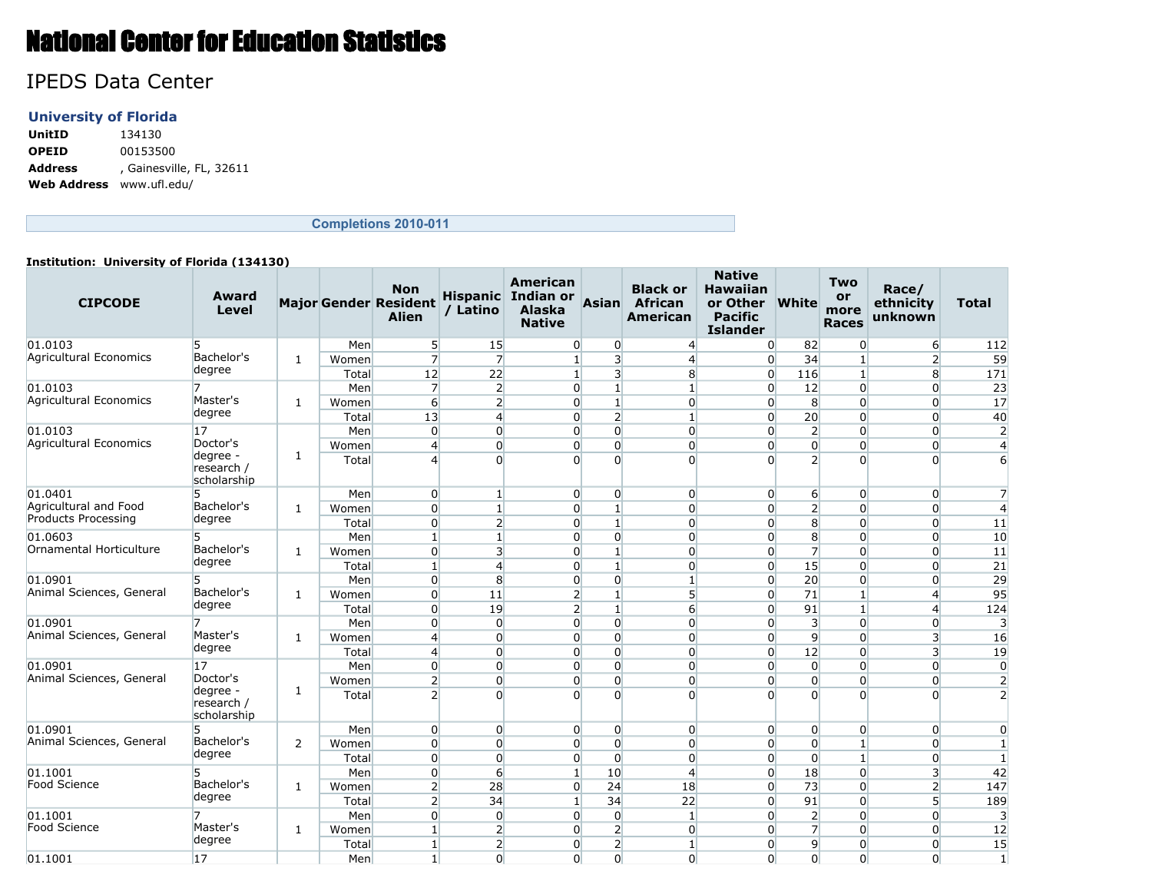# National Center for Education Statistics

# IPEDS Data Center

## **University of Florida**

**UnitID** 134130 **OPEID** 00153500 **Address** , Gainesville, FL, 32611 **Web Address** www.ufl.edu/

## **Completions 2010-011**

#### **Institution: University of Florida (134130)**

| <b>CIPCODE</b>           | Award<br>Level                        |              |       | <b>Non</b><br><b>Major Gender Resident</b><br><b>Alien</b> | / Latino                | <b>American</b><br>Hispanic Indian or<br><b>Alaska</b><br><b>Native</b> | <b>Asian</b>    | <b>Black or</b><br><b>African</b><br><b>American</b> | <b>Native</b><br><b>Hawaiian</b><br>or Other<br><b>Pacific</b><br><b>Islander</b> | <b>White</b>     | <b>Two</b><br>or<br>more<br><b>Races</b> | Race/<br>ethnicity<br>unknown | <b>Total</b>   |
|--------------------------|---------------------------------------|--------------|-------|------------------------------------------------------------|-------------------------|-------------------------------------------------------------------------|-----------------|------------------------------------------------------|-----------------------------------------------------------------------------------|------------------|------------------------------------------|-------------------------------|----------------|
| 01.0103                  | 5                                     |              | Men   | 5 <sup>1</sup>                                             | <b>15</b>               | $\overline{0}$                                                          | 0               | $\overline{4}$                                       | $\overline{0}$                                                                    | 82               | 0                                        | 6                             | 112            |
| Agricultural Economics   | Bachelor's                            | $\mathbf{1}$ | Women | 7                                                          | $\overline{7}$          | $\mathbf{1}$                                                            | 3 <sup>1</sup>  | $\overline{4}$                                       | $\overline{0}$                                                                    | 34               | 1                                        | $\overline{2}$                | 59             |
|                          | degree                                |              | Total | 12                                                         | 22                      | $1\vert$                                                                | $\overline{3}$  | 8                                                    | $\overline{0}$                                                                    | 116              | $\mathbf{1}$                             | 8                             | 171            |
| 01.0103                  | 7                                     |              | Men   | $\overline{7}$                                             | $\overline{2}$          | $\overline{0}$                                                          | $\mathbf{1}$    | $\mathbf{1}$                                         | $\Omega$                                                                          | 12               | $\overline{0}$                           | $\overline{0}$                | 23             |
| Agricultural Economics   | Master's                              | 1            | Women | $6 \overline{}$                                            | $\overline{2}$          | $\Omega$                                                                | $\mathbf{1}$    | $\overline{0}$                                       | $\overline{0}$                                                                    | 8 <sup>°</sup>   | $\overline{0}$                           | $\overline{0}$                | 17             |
|                          | degree                                |              | Total | 13                                                         | $\overline{4}$          | $\Omega$                                                                | $\overline{2}$  | $1\overline{ }$                                      | $\overline{0}$                                                                    | 20               | $\overline{0}$                           | $\overline{0}$                | 40             |
| 01.0103                  | 17                                    |              | Men   | $\Omega$                                                   | $\overline{0}$          | $\Omega$                                                                | $\Omega$        | $\Omega$                                             | $\overline{0}$                                                                    | $\overline{2}$   | $\overline{0}$                           | $\overline{0}$                | $\overline{2}$ |
| Agricultural Economics   | Doctor's                              |              | Women | $\overline{4}$                                             | $\overline{0}$          | $\Omega$                                                                | $\overline{0}$  | $\overline{0}$                                       | $\overline{0}$                                                                    | $\overline{0}$   | $\overline{0}$                           | $\overline{0}$                | 4              |
|                          | degree -<br>research /<br>scholarship | $\mathbf{1}$ | Total | $\overline{4}$                                             | $\Omega$                | $\Omega$                                                                | $\Omega$        | $\Omega$                                             | $\Omega$                                                                          | 2 <sup>1</sup>   | $\overline{0}$                           | $\Omega$                      | 6              |
| 01.0401                  | 5                                     |              | Men   | $\overline{0}$                                             | $\mathbf{1}$            | $\overline{0}$                                                          | $\overline{0}$  | $\overline{0}$                                       | $\overline{0}$                                                                    | $6 \overline{6}$ | $\overline{0}$                           | $\overline{0}$                | 7              |
| Agricultural and Food    | Bachelor's                            | $\mathbf{1}$ | Women | $\overline{0}$                                             | $1\overline{ }$         | $\overline{0}$                                                          | $1\overline{ }$ | $\overline{0}$                                       | $\overline{0}$                                                                    | $\overline{2}$   | $\overline{0}$                           | $\overline{0}$                | 4              |
| Products Processing      | degree                                |              | Total | $\Omega$                                                   | $\overline{2}$          | $\Omega$                                                                | $\mathbf{1}$    | $\Omega$                                             | $\Omega$                                                                          | 8                | $\overline{0}$                           | $\overline{0}$                | 11             |
| 01.0603                  | 5                                     |              | Men   | $\mathbf{1}$                                               | $\mathbf{1}$            | $\Omega$                                                                | $\Omega$        | $\overline{0}$                                       | $\overline{0}$                                                                    | 8 <sup>1</sup>   | $\overline{0}$                           | $\overline{0}$                | 10             |
| Ornamental Horticulture  | Bachelor's                            | $\mathbf{1}$ | Women | $\Omega$                                                   | $\overline{\mathbf{3}}$ | $\Omega$                                                                | $1\overline{ }$ | $\Omega$                                             | $\overline{0}$                                                                    | $\overline{7}$   | $\overline{0}$                           | $\Omega$                      | 11             |
|                          | degree                                |              | Total | $\mathbf{1}$                                               | $\overline{4}$          | $\Omega$                                                                | $\mathbf{1}$    | $\overline{0}$                                       | $\overline{0}$                                                                    | 15               | $\overline{0}$                           | $\overline{0}$                | 21             |
| 01.0901                  | 5                                     |              | Men   | $\overline{0}$                                             | 8                       | $\overline{0}$                                                          | $\overline{0}$  | $\mathbf{1}$                                         | $\overline{0}$                                                                    | 20               | $\overline{0}$                           | $\overline{0}$                | 29             |
| Animal Sciences, General | Bachelor's                            | $\mathbf{1}$ | Women | $\Omega$                                                   | 11                      | $\overline{2}$                                                          | $\mathbf{1}$    | 5 <sup>1</sup>                                       | $\overline{0}$                                                                    | 71               | $\mathbf{1}$                             | $\overline{4}$                | 95             |
|                          | degree                                |              | Total | $\overline{0}$                                             | 19                      | $\overline{2}$                                                          | $\mathbf{1}$    | $6 \overline{}$                                      | $\overline{0}$                                                                    | 91               | $\mathbf{1}$                             | $\overline{4}$                | 124            |
| 01.0901                  | 7                                     |              | Men   | $\Omega$                                                   | $\Omega$                | $\Omega$                                                                | $\Omega$        | $\Omega$                                             | $\overline{0}$                                                                    | $\overline{3}$   | $\Omega$                                 | $\Omega$                      | 3              |
| Animal Sciences, General | Master's                              | 1            | Women | $\overline{4}$                                             | $\Omega$                | $\Omega$                                                                | $\Omega$        | $\Omega$                                             | $\Omega$                                                                          | $\overline{9}$   | $\Omega$                                 | $\overline{3}$                | 16             |
|                          | degree                                |              | Total | $\overline{4}$                                             | $\overline{0}$          | $\overline{0}$                                                          | $\overline{0}$  | $\overline{0}$                                       | $\overline{0}$                                                                    | 12               | $\overline{0}$                           | $\overline{3}$                | 19             |
| 01.0901                  | 17                                    |              | Men   | $\overline{0}$                                             | $\Omega$                | $\Omega$                                                                | $\Omega$        | $\Omega$                                             | $\overline{0}$                                                                    | $\overline{0}$   | $\overline{0}$                           | $\overline{0}$                | $\mathbf 0$    |
| Animal Sciences, General | Doctor's                              |              | Women | $\overline{2}$                                             | $\overline{0}$          | $\overline{0}$                                                          | $\overline{0}$  | $\overline{0}$                                       | $\overline{0}$                                                                    | $\overline{0}$   | $\overline{0}$                           | $\overline{0}$                | $\overline{2}$ |
|                          | degree -<br>research /<br>scholarship | 1            | Total | $\overline{2}$                                             | $\Omega$                | $\Omega$                                                                | $\Omega$        | $\Omega$                                             | $\Omega$                                                                          | $\Omega$         | $\Omega$                                 | $\Omega$                      | $\overline{2}$ |
| 01.0901                  | 5                                     |              | Men   | $\overline{0}$                                             | $\overline{0}$          | $\overline{0}$                                                          | $\overline{0}$  | $\overline{0}$                                       | $\overline{0}$                                                                    | $\overline{0}$   | $\overline{0}$                           | $\overline{0}$                | 0              |
| Animal Sciences, General | Bachelor's                            | 2            | Women | $\overline{0}$                                             | $\Omega$                | $\Omega$                                                                | $\Omega$        | $\overline{0}$                                       | $\overline{0}$                                                                    | $\overline{0}$   | 1                                        | $\overline{0}$                | -1             |
|                          | degree                                |              | Total | $\Omega$                                                   | $\Omega$                | $\Omega$                                                                | $\Omega$        | $\Omega$                                             | $\overline{0}$                                                                    | $\overline{0}$   | 1                                        | $\overline{0}$                | -1             |
| 01.1001                  | 5                                     |              | Men   | $\overline{0}$                                             | $6 \overline{}$         | $\mathbf{1}$                                                            | 10              | $\overline{4}$                                       | $\overline{0}$                                                                    | 18               | $\overline{0}$                           | $\overline{3}$                | 42             |
| Food Science             | Bachelor's                            | $\mathbf{1}$ | Women | $\overline{2}$                                             | 28                      | $\Omega$                                                                | 24              | 18                                                   | $\overline{0}$                                                                    | 73               | $\overline{0}$                           | $\overline{2}$                | 147            |
|                          | degree                                |              | Total | $\overline{2}$                                             | 34                      | $\mathbf{1}$                                                            | 34              | 22                                                   | $\Omega$                                                                          | 91               | $\overline{0}$                           | $\overline{5}$                | 189            |
| 01.1001                  | 7                                     |              | Men   | $\overline{0}$                                             | $\overline{0}$          | $\Omega$                                                                | $\overline{0}$  | $\mathbf{1}$                                         | $\overline{0}$                                                                    | $\overline{2}$   | $\overline{0}$                           | $\Omega$                      | 3              |
| Food Science             | Master's                              | $\mathbf{1}$ | Women | $\mathbf{1}$                                               | $\overline{2}$          | $\Omega$                                                                | $\overline{2}$  | $\overline{0}$                                       | $\overline{0}$                                                                    | $\overline{7}$   | $\overline{0}$                           | $\Omega$                      | 12             |
|                          | degree                                |              | Total | $\mathbf{1}$                                               | $\overline{2}$          | $\overline{0}$                                                          | $\overline{2}$  | $\mathbf{1}$                                         | $\overline{0}$                                                                    | 9                | $\overline{0}$                           | $\overline{0}$                | 15             |
| 01.1001                  | 17                                    |              | Men   | $\mathbf{1}$                                               | $\Omega$                | $\Omega$                                                                | $\Omega$        | $\overline{0}$                                       | $\Omega$                                                                          | $\Omega$         | $\Omega$                                 | $\Omega$                      | $\overline{1}$ |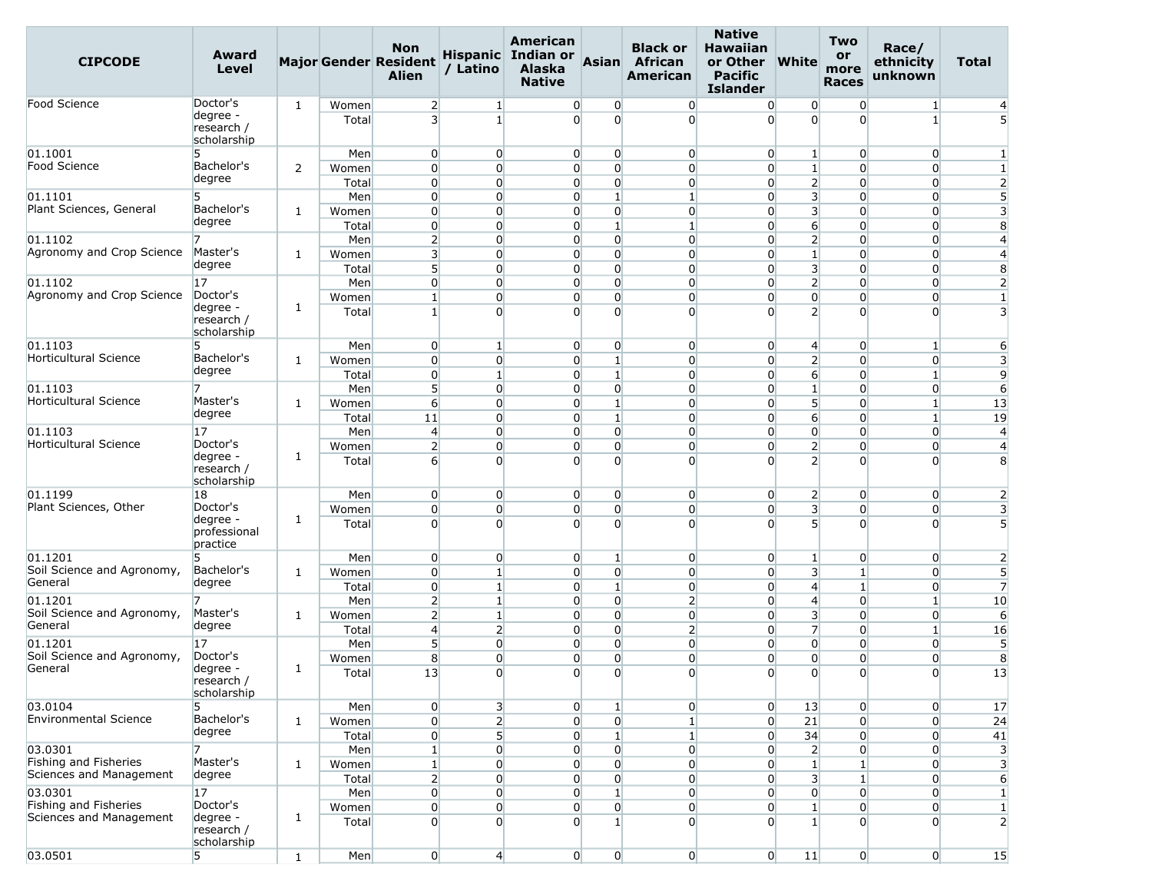| <b>CIPCODE</b>                                   | Award<br>Level                        |              |                | <b>Non</b><br><b>Major Gender Resident</b><br><b>Alien</b> | / Latino                           | <b>American</b><br>Hispanic Indian or<br><b>Alaska</b><br><b>Native</b> | Asian                             | <b>Black or</b><br>African<br>American | <b>Native</b><br><b>Hawaiian</b><br>or Other<br><b>Pacific</b><br><b>Islander</b> | <b>White</b>                              | <b>Two</b><br>or<br>more<br><b>Races</b> | Race/<br>ethnicity<br>unknown    | <b>Total</b>                 |
|--------------------------------------------------|---------------------------------------|--------------|----------------|------------------------------------------------------------|------------------------------------|-------------------------------------------------------------------------|-----------------------------------|----------------------------------------|-----------------------------------------------------------------------------------|-------------------------------------------|------------------------------------------|----------------------------------|------------------------------|
| Food Science                                     | Doctor's                              | $\mathbf{1}$ | Women          | $\overline{2}$                                             | 1 <sup>1</sup>                     | $\overline{0}$                                                          | 0                                 | $\overline{0}$                         | $\overline{0}$                                                                    | $\overline{0}$                            | $\overline{0}$                           | $\mathbf{1}$                     | $\overline{4}$               |
|                                                  | degree -<br>research /<br>scholarship |              | Total          | $\overline{3}$                                             | $\mathbf{1}$                       | $\overline{0}$                                                          | $\overline{0}$                    | $\Omega$                               | $\Omega$                                                                          | $\Omega$                                  | $\Omega$                                 | $\mathbf{1}$                     |                              |
| 01.1001                                          | 5                                     |              | Men            | $\overline{0}$                                             | $\overline{0}$                     | $\overline{0}$                                                          | $\overline{0}$                    | $\overline{0}$                         | $\overline{0}$                                                                    | $\mathbf{1}$                              | $\overline{0}$                           | $\overline{0}$                   | $\mathbf{1}$                 |
| Food Science                                     | Bachelor's                            | 2            | Women          | $\overline{0}$                                             | $\overline{0}$                     | $\overline{0}$                                                          | $\overline{0}$                    | $\overline{0}$                         | $\overline{0}$                                                                    | $1\overline{ }$                           | $\overline{0}$                           | $\overline{0}$                   | $\mathbf{1}$                 |
|                                                  | degree                                |              | Total          | $\overline{0}$                                             | $\overline{0}$                     | $\overline{0}$                                                          | $\overline{0}$                    | $\overline{0}$                         | $\overline{0}$                                                                    | $\overline{2}$                            | $\Omega$                                 | $\overline{0}$                   | $\overline{2}$               |
| 01.1101                                          | 5                                     |              | Men            | $\overline{0}$                                             | $\overline{0}$                     | $\overline{0}$                                                          | $\mathbf{1}$                      | $\mathbf{1}$                           | $\overline{0}$                                                                    | $\overline{\mathbf{3}}$                   | $\Omega$                                 | $\overline{0}$                   | 5                            |
| Plant Sciences, General                          | Bachelor's<br>degree                  | 1            | Women          | $\overline{0}$                                             | $\overline{0}$                     | $\overline{0}$                                                          | $\overline{0}$                    | $\overline{0}$                         | $\overline{0}$                                                                    | $\overline{\mathbf{3}}$                   | $\overline{0}$                           | $\overline{0}$                   | 3                            |
|                                                  |                                       |              | Total          | $\overline{0}$                                             | $\overline{0}$                     | $\overline{0}$                                                          | $\mathbf{1}$                      | $\mathbf{1}$                           | $\overline{0}$                                                                    | $6 \overline{}$                           | $\Omega$                                 | $\overline{0}$                   | 8                            |
| 01.1102<br>Agronomy and Crop Science             | Master's                              |              | Men            | $\overline{2}$                                             | $\overline{0}$                     | 0                                                                       | $\overline{0}$<br>$\overline{0}$  | $\overline{0}$                         | $\overline{0}$                                                                    | $\overline{2}$                            | $\Omega$                                 | $\overline{0}$                   | $\overline{4}$               |
|                                                  | degree                                | 1            | Women<br>Total | $\overline{\mathbf{3}}$<br>5                               | $\overline{0}$<br>$\overline{0}$   | $\overline{0}$<br>$\overline{0}$                                        | $\overline{0}$                    | $\overline{0}$<br>$\overline{0}$       | $\overline{0}$<br>$\Omega$                                                        | $\mathbf{1}$<br>$\overline{\mathbf{3}}$   | $\overline{0}$<br>$\Omega$               | $\overline{0}$<br>$\Omega$       | $\overline{4}$<br>8          |
| 01.1102                                          | 17                                    |              | Men            | $\overline{0}$                                             | $\overline{0}$                     | $\overline{0}$                                                          | $\overline{0}$                    | $\overline{0}$                         | $\overline{0}$                                                                    | 2 <sup>1</sup>                            | $\overline{0}$                           | $\overline{0}$                   | $\overline{2}$               |
| Agronomy and Crop Science                        | Doctor's                              |              | Women          | $\mathbf{1}$                                               | $\overline{0}$                     | $\overline{0}$                                                          | $\overline{0}$                    | $\overline{0}$                         | $\overline{0}$                                                                    | $\overline{0}$                            | $\overline{0}$                           | $\overline{0}$                   | $\mathbf{1}$                 |
|                                                  | degree -<br>research /<br>scholarship | 1            | Total          | $\mathbf{1}$                                               | $\Omega$                           | 0                                                                       | $\overline{0}$                    | $\Omega$                               | $\Omega$                                                                          | $\overline{2}$                            | $\Omega$                                 | $\Omega$                         | 3                            |
| 01.1103                                          | 5                                     |              | Men            | $\overline{0}$                                             | $\mathbf{1}$                       | $\overline{0}$                                                          | $\overline{0}$                    | $\overline{0}$                         | $\overline{0}$                                                                    | $\overline{4}$                            | $\overline{0}$                           | $\mathbf{1}$                     | 6                            |
| Horticultural Science                            | Bachelor's                            | $\mathbf{1}$ | Women          | $\overline{0}$                                             | $\overline{0}$                     | $\overline{0}$                                                          | $1\overline{ }$                   | $\overline{0}$                         | $\Omega$                                                                          | $\overline{2}$                            | $\overline{0}$                           | $\overline{0}$                   | 3                            |
|                                                  | degree                                |              | Total          | $\overline{0}$                                             | $\mathbf{1}$                       | $\overline{0}$                                                          | $\mathbf{1}$                      | $\overline{0}$                         | $\overline{0}$                                                                    | $6 \overline{}$                           | $\overline{0}$                           | $\mathbf{1}$                     | 9                            |
| 01.1103                                          |                                       |              | Men            | 5 <sup>1</sup>                                             | $\overline{0}$                     | $\overline{0}$                                                          | $\overline{0}$                    | $\overline{0}$                         | $\overline{0}$                                                                    | $\mathbf{1}$                              | $\Omega$                                 | $\overline{0}$                   | 6                            |
| Horticultural Science                            | Master's<br>degree                    | 1            | Women          | 6                                                          | $\overline{0}$                     | $\overline{0}$                                                          | $\mathbf{1}$                      | $\overline{0}$                         | $\overline{0}$                                                                    | 5 <sup>1</sup>                            | $\overline{0}$                           | $\mathbf{1}$                     | 13                           |
|                                                  |                                       |              | Total          | 11                                                         | $\overline{0}$                     | $\overline{0}$                                                          | $\mathbf{1}$                      | $\overline{0}$                         | $\overline{0}$                                                                    | $6 \overline{}$                           | $\Omega$                                 | $\mathbf{1}$                     | 19                           |
|                                                  | 17<br>Doctor's                        |              | Men            | $\overline{4}$                                             | $\overline{0}$                     | $\overline{0}$                                                          | $\overline{0}$                    | $\overline{0}$                         | $\overline{0}$                                                                    | $\overline{0}$                            | $\overline{0}$                           | $\overline{0}$                   | $\overline{4}$               |
| 01.1103<br>Horticultural Science                 | degree -<br>research /<br>scholarship | 1            | Women<br>Total | $\overline{2}$<br>$6 \overline{6}$                         | $\overline{0}$<br>$\overline{0}$   | $\overline{0}$<br>0                                                     | $\overline{0}$<br>$\overline{0}$  | $\overline{0}$<br>$\Omega$             | $\overline{0}$<br>$\Omega$                                                        | $\overline{2}$<br>$\overline{2}$          | $\overline{0}$<br>$\Omega$               | $\overline{0}$<br>$\Omega$       | $\overline{4}$<br>8          |
| 01.1199                                          | 18                                    |              | Men            | $\overline{0}$                                             | $\overline{0}$                     | $\overline{0}$                                                          | 0                                 | $\overline{0}$                         | $\overline{0}$                                                                    | $\overline{2}$                            | $\overline{0}$                           | $\overline{0}$                   | 2                            |
| Plant Sciences, Other                            | Doctor's                              |              | Women          | $\overline{0}$                                             | $\overline{0}$                     | $\overline{0}$                                                          | $\overline{0}$                    | $\overline{0}$                         | $\overline{0}$                                                                    | 3                                         | $\overline{0}$                           | $\overline{0}$                   | 3                            |
|                                                  | degree -<br>professional<br>practice  | 1            | Total          | $\Omega$                                                   | $\Omega$                           | $\Omega$                                                                | $\Omega$                          | $\overline{0}$                         | $\Omega$                                                                          | 5 <sup>1</sup>                            | $\Omega$                                 | $\Omega$                         | $\overline{5}$               |
| 01.1201                                          |                                       |              | Men            | $\overline{0}$                                             | $\overline{0}$                     | $\overline{0}$                                                          | $\mathbf{1}$                      | $\overline{0}$                         | $\overline{0}$                                                                    | $1\vert$                                  | $\overline{0}$                           | $\overline{0}$                   | $\overline{2}$               |
| Soil Science and Agronomy,<br>General            | Bachelor's<br>degree                  | 1            | Women          | $\overline{0}$                                             | $1\overline{ }$                    | $\overline{0}$                                                          | $\overline{0}$                    | $\overline{0}$                         | $\overline{0}$                                                                    | $\overline{\mathbf{3}}$                   | $\mathbf{1}$                             | $\overline{0}$                   | 5                            |
|                                                  | 7                                     |              | Total          | $\overline{0}$                                             | $\mathbf{1}$                       | $\overline{0}$                                                          | $\mathbf{1}$<br>$\overline{0}$    | $\overline{0}$                         | $\overline{0}$                                                                    | $\overline{4}$                            | 1<br>$\Omega$                            | $\overline{0}$                   | $\overline{7}$               |
| 01.1201<br>Soil Science and Agronomy,            | Master's                              | $\mathbf{1}$ | Men<br>Women   | $\overline{2}$<br>$\overline{2}$                           | $1\overline{ }$<br>$1\overline{ }$ | $\overline{0}$<br>0                                                     | $\overline{0}$                    | $\overline{2}$<br>$\overline{0}$       | $\overline{0}$<br>$\overline{0}$                                                  | $\overline{4}$<br>$\overline{\mathbf{3}}$ | $\Omega$                                 | $\mathbf{1}$<br>$\overline{0}$   | 10<br>6                      |
| General                                          | degree                                |              | Total          | $\overline{4}$                                             | $\overline{2}$                     | $\overline{0}$                                                          | $\overline{0}$                    | $\overline{2}$                         | $\overline{0}$                                                                    | $\overline{7}$                            | $\overline{0}$                           | $1\overline{ }$                  | 16                           |
| 01.1201                                          | 17                                    |              | Men            | 5                                                          | $\overline{0}$                     | $\overline{0}$                                                          | $\overline{0}$                    | $\Omega$                               | $\Omega$                                                                          | $\overline{0}$                            | $\Omega$                                 | $\Omega$                         | 5                            |
| Soil Science and Agronomy,                       | Doctor's                              |              | Women          | 8                                                          | $\overline{0}$                     | $\overline{0}$                                                          | $\overline{0}$                    | $\overline{0}$                         | $\overline{0}$                                                                    | $\overline{0}$                            | $\overline{0}$                           | $\overline{0}$                   | 8                            |
| General                                          | degree -<br>research /<br>scholarship | $\mathbf{1}$ | Total          | 13                                                         | $\overline{0}$                     | $\overline{0}$                                                          | $\overline{0}$                    | $\overline{0}$                         | $\overline{0}$                                                                    | $\overline{0}$                            | $\overline{0}$                           | $\overline{0}$                   | 13                           |
| 03.0104                                          | 5                                     |              | Men            | $\overline{0}$                                             | 3                                  | $\overline{0}$                                                          | $1\overline{ }$                   | $\overline{0}$                         | $\overline{0}$                                                                    | 13                                        | $\overline{0}$                           | $\overline{0}$                   | 17                           |
| <b>Environmental Science</b>                     | Bachelor's<br>degree                  | $\mathbf{1}$ | Women          | $\overline{0}$                                             | 2 <sup>1</sup>                     | 0                                                                       | $\overline{0}$                    | $\mathbf{1}$                           | $\overline{0}$                                                                    | 21                                        | $\Omega$                                 | $\overline{0}$                   | 24                           |
|                                                  |                                       |              | Total          | $\overline{0}$                                             | 5 <sup>1</sup>                     | $\overline{0}$                                                          | $\mathbf{1}$                      | $\mathbf{1}$                           | $\overline{0}$                                                                    | 34                                        | $\overline{0}$                           | $\overline{0}$                   | 41                           |
| 03.0301                                          |                                       |              | Men            | $1\vert$                                                   | $\overline{0}$                     | $\overline{0}$                                                          | $\overline{0}$                    | $\overline{0}$                         | $\overline{0}$                                                                    | $\overline{2}$                            | $\overline{0}$                           | $\overline{0}$                   | 3                            |
| Fishing and Fisheries<br>Sciences and Management | Master's<br>degree                    | $\mathbf{1}$ | Women          | $\mathbf{1}$                                               | $\overline{0}$                     | $\overline{0}$                                                          | $\overline{0}$                    | $\overline{0}$                         | $\overline{0}$                                                                    | $1\overline{ }$                           |                                          | $\overline{0}$                   | 3                            |
| 03.0301                                          | 17                                    |              | Total<br>Men   | $\overline{2}$<br>$\overline{0}$                           | $\overline{0}$<br>$\overline{0}$   | $\overline{0}$<br>$\overline{0}$                                        | $\overline{0}$<br>$1\overline{ }$ | $\overline{0}$<br>$\overline{0}$       | $\overline{0}$<br>$\overline{0}$                                                  | 3 <sup>1</sup><br>$\overline{0}$          | $\mathbf{1}$<br>$\Omega$                 | $\overline{0}$<br>$\overline{0}$ | 6                            |
| Fishing and Fisheries                            | Doctor's                              |              | Women          | $\overline{0}$                                             | $\overline{0}$                     | 0                                                                       | $\overline{0}$                    | $\overline{0}$                         | $\overline{0}$                                                                    | $\mathbf{1}$                              | $\overline{0}$                           | $\overline{0}$                   | $\mathbf{1}$<br>$\mathbf{1}$ |
| Sciences and Management                          | degree -<br>research /<br>scholarship | 1            | Total          | $\overline{0}$                                             | $\overline{0}$                     | $\overline{0}$                                                          | 1 <sup>1</sup>                    | $\overline{0}$                         | $\overline{0}$                                                                    | $\mathbf{1}$                              | $\Omega$                                 | $\overline{0}$                   | $\overline{c}$               |
| 03.0501                                          | 5                                     | $\mathbf{1}$ | Men            | $\overline{0}$                                             | $\left  \right $                   | $\overline{0}$                                                          | $\overline{0}$                    | $\overline{0}$                         | $\overline{0}$                                                                    | 11                                        | $\overline{0}$                           | $\overline{0}$                   | 15                           |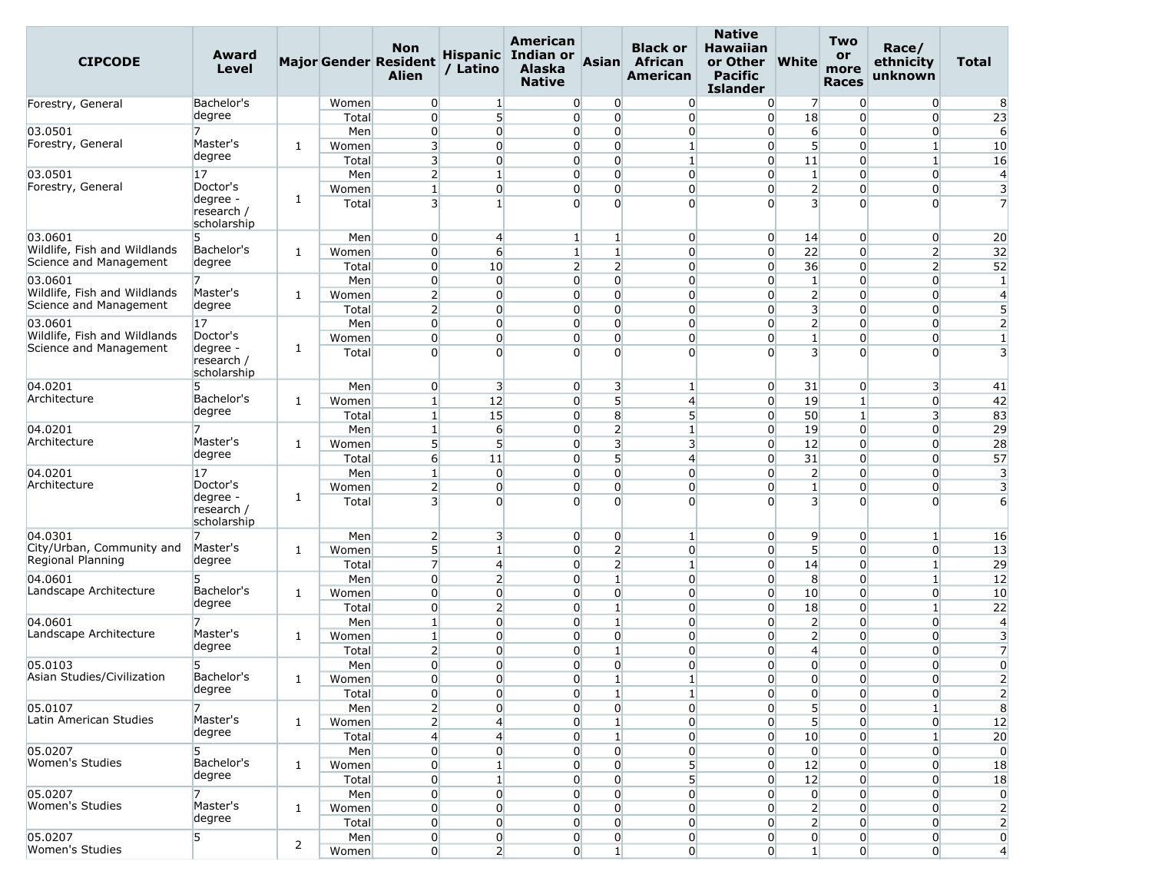| Level<br>/ Latino<br>Alaska<br>more<br><b>Alien</b><br><b>American</b><br><b>Pacific</b><br>unknown<br><b>Native</b><br><b>Races</b><br><b>Islander</b>                                                                                                                                                                                         | ethnicity<br>Total                                                   |
|-------------------------------------------------------------------------------------------------------------------------------------------------------------------------------------------------------------------------------------------------------------------------------------------------------------------------------------------------|----------------------------------------------------------------------|
| Bachelor's<br>$\overline{0}$<br>$\overline{0}$<br>$\overline{0}$<br>$\overline{0}$<br>$\overline{0}$<br>$\overline{7}$<br>$\mathbf{0}$<br>Women<br>$\mathbf{1}$<br>Forestry, General                                                                                                                                                            | $\overline{0}$<br>8                                                  |
| 5<br>degree<br>18<br>$\overline{0}$<br>$\overline{0}$<br>Total<br>$\overline{0}$<br>$\overline{0}$<br>$\overline{0}$<br>$\Omega$                                                                                                                                                                                                                | 23<br>$\overline{0}$                                                 |
| Men<br>$\overline{0}$<br>$\overline{0}$<br>$\overline{0}$<br>$\overline{0}$<br>$\overline{0}$<br>$6 \overline{6}$<br>$\overline{0}$<br>03.0501<br>$\overline{0}$                                                                                                                                                                                | 6<br>$\overline{0}$                                                  |
| Forestry, General<br>Master's<br>$\overline{\mathbf{3}}$<br>5 <sup>1</sup><br>$\overline{0}$<br>$\overline{0}$<br>$\overline{0}$<br>$\mathbf{1}$<br>$\overline{0}$<br>$\overline{0}$<br>1<br>Women                                                                                                                                              | $\mathbf{1}$<br>10                                                   |
| degree<br>$\overline{3}$<br>$\overline{0}$<br>$\overline{0}$<br>Total<br>$\Omega$<br>$\mathbf{1}$<br>$\overline{0}$<br>11<br>$\overline{0}$                                                                                                                                                                                                     | $\mathbf{1}$<br>16                                                   |
| 03.0501<br>$\overline{2}$<br>$\mathbf{1}$<br>$\overline{0}$<br>$\Omega$<br>$\overline{0}$<br>$\overline{0}$<br>$\mathbf{1}$<br>$\overline{0}$<br>17<br>Men<br>Forestry, General<br>Doctor's                                                                                                                                                     | $\overline{0}$<br>$\overline{4}$                                     |
| $\overline{0}$<br>$\overline{0}$<br>$\overline{2}$<br>$\mathbf{1}$<br>0<br>$\overline{0}$<br>Women<br>$\overline{0}$<br>$\mathbf{0}$<br>degree -<br>1<br>3<br>$\overline{\mathbf{3}}$<br>$1\overline{ }$<br>$\Omega$<br>$\Omega$<br>$\Omega$<br>$\Omega$<br>$\overline{0}$<br>Total<br>research /<br>scholarship                                | 0<br>3<br>$\Omega$<br>$\overline{7}$                                 |
| 03.0601<br>5.<br>Men<br>$\overline{0}$<br>$\overline{4}$<br>$1\overline{ }$<br>$\overline{0}$<br>$\overline{0}$<br>14<br>$\overline{0}$<br>1 <sup>1</sup>                                                                                                                                                                                       | $\overline{0}$<br>20                                                 |
| Wildlife, Fish and Wildlands<br>Bachelor's<br>$\overline{0}$<br>6<br>$\mathbf{1}$<br>$\overline{0}$<br>22<br>$\overline{0}$<br>$\overline{0}$<br>Women<br>1 <sup>1</sup><br>1                                                                                                                                                                   | $\overline{2}$<br>32                                                 |
| Science and Management<br>degree<br>$\overline{0}$<br>10<br>$\overline{2}$<br>$\overline{2}$<br>36<br>Total<br>$\overline{0}$<br>$\overline{0}$<br>$\overline{0}$                                                                                                                                                                               | $\overline{2}$<br>52                                                 |
| $\overline{0}$<br>7<br>$\overline{0}$<br>$\overline{0}$<br>03.0601<br>Men<br>$\overline{0}$<br>$\overline{0}$<br>$\overline{0}$<br>$\mathbf{1}$<br>$\overline{0}$                                                                                                                                                                               | $\overline{0}$<br>$\mathbf{1}$                                       |
| Wildlife, Fish and Wildlands<br>Master's<br>$\overline{2}$<br>$\overline{0}$<br>$\overline{0}$<br>$\overline{2}$<br>$\overline{0}$<br>$\overline{0}$<br>$\overline{0}$<br>$\overline{0}$<br>1<br>Women<br>Science and Management<br>degree                                                                                                      | $\overline{0}$<br>$\overline{4}$                                     |
| $\overline{\mathbf{3}}$<br>$\overline{2}$<br>$\Omega$<br>$\Omega$<br>Total<br>$\overline{0}$<br>$\overline{0}$<br>$\overline{0}$<br>$\Omega$<br>$\overline{0}$<br>$\overline{0}$<br>2 <sup>1</sup><br>17<br>Men<br>$\overline{0}$<br>$\overline{0}$<br>$\overline{0}$<br>$\overline{0}$<br>$\overline{0}$<br>03.0601                            | 5<br>$\overline{0}$<br>$\overline{0}$<br>$\overline{2}$              |
| Wildlife, Fish and Wildlands<br>Doctor's<br>$\overline{0}$<br>$\overline{0}$<br>$\overline{0}$<br>$1\overline{ }$<br>Women<br>$\overline{0}$<br>$\overline{0}$<br>$\overline{0}$<br>$\overline{0}$                                                                                                                                              | $\overline{0}$<br>$\mathbf{1}$                                       |
| Science and Management<br>degree -<br>1<br>$\overline{\mathbf{3}}$<br>$\Omega$<br>$\Omega$<br>$\Omega$<br>$\Omega$<br>Total<br>$\Omega$<br>$\Omega$<br>$\Omega$<br>research /<br>scholarship                                                                                                                                                    | $\overline{\mathbf{3}}$<br>$\Omega$                                  |
| 04.0201<br>$\overline{0}$<br>$\overline{\mathbf{3}}$<br>$\overline{0}$<br>3<br>$\overline{0}$<br>31<br>$\overline{0}$<br>5<br>Men<br>$\mathbf{1}$                                                                                                                                                                                               | $\overline{\mathbf{3}}$<br>41                                        |
| Bachelor's<br>Architecture<br>5 <sup>1</sup><br>1 <sup>1</sup><br>12<br>$\Omega$<br>$\overline{0}$<br>19<br>1<br>$\overline{4}$<br>$\mathbf{1}$<br>Women                                                                                                                                                                                        | $\overline{0}$<br>42                                                 |
| degree<br>$1\overline{ }$<br>15<br>$\overline{0}$<br>8<br>5 <sup>5</sup><br>50<br>Total<br>$\overline{0}$<br>$\mathbf{1}$                                                                                                                                                                                                                       | 3<br>83                                                              |
| $\overline{2}$<br>$6 \overline{}$<br>$\overline{0}$<br>19<br>04.0201<br>7<br>Men<br>1 <sup>1</sup><br>$\overline{0}$<br>$\mathbf{1}$<br>$\overline{0}$                                                                                                                                                                                          | 29<br>$\overline{0}$                                                 |
| Architecture<br>Master's<br>5 <sup>1</sup><br>5 <sup>1</sup><br>$\overline{3}$<br>$\overline{3}$<br>12<br>$\Omega$<br>$\overline{0}$<br>$\overline{0}$<br>Women<br>1<br>degree                                                                                                                                                                  | $\overline{0}$<br>28                                                 |
| $6 \overline{6}$<br>11<br>5<br>31<br>Total<br>0<br>$\overline{4}$<br>$\overline{0}$<br>$\Omega$                                                                                                                                                                                                                                                 | $\overline{0}$<br>57                                                 |
| $\overline{0}$<br>17<br>$\mathbf{1}$<br>$\overline{0}$<br>$\overline{2}$<br>04.0201<br>Men<br>$\overline{0}$<br>$\overline{0}$<br>$\overline{0}$<br>$\overline{0}$<br>Architecture<br>Doctor's<br>$\overline{2}$<br>$\overline{0}$<br>$\overline{0}$<br>$\overline{0}$<br>$1\overline{ }$<br>$\overline{0}$<br>$\overline{0}$<br>$\overline{0}$ | $\overline{0}$<br>3<br>$\overline{0}$<br>3                           |
| Women<br>degree -<br>1<br>$\overline{\mathbf{3}}$<br>$\Omega$<br>$\Omega$<br>3<br>$\Omega$<br>$\Omega$<br>$\Omega$<br>$\Omega$<br>Total<br>research /<br>scholarship                                                                                                                                                                            | $\Omega$<br>6                                                        |
| 04.0301<br>$\overline{2}$<br>3<br>$\overline{0}$<br>9<br>7<br>Men<br>$\overline{0}$<br>$\overline{0}$<br>$\overline{0}$<br>$\vert$ 1                                                                                                                                                                                                            | $\mathbf{1}$<br>16                                                   |
| City/Urban, Community and<br>Master's<br>5 <sup>1</sup><br>$\overline{2}$<br>5 <sup>1</sup><br>$\mathbf{1}$<br>$\overline{0}$<br>$\overline{0}$<br>$\overline{0}$<br>$\overline{0}$<br>1<br>Women<br>Regional Planning                                                                                                                          | $\overline{0}$<br>13                                                 |
| degree<br>$\overline{7}$<br>$\overline{2}$<br>$\overline{4}$<br>14<br>Total<br>$\overline{0}$<br>$\mathbf{1}$<br>$\overline{0}$<br>$\mathbf{0}$                                                                                                                                                                                                 | $\mathbf{1}$<br>29                                                   |
| $\overline{0}$<br>$\overline{2}$<br>$\mathbf{1}$<br>8<br>Men<br>$\overline{0}$<br>$\overline{0}$<br>$\overline{0}$<br>$\overline{0}$<br>04.0601<br>5<br>Bachelor's                                                                                                                                                                              | $\mathbf{1}$<br>12                                                   |
| Landscape Architecture<br>$\overline{0}$<br>$\overline{0}$<br>$\overline{0}$<br>$\Omega$<br>$\overline{0}$<br>$\overline{0}$<br>10<br>$\overline{0}$<br>1<br>Women<br>degree<br>$\overline{2}$<br>$\overline{0}$<br>$\overline{0}$<br>$\mathbf{1}$<br>$\Omega$                                                                                  | $\overline{0}$<br>10<br>$1\overline{ }$                              |
| 18<br>Total<br>$\overline{0}$<br>$\overline{0}$<br>$\overline{0}$<br>7<br>$1\overline{ }$<br>$\overline{0}$<br>$1\overline{ }$<br>$\overline{0}$<br>$\overline{0}$<br>$\overline{2}$<br>$\overline{0}$<br>04.0601<br>Men                                                                                                                        | 22<br>$\overline{0}$<br>$\overline{4}$                               |
| Landscape Architecture<br>Master's<br>$\overline{0}$<br>$\overline{0}$<br>$\overline{2}$<br>$\overline{0}$<br>$\overline{0}$<br>$\overline{0}$<br>$\mathbf{1}$<br>$\overline{0}$<br>1<br>Women                                                                                                                                                  | $\overline{0}$<br>3                                                  |
| degree<br>$\overline{2}$<br>$\overline{0}$<br>0<br>1<br>Total<br>$\overline{0}$<br>$\overline{0}$<br>4<br>$\Omega$                                                                                                                                                                                                                              | $\overline{0}$<br>$\overline{7}$                                     |
| $\overline{0}$<br>5<br>$\overline{0}$<br>$\overline{0}$<br>$\overline{0}$<br>$\overline{0}$<br>05.0103<br>Men<br>$\overline{0}$<br>$\overline{0}$<br>$\overline{0}$                                                                                                                                                                             | $\overline{0}$<br>$\overline{0}$                                     |
| Asian Studies/Civilization<br>Bachelor's<br>$\overline{0}$<br>$\overline{0}$<br>$\mathbf{1}$<br>$\mathbf{0}$<br>Women<br>$\overline{0}$<br>$\mathbf{1}$<br>$\boldsymbol{0}$<br>$\overline{0}$<br>1                                                                                                                                              | $\overline{0}$<br>$\overline{2}$                                     |
| degree<br>0<br>0<br>$\overline{0}$<br>$1\overline{ }$<br>$\overline{0}$<br>$\overline{0}$<br>$\overline{0}$<br>Total<br>$\mathbf{1}$                                                                                                                                                                                                            | $\overline{2}$<br>$\overline{0}$                                     |
| Men<br>$\overline{2}$<br>$\overline{0}$<br>$\overline{0}$<br>$\overline{0}$<br>5 <sup>1</sup><br>05.0107<br>7<br>$\overline{0}$<br>$\overline{0}$<br>$\overline{0}$                                                                                                                                                                             | 8<br>$\mathbf{1}$                                                    |
| Master's<br>Latin American Studies<br>$\overline{2}$<br>$\overline{4}$<br>5 <sup>1</sup><br>$\overline{0}$<br>$\mathbf{1}$<br>$\overline{0}$<br>$\overline{0}$<br>$\overline{0}$<br>1<br>Women                                                                                                                                                  | $\overline{0}$<br>12                                                 |
| degree<br>$\overline{4}$<br>$\overline{4}$<br>$1\overline{ }$<br>$\overline{0}$<br>10<br>Total<br>$\overline{0}$<br>$\overline{0}$<br>$\overline{0}$                                                                                                                                                                                            | 20<br>$\mathbf{1}$                                                   |
| 05.0207<br>5<br>Men<br>$\overline{0}$<br>$\overline{0}$<br>0<br>$\overline{0}$<br>$\overline{0}$<br>$\overline{0}$<br>$\overline{0}$<br>$\overline{0}$                                                                                                                                                                                          | $\overline{0}$<br>$\overline{0}$                                     |
| Women's Studies<br>Bachelor's<br>$\overline{0}$<br>5<br>$\mathbf{1}$<br>$\overline{0}$<br>$\overline{0}$<br>$\overline{0}$<br>12<br>$\mathbf 0$<br>1<br>Women<br>degree                                                                                                                                                                         | $\overline{0}$<br>18                                                 |
| $\overline{0}$<br>5 <sup>5</sup><br>$\mathbf{1}$<br>$\overline{0}$<br>$\overline{0}$<br>$\overline{0}$<br>12<br>$\overline{0}$<br>Total                                                                                                                                                                                                         | $\overline{0}$<br>18                                                 |
| $\overline{0}$<br>05.0207<br>Men<br>$\overline{0}$<br>$\overline{0}$<br>$\overline{0}$<br>$\overline{0}$<br>$\overline{0}$<br>$\overline{0}$<br>7<br>$\overline{0}$<br>Women's Studies<br>Master's                                                                                                                                              | $\overline{0}$<br>$\overline{0}$                                     |
| $\mathbf{2}$<br>$\overline{0}$<br>$\overline{0}$<br>0<br>$\overline{0}$<br>Women<br>$\overline{0}$<br>$\overline{0}$<br>$\overline{0}$<br>1<br>degree<br>$\overline{2}$<br>$\overline{0}$                                                                                                                                                       | 0<br>$\overline{2}$                                                  |
| $\mathbf 0$<br>Total<br>$\overline{0}$<br>$\overline{0}$<br>$\overline{0}$<br>$\overline{0}$<br>$\overline{0}$<br>5<br>$\overline{0}$<br>$\mathbf 0$<br>$\overline{0}$<br>$\overline{0}$<br>05.0207<br>Men<br>$\overline{0}$<br>$\overline{0}$<br>$\overline{0}$<br>$\overline{0}$                                                              | $\overline{0}$<br>$\overline{2}$<br>$\overline{0}$<br>$\overline{0}$ |
| $\overline{2}$<br>Women's Studies<br>2 <br>$\overline{0}$<br>$\overline{0}$<br>1 <sup>1</sup><br>$\overline{0}$<br>$\overline{0}$<br>1 <sup>1</sup><br>$\overline{0}$<br>Women                                                                                                                                                                  | $\overline{0}$<br>$\overline{4}$                                     |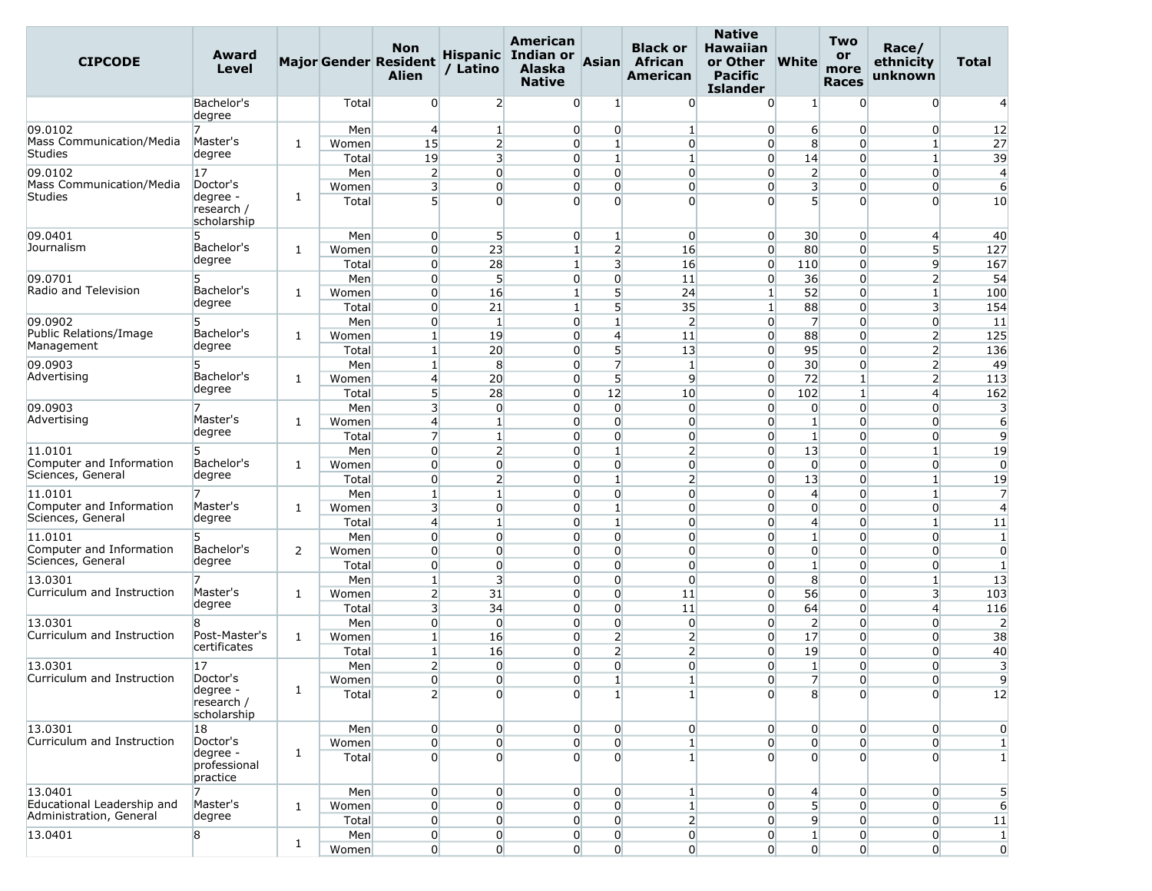| <b>CIPCODE</b>                      | Award<br>Level                        |              |              | <b>Non</b><br><b>Major Gender Resident</b><br><b>Alien</b> | / Latino                   | American<br>Hispanic Indian or<br><b>Alaska</b><br><b>Native</b> | Asian                        | <b>Black or</b><br>African<br>American | <b>Native</b><br><b>Hawaiian</b><br>or Other<br><b>Pacific</b><br><b>Islander</b> | <b>White</b>                     | <b>Two</b><br>or<br>more<br><b>Races</b> | Race/<br>ethnicity<br>unknown  | Total                          |
|-------------------------------------|---------------------------------------|--------------|--------------|------------------------------------------------------------|----------------------------|------------------------------------------------------------------|------------------------------|----------------------------------------|-----------------------------------------------------------------------------------|----------------------------------|------------------------------------------|--------------------------------|--------------------------------|
|                                     | Bachelor's<br>degree                  |              | Total        | $\overline{0}$                                             | $\overline{2}$             | $\overline{0}$                                                   | 1                            | $\overline{0}$                         | $\overline{0}$                                                                    | $\mathbf{1}$                     | $\overline{0}$                           | $\overline{0}$                 | $\overline{4}$                 |
| 09.0102                             |                                       |              | Men          | $\overline{4}$                                             | $\mathbf{1}$               | $\overline{0}$                                                   | $\overline{0}$               | $\mathbf{1}$                           | $\overline{0}$                                                                    | $6 \overline{}$                  | $\Omega$                                 | $\overline{0}$                 | 12                             |
| Mass Communication/Media            | Master's                              | 1            | Women        | 15                                                         | $\overline{2}$             | $\overline{0}$                                                   | $\mathbf{1}$                 | $\overline{0}$                         | $\overline{0}$                                                                    | 8                                | $\overline{0}$                           | $\mathbf{1}$                   | 27                             |
| Studies                             | degree                                |              | Total        | 19                                                         | $\overline{\mathbf{3}}$    | $\overline{0}$                                                   | $\mathbf{1}$                 | $\mathbf{1}$                           | $\overline{0}$                                                                    | 14                               | $\overline{0}$                           | $1\overline{ }$                | 39                             |
| 09.0102                             | 17                                    |              | Men          | $\overline{2}$                                             | $\overline{0}$             | $\overline{0}$                                                   | $\Omega$                     | $\overline{0}$                         | $\Omega$                                                                          | $\overline{2}$                   | $\overline{0}$                           | $\overline{0}$                 | $\overline{4}$                 |
| <b>Mass Communication/Media</b>     | Doctor's                              |              | Women        | $\overline{\mathbf{3}}$                                    | $\overline{0}$             | $\overline{0}$                                                   | $\overline{0}$               | $\overline{0}$                         | $\overline{0}$                                                                    | $\overline{\mathbf{3}}$          | $\overline{0}$                           | $\overline{0}$                 | 6                              |
| Studies                             | degree -<br>research /<br>scholarship | $\mathbf{1}$ | Total        | 5 <sup>1</sup>                                             | $\Omega$                   | $\Omega$                                                         | $\Omega$                     | $\overline{0}$                         | $\Omega$                                                                          | $\overline{5}$                   | $\overline{0}$                           | $\overline{0}$                 | 10                             |
| 09.0401                             | 5                                     |              | Men          | $\overline{0}$                                             | 5 <sup>1</sup>             | $\overline{0}$                                                   | $\mathbf{1}$                 | $\overline{0}$                         | $\overline{0}$                                                                    | 30                               | $\overline{0}$                           | $\overline{4}$                 | 40                             |
| Journalism                          | Bachelor's                            | 1            | Women        | $\overline{0}$                                             | 23                         | $1\overline{ }$                                                  | $\overline{2}$               | 16                                     | $\overline{0}$                                                                    | 80                               | $\Omega$                                 | 5 <sup>1</sup>                 | 127                            |
|                                     | degree                                |              | Total        | $\overline{0}$                                             | 28                         | $\mathbf{1}$                                                     | $\overline{\mathbf{3}}$      | 16                                     | $\overline{0}$                                                                    | 110                              | $\overline{0}$                           | $\overline{9}$                 | 167                            |
| 09.0701                             | 5                                     |              | Men          | $\overline{0}$                                             | 5                          | $\overline{0}$                                                   | $\overline{0}$               | 11                                     | $\overline{0}$                                                                    | 36                               | $\Omega$                                 | $\overline{2}$                 | 54                             |
| Radio and Television                | Bachelor's                            | $\mathbf{1}$ | Women        | $\overline{0}$                                             | 16                         | $\mathbf{1}$                                                     | 5                            | 24                                     | $\mathbf{1}$                                                                      | 52                               | $\Omega$                                 | $\mathbf{1}$                   | 100                            |
|                                     | degree                                |              | Total        | $\overline{0}$                                             | 21                         | $1\overline{ }$                                                  | 5                            | 35                                     | $\mathbf{1}$                                                                      | 88                               | $\overline{0}$                           | 3                              | 154                            |
| 09.0902                             | 5                                     |              | Men          | $\overline{0}$                                             | $\mathbf{1}$               | $\overline{0}$                                                   | $\mathbf{1}$                 | $\overline{2}$                         | $\overline{0}$                                                                    | 7                                | $\overline{0}$                           | $\overline{0}$                 | 11                             |
| Public Relations/Image              | Bachelor's                            | 1            | Women        | $\mathbf{1}$                                               | 19                         | $\overline{0}$                                                   | $\overline{4}$               | 11                                     | $\overline{0}$                                                                    | 88                               | $\overline{0}$                           | $\overline{2}$                 | 125                            |
| Management                          | degree                                |              | Total        | $\mathbf{1}$                                               | 20                         | $\overline{0}$                                                   | 5                            | 13                                     | $\overline{0}$                                                                    | 95                               | $\overline{0}$                           | $\overline{2}$                 | 136                            |
| 09.0903                             | 5                                     |              | Men          | $\mathbf{1}$                                               | 8                          | $\overline{0}$                                                   | $\overline{7}$               | $\mathbf{1}$                           | $\overline{0}$                                                                    | 30                               | $\Omega$                                 | $\overline{2}$                 | 49                             |
| Advertising                         | Bachelor's<br>degree                  | 1            | Women        | $\overline{4}$                                             | 20                         | $\overline{0}$                                                   | 5 <sup>1</sup>               | $\overline{9}$                         | $\overline{0}$                                                                    | 72                               | $\mathbf{1}$                             | $\overline{2}$                 | 113                            |
|                                     |                                       |              | Total        | 5 <sub>l</sub>                                             | 28                         | $\overline{0}$                                                   | 12                           | 10                                     | $\overline{0}$                                                                    | 102                              | $\mathbf{1}$                             | $\overline{4}$                 | 162                            |
| 09.0903                             |                                       |              | Men          | $\overline{\mathbf{3}}$                                    | $\overline{0}$             | $\overline{0}$                                                   | $\overline{0}$               | $\overline{0}$                         | $\overline{0}$                                                                    | $\overline{0}$                   | $\overline{0}$                           | $\overline{0}$                 | 3                              |
| Advertising                         | Master's<br>degree                    | 1            | Women        | $\overline{4}$                                             | $\mathbf{1}$               | $\overline{0}$                                                   | $\overline{0}$               | $\overline{0}$                         | $\overline{0}$                                                                    | $1\overline{ }$                  | $\overline{0}$                           | $\overline{0}$                 | 6                              |
|                                     |                                       |              | Total        | $\overline{7}$                                             | $\mathbf{1}$               | $\overline{0}$                                                   | $\overline{0}$               | $\overline{0}$                         | $\overline{0}$                                                                    | $\mathbf{1}$                     | $\overline{0}$                           | $\overline{0}$                 | 9                              |
| 11.0101<br>Computer and Information | 5                                     |              | Men          | $\overline{0}$                                             | $\overline{2}$             | $\overline{0}$                                                   | $\mathbf{1}$                 | $\overline{2}$                         | $\overline{0}$                                                                    | 13                               | $\Omega$                                 | $1\overline{ }$                | 19                             |
| Sciences, General                   | Bachelor's<br>degree                  | $\mathbf{1}$ | Women        | $\overline{0}$                                             | $\overline{0}$             | $\overline{0}$                                                   | $\overline{0}$               | $\overline{0}$                         | $\overline{0}$                                                                    | $\overline{0}$                   | $\Omega$                                 | $\overline{0}$                 | $\Omega$                       |
|                                     |                                       |              | Total        | $\overline{0}$                                             | $\overline{2}$             | $\overline{0}$                                                   | $\mathbf{1}$                 | $\overline{2}$                         | $\overline{0}$                                                                    | 13                               | $\Omega$                                 | $\mathbf{1}$                   | 19                             |
| 11.0101<br>Computer and Information | 7<br>Master's                         |              | Men          | $\mathbf{1}$<br>$\overline{\mathbf{3}}$                    | $1\overline{ }$            | $\Omega$                                                         | $\Omega$                     | $\overline{0}$                         | $\overline{0}$                                                                    | 4                                | $\Omega$                                 | $\mathbf{1}$                   | $\overline{7}$                 |
| Sciences, General                   | degree                                | 1            | Women        | $\overline{4}$                                             | $\overline{0}$<br>$1\vert$ | $\overline{0}$<br>$\overline{0}$                                 | $\mathbf{1}$<br>$\mathbf{1}$ | $\overline{0}$<br>$\overline{0}$       | $\overline{0}$<br>$\overline{0}$                                                  | $\overline{0}$<br>$\overline{4}$ | $\overline{0}$<br>$\overline{0}$         | $\overline{0}$<br>$\mathbf{1}$ | $\overline{4}$                 |
| 11.0101                             | 5                                     |              | Total        | $\overline{0}$                                             | $\overline{0}$             | $\overline{0}$                                                   | $\Omega$                     | $\overline{0}$                         |                                                                                   | $1\overline{ }$                  | $\Omega$                                 | $\overline{0}$                 | 11                             |
| Computer and Information            | Bachelor's                            | 2            | Men<br>Women | $\overline{0}$                                             | $\overline{0}$             | $\overline{0}$                                                   | $\overline{0}$               | $\overline{0}$                         | $\overline{0}$<br>$\overline{0}$                                                  | $\overline{0}$                   | $\overline{0}$                           | $\overline{0}$                 | $\mathbf{1}$<br>$\overline{0}$ |
| Sciences, General                   | degree                                |              | Total        | $\overline{0}$                                             | $\overline{0}$             | $\overline{0}$                                                   | $\overline{0}$               | $\overline{0}$                         | $\overline{0}$                                                                    | $1\overline{ }$                  | $\Omega$                                 | $\overline{0}$                 | $\mathbf{1}$                   |
| 13.0301                             | 7                                     |              | Men          | $1\vert$                                                   | $\overline{\mathbf{3}}$    | $\overline{0}$                                                   | $\overline{0}$               | $\overline{0}$                         | $\overline{0}$                                                                    | 8                                | $\Omega$                                 | $\mathbf{1}$                   | 13                             |
| Curriculum and Instruction          | Master's                              | $\mathbf{1}$ | Women        | 2                                                          | 31                         | $\overline{0}$                                                   | $\overline{0}$               | 11                                     | $\overline{0}$                                                                    | 56                               | $\overline{0}$                           | 3                              | 103                            |
|                                     | degree                                |              | Total        | $\overline{\mathbf{3}}$                                    | 34                         | $\overline{0}$                                                   | $\overline{0}$               | 11                                     | $\overline{0}$                                                                    | 64                               | $\overline{0}$                           | 4                              | 116                            |
| 13.0301                             | 8                                     |              | Men          | $\overline{0}$                                             | $\overline{0}$             | $\overline{0}$                                                   | $\overline{0}$               | $\overline{0}$                         | $\overline{0}$                                                                    | $\overline{2}$                   | $\overline{0}$                           | $\overline{0}$                 | $\overline{2}$                 |
| Curriculum and Instruction          | Post-Master's                         | $\mathbf{1}$ | Women        | $1\vert$                                                   | 16                         | $\overline{0}$                                                   | $\overline{2}$               | $\overline{2}$                         | $\overline{0}$                                                                    | 17                               | $\overline{0}$                           | $\overline{0}$                 | 38                             |
|                                     | certificates                          |              | Total        | $\mathbf{1}$                                               | 16                         | $\overline{0}$                                                   | $\overline{2}$               | $\overline{2}$                         | $\overline{0}$                                                                    | 19                               | $\overline{0}$                           | 0                              | 40                             |
| 13.0301                             | 17                                    |              | Men          | $\overline{2}$                                             | $\overline{0}$             | $\overline{0}$                                                   | $\overline{0}$               | $\overline{0}$                         | $\overline{0}$                                                                    | $\mathbf{1}$                     | $\overline{0}$                           | $\overline{0}$                 | 3                              |
| Curriculum and Instruction          | Doctor's                              |              | Women        | $\boldsymbol{0}$                                           | $\boldsymbol{0}$           | $\boldsymbol{0}$                                                 | $\mathbf{1}$                 | $\mathbf{1}$                           | $\overline{0}$                                                                    | $\overline{7}$                   | $\overline{0}$                           | $\overline{0}$                 | $\overline{9}$                 |
|                                     | degree -<br>research /<br>scholarship | $\mathbf{1}$ | Total        | $\overline{2}$                                             | $\Omega$                   | $\Omega$                                                         | $1\overline{ }$              | $\mathbf{1}$                           | $\Omega$                                                                          | 8                                | $\overline{0}$                           | $\Omega$                       | 12                             |
| 13.0301                             | 18                                    |              | Men          | $\overline{0}$                                             | $\overline{0}$             | $\overline{0}$                                                   | $\overline{0}$               | $\overline{0}$                         | $\overline{0}$                                                                    | $\overline{0}$                   | $\overline{0}$                           | $\overline{0}$                 | $\overline{0}$                 |
| Curriculum and Instruction          | Doctor's                              |              | Women        | $\boldsymbol{0}$                                           | $\overline{0}$             | $\overline{0}$                                                   | $\overline{0}$               | $\mathbf{1}$                           | $\overline{0}$                                                                    | $\overline{0}$                   | $\overline{0}$                           | $\overline{0}$                 | $1\overline{ }$                |
|                                     | degree -<br>professional<br>practice  | $\mathbf{1}$ | Total        | $\overline{0}$                                             | $\overline{0}$             | $\overline{0}$                                                   | $\overline{0}$               | $\mathbf{1}$                           | $\Omega$                                                                          | $\overline{0}$                   | $\Omega$                                 | $\overline{0}$                 | $\mathbf{1}$                   |
| 13.0401                             | 7                                     |              | Men          | $\overline{0}$                                             | $\overline{0}$             | $\overline{0}$                                                   | $\overline{0}$               | $\mathbf{1}$                           | $\overline{0}$                                                                    | $\overline{4}$                   | $\overline{0}$                           | $\overline{0}$                 | 5                              |
| Educational Leadership and          | Master's                              | $\mathbf{1}$ | Women        | $\overline{0}$                                             | $\overline{0}$             | $\overline{0}$                                                   | $\overline{0}$               | $\mathbf{1}$                           | $\overline{0}$                                                                    | 5 <sup>1</sup>                   | $\overline{0}$                           | $\overline{0}$                 | 6                              |
| Administration, General             | degree                                |              | Total        | $\overline{0}$                                             | $\overline{0}$             | $\overline{0}$                                                   | $\overline{0}$               | 2                                      | $\overline{0}$                                                                    | $\overline{9}$                   | $\overline{0}$                           | $\overline{0}$                 | 11                             |
| 13.0401                             | 8                                     |              | Men          | $\overline{0}$                                             | $\overline{0}$             | $\overline{0}$                                                   | $\overline{0}$               | $\overline{0}$                         | $\overline{0}$                                                                    | $1\vert$                         | $\overline{0}$                           | $\overline{0}$                 | $\vert$ 1                      |
|                                     |                                       | $\mathbf{1}$ | Women        | $\overline{0}$                                             | 0                          | $\overline{0}$                                                   | 0                            | $\overline{0}$                         | $\overline{0}$                                                                    | $\overline{0}$                   | $\overline{0}$                           | $\overline{0}$                 | $\overline{0}$                 |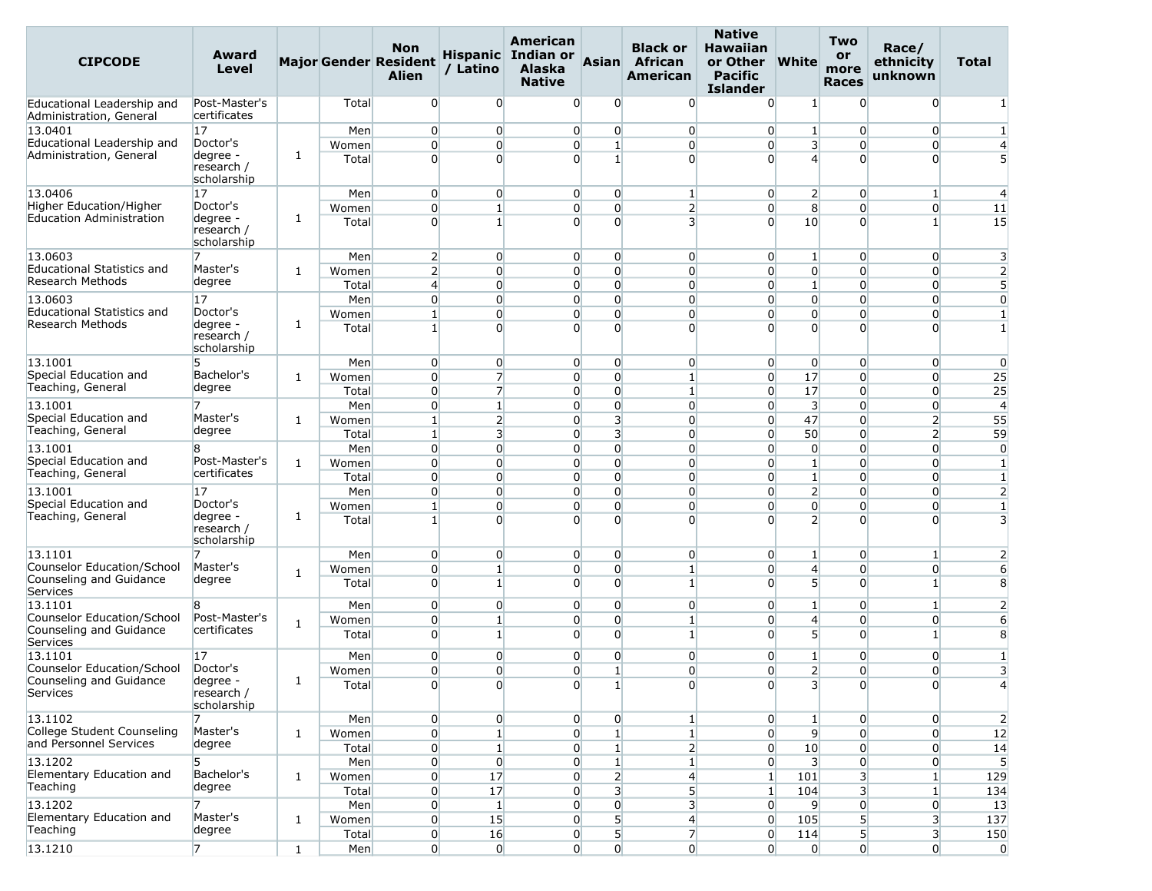| <b>CIPCODE</b>                                        | Award<br>Level                        |              |                | <b>Non</b><br><b>Major Gender Resident</b><br><b>Alien</b> | / Latino                        | American<br>Hispanic Indian or<br><b>Alaska</b><br><b>Native</b> | <b>Asian</b>                     | <b>Black or</b><br><b>African</b><br>American | <b>Native</b><br><b>Hawaiian</b><br>or Other<br><b>Pacific</b><br><b>Islander</b> | <b>White</b>                      | <b>Two</b><br>or<br>more<br><b>Races</b> | Race/<br>ethnicity<br>unknown     | Total                        |
|-------------------------------------------------------|---------------------------------------|--------------|----------------|------------------------------------------------------------|---------------------------------|------------------------------------------------------------------|----------------------------------|-----------------------------------------------|-----------------------------------------------------------------------------------|-----------------------------------|------------------------------------------|-----------------------------------|------------------------------|
| Educational Leadership and<br>Administration, General | Post-Master's<br>certificates         |              | Total          | $\overline{0}$                                             | $\overline{0}$                  | $\overline{0}$                                                   | $\overline{0}$                   | $\overline{0}$                                | $\Omega$                                                                          | $1\vert$                          | $\Omega$                                 | $\overline{0}$                    |                              |
| 13.0401                                               | 17                                    |              | Men            | $\overline{0}$                                             | $\overline{0}$                  | $\overline{0}$                                                   | $\overline{0}$                   | $\overline{0}$                                | $\overline{0}$                                                                    | $\mathbf{1}$                      | $\overline{0}$                           | $\overline{0}$                    | $\mathbf{1}$                 |
| Educational Leadership and                            | Doctor's                              |              | Women          | $\overline{0}$                                             | $\overline{0}$                  | $\overline{0}$                                                   | $\mathbf{1}$                     | $\overline{0}$                                | $\overline{0}$                                                                    | 3                                 | $\Omega$                                 | 0                                 | $\overline{4}$               |
| Administration, General                               | degree -<br>research /<br>scholarship | 1            | Total          | $\Omega$                                                   | $\Omega$                        | $\Omega$                                                         | 1                                | $\overline{0}$                                | $\Omega$                                                                          | $\overline{4}$                    | $\Omega$                                 | $\Omega$                          | 5                            |
| 13.0406                                               | 17                                    |              | Men            | $\overline{0}$                                             | $\overline{0}$                  | $\overline{0}$                                                   | $\overline{0}$                   | $\mathbf{1}$                                  | $\overline{0}$                                                                    | $\overline{2}$                    | $\overline{0}$                           | $\mathbf{1}$                      | $\overline{4}$               |
| Higher Education/Higher                               | Doctor's                              |              | Women          | $\overline{0}$                                             | $\mathbf{1}$                    | $\overline{0}$                                                   | $\overline{0}$                   | $\overline{2}$                                | $\overline{0}$                                                                    | 8                                 | $\overline{0}$                           | $\overline{0}$                    | 11                           |
| <b>Education Administration</b>                       | degree -<br>research /<br>scholarship | 1            | Total          | $\Omega$                                                   | $\mathbf{1}$                    | $\Omega$                                                         | $\Omega$                         | $\overline{\mathbf{3}}$                       | $\Omega$                                                                          | 10                                | $\Omega$                                 | 1                                 | 15                           |
| 13.0603                                               | 7                                     |              | Men            | $\overline{2}$                                             | $\overline{0}$                  | $\overline{0}$                                                   | $\overline{0}$                   | $\overline{0}$                                | $\overline{0}$                                                                    | $1\overline{ }$                   | $\overline{0}$                           | $\overline{0}$                    | 3                            |
| Educational Statistics and                            | Master's                              | 1            | Women          | $\overline{2}$                                             | $\overline{0}$                  | $\overline{0}$                                                   | $\Omega$                         | $\overline{0}$                                | $\overline{0}$                                                                    | $\overline{0}$                    | $\Omega$                                 | $\overline{0}$                    | $\overline{2}$               |
| Research Methods                                      | degree                                |              | Total          | $\overline{4}$                                             | $\overline{0}$                  | $\overline{0}$                                                   | $\overline{0}$                   | $\overline{0}$                                | $\overline{0}$                                                                    | $1\overline{ }$                   | $\Omega$                                 | $\overline{0}$                    | 5                            |
| 13.0603<br><b>Educational Statistics and</b>          | 17<br>Doctor's                        |              | Men            | $\overline{0}$                                             | $\overline{0}$                  | $\overline{0}$                                                   | $\overline{0}$                   | $\overline{0}$                                | $\overline{0}$                                                                    | $\overline{0}$                    | $\overline{0}$                           | $\overline{0}$                    | $\overline{0}$               |
| Research Methods                                      | degree -                              | 1            | Women<br>Total | $\mathbf{1}$<br>$\mathbf{1}$                               | $\overline{0}$<br>$\Omega$      | $\overline{0}$<br>$\Omega$                                       | $\overline{0}$<br>$\Omega$       | $\overline{0}$<br>$\Omega$                    | $\overline{0}$<br>$\Omega$                                                        | $\overline{0}$<br>$\Omega$        | $\overline{0}$<br>$\Omega$               | $\overline{0}$<br>$\Omega$        | $\mathbf{1}$<br>$\mathbf{1}$ |
|                                                       | research /<br>scholarship             |              |                |                                                            |                                 |                                                                  |                                  |                                               |                                                                                   |                                   |                                          |                                   |                              |
| 13.1001                                               | 5                                     |              | Men            | $\overline{0}$                                             | $\overline{0}$                  | $\overline{0}$                                                   | $\overline{0}$                   | $\overline{0}$                                | $\overline{0}$                                                                    | $\overline{0}$                    | $\Omega$                                 | $\overline{0}$                    | $\overline{0}$               |
| Special Education and<br>Teaching, General            | Bachelor's<br>degree                  | 1            | Women          | $\overline{0}$                                             | $\overline{7}$                  | $\overline{0}$                                                   | $\overline{0}$                   | 1                                             | $\overline{0}$                                                                    | 17                                | $\overline{0}$                           | $\overline{0}$                    | 25                           |
|                                                       |                                       |              | Total          | $\overline{0}$<br>$\overline{0}$                           | $\overline{7}$<br>$\mathbf{1}$  | $\overline{0}$                                                   | $\overline{0}$<br>$\overline{0}$ | 1                                             | $\overline{0}$                                                                    | 17                                | $\overline{0}$                           | $\overline{0}$                    | 25                           |
| 13.1001<br>Special Education and                      | Master's                              | 1            | Men<br>Women   | $1\vert$                                                   | $\overline{2}$                  | $\overline{0}$<br>$\overline{0}$                                 | $\overline{\mathbf{3}}$          | $\overline{0}$<br>$\overline{0}$              | $\overline{0}$<br>$\overline{0}$                                                  | 3<br>47                           | $\overline{0}$<br>$\overline{0}$         | $\overline{0}$<br>$\overline{2}$  | $\overline{4}$<br>55         |
| Teaching, General                                     | degree                                |              | Total          | $\mathbf{1}$                                               | $\overline{\mathbf{3}}$         | $\overline{0}$                                                   | $\overline{\mathbf{3}}$          | $\overline{0}$                                | $\overline{0}$                                                                    | 50                                | $\Omega$                                 | $\overline{2}$                    | 59                           |
| 13.1001                                               | 8                                     |              | Men            | $\overline{0}$                                             | $\overline{0}$                  | $\overline{0}$                                                   | $\overline{0}$                   | $\overline{0}$                                | $\overline{0}$                                                                    | $\overline{0}$                    | $\Omega$                                 | $\overline{0}$                    | $\overline{0}$               |
| Special Education and                                 | Post-Master's                         | $\mathbf{1}$ | Women          | $\overline{0}$                                             | $\overline{0}$                  | $\Omega$                                                         | $\Omega$                         | $\overline{0}$                                | $\overline{0}$                                                                    | $1\overline{ }$                   | $\Omega$                                 | $\overline{0}$                    | $\mathbf{1}$                 |
| Teaching, General                                     | certificates                          |              | Total          | $\overline{0}$                                             | $\Omega$                        | $\overline{0}$                                                   | $\overline{0}$                   | $\overline{0}$                                | $\overline{0}$                                                                    | $\mathbf{1}$                      | $\Omega$                                 | $\Omega$                          | $\mathbf{1}$                 |
| 13.1001                                               | 17                                    |              | Men            | $\overline{0}$                                             | $\overline{0}$                  | $\overline{0}$                                                   | $\overline{0}$                   | $\overline{0}$                                | $\overline{0}$                                                                    | $\overline{2}$                    | $\overline{0}$                           | $\overline{0}$                    | $\overline{2}$               |
| Special Education and                                 | Doctor's                              |              | Women          | $\mathbf{1}$                                               | $\overline{0}$                  | $\overline{0}$                                                   | $\overline{0}$                   | $\overline{0}$                                | $\overline{0}$                                                                    | $\overline{0}$                    | $\overline{0}$                           | $\overline{0}$                    | $\mathbf{1}$                 |
| Teaching, General                                     | degree -<br>research /<br>scholarship | 1            | Total          | $\mathbf{1}$                                               | $\Omega$                        | $\Omega$                                                         | $\Omega$                         | $\Omega$                                      | $\Omega$                                                                          | $\overline{2}$                    | $\Omega$                                 | $\Omega$                          | 3                            |
| 13.1101                                               | 7                                     |              | Men            | $\overline{0}$                                             | $\overline{0}$                  | $\overline{0}$                                                   | $\overline{0}$                   | $\overline{0}$                                | $\overline{0}$                                                                    | $1\overline{ }$                   | $\overline{0}$                           | $\mathbf{1}$                      | 2                            |
| Counselor Education/School<br>Counseling and Guidance | Master's<br>degree                    | 1            | Women<br>Total | $\overline{0}$<br>$\overline{0}$                           | $\mathbf{1}$<br>$1\overline{ }$ | $\overline{0}$<br>$\overline{0}$                                 | $\overline{0}$<br>$\Omega$       | 1<br>$\mathbf{1}$                             | $\overline{0}$<br>$\Omega$                                                        | $\overline{4}$<br>5 <sup>1</sup>  | $\overline{0}$<br>$\Omega$               | $\overline{0}$<br>$1\overline{ }$ | 6<br>8                       |
| Services                                              |                                       |              |                |                                                            |                                 |                                                                  |                                  |                                               |                                                                                   |                                   |                                          |                                   |                              |
| 13.1101<br>Counselor Education/School                 | R.<br>Post-Master's                   |              | Men            | $\overline{0}$<br>$\overline{0}$                           | $\overline{0}$<br>$1\vert$      | $\overline{0}$<br>$\overline{0}$                                 | $\overline{0}$<br>$\Omega$       | $\overline{0}$                                | $\overline{0}$                                                                    | $1\overline{ }$<br>$\overline{4}$ | $\overline{0}$<br>$\Omega$               | $1\overline{ }$<br>$\overline{0}$ | $\overline{2}$               |
| Counseling and Guidance                               | certificates                          | $\mathbf{1}$ | Women<br>Total | $\Omega$                                                   | $\mathbf{1}$                    | $\Omega$                                                         | $\Omega$                         | $\mathbf{1}$<br>$\mathbf{1}$                  | $\overline{0}$<br>$\Omega$                                                        | 5 <sup>1</sup>                    | 0                                        | 1                                 | 6<br>8                       |
| Services                                              |                                       |              |                |                                                            |                                 |                                                                  |                                  |                                               |                                                                                   |                                   |                                          |                                   |                              |
| 13.1101                                               | 17                                    |              | Men            | $\overline{0}$                                             | $\overline{0}$                  | $\overline{0}$                                                   | 0                                | $\overline{0}$                                | $\overline{0}$                                                                    | $\mathbf{1}$                      | $\overline{0}$                           | $\overline{0}$                    | 1                            |
| Counselor Education/School<br>Counseling and Guidance | Doctor's<br>degree                    | $\mathbf{1}$ | Women          | $\overline{0}$                                             | $\overline{0}$                  | $\overline{0}$                                                   | $\mathbf{1}$                     | $\Omega$                                      | $\Omega$                                                                          | $\overline{2}$                    | $\Omega$                                 | $\overline{0}$                    | 3                            |
| Services                                              | research /<br>scholarship             |              | Total          | $\overline{0}$                                             | $\overline{0}$                  | 0                                                                |                                  | $\overline{0}$                                | $\overline{0}$                                                                    | 3                                 | $\Omega$                                 | 0                                 |                              |
| 13.1102                                               | 7                                     |              | Men            | $\overline{0}$                                             | $\overline{0}$                  | $\overline{0}$                                                   | $\overline{0}$                   | $\mathbf{1}$                                  | $\overline{0}$                                                                    | $1\overline{ }$                   | $\overline{0}$                           | $\overline{0}$                    | $\overline{2}$               |
| College Student Counseling<br>and Personnel Services  | Master's<br>degree                    | $\mathbf{1}$ | Women          | $\overline{0}$                                             | 1 <sup>1</sup>                  | $\overline{0}$                                                   | 1                                | $\mathbf{1}$                                  | $\overline{0}$                                                                    | $\overline{9}$                    | $\overline{0}$                           | $\overline{0}$                    | 12                           |
|                                                       |                                       |              | Total          | $\overline{0}$                                             | $\mathbf{1}$                    | $\overline{0}$                                                   |                                  | $\overline{2}$                                | $\overline{0}$                                                                    | 10                                | $\Omega$                                 | $\overline{0}$                    | 14                           |
| 13.1202<br>Elementary Education and                   | 5.<br>Bachelor's                      | $\mathbf{1}$ | Men<br>Women   | $\overline{0}$<br>$\overline{0}$                           | $\overline{0}$<br>17            | $\overline{0}$<br>$\overline{0}$                                 | $\mathbf{1}$<br>$\overline{2}$   | $\mathbf{1}$<br>$\overline{4}$                | $\overline{0}$<br>$\vert$ 1                                                       | $\overline{\mathbf{3}}$<br>101    | $\overline{0}$<br>3                      | $\overline{0}$<br>$\mathbf{1}$    | 5<br>129                     |
| Teaching                                              | degree                                |              | Total          | $\overline{0}$                                             | 17                              | $\overline{0}$                                                   | $\overline{\mathbf{3}}$          | $5\overline{)}$                               | $\vert$ 1                                                                         | 104                               | 3                                        | 1                                 | 134                          |
| 13.1202                                               |                                       |              | Men            | $\overline{0}$                                             | $\mathbf{1}$                    | $\overline{0}$                                                   | $\overline{0}$                   | 3                                             | $\overline{0}$                                                                    | 9                                 | $\overline{0}$                           | $\overline{0}$                    | 13                           |
| Elementary Education and                              | Master's                              | 1            | Women          | $\overline{0}$                                             | 15                              | $\overline{0}$                                                   | 5 <sup>1</sup>                   | $\overline{4}$                                | $\overline{0}$                                                                    | 105                               | 5 <sup>1</sup>                           | 3 <sup>1</sup>                    | 137                          |
| Teaching                                              | degree                                |              | Total          | $\overline{0}$                                             | 16                              | $\overline{0}$                                                   | 5 <sup>1</sup>                   | $\overline{7}$                                | $\overline{0}$                                                                    | 114                               | 5                                        | 3                                 | 150                          |
| 13.1210                                               | 7                                     | $\mathbf{1}$ | Men            | $\overline{0}$                                             | $\overline{0}$                  | $\overline{0}$                                                   | $\overline{0}$                   | $\overline{0}$                                | $\overline{0}$                                                                    | $\overline{0}$                    | $\overline{0}$                           | $\overline{0}$                    | $\overline{0}$               |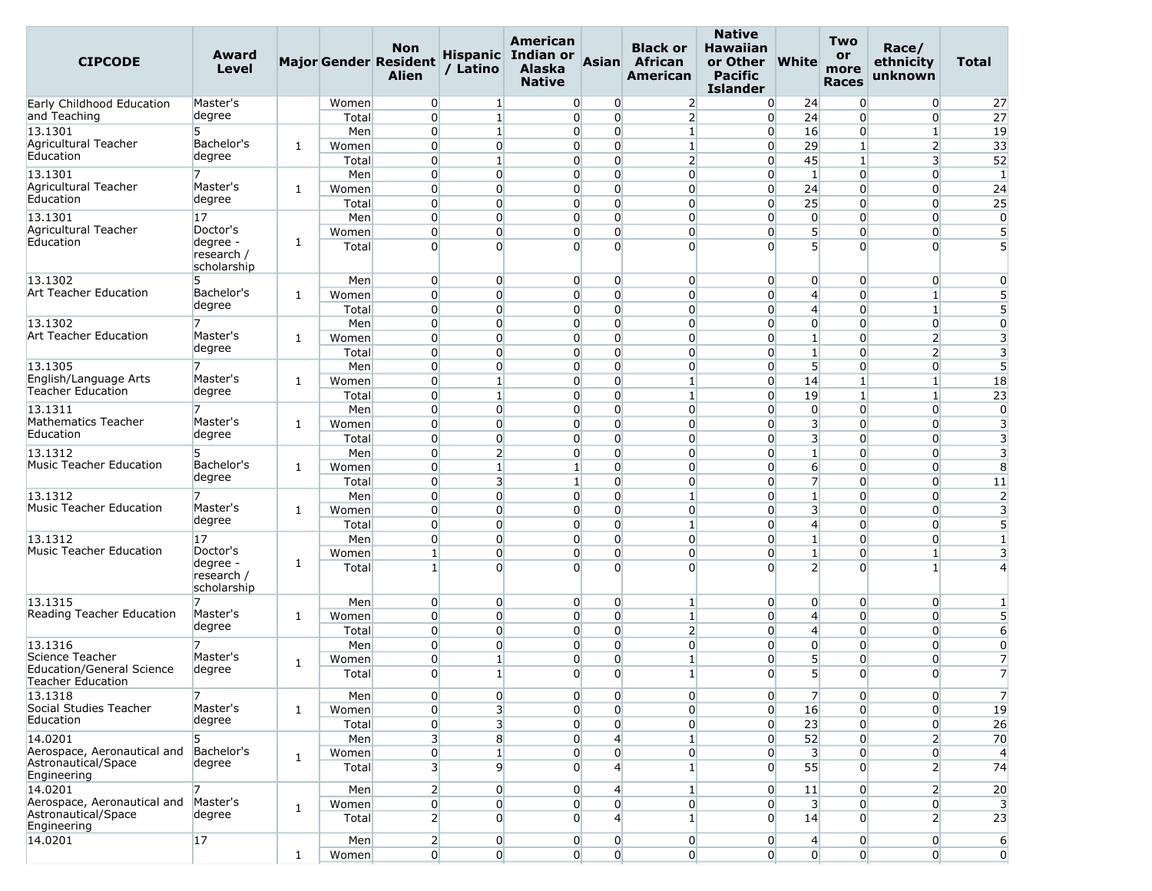| <b>CIPCODE</b>                                        | Award<br>Level                        |              |                | <b>Non</b><br><b>Major Gender Resident</b><br><b>Alien</b> | / Latino                         | American<br><b>Hispanic</b> Indian or<br><b>Alaska</b><br><b>Native</b> | Asian                            | <b>Black or</b><br>African<br>American | <b>Native</b><br><b>Hawaiian</b><br>or Other<br><b>Pacific</b><br><b>Islander</b> | <b>White</b>                     | Two<br>or<br>more<br><b>Races</b> | Race/<br>ethnicity<br>unknown    | Total                   |
|-------------------------------------------------------|---------------------------------------|--------------|----------------|------------------------------------------------------------|----------------------------------|-------------------------------------------------------------------------|----------------------------------|----------------------------------------|-----------------------------------------------------------------------------------|----------------------------------|-----------------------------------|----------------------------------|-------------------------|
| Early Childhood Education                             | Master's                              |              | Women          | $\overline{0}$                                             | $\mathbf{1}$                     | $\Omega$                                                                | 0                                | $\overline{2}$                         | $\overline{0}$                                                                    | 24                               | $\overline{0}$                    | $\overline{0}$                   | 27                      |
| and Teaching                                          | degree                                |              | Total          | $\overline{0}$                                             | $\mathbf{1}$                     | $\overline{0}$                                                          | $\overline{0}$                   | $\overline{2}$                         | $\overline{0}$                                                                    | 24                               | $\Omega$                          | $\overline{0}$                   | 27                      |
| 13.1301                                               | 5                                     |              | Men            | $\overline{0}$                                             | $\mathbf{1}$                     | $\Omega$                                                                | $\overline{0}$                   | 1                                      | $\overline{0}$                                                                    | 16                               | $\overline{0}$                    | $\mathbf{1}$                     | 19                      |
| Agricultural Teacher<br>Education                     | Bachelor's                            | 1            | Women          | $\overline{0}$                                             | $\overline{0}$                   | $\Omega$                                                                | $\overline{0}$                   | $\mathbf{1}$                           | $\overline{0}$                                                                    | 29                               | $\mathbf{1}$                      | $\overline{2}$                   | 33                      |
|                                                       | degree                                |              | Total          | $\Omega$                                                   | $\mathbf{1}$                     | $\Omega$                                                                | $\overline{0}$                   | $\overline{2}$                         | $\overline{0}$                                                                    | 45                               | $\mathbf{1}$                      | 3                                | 52                      |
| 13.1301<br>Agricultural Teacher                       | Master's                              |              | Men            | $\overline{0}$                                             | $\overline{0}$                   | $\Omega$                                                                | $\overline{0}$                   | $\overline{0}$                         | $\overline{0}$                                                                    | $\mathbf{1}$                     | $\overline{0}$                    | $\overline{0}$                   | $\mathbf{1}$            |
| Education                                             | degree                                | 1            | Women<br>Total | $\overline{0}$<br>$\overline{0}$                           | $\Omega$<br>$\overline{0}$       | $\overline{0}$<br>$\Omega$                                              | $\overline{0}$<br>$\overline{0}$ | $\overline{0}$<br>$\overline{0}$       | $\overline{0}$<br>$\overline{0}$                                                  | 24<br>25                         | $\Omega$<br>$\Omega$              | $\overline{0}$<br>$\overline{0}$ | 24<br>25                |
| 13.1301                                               | 17                                    |              | Men            | $\overline{0}$                                             | $\overline{0}$                   | $\overline{0}$                                                          | $\overline{0}$                   | $\overline{0}$                         | $\overline{0}$                                                                    | $\overline{0}$                   | $\overline{0}$                    | $\overline{0}$                   | $\overline{0}$          |
| Agricultural Teacher                                  | Doctor's                              |              | Women          | $\overline{0}$                                             | $\overline{0}$                   | $\Omega$                                                                | $\overline{0}$                   | $\overline{0}$                         | $\overline{0}$                                                                    | 5 <sup>1</sup>                   | 0                                 | 0                                | 5                       |
| Education                                             | degree -<br>research /<br>scholarship | 1            | Total          | $\Omega$                                                   | $\Omega$                         | $\Omega$                                                                | $\Omega$                         | $\Omega$                               | $\Omega$                                                                          | 5                                | $\Omega$                          | $\Omega$                         | 5                       |
| 13.1302                                               | 5                                     |              | Men            | $\overline{0}$                                             | $\overline{0}$                   | $\overline{0}$                                                          | $\overline{0}$                   | $\overline{0}$                         | $\overline{0}$                                                                    | $\overline{0}$                   | $\overline{0}$                    | $\overline{0}$                   | $\mathbf{0}$            |
| Art Teacher Education                                 | Bachelor's                            | 1            | Women          | $\overline{0}$                                             | $\overline{0}$                   | $\Omega$                                                                | $\overline{0}$                   | $\overline{0}$                         | $\overline{0}$                                                                    | $\overline{4}$                   | $\overline{0}$                    | $\mathbf{1}$                     | 5                       |
|                                                       | degree                                |              | Total          | $\overline{0}$                                             | $\Omega$                         | $\overline{0}$                                                          | $\Omega$                         | $\overline{0}$                         | $\overline{0}$                                                                    | 4                                | $\Omega$                          | $\mathbf{1}$                     | 5                       |
| 13.1302                                               |                                       |              | Men            | $\overline{0}$                                             | $\overline{0}$                   | $\Omega$                                                                | $\overline{0}$                   | $\overline{0}$                         | $\overline{0}$                                                                    | $\overline{0}$                   | $\overline{0}$                    | $\overline{0}$                   | $\overline{0}$          |
| Art Teacher Education                                 | Master's<br>degree                    | 1            | Women          | $\overline{0}$                                             | $\overline{0}$                   | $\Omega$                                                                | $\overline{0}$                   | $\overline{0}$                         | $\overline{0}$                                                                    | $\mathbf{1}$                     | $\Omega$                          | $\overline{2}$                   | 3                       |
|                                                       |                                       |              | Total          | $\Omega$                                                   | $\Omega$                         | $\Omega$                                                                | $\overline{0}$                   | $\overline{0}$                         | $\overline{0}$                                                                    | $\mathbf{1}$                     | $\Omega$                          | $\overline{2}$                   | 3                       |
| 13.1305<br>English/Language Arts                      | Master's                              |              | Men            | $\overline{0}$<br>$\overline{0}$                           | $\overline{0}$<br>$\mathbf{1}$   | $\overline{0}$<br>$\overline{0}$                                        | $\overline{0}$<br>$\overline{0}$ | $\overline{0}$<br>1                    | $\overline{0}$<br>$\overline{0}$                                                  | 5 <sup>1</sup>                   | $\overline{0}$<br>$\mathbf{1}$    | $\overline{0}$<br>1              | $5\overline{5}$         |
| <b>Teacher Education</b>                              | degree                                | 1            | Women<br>Total | $\overline{0}$                                             | $\mathbf{1}$                     | $\Omega$                                                                | $\overline{0}$                   | $\mathbf{1}$                           | $\overline{0}$                                                                    | 14<br>19                         | $\mathbf{1}$                      | $\mathbf{1}$                     | 18<br>23                |
| 13.1311                                               |                                       |              | Men            | $\overline{0}$                                             | $\overline{0}$                   | $\Omega$                                                                | $\overline{0}$                   | $\overline{0}$                         | $\overline{0}$                                                                    | $\overline{0}$                   | $\overline{0}$                    | $\overline{0}$                   | $\overline{0}$          |
| <b>Mathematics Teacher</b>                            | Master's                              | 1            | Women          | $\overline{0}$                                             | $\overline{0}$                   | $\Omega$                                                                | $\overline{0}$                   | $\overline{0}$                         | $\overline{0}$                                                                    | $\overline{\mathbf{3}}$          | $\Omega$                          | $\overline{0}$                   | 3                       |
| Education                                             | degree                                |              | Total          | $\overline{0}$                                             | $\overline{0}$                   | $\overline{0}$                                                          | $\overline{0}$                   | $\overline{0}$                         | $\overline{0}$                                                                    | 3                                | $\overline{0}$                    | $\overline{0}$                   | 3                       |
| 13.1312                                               | 5                                     |              | Men            | $\overline{0}$                                             | $\overline{2}$                   | $\overline{0}$                                                          | $\overline{0}$                   | $\overline{0}$                         | $\overline{0}$                                                                    | $\mathbf{1}$                     | $\overline{0}$                    | $\overline{0}$                   | $\overline{\mathbf{3}}$ |
| <b>Music Teacher Education</b>                        | Bachelor's                            | 1            | Women          | $\overline{0}$                                             | 1                                | $\mathbf{1}$                                                            | $\overline{0}$                   | $\overline{0}$                         | $\overline{0}$                                                                    | $6 \overline{6}$                 | $\Omega$                          | 0                                | 8                       |
|                                                       | degree                                |              | Total          | $\overline{0}$                                             | $\overline{\mathbf{3}}$          | $\mathbf{1}$                                                            | $\overline{0}$                   | $\overline{0}$                         | $\overline{0}$                                                                    | $\overline{7}$                   | $\overline{0}$                    | $\overline{0}$                   | 11                      |
| 13.1312                                               |                                       |              | Men            | $\overline{0}$                                             | $\overline{0}$                   | $\Omega$                                                                | $\overline{0}$                   | $\mathbf{1}$                           | $\overline{0}$                                                                    | $1\overline{ }$                  | $\overline{0}$                    | $\overline{0}$                   | $\overline{2}$          |
| <b>Music Teacher Education</b>                        | Master's<br>degree                    | 1            | Women          | $\overline{0}$                                             | $\Omega$                         | $\Omega$                                                                | $\overline{0}$                   | $\overline{0}$                         | $\overline{0}$                                                                    | $\overline{\mathbf{3}}$          | $\Omega$                          | 0                                | 3                       |
|                                                       |                                       |              | Total          | $\overline{0}$                                             | $\overline{0}$                   | $\Omega$                                                                | $\overline{0}$                   | 1                                      | $\overline{0}$                                                                    | $\overline{4}$                   | $\overline{0}$                    | $\overline{0}$                   | $5\overline{5}$         |
| 13.1312<br><b>Music Teacher Education</b>             | 17<br>Doctor's                        |              | Men            | $\overline{0}$<br>$1\vert$                                 | $\overline{0}$<br>$\overline{0}$ | $\overline{0}$<br>$\Omega$                                              | $\overline{0}$<br>$\Omega$       | $\overline{0}$                         | $\overline{0}$                                                                    | $\mathbf{1}$                     | $\overline{0}$<br>$\Omega$        | $\overline{0}$<br>1              | $\mathbf{1}$            |
|                                                       | degree -                              | 1            | Women<br>Total | $\mathbf{1}$                                               | $\Omega$                         | $\Omega$                                                                | $\Omega$                         | $\overline{0}$<br>$\overline{0}$       | $\overline{0}$<br>$\overline{0}$                                                  | $\mathbf{1}$<br>$\overline{2}$   | $\Omega$                          | 1                                | 3                       |
|                                                       | research /<br>scholarship             |              |                |                                                            |                                  |                                                                         |                                  |                                        |                                                                                   |                                  |                                   |                                  |                         |
| 13.1315<br>Reading Teacher Education                  | 7<br>Master's                         |              | Men            | $\overline{0}$                                             | $\overline{0}$                   | $\overline{0}$                                                          | $\overline{0}$                   | $\vert$ 1                              | $\overline{0}$                                                                    | 0                                | $\overline{0}$                    | $\overline{0}$                   |                         |
|                                                       | degree                                | 1            | Women          | $\overline{0}$                                             | $\overline{0}$                   | $\Omega$                                                                | $\overline{0}$                   | 1                                      | $\overline{0}$                                                                    | 4                                | 0                                 | $\overline{0}$                   | 5                       |
| 13.1316                                               |                                       |              | Total<br>Men   | $\overline{0}$<br>$\overline{0}$                           | $\overline{0}$<br>$\overline{0}$ | $\overline{0}$<br>$\overline{0}$                                        | $\overline{0}$<br>$\overline{0}$ | $\overline{2}$<br>$\overline{0}$       | $\overline{0}$<br>$\overline{0}$                                                  | $\overline{4}$<br>$\overline{0}$ | $\overline{0}$<br>$\overline{0}$  | $\overline{0}$<br>$\overline{0}$ | 6<br>$\overline{0}$     |
| Science Teacher                                       | Master's                              |              | Women          | $\overline{0}$                                             | 1                                | $\overline{0}$                                                          | $\overline{0}$                   |                                        | $\overline{0}$                                                                    | 5                                | $\Omega$                          | 0                                | $\overline{7}$          |
| <b>Education/General Science</b><br>Teacher Education | degree                                | 1            | Total          | $\overline{0}$                                             | $\mathbf{1}$                     | $\overline{0}$                                                          | $\Omega$                         | $\mathbf{1}$                           | $\overline{0}$                                                                    | 5                                | $\overline{0}$                    | $\overline{0}$                   | $\overline{7}$          |
| 13.1318                                               | 7                                     |              | Men            | $\overline{0}$                                             | $\overline{0}$                   | $\overline{0}$                                                          | $\overline{0}$                   | $\overline{0}$                         | $\overline{0}$                                                                    | $\overline{7}$                   | $\overline{0}$                    | $\overline{0}$                   | $\overline{7}$          |
| Social Studies Teacher<br>Education                   | Master's<br>degree                    | 1            | Women          | $\overline{0}$                                             | 3                                | $\overline{0}$                                                          | $\overline{0}$                   | $\overline{0}$                         | $\overline{0}$                                                                    | 16                               | $\overline{0}$                    | $\overline{0}$                   | 19                      |
| 14.0201                                               | 5                                     |              | Total          | $\boldsymbol{0}$<br>$\overline{3}$                         | $\overline{\mathbf{3}}$          | $\overline{0}$                                                          | $\overline{0}$<br>$\overline{4}$ | $\overline{0}$<br>$\mathbf{1}$         | $\overline{0}$<br>$\overline{0}$                                                  | 23<br>52                         | $\overline{0}$<br>$\overline{0}$  | $\overline{0}$<br>$\overline{2}$ | 26                      |
| Aerospace, Aeronautical and                           | Bachelor's                            |              | Men<br>Women   | $\overline{0}$                                             | 8<br>$\mathbf{1}$                | $\overline{0}$<br>$\overline{0}$                                        | $\overline{0}$                   | $\overline{0}$                         | $\overline{0}$                                                                    | $\overline{\mathbf{3}}$          | $\overline{0}$                    | $\overline{0}$                   | 70<br>$\overline{4}$    |
| Astronautical/Space<br>Engineering                    | degree                                | 1            | Total          | 3 <sup>1</sup>                                             | $\overline{9}$                   | $\overline{0}$                                                          | $\overline{4}$                   | $\mathbf{1}$                           | $\overline{0}$                                                                    | 55                               | $\overline{0}$                    | 2 <sup>1</sup>                   | 74                      |
| 14.0201                                               | 7                                     |              | Men            | $\overline{2}$                                             | $\overline{0}$                   | $\overline{0}$                                                          | 4                                | $\mathbf{1}$                           | $\overline{0}$                                                                    | 11                               | $\overline{0}$                    | 2 <sup>1</sup>                   | 20                      |
| Aerospace, Aeronautical and                           | Master's                              | 1            | Women          | $\overline{0}$                                             | $\overline{0}$                   | $\overline{0}$                                                          | $\overline{0}$                   | $\overline{0}$                         | $\overline{0}$                                                                    | $\overline{\mathbf{3}}$          | $\overline{0}$                    | $\overline{0}$                   | $\overline{3}$          |
| Astronautical/Space<br>Engineering                    | degree                                |              | Total          | $\overline{2}$                                             | $\overline{0}$                   | $\overline{0}$                                                          | $\overline{4}$                   | $\mathbf{1}$                           | $\overline{0}$                                                                    | 14                               | $\Omega$                          | $\overline{2}$                   | 23                      |
| 14.0201                                               | 17                                    |              | Men            | $\overline{2}$                                             | $\overline{0}$                   | $\overline{0}$                                                          | $\overline{0}$                   | $\overline{0}$                         | $\overline{0}$                                                                    | 4                                | $\overline{0}$                    | $\overline{0}$                   | 6                       |
|                                                       |                                       | $\mathbf{1}$ | Women          | $\overline{0}$                                             | $\overline{0}$                   | $\overline{0}$                                                          | $\overline{0}$                   | $\overline{0}$                         | 0                                                                                 | $\overline{0}$                   | $\overline{0}$                    | $\overline{0}$                   | $\overline{0}$          |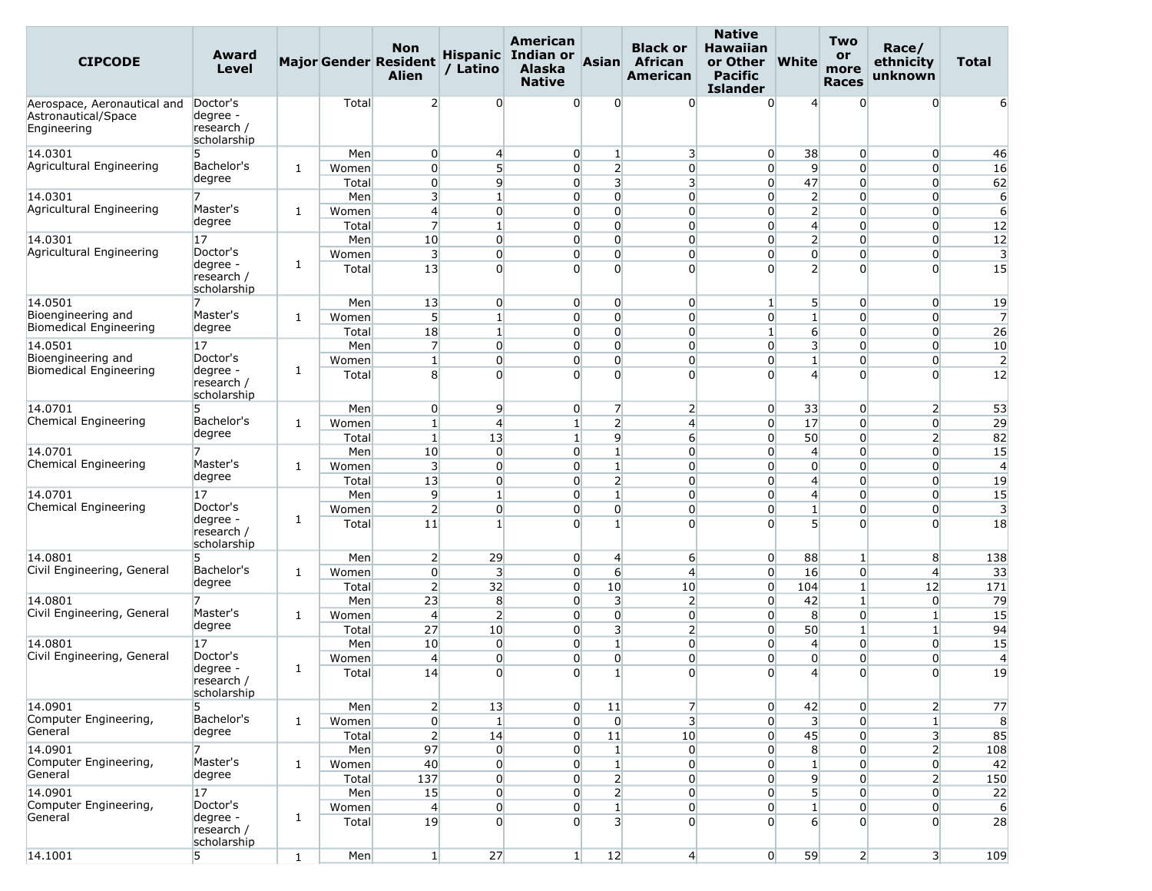| <b>CIPCODE</b>                                                    | Award<br>Level                                    |              |                | <b>Non</b><br><b>Major Gender Resident</b><br><b>Alien</b> | / Latino                          | American<br>Hispanic Indian or<br>Alaska<br><b>Native</b> | Asian                                      | <b>Black or</b><br>African<br>American | <b>Native</b><br><b>Hawaiian</b><br>or Other<br><b>Pacific</b><br><b>Islander</b> | <b>White</b>                      | <b>Two</b><br>or<br>more<br><b>Races</b> | Race/<br>ethnicity<br>unknown    | Total                |
|-------------------------------------------------------------------|---------------------------------------------------|--------------|----------------|------------------------------------------------------------|-----------------------------------|-----------------------------------------------------------|--------------------------------------------|----------------------------------------|-----------------------------------------------------------------------------------|-----------------------------------|------------------------------------------|----------------------------------|----------------------|
| Aerospace, Aeronautical and<br>Astronautical/Space<br>Engineering | Doctor's<br>degree -<br>research /<br>scholarship |              | Total          | $\overline{2}$                                             | $\overline{0}$                    | $\Omega$                                                  | $\Omega$                                   | $\overline{0}$                         | $\Omega$                                                                          | $\overline{4}$                    | $\Omega$                                 | $\Omega$                         |                      |
| 14.0301                                                           | 5                                                 |              | Men            | $\overline{0}$                                             | $\overline{4}$                    | $\overline{0}$                                            | 1                                          | 3                                      | $\overline{0}$                                                                    | 38                                | $\overline{0}$                           | $\overline{0}$                   | 46                   |
| Agricultural Engineering                                          | Bachelor's                                        | $\mathbf{1}$ | Women          | $\overline{0}$                                             | 5 <sup>1</sup>                    | $\overline{0}$                                            | $\overline{2}$                             | $\overline{0}$                         | $\overline{0}$                                                                    | 9                                 | $\overline{0}$                           | $\overline{0}$                   | 16                   |
|                                                                   | degree                                            |              | Total          | $\overline{0}$                                             | $\overline{9}$                    | $\overline{0}$                                            | $\overline{\mathbf{3}}$                    | $\overline{\mathbf{3}}$                | $\overline{0}$                                                                    | 47                                | $\overline{0}$                           | $\overline{0}$                   | 62                   |
| 14.0301                                                           |                                                   |              | Men            | $\overline{\mathbf{3}}$                                    | $\mathbf{1}$                      | $\overline{0}$                                            | $\overline{0}$                             | $\overline{0}$                         | $\overline{0}$                                                                    | $\overline{2}$                    | $\overline{0}$                           | $\overline{0}$                   | 6                    |
| Agricultural Engineering                                          | Master's<br>degree                                | 1            | Women          | $\overline{4}$                                             | $\overline{0}$                    | $\overline{0}$                                            | $\overline{0}$                             | $\overline{0}$                         | $\overline{0}$                                                                    | $\overline{2}$                    | $\overline{0}$                           | $\overline{0}$                   | $6 \overline{}$      |
|                                                                   |                                                   |              | Total          | $\overline{7}$                                             | $\mathbf{1}$                      | $\overline{0}$                                            | $\overline{0}$                             | $\overline{0}$                         | $\overline{0}$                                                                    | $\overline{4}$                    | $\overline{0}$                           | $\overline{0}$                   | 12                   |
| 14.0301<br>Agricultural Engineering                               | 17<br>Doctor's                                    |              | Men            | 10                                                         | $\overline{0}$                    | $\overline{0}$                                            | $\overline{0}$                             | $\overline{0}$                         | $\overline{0}$                                                                    | $\overline{2}$                    | $\overline{0}$                           | $\overline{0}$                   | 12                   |
|                                                                   | degree -<br>research /<br>scholarship             | 1            | Women<br>Total | 3<br>13                                                    | $\overline{0}$<br>$\overline{0}$  | $\overline{0}$<br>$\Omega$                                | $\overline{0}$<br>$\Omega$                 | $\overline{0}$<br>$\Omega$             | $\overline{0}$<br>$\Omega$                                                        | $\overline{0}$<br>$\overline{2}$  | $\overline{0}$<br>$\Omega$               | $\overline{0}$<br>$\overline{0}$ | $\overline{3}$<br>15 |
| 14.0501                                                           |                                                   |              | Men            | 13                                                         | $\overline{0}$                    | $\overline{0}$                                            | $\overline{0}$                             | $\overline{0}$                         | 1                                                                                 | 5                                 | $\overline{0}$                           | $\overline{0}$                   | 19                   |
| Bioengineering and                                                | Master's                                          | $\mathbf{1}$ | Women          | 5 <sup>1</sup>                                             | $\mathbf{1}$                      | $\overline{0}$                                            | $\overline{0}$                             | $\overline{0}$                         | $\overline{0}$                                                                    | $1\overline{ }$                   | $\overline{0}$                           | $\overline{0}$                   | $\overline{7}$       |
| Biomedical Engineering                                            | degree                                            |              | Total          | 18                                                         | $\mathbf{1}$                      | $\overline{0}$                                            | $\overline{0}$                             | $\overline{0}$                         | $\mathbf{1}$                                                                      | $6 \overline{}$                   | $\overline{0}$                           | $\overline{0}$                   | 26                   |
| 14.0501                                                           | 17                                                |              | Men            | $\overline{7}$                                             | $\overline{0}$                    | $\overline{0}$                                            | $\overline{0}$                             | $\overline{0}$                         | $\overline{0}$                                                                    | 3                                 | $\overline{0}$                           | 0                                | 10                   |
| Bioengineering and                                                | Doctor's                                          |              | Women          | $\mathbf{1}$                                               | $\overline{0}$                    | $\overline{0}$                                            | $\overline{0}$                             | $\overline{0}$                         | $\overline{0}$                                                                    | $1\vert$                          | $\overline{0}$                           | $\overline{0}$                   | $\overline{2}$       |
| Biomedical Engineering                                            | degree -<br>research /<br>scholarship             | 1            | Total          | 8                                                          | $\overline{0}$                    | $\overline{0}$                                            | $\overline{0}$                             | $\overline{0}$                         | $\Omega$                                                                          | $\overline{4}$                    | $\Omega$                                 | $\Omega$                         | 12                   |
| 14.0701                                                           | 5                                                 |              | Men            | $\overline{0}$                                             | $\overline{9}$                    | $\overline{0}$                                            | $\overline{7}$                             | $\overline{2}$                         | $\overline{0}$                                                                    | 33                                | $\overline{0}$                           | $\overline{2}$                   | 53                   |
| Chemical Engineering                                              | Bachelor's                                        | 1            | Women          | $\mathbf{1}$                                               | $\overline{4}$                    | $\mathbf{1}$                                              | $\overline{2}$                             | $\overline{4}$                         | $\overline{0}$                                                                    | 17                                | $\overline{0}$                           | $\overline{0}$                   | 29                   |
|                                                                   | degree                                            |              | Total          | $1\vert$                                                   | 13                                | $1\overline{ }$                                           | 9                                          | $6 \overline{}$                        | $\overline{0}$                                                                    | 50                                | $\overline{0}$                           | $\overline{2}$                   | 82                   |
| 14.0701                                                           | 7                                                 |              | Men            | 10                                                         | $\overline{0}$                    | $\overline{0}$                                            | $\mathbf{1}$                               | $\overline{0}$                         | $\overline{0}$                                                                    | $\overline{4}$                    | $\overline{0}$                           | $\overline{0}$                   | 15                   |
| Chemical Engineering                                              | Master's<br>degree                                | 1            | Women          | $\overline{\mathbf{3}}$                                    | $\overline{0}$                    | $\overline{0}$                                            | $\mathbf{1}$                               | $\overline{0}$                         | $\overline{0}$                                                                    | $\overline{0}$                    | $\Omega$                                 | $\overline{0}$                   | $\overline{4}$       |
|                                                                   |                                                   |              | Total          | 13                                                         | $\overline{0}$                    | $\overline{0}$                                            | $\overline{2}$                             | $\overline{0}$                         | $\overline{0}$                                                                    | $\overline{4}$                    | $\overline{0}$                           | $\overline{0}$                   | 19                   |
| 14.0701<br>Chemical Engineering                                   | 17<br>Doctor's                                    |              | Men            | $\overline{9}$                                             | $\mathbf{1}$                      | $\overline{0}$                                            | $\mathbf{1}$                               | $\overline{0}$                         | $\overline{0}$                                                                    | $\overline{4}$                    | $\overline{0}$                           | $\overline{0}$                   | 15                   |
|                                                                   | degree -<br>research /<br>scholarship             | $\mathbf{1}$ | Women<br>Total | $\overline{2}$<br>11                                       | $\overline{0}$<br>$1\overline{ }$ | $\overline{0}$<br>$\Omega$                                | $\overline{0}$<br>$1\overline{ }$          | $\overline{0}$<br>$\overline{0}$       | $\overline{0}$<br>$\Omega$                                                        | $1\overline{ }$<br>$\overline{5}$ | $\overline{0}$<br>$\Omega$               | $\overline{0}$<br>$\Omega$       | 3<br>18              |
| 14.0801                                                           | 5                                                 |              | Men            | $\overline{2}$                                             | 29                                | $\overline{0}$                                            | $\overline{4}$                             | 6                                      | $\overline{0}$                                                                    | 88                                | $\mathbf{1}$                             | 8                                | 138                  |
| Civil Engineering, General                                        | Bachelor's                                        | 1            | Women          | $\overline{0}$                                             | 3                                 | $\overline{0}$                                            | 6                                          | $\overline{4}$                         | $\overline{0}$                                                                    | 16                                | $\overline{0}$                           | $\overline{4}$                   | 33                   |
|                                                                   | degree                                            |              | Total          | $\overline{2}$                                             | 32                                | $\overline{0}$                                            | 10                                         | 10                                     | $\overline{0}$                                                                    | 104                               | $\mathbf{1}$                             | 12                               | 171                  |
| 14.0801                                                           | 7                                                 |              | Men            | 23                                                         | 8                                 | $\overline{0}$                                            | 3                                          | $\overline{2}$                         | $\overline{0}$                                                                    | 42                                | $\mathbf{1}$                             | $\overline{0}$                   | 79                   |
| Civil Engineering, General                                        | Master's                                          | $\mathbf{1}$ | Women          | $\overline{4}$                                             | $\overline{2}$                    | $\overline{0}$                                            | $\overline{0}$                             | $\overline{0}$                         | $\overline{0}$                                                                    | 8                                 | $\overline{0}$                           | $\mathbf{1}$                     | 15                   |
|                                                                   | degree                                            |              | Total          | 27                                                         | 10                                | $\overline{0}$                                            | $\overline{\mathbf{3}}$                    | $\overline{2}$                         | $\overline{0}$                                                                    | 50                                | $\mathbf{1}$                             | $1\overline{ }$                  | 94                   |
| 14.0801                                                           | 17                                                |              | Men            | 10                                                         | $\overline{0}$                    | $\overline{0}$                                            | $\mathbf{1}$                               | $\overline{0}$                         | $\overline{0}$                                                                    | 4                                 | $\overline{0}$                           | $\overline{0}$                   | 15                   |
| Civil Engineering, General                                        | Doctor's<br>degree -<br>research /<br>scholarship | 1            | Women<br>Total | $\overline{4}$<br>14                                       | $\overline{0}$<br>$\overline{0}$  | $\overline{0}$<br>$\overline{0}$                          | $\overline{0}$<br>$\mathbf{1}$             | $\overline{0}$<br>$\overline{0}$       | $\overline{0}$<br>$\overline{0}$                                                  | $\overline{0}$<br>$\overline{4}$  | $\overline{0}$<br>$\overline{0}$         | $\overline{0}$<br>$\overline{0}$ | $\overline{4}$<br>19 |
| 14.0901                                                           | 5                                                 |              | Men            | 2                                                          | 13                                | $\overline{0}$                                            | 11                                         | $\overline{7}$                         | $\overline{0}$                                                                    | 42                                | $\overline{0}$                           | $2 \vert$                        | 77                   |
| Computer Engineering,                                             | Bachelor's                                        | $\mathbf{1}$ | Women          | $\boldsymbol{0}$                                           | $\mathbf{1}$                      | $\overline{0}$                                            | $\overline{0}$                             | $\overline{\mathbf{3}}$                | $\overline{0}$                                                                    | $\overline{\mathbf{3}}$           | $\Omega$                                 | $1\overline{ }$                  | 8                    |
| General                                                           | degree                                            |              | Total          | $\overline{2}$                                             | 14                                | $\overline{0}$                                            | 11                                         | 10                                     | $\overline{0}$                                                                    | 45                                | $\overline{0}$                           | 3 <sup>l</sup>                   | 85                   |
| 14.0901                                                           |                                                   |              | Men            | 97                                                         | $\overline{0}$                    | $\overline{0}$                                            | $\mathbf{1}$                               | $\overline{0}$                         | $\overline{0}$                                                                    | 8                                 | $\overline{0}$                           | $\overline{2}$                   | 108                  |
| Computer Engineering,<br>General                                  | Master's                                          | $\mathbf{1}$ | Women          | 40                                                         | $\overline{0}$                    | $\overline{0}$                                            | $\mathbf{1}$                               | $\overline{0}$                         | $\overline{0}$                                                                    | $1\overline{ }$                   | $\Omega$                                 | $\overline{0}$                   | 42                   |
|                                                                   | degree                                            |              | Total          | 137                                                        | $\mathbf 0$                       | $\overline{0}$                                            | $\overline{2}$                             | $\overline{0}$                         | $\overline{0}$                                                                    | $\overline{9}$                    | $\overline{0}$                           | 2                                | 150                  |
| 14.0901                                                           | 17                                                |              | Men            | 15                                                         | $\overline{0}$                    | $\overline{0}$                                            | $\overline{2}$                             | $\overline{0}$                         | $\overline{0}$                                                                    | $\overline{5}$                    | $\overline{0}$                           | $\overline{0}$                   | 22                   |
| Computer Engineering,<br>General                                  | Doctor's<br>degree -<br>research /<br>scholarship | $\mathbf{1}$ | Women<br>Total | $\overline{4}$<br>19                                       | $\overline{0}$<br>$\overline{0}$  | $\overline{0}$<br>$\overline{0}$                          | $1\overline{ }$<br>$\overline{\mathbf{3}}$ | $\overline{0}$<br>$\overline{0}$       | $\overline{0}$<br>$\overline{0}$                                                  | $\mathbf{1}$<br>$6 \mid$          | $\overline{0}$<br>$\overline{0}$         | $\overline{0}$<br>$\overline{0}$ | 6<br>28              |
| 14.1001                                                           | 5                                                 | $\mathbf{1}$ | Men            | $1\vert$                                                   | 27                                | $1\vert$                                                  | 12                                         | $\overline{4}$                         | $\overline{0}$                                                                    | 59                                | $2 \vert$                                | 3 <sup>l</sup>                   | 109                  |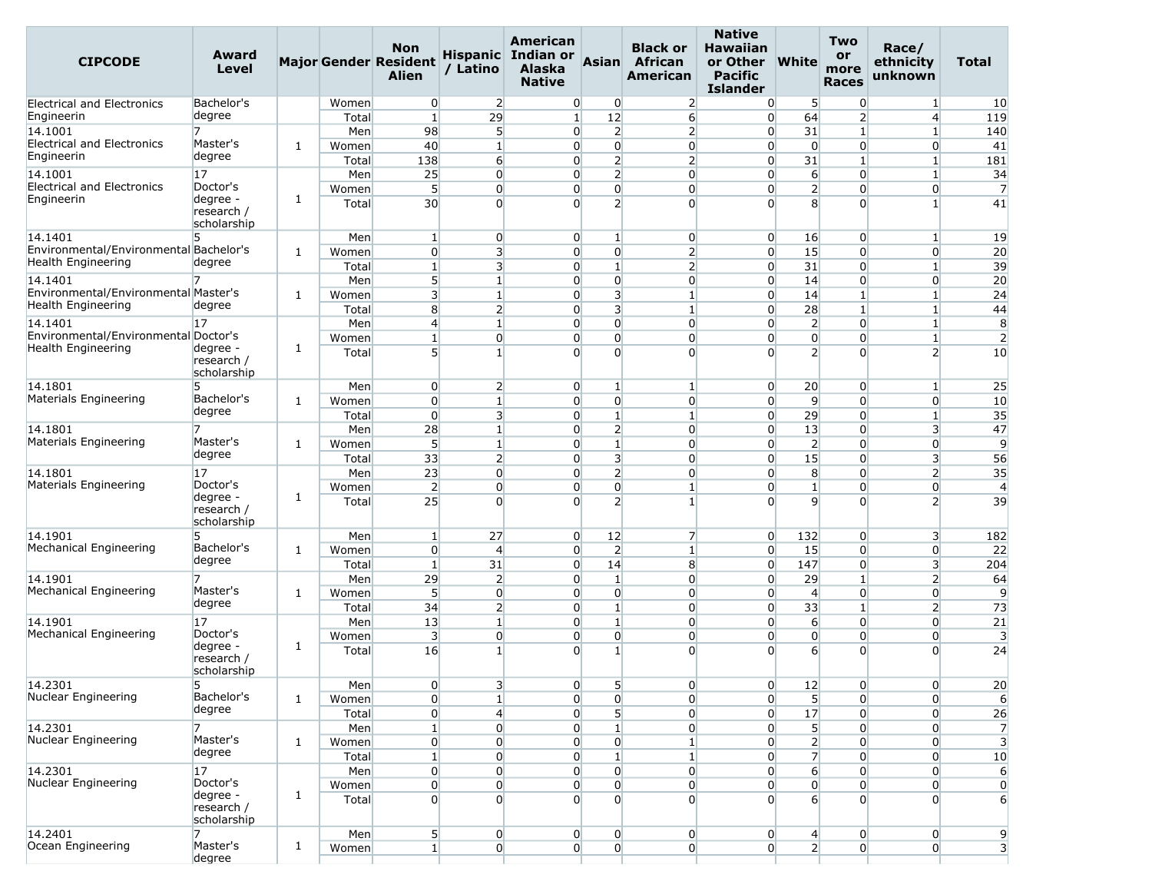| <b>CIPCODE</b>                                             | Award<br>Level                                    |              |                | <b>Non</b><br><b>Major Gender Resident</b><br><b>Alien</b> | / Latino                         | American<br>Hispanic Indian or<br><b>Alaska</b><br><b>Native</b> | Asian                            | <b>Black or</b><br>African<br>American | <b>Native</b><br><b>Hawaiian</b><br>or Other<br><b>Pacific</b><br><b>Islander</b> | <b>White</b>                       | Two<br>or<br>more<br><b>Races</b> | Race/<br>ethnicity<br>unknown            | <b>Total</b>            |
|------------------------------------------------------------|---------------------------------------------------|--------------|----------------|------------------------------------------------------------|----------------------------------|------------------------------------------------------------------|----------------------------------|----------------------------------------|-----------------------------------------------------------------------------------|------------------------------------|-----------------------------------|------------------------------------------|-------------------------|
| <b>Electrical and Electronics</b>                          | Bachelor's                                        |              | Women          | $\overline{0}$                                             | $\overline{2}$                   | $\overline{0}$                                                   | 0                                | $\overline{2}$                         | $\overline{0}$                                                                    | 5                                  | $\overline{0}$                    | $\mathbf{1}$                             | 10                      |
| Engineerin                                                 | degree                                            |              | Total          | $\mathbf{1}$                                               | 29                               | $\mathbf{1}$                                                     | 12                               | 6                                      | $\overline{0}$                                                                    | 64                                 | $\overline{2}$                    | $\overline{4}$                           | 119                     |
| 14.1001                                                    | 7                                                 |              | Men            | 98                                                         | 5                                | $\overline{0}$                                                   | $\overline{2}$                   | $\overline{2}$                         | $\overline{0}$                                                                    | 31                                 | $\mathbf{1}$                      | $\mathbf{1}$                             | 140                     |
| <b>Electrical and Electronics</b>                          | Master's                                          | 1            | Women          | 40                                                         | $\mathbf{1}$                     | $\overline{0}$                                                   | $\overline{0}$                   | $\overline{0}$                         | $\overline{0}$                                                                    | $\overline{0}$                     | $\overline{0}$                    | $\overline{0}$                           | 41                      |
| Engineerin                                                 | degree                                            |              | Total          | 138                                                        | $6 \overline{}$                  | $\overline{0}$                                                   | $\overline{2}$                   | $\overline{2}$                         | $\overline{0}$                                                                    | 31                                 | $\mathbf{1}$                      | $\mathbf{1}$                             | 181                     |
| 14.1001<br><b>Electrical and Electronics</b>               | 17                                                |              | Men            | 25                                                         | $\overline{0}$                   | $\overline{0}$                                                   | $\overline{2}$                   | $\overline{0}$                         | $\overline{0}$                                                                    | $6 \overline{}$                    | $\overline{0}$                    | $\mathbf{1}$                             | 34                      |
| Engineerin                                                 | Doctor's<br>degree -<br>research /<br>scholarship | 1            | Women<br>Total | 5<br>30 <sup>°</sup>                                       | $\overline{0}$<br>$\overline{0}$ | $\overline{0}$<br>$\overline{0}$                                 | $\overline{0}$<br>$\overline{2}$ | $\overline{0}$<br>$\overline{0}$       | $\overline{0}$<br>$\Omega$                                                        | $\mathbf{2}$<br>8                  | $\overline{0}$<br>$\overline{0}$  | $\overline{0}$<br>1                      | 7<br>41                 |
| 14.1401                                                    | 5.                                                |              | Men            | $\mathbf{1}$                                               | $\overline{0}$                   | $\overline{0}$                                                   | $\mathbf{1}$                     | $\overline{0}$                         | $\overline{0}$                                                                    | 16                                 | $\overline{0}$                    | $\vert$ 1                                | 19                      |
| Environmental/Environmental Bachelor's                     |                                                   | 1            | Women          | $\overline{0}$                                             | $\overline{3}$                   | $\overline{0}$                                                   | $\overline{0}$                   | $\overline{2}$                         | $\overline{0}$                                                                    | 15                                 | $\overline{0}$                    | $\overline{0}$                           | 20                      |
| Health Engineering                                         | degree                                            |              | Total          | $\mathbf{1}$                                               | 3                                | $\overline{0}$                                                   | $\mathbf{1}$                     | $\overline{2}$                         | $\overline{0}$                                                                    | 31                                 | $\overline{0}$                    | $\mathbf{1}$                             | 39                      |
| 14.1401                                                    | 7                                                 |              | Men            | 5 <sup>1</sup>                                             | $\mathbf{1}$                     | $\overline{0}$                                                   | $\overline{0}$                   | $\overline{0}$                         | $\overline{0}$                                                                    | 14                                 | $\overline{0}$                    | $\overline{0}$                           | 20                      |
| Environmental/Environmental Master's                       |                                                   | 1            | Women          | $\overline{3}$                                             | $\mathbf{1}$                     | $\overline{0}$                                                   | $\overline{3}$                   | $\mathbf{1}$                           | $\overline{0}$                                                                    | 14                                 | $\mathbf{1}$                      | $\mathbf{1}$                             | 24                      |
| Health Engineering                                         | degree                                            |              | Total          | 8 <sup>1</sup>                                             | $\overline{2}$                   | $\overline{0}$                                                   | 3                                | $\mathbf{1}$                           | $\overline{0}$                                                                    | 28                                 | $\mathbf{1}$                      | $\mathbf{1}$                             | 44                      |
| 14.1401                                                    | 17                                                |              | Men            | $\overline{4}$                                             | $\mathbf{1}$                     | $\overline{0}$                                                   | $\overline{0}$                   | $\overline{0}$                         | $\overline{0}$                                                                    | $\overline{2}$                     | $\overline{0}$                    | $\mathbf{1}$                             | 8                       |
| Environmental/Environmental Doctor's<br>Health Engineering | degree -<br>research /<br>scholarship             | 1            | Women<br>Total | $\mathbf{1}$<br>5 <sup>1</sup>                             | $\overline{0}$<br>$1\vert$       | $\overline{0}$<br>$\Omega$                                       | $\overline{0}$<br>$\Omega$       | $\overline{0}$<br>$\Omega$             | $\overline{0}$<br>$\Omega$                                                        | $\overline{0}$<br>$\overline{2}$   | $\overline{0}$<br>$\Omega$        | $\mathbf{1}$<br>$\overline{\phantom{a}}$ | $\overline{2}$<br>10    |
| 14.1801                                                    | 5                                                 |              | Men            | $\overline{0}$                                             | $\overline{2}$                   | $\overline{0}$                                                   | $\mathbf{1}$                     | 1                                      | $\overline{0}$                                                                    | 20                                 | $\overline{0}$                    | $\mathbf{1}$                             | 25                      |
| Materials Engineering                                      | Bachelor's                                        | 1            | Women          | $\overline{0}$                                             | $\mathbf{1}$                     | $\overline{0}$                                                   | $\overline{0}$                   | $\overline{0}$                         | $\overline{0}$                                                                    | 9                                  | $\overline{0}$                    | $\overline{0}$                           | 10                      |
|                                                            | degree                                            |              | Total          | $\mathbf{0}$                                               | 3                                | $\overline{0}$                                                   | $\mathbf{1}$                     | 1                                      | $\overline{0}$                                                                    | 29                                 | $\overline{0}$                    | $\mathbf{1}$                             | 35                      |
| 14.1801                                                    | 7                                                 |              | Men            | 28                                                         | $\mathbf{1}$                     | $\overline{0}$                                                   | $\overline{2}$                   | $\overline{0}$                         | $\overline{0}$                                                                    | 13                                 | $\overline{0}$                    | 3                                        | 47                      |
| Materials Engineering                                      | Master's                                          | 1            | Women          | $\overline{5}$                                             | $\mathbf{1}$                     | $\overline{0}$                                                   | $1\vert$                         | $\overline{0}$                         | $\overline{0}$                                                                    | $\overline{2}$                     | $\overline{0}$                    | $\overline{0}$                           | $\overline{9}$          |
|                                                            | degree                                            |              | Total          | 33                                                         | $\overline{2}$                   | $\overline{0}$                                                   | $\overline{\mathbf{3}}$          | $\overline{0}$                         | $\overline{0}$                                                                    | 15                                 | $\overline{0}$                    | 3                                        | 56                      |
| 14.1801                                                    | 17                                                |              | Men            | 23                                                         | $\overline{0}$                   | $\overline{0}$                                                   | $2 \vert$                        | $\overline{0}$                         | $\overline{0}$                                                                    | 8                                  | $\overline{0}$                    | $\overline{2}$                           | 35                      |
| Materials Engineering                                      | Doctor's                                          |              | Women          | $\overline{2}$                                             | $\overline{0}$                   | $\overline{0}$                                                   | $\overline{0}$                   | $\mathbf{1}$                           | $\overline{0}$                                                                    | $\mathbf{1}$                       | $\overline{0}$                    | $\overline{0}$                           | $\overline{4}$          |
|                                                            | degree -<br>research /<br>scholarship             | 1            | Total          | 25                                                         | $\Omega$                         | $\Omega$                                                         | $\overline{2}$                   | $\mathbf{1}$                           | $\Omega$                                                                          | 9                                  | $\Omega$                          | $\overline{2}$                           | 39                      |
| 14.1901                                                    | 5                                                 |              | Men            | $\mathbf{1}$                                               | 27                               | $\overline{0}$                                                   | 12                               | $\overline{7}$                         | $\overline{0}$                                                                    | 132                                | $\overline{0}$                    | 3                                        | 182                     |
| Mechanical Engineering                                     | Bachelor's                                        | 1            | Women          | $\overline{0}$                                             | $\overline{4}$                   | $\overline{0}$                                                   | $\overline{2}$                   | $\mathbf{1}$                           | $\overline{0}$                                                                    | 15                                 | $\overline{0}$                    | $\overline{0}$                           | 22                      |
|                                                            | degree                                            |              | Total          | $\mathbf{1}$                                               | 31                               | $\overline{0}$                                                   | 14                               | 8                                      | $\overline{0}$                                                                    | 147                                | $\overline{0}$                    | 3                                        | 204                     |
| 14.1901                                                    | Master's                                          |              | Men            | 29                                                         | $\overline{2}$                   | $\overline{0}$                                                   | $\mathbf{1}$                     | $\overline{0}$                         | $\overline{0}$                                                                    | 29                                 | $\mathbf{1}$                      | $\overline{2}$                           | 64                      |
| Mechanical Engineering                                     | degree                                            | 1            | Women          | 5 <sup>1</sup>                                             | $\overline{0}$                   | $\overline{0}$                                                   | $\overline{0}$                   | $\overline{0}$                         | $\overline{0}$                                                                    | $\overline{4}$                     | $\overline{0}$                    | $\overline{0}$                           | $\overline{9}$          |
|                                                            |                                                   |              | Total          | 34                                                         | $\overline{2}$                   | $\overline{0}$                                                   | $\mathbf{1}$<br>$\mathbf{1}$     | $\overline{0}$                         | $\overline{0}$                                                                    | 33                                 | $\mathbf{1}$                      | $\overline{2}$                           | 73                      |
| 14.1901<br>Mechanical Engineering                          | 17<br>Doctor's                                    |              | Men            | 13<br>$\overline{\mathbf{3}}$                              | $1\vert$<br>$\overline{0}$       | $\overline{0}$<br>$\overline{0}$                                 | $\overline{0}$                   | $\overline{0}$<br>$\overline{0}$       | $\overline{0}$<br>$\overline{0}$                                                  | $6 \overline{6}$<br>$\overline{0}$ | $\overline{0}$<br>$\overline{0}$  | $\overline{0}$<br>$\overline{0}$         | 21<br>3                 |
|                                                            | degree -<br>research /<br>scholarship             | 1            | Women<br>Total | 16                                                         | $\mathbf{1}$                     | $\Omega$                                                         | $\mathbf{1}$                     | $\overline{0}$                         | $\Omega$                                                                          | $6 \overline{6}$                   | $\Omega$                          | 0                                        | 24                      |
| 14.2301                                                    | 5                                                 |              | Men            | $\overline{0}$                                             | 3                                | $\overline{0}$                                                   | 5                                | $\overline{0}$                         | $\overline{0}$                                                                    | 12                                 | $\overline{0}$                    | $\overline{0}$                           | 20                      |
| Nuclear Engineering                                        | Bachelor's                                        | 1            | Women          | $\overline{0}$                                             | $1\overline{ }$                  | $\overline{0}$                                                   | $\overline{0}$                   | $\overline{0}$                         | $\overline{0}$                                                                    | 5 <sup>1</sup>                     | $\overline{0}$                    | $\overline{0}$                           | 6                       |
|                                                            | degree                                            |              | Total          | $\overline{0}$                                             | $\overline{4}$                   | $\overline{0}$                                                   | 5 <sup>1</sup>                   | $\overline{0}$                         | $\overline{0}$                                                                    | 17                                 | $\overline{0}$                    | $\overline{0}$                           | 26                      |
| 14.2301                                                    |                                                   |              | Men            | $\mathbf{1}$                                               | $\overline{0}$                   | $\overline{0}$                                                   | $\mathbf{1}$                     | $\overline{0}$                         | $\overline{0}$                                                                    | $5\overline{)}$                    | $\overline{0}$                    | $\overline{0}$                           | $\overline{7}$          |
| Nuclear Engineering                                        | Master's                                          | 1            | Women          | $\overline{0}$                                             | $\overline{0}$                   | $\overline{0}$                                                   | $\overline{0}$                   | $\mathbf{1}$                           | $\overline{0}$                                                                    | $\overline{2}$                     | $\overline{0}$                    | $\overline{0}$                           | $\overline{\mathbf{3}}$ |
|                                                            | degree                                            |              | Total          | $1\vert$                                                   | $\overline{0}$                   | $\overline{0}$                                                   | $\mathbf{1}$                     | $\mathbf{1}$                           | $\overline{0}$                                                                    | $\overline{7}$                     | $\overline{0}$                    | $\overline{0}$                           | 10                      |
| 14.2301                                                    | 17                                                |              | Men            | $\overline{0}$                                             | $\overline{0}$                   | $\overline{0}$                                                   | $\overline{0}$                   | $\overline{0}$                         | $\overline{0}$                                                                    | $6 \overline{6}$                   | $\overline{0}$                    | $\overline{0}$                           | 6                       |
| Nuclear Engineering                                        | Doctor's<br>degree -                              | 1            | Women          | $\overline{0}$                                             | $\overline{0}$                   | $\overline{0}$                                                   | $\overline{0}$                   | $\overline{0}$                         | $\overline{0}$                                                                    | $\overline{0}$                     | $\overline{0}$                    | 0                                        | $\overline{0}$          |
|                                                            | research /<br>scholarship                         |              | Total          | $\overline{0}$                                             | $\overline{0}$                   | $\Omega$                                                         | $\overline{0}$                   | $\overline{0}$                         | $\overline{0}$                                                                    | $6 \overline{6}$                   | $\Omega$                          | $\overline{0}$                           | 6                       |
| 14.2401                                                    | 7                                                 |              | Men            | 5 <sub>l</sub>                                             | $\overline{0}$                   | $\overline{0}$                                                   | $\overline{0}$                   | $\overline{0}$                         | $\overline{0}$                                                                    | $\overline{4}$                     | $\overline{0}$                    | $\overline{0}$                           | 9                       |
| Ocean Engineering                                          | Master's<br>degree                                | $\mathbf{1}$ | Women          | $1\vert$                                                   | $\overline{0}$                   | $\overline{0}$                                                   | $\overline{0}$                   | $\overline{0}$                         | $\overline{0}$                                                                    | $\mathbf{2}$                       | $\overline{0}$                    | $\overline{0}$                           | 3                       |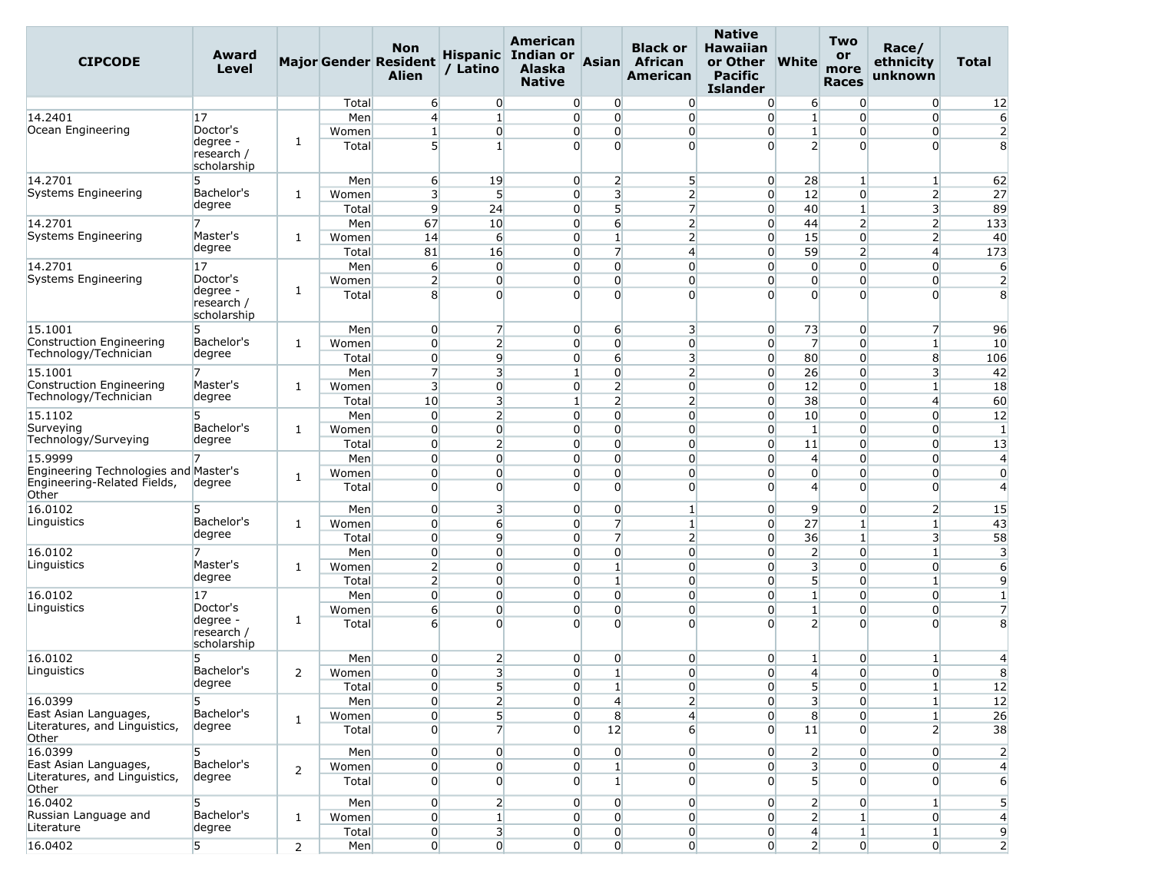| <b>CIPCODE</b>                                                       | Award<br>Level                        |                |       | <b>Non</b><br><b>Major Gender Resident</b><br>Alien | / Latino                | American<br><b>Hispanic</b> Indian or<br><b>Alaska</b><br><b>Native</b> | <b>Asian</b>     | <b>Black or</b><br>African<br><b>American</b> | <b>Native</b><br><b>Hawaiian</b><br>or Other<br><b>Pacific</b><br><b>Islander</b> | <b>White</b>            | <b>Two</b><br>or<br>more<br><b>Races</b> | Race/<br>ethnicity<br>unknown | Total          |
|----------------------------------------------------------------------|---------------------------------------|----------------|-------|-----------------------------------------------------|-------------------------|-------------------------------------------------------------------------|------------------|-----------------------------------------------|-----------------------------------------------------------------------------------|-------------------------|------------------------------------------|-------------------------------|----------------|
|                                                                      |                                       |                | Total | 6                                                   | $\overline{0}$          | $\overline{0}$                                                          | 0                | $\overline{0}$                                | $\overline{0}$                                                                    | 6                       | $\overline{0}$                           | $\overline{0}$                | 12             |
| 14.2401                                                              | 17                                    |                | Men   | $\overline{4}$                                      | $\mathbf{1}$            | $\overline{0}$                                                          | $\overline{0}$   | $\overline{0}$                                | $\overline{0}$                                                                    | $\mathbf{1}$            | $\Omega$                                 | $\overline{0}$                | 6              |
| Ocean Engineering                                                    | Doctor's                              |                | Women | $\mathbf{1}$                                        | $\overline{0}$          | $\overline{0}$                                                          | $\overline{0}$   | $\overline{0}$                                | $\overline{0}$                                                                    | $\mathbf{1}$            | $\overline{0}$                           | $\overline{0}$                | $\overline{2}$ |
|                                                                      | degree -<br>research /<br>scholarship | 1              | Total | 5 <sup>1</sup>                                      | $1\overline{ }$         | $\Omega$                                                                | $\overline{0}$   | $\Omega$                                      | $\Omega$                                                                          | $\overline{2}$          | $\Omega$                                 | $\overline{0}$                | 8              |
| 14.2701                                                              | 5                                     |                | Men   | 6                                                   | 19                      | $\overline{0}$                                                          | $\overline{2}$   | $5\overline{)}$                               | $\overline{0}$                                                                    | 28                      | $\mathbf{1}$                             | $\mathbf{1}$                  | 62             |
| Systems Engineering                                                  | Bachelor's                            | 1              | Women | $\overline{\mathbf{3}}$                             | 5                       | $\overline{0}$                                                          | 3 <sup>1</sup>   | $\overline{2}$                                | $\overline{0}$                                                                    | 12                      | $\overline{0}$                           | $\overline{2}$                | 27             |
|                                                                      | degree                                |                | Total | $\overline{9}$                                      | 24                      | $\overline{0}$                                                          | 5 <sup>1</sup>   | $\overline{7}$                                | $\overline{0}$                                                                    | 40                      | $\mathbf{1}$                             | $\overline{\mathbf{3}}$       | 89             |
| 14.2701                                                              | 7<br>Master's                         |                | Men   | 67                                                  | 10                      | $\overline{0}$                                                          | $6 \overline{6}$ | $\overline{2}$                                | $\overline{0}$                                                                    | 44                      | $\overline{2}$                           | $\overline{2}$                | 133            |
| Systems Engineering                                                  | degree                                | 1              | Women | 14                                                  | $6 \overline{6}$        | $\overline{0}$                                                          | $\mathbf{1}$     | $\overline{2}$                                | $\overline{0}$                                                                    | 15                      | $\overline{0}$                           | $\overline{2}$                | 40             |
|                                                                      |                                       |                | Total | 81                                                  | 16                      | $\overline{0}$                                                          | $\overline{7}$   | $\overline{4}$                                | $\overline{0}$                                                                    | 59                      | $\overline{2}$                           | $\overline{4}$                | 173            |
| 14.2701                                                              | 17<br>Doctor's                        |                | Men   | 6                                                   | $\overline{0}$          | $\overline{0}$                                                          | $\overline{0}$   | $\overline{0}$                                | $\overline{0}$                                                                    | $\overline{0}$          | $\Omega$                                 | $\overline{0}$                | 6              |
| Systems Engineering                                                  | degree -                              | 1              | Women | $\overline{2}$                                      | $\overline{0}$          | $\overline{0}$                                                          | $\overline{0}$   | $\overline{0}$                                | $\overline{0}$                                                                    | $\overline{0}$          | $\overline{0}$                           | $\overline{0}$                | $\overline{2}$ |
|                                                                      | research /<br>scholarship             |                | Total | 8                                                   | $\Omega$                | $\Omega$                                                                | $\Omega$         | $\Omega$                                      | $\Omega$                                                                          | $\overline{0}$          | $\Omega$                                 | $\overline{0}$                | 8              |
| 15.1001                                                              | 5                                     |                | Men   | $\overline{0}$                                      | $\overline{7}$          | $\overline{0}$                                                          | 6                | 3                                             | $\overline{0}$                                                                    | 73                      | $\overline{0}$                           | $\overline{7}$                | 96             |
| Construction Engineering                                             | Bachelor's                            | 1              | Women | $\overline{0}$                                      | $\overline{2}$          | $\overline{0}$                                                          | $\overline{0}$   | $\overline{0}$                                | $\overline{0}$                                                                    | $\overline{7}$          | $\overline{0}$                           | $\mathbf{1}$                  | 10             |
| Technology/Technician                                                | degree                                |                | Total | $\overline{0}$                                      | $\overline{9}$          | $\overline{0}$                                                          | $6 \overline{6}$ | 3                                             | $\overline{0}$                                                                    | 80                      | $\overline{0}$                           | 8                             | 106            |
| 15.1001                                                              |                                       |                | Men   | $\overline{7}$                                      | 3                       | $\mathbf{1}$                                                            | $\overline{0}$   | $\overline{2}$                                | $\overline{0}$                                                                    | 26                      | $\overline{0}$                           | 3                             | 42             |
| Construction Engineering                                             | Master's                              | 1              | Women | $\overline{3}$                                      | $\overline{0}$          | $\overline{0}$                                                          | $\overline{2}$   | $\overline{0}$                                | $\overline{0}$                                                                    | 12                      | $\overline{0}$                           | $\mathbf{1}$                  | 18             |
| Technology/Technician                                                | degree                                |                | Total | 10                                                  | $\overline{\mathbf{3}}$ | $\mathbf{1}$                                                            | $\overline{2}$   | $\overline{2}$                                | $\overline{0}$                                                                    | 38                      | $\overline{0}$                           | $\overline{4}$                | 60             |
| 15.1102                                                              | 5                                     |                | Men   | $\overline{0}$                                      | $\overline{2}$          | $\overline{0}$                                                          | $\Omega$         | $\overline{0}$                                | $\overline{0}$                                                                    | 10                      | $\Omega$                                 | $\overline{0}$                | 12             |
| Surveying                                                            | Bachelor's                            | 1              | Women | $\overline{0}$                                      | $\overline{0}$          | $\overline{0}$                                                          | $\overline{0}$   | $\overline{0}$                                | $\overline{0}$                                                                    | $\mathbf{1}$            | $\overline{0}$                           | $\overline{0}$                | $\mathbf{1}$   |
| Technology/Surveying                                                 | degree                                |                | Total | $\overline{0}$                                      | $\overline{2}$          | $\overline{0}$                                                          | $\overline{0}$   | $\overline{0}$                                | $\overline{0}$                                                                    | 11                      | $\overline{0}$                           | $\overline{0}$                | 13             |
| 15.9999                                                              |                                       |                | Men   | $\overline{0}$                                      | $\overline{0}$          | $\overline{0}$                                                          | $\overline{0}$   | $\overline{0}$                                | $\overline{0}$                                                                    | 4                       | $\Omega$                                 | $\overline{0}$                | $\overline{4}$ |
| Engineering Technologies and Master's<br>Engineering-Related Fields, | degree                                | 1              | Women | $\overline{0}$                                      | $\overline{0}$          | $\overline{0}$                                                          | $\overline{0}$   | $\overline{0}$                                | $\overline{0}$                                                                    | $\overline{0}$          | $\overline{0}$                           | $\overline{0}$                | $\overline{0}$ |
| Other                                                                |                                       |                | Total | $\overline{0}$                                      | $\overline{0}$          | $\Omega$                                                                | $\overline{0}$   | $\overline{0}$                                | $\overline{0}$                                                                    | 4                       | $\Omega$                                 | $\overline{0}$                | $\overline{4}$ |
| 16.0102                                                              | 5                                     |                | Men   | $\overline{0}$                                      | $\overline{\mathbf{3}}$ | $\overline{0}$                                                          | $\overline{0}$   | $\mathbf{1}$                                  | $\overline{0}$                                                                    | 9                       | $\overline{0}$                           | $\overline{2}$                | 15             |
| Linguistics                                                          | Bachelor's                            | 1              | Women | $\overline{0}$                                      | $6 \overline{}$         | $\overline{0}$                                                          | $\overline{7}$   | $\mathbf{1}$                                  | $\overline{0}$                                                                    | 27                      | 1                                        | $\mathbf{1}$                  | 43             |
|                                                                      | degree                                |                | Total | $\overline{0}$                                      | $\overline{9}$          | $\overline{0}$                                                          | 7                | $\overline{2}$                                | $\overline{0}$                                                                    | 36                      | $\mathbf{1}$                             | 3                             | 58             |
| 16.0102                                                              | 7                                     |                | Men   | $\overline{0}$                                      | $\overline{0}$          | $\overline{0}$                                                          | $\overline{0}$   | $\overline{0}$                                | $\overline{0}$                                                                    | $\overline{2}$          | $\overline{0}$                           | $\mathbf{1}$                  | 3              |
| Linguistics                                                          | Master's                              | 1              | Women | $\overline{2}$                                      | $\overline{0}$          | $\overline{0}$                                                          | $\mathbf{1}$     | $\overline{0}$                                | $\overline{0}$                                                                    | $\overline{\mathbf{3}}$ | $\overline{0}$                           | $\overline{0}$                | 6              |
|                                                                      | degree                                |                | Total | $\overline{2}$                                      | $\overline{0}$          | $\overline{0}$                                                          | $\mathbf{1}$     | $\overline{0}$                                | $\overline{0}$                                                                    | 5 <sup>1</sup>          | $\Omega$                                 | $\mathbf{1}$                  | 9              |
| 16.0102                                                              | 17                                    |                | Men   | $\mathbf{0}$                                        | $\overline{0}$          | $\Omega$                                                                | $\overline{0}$   | $\overline{0}$                                | $\overline{0}$                                                                    | $\mathbf{1}$            | $\overline{0}$                           | $\overline{0}$                | $\mathbf{1}$   |
| Linguistics                                                          | Doctor's                              |                | Women | $6 \overline{}$                                     | $\overline{0}$          | $\overline{0}$                                                          | $\overline{0}$   | $\overline{0}$                                | $\overline{0}$                                                                    | $\mathbf{1}$            | $\overline{0}$                           | $\overline{0}$                | $\overline{7}$ |
|                                                                      | degree -<br>research /<br>scholarship | 1              | Total | 6                                                   | $\Omega$                | $\Omega$                                                                | $\Omega$         | $\Omega$                                      | $\Omega$                                                                          | $\overline{2}$          | $\Omega$                                 | $\Omega$                      | 8              |
| 16.0102                                                              | 5                                     |                | Men   | $\overline{0}$                                      | $\overline{2}$          | $\overline{0}$                                                          | $\overline{0}$   | $\overline{0}$                                | $\overline{0}$                                                                    | $\mathbf{1}$            | $\overline{0}$                           | $\vert$ 1                     | $\overline{4}$ |
| Linguistics                                                          | Bachelor's                            | 2              | Women | $\overline{0}$                                      | 3                       | $\overline{0}$                                                          | $\mathbf{1}$     | $\overline{0}$                                | $\overline{0}$                                                                    | $\overline{4}$          | $\overline{0}$                           | $\overline{0}$                | 8              |
|                                                                      | degree                                |                | Total | $\overline{0}$                                      | 5 <sub>l</sub>          | $\overline{0}$                                                          | $\vert$ 1        | $\overline{0}$                                | $\overline{0}$                                                                    | 5                       | $\overline{0}$                           | $\mathbf{1}$                  | 12             |
| 16.0399                                                              | 5                                     |                | Men   | $\overline{0}$                                      | $\overline{2}$          | $\overline{0}$                                                          | $\overline{4}$   | 2                                             | $\overline{0}$                                                                    | 3 <sup>1</sup>          | $\overline{0}$                           | $\mathbf{1}$                  | 12             |
| East Asian Languages,                                                | Bachelor's                            | 1              | Women | $\overline{0}$                                      | 5                       | $\overline{0}$                                                          | $\bf{8}$         | $\overline{4}$                                | $\overline{0}$                                                                    | $\bf{8}$                | $\overline{0}$                           | $1\overline{ }$               | 26             |
| Literatures, and Linguistics,<br>Other                               | degree                                |                | Total | $\overline{0}$                                      | 7                       | $\Omega$                                                                | 12               | $6 \overline{6}$                              | $\overline{0}$                                                                    | 11                      | $\Omega$                                 | $\overline{2}$                | 38             |
| 16.0399<br>East Asian Languages,                                     | 5<br>Bachelor's                       |                | Men   | $\overline{0}$                                      | $\overline{0}$          | $\overline{0}$                                                          | $\overline{0}$   | $\overline{0}$                                | $\overline{0}$                                                                    | $\overline{2}$          | $\overline{0}$                           | $\overline{0}$                | $\overline{2}$ |
| Literatures, and Linguistics,                                        | degree                                | 2              | Women | $\overline{0}$                                      | $\overline{0}$          | $\overline{0}$                                                          | $\mathbf{1}$     | $\overline{0}$                                | $\overline{0}$                                                                    | 3 <sup>1</sup>          | $\Omega$                                 | $\overline{0}$                | $\overline{4}$ |
| Other                                                                |                                       |                | Total | $\overline{0}$                                      | $\overline{0}$          | $\overline{0}$                                                          | $1\overline{ }$  | $\overline{0}$                                | $\Omega$                                                                          | 5 <sup>1</sup>          | $\overline{0}$                           | $\Omega$                      | 6              |
| 16.0402                                                              | 5                                     |                | Men   | $\overline{0}$                                      | 2                       | $\overline{0}$                                                          | $\overline{0}$   | $\overline{0}$                                | $\overline{0}$                                                                    | $\overline{2}$          | $\overline{0}$                           | $\mathbf{1}$                  | 5              |
| Russian Language and                                                 | Bachelor's                            | 1              | Women | $\overline{0}$                                      | $\mathbf{1}$            | $\overline{0}$                                                          | $\overline{0}$   | $\overline{0}$                                | $\overline{0}$                                                                    | 2 <sup>1</sup>          | $\mathbf{1}$                             | $\overline{0}$                | $\overline{4}$ |
| Literature                                                           | degree                                |                | Total | $\boldsymbol{0}$                                    | $\overline{\mathbf{3}}$ | $\overline{0}$                                                          | $\overline{0}$   | $\overline{0}$                                | $\overline{0}$                                                                    | $\overline{4}$          | $\mathbf{1}$                             | $1\overline{ }$               | $\overline{9}$ |
| 16.0402                                                              | 5                                     | $\overline{2}$ | Men   | $\overline{0}$                                      | $\overline{0}$          | $\overline{0}$                                                          | $\overline{0}$   | $\overline{0}$                                | $\overline{0}$                                                                    | $\overline{2}$          | $\overline{0}$                           | $\overline{0}$                | $\overline{2}$ |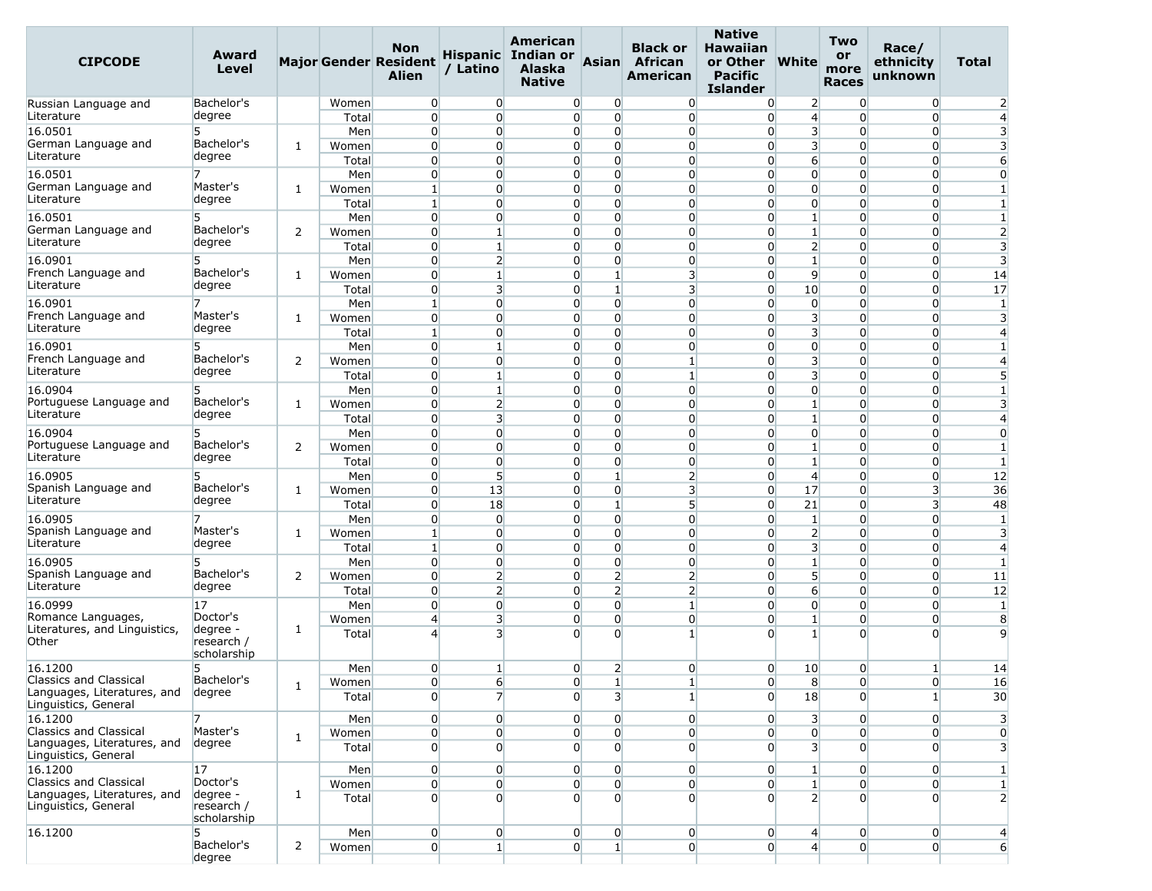| <b>CIPCODE</b>                                        | Award<br>Level            |                |                | <b>Non</b><br>Major Gender Resident<br><b>Alien</b> | / Latino                         | American<br>Hispanic Indian or<br>Alaska<br><b>Native</b> | <b>Asian</b>               | <b>Black or</b><br>African<br>American | <b>Native</b><br><b>Hawaiian</b><br>or Other<br><b>Pacific</b><br><b>Islander</b> | <b>White</b>                       | Two<br>or<br>more<br><b>Races</b> | Race/<br>ethnicity<br>unknown    | <b>Total</b>                 |
|-------------------------------------------------------|---------------------------|----------------|----------------|-----------------------------------------------------|----------------------------------|-----------------------------------------------------------|----------------------------|----------------------------------------|-----------------------------------------------------------------------------------|------------------------------------|-----------------------------------|----------------------------------|------------------------------|
| Russian Language and                                  | Bachelor's                |                | Women          | $\overline{0}$                                      | $\overline{0}$                   | $\overline{0}$                                            | 0                          | $\overline{0}$                         | $\overline{0}$                                                                    | $\overline{2}$                     | $\Omega$                          | $\overline{0}$                   | 2                            |
| Literature                                            | degree                    |                | Total          | $\overline{0}$                                      | $\Omega$                         | $\overline{0}$                                            | $\Omega$                   | $\overline{0}$                         | $\overline{0}$                                                                    | $\overline{4}$                     | $\Omega$                          | $\overline{0}$                   | $\overline{4}$               |
| 16.0501                                               | 5                         |                | Men            | $\overline{0}$                                      | $\overline{0}$                   | $\Omega$                                                  | $\overline{0}$             | $\overline{0}$                         | $\overline{0}$                                                                    | 3                                  | $\Omega$                          | $\overline{0}$                   | 3                            |
| German Language and<br>Literature                     | Bachelor's<br>degree      | 1              | Women<br>Total | $\overline{0}$<br>$\Omega$                          | $\overline{0}$<br>$\Omega$       | $\overline{0}$<br>$\Omega$                                | $\overline{0}$<br>$\Omega$ | $\overline{0}$<br>$\overline{0}$       | $\overline{0}$<br>$\overline{0}$                                                  | 3<br>$6 \overline{6}$              | $\Omega$<br>$\Omega$              | 0<br>$\overline{0}$              | 3<br>6                       |
| 16.0501                                               |                           |                | Men            | $\overline{0}$                                      | $\overline{0}$                   | $\overline{0}$                                            | $\overline{0}$             | $\overline{0}$                         | $\overline{0}$                                                                    | $\overline{0}$                     | $\overline{0}$                    | $\overline{0}$                   | $\overline{0}$               |
| German Language and<br>Literature                     | Master's<br>degree        | 1              | Women          | $\mathbf{1}$                                        | $\Omega$                         | $\overline{0}$                                            | $\Omega$                   | $\overline{0}$                         | $\overline{0}$                                                                    | $\overline{0}$                     | $\Omega$                          | $\Omega$                         | $\mathbf{1}$                 |
| 16.0501                                               | 5                         |                | Total<br>Men   | $\mathbf{1}$<br>$\overline{0}$                      | $\overline{0}$<br>$\overline{0}$ | $\overline{0}$<br>$\overline{0}$                          | $\overline{0}$<br>$\Omega$ | $\overline{0}$<br>$\overline{0}$       | $\overline{0}$<br>$\overline{0}$                                                  | $\overline{0}$<br>$\mathbf{1}$     | $\Omega$<br>$\Omega$              | $\overline{0}$<br>$\overline{0}$ | $\mathbf{1}$<br>$\mathbf{1}$ |
| German Language and                                   | Bachelor's                | 2              | Women          | $\overline{0}$                                      | $\mathbf{1}$                     | $\Omega$                                                  | $\overline{0}$             | $\overline{0}$                         | $\overline{0}$                                                                    | $\mathbf{1}$                       | $\Omega$                          | $\Omega$                         | 2                            |
| Literature                                            | degree                    |                | Total          | $\overline{0}$                                      | $\mathbf{1}$                     | $\overline{0}$                                            | $\overline{0}$             | $\overline{0}$                         | $\overline{0}$                                                                    | $\overline{2}$                     | $\overline{0}$                    | $\overline{0}$                   | 3                            |
| 16.0901                                               | 5                         |                | Men            | $\overline{0}$                                      | $\overline{2}$                   | $\Omega$                                                  | $\Omega$                   | $\overline{0}$                         | $\overline{0}$                                                                    | $\mathbf{1}$                       | $\Omega$                          | $\overline{0}$                   | $\overline{3}$               |
| French Language and                                   | Bachelor's                | 1              | Women          | 0                                                   | $1\overline{ }$                  | $\overline{0}$                                            | $\mathbf{1}$               | 3                                      | $\overline{0}$                                                                    | $\overline{9}$                     | $\Omega$                          | $\overline{0}$                   | 14                           |
| Literature                                            | degree                    |                | Total          | $\overline{0}$                                      | 3                                | $\Omega$                                                  | $1\overline{ }$            | 3                                      | $\overline{0}$                                                                    | 10 <sup>1</sup>                    | $\Omega$                          | $\Omega$                         | 17                           |
| 16.0901                                               |                           |                | Men            | $\mathbf{1}$                                        | $\overline{0}$                   | $\overline{0}$                                            | $\overline{0}$             | $\overline{0}$                         | $\overline{0}$                                                                    | $\overline{0}$                     | $\Omega$                          | $\overline{0}$                   | $\mathbf{1}$                 |
| French Language and                                   | Master's                  | 1              | Women          | $\overline{0}$                                      | $\Omega$                         | $\overline{0}$                                            | $\Omega$                   | $\overline{0}$                         | $\overline{0}$                                                                    | 3                                  | $\Omega$                          | $\overline{0}$                   | 3                            |
| Literature                                            | degree                    |                | Total          | $\mathbf{1}$                                        | $\overline{0}$                   | $\Omega$                                                  | $\overline{0}$             | $\overline{0}$                         | $\overline{0}$                                                                    | 3                                  | $\overline{0}$                    | $\overline{0}$                   | $\overline{4}$               |
| 16.0901                                               | 5                         |                | Men            | $\overline{0}$                                      | $\mathbf{1}$                     | $\overline{0}$                                            | $\overline{0}$             | $\overline{0}$                         | $\overline{0}$                                                                    | $\overline{0}$                     | $\Omega$                          | $\Omega$                         | $\mathbf{1}$                 |
| French Language and                                   | Bachelor's                | 2              | Women          | $\Omega$                                            | $\Omega$                         | $\Omega$                                                  | $\Omega$                   | $\mathbf{1}$                           | $\overline{0}$                                                                    | $\overline{\mathbf{3}}$            | $\Omega$                          | $\Omega$                         | $\overline{4}$               |
| Literature                                            | degree                    |                | Total          | $\overline{0}$                                      | $\mathbf{1}$                     | $\overline{0}$                                            | $\overline{0}$             | $\mathbf{1}$                           | $\overline{0}$                                                                    | 3                                  | $\overline{0}$                    | $\overline{0}$                   | 5                            |
| 16.0904                                               | 5.                        |                | Men            | $\overline{0}$                                      | $\mathbf{1}$                     | $\overline{0}$                                            | $\overline{0}$             | $\overline{0}$                         | $\overline{0}$                                                                    | $\overline{0}$                     | $\Omega$                          | $\Omega$                         | $\mathbf{1}$                 |
| Portuguese Language and<br>Literature                 | Bachelor's<br>degree      | 1              | Women          | $\overline{0}$                                      | $\overline{2}$                   | $\Omega$                                                  | $\overline{0}$             | $\overline{0}$                         | $\overline{0}$                                                                    | $1\overline{ }$                    | $\Omega$                          | $\overline{0}$                   | 3                            |
|                                                       |                           |                | Total          | $\overline{0}$                                      | 3                                | $\overline{0}$                                            | $\Omega$                   | $\overline{0}$                         | $\overline{0}$                                                                    | $\mathbf{1}$                       | $\Omega$                          | $\overline{0}$                   | $\overline{4}$               |
| 16.0904<br>Portuguese Language and                    | Bachelor's                |                | Men            | $\overline{0}$                                      | $\overline{0}$                   | 0                                                         | $\overline{0}$             | $\overline{0}$                         | $\overline{0}$                                                                    | $\overline{0}$                     | $\Omega$                          | $\Omega$                         | $\overline{0}$               |
| Literature                                            | degree                    | 2              | Women          | $\overline{0}$<br>$\overline{0}$                    | $\overline{0}$<br>$\overline{0}$ | $\overline{0}$<br>$\Omega$                                | $\overline{0}$<br>$\Omega$ | $\overline{0}$<br>$\overline{0}$       | $\overline{0}$<br>$\overline{0}$                                                  | $1\overline{ }$<br>$1\overline{ }$ | $\overline{0}$<br>$\Omega$        | $\overline{0}$<br>$\overline{0}$ | $\mathbf{1}$<br>$\mathbf{1}$ |
| 16.0905                                               | 5                         |                | Total<br>Men   | 0                                                   | 5                                | $\overline{0}$                                            | $\mathbf{1}$               | $\overline{2}$                         | $\overline{0}$                                                                    | $\overline{4}$                     | $\Omega$                          | 0                                | 12                           |
| Spanish Language and                                  | Bachelor's                | 1              | Women          | $\overline{0}$                                      | 13                               | $\Omega$                                                  | $\overline{0}$             | 3                                      | $\overline{0}$                                                                    | 17                                 | $\Omega$                          | 3                                | 36                           |
| Literature                                            | degree                    |                | Total          | $\overline{0}$                                      | 18                               | $\Omega$                                                  | $\mathbf{1}$               | $5\overline{)}$                        | $\overline{0}$                                                                    | 21                                 | $\Omega$                          | $\overline{3}$                   | 48                           |
| 16.0905                                               |                           |                | Men            | $\Omega$                                            | $\Omega$                         | $\overline{0}$                                            | $\Omega$                   | $\overline{0}$                         | $\overline{0}$                                                                    | $\mathbf{1}$                       | $\Omega$                          | $\overline{0}$                   | $\vert$ 1                    |
| Spanish Language and                                  | Master's                  | 1              | Women          | $\mathbf{1}$                                        | $\overline{0}$                   | $\Omega$                                                  | $\overline{0}$             | $\overline{0}$                         | $\overline{0}$                                                                    | $\overline{2}$                     | $\overline{0}$                    | $\overline{0}$                   | 3                            |
| Literature                                            | degree                    |                | Total          | $\mathbf{1}$                                        | $\overline{0}$                   | $\overline{0}$                                            | $\overline{0}$             | $\overline{0}$                         | $\overline{0}$                                                                    | $\overline{\mathbf{3}}$            | $\Omega$                          | $\overline{0}$                   | $\overline{4}$               |
| 16.0905                                               |                           |                | Men            | $\Omega$                                            | $\overline{0}$                   | $\Omega$                                                  | $\overline{0}$             | $\overline{0}$                         | $\overline{0}$                                                                    | $\mathbf{1}$                       | $\Omega$                          | $\overline{0}$                   | $\mathbf{1}$                 |
| Spanish Language and                                  | Bachelor's                | 2              | Women          | $\overline{0}$                                      | $\overline{2}$                   | $\overline{0}$                                            | $\overline{2}$             | $\overline{2}$                         | $\overline{0}$                                                                    | 5 <sup>1</sup>                     | $\overline{0}$                    | $\overline{0}$                   | 11                           |
| Literature                                            | degree                    |                | Total          | $\overline{0}$                                      | $\overline{2}$                   | $\overline{0}$                                            | $\overline{2}$             | $\overline{2}$                         | $\overline{0}$                                                                    | $6 \overline{}$                    | $\Omega$                          | $\Omega$                         | 12                           |
| 16.0999                                               | 17                        |                | Men            | $\overline{0}$                                      | $\overline{0}$                   | $\overline{0}$                                            | $\overline{0}$             | $\mathbf{1}$                           | $\overline{0}$                                                                    | $\overline{0}$                     | $\Omega$                          | $\overline{0}$                   | $\mathbf{1}$                 |
| Romance Languages,<br>Literatures, and Linguistics,   | Doctor's<br>degree -      | 1              | Women          | $\overline{4}$                                      | 3                                | $\overline{0}$                                            | $\overline{0}$             | $\overline{0}$                         | $\overline{0}$                                                                    | $\mathbf{1}$                       | $\overline{0}$                    | $\overline{0}$                   | 8                            |
| Other                                                 | research /<br>scholarship |                | Total          | $\overline{4}$                                      | 3                                | 0                                                         | $\Omega$                   | $\mathbf{1}$                           | $\Omega$                                                                          | $1\vert$                           | 0                                 | U                                | 9                            |
| 16.1200                                               | 5                         |                | Men            | 0                                                   | 1                                | $\overline{0}$                                            | $\overline{2}$             | $\overline{0}$                         | $\overline{0}$                                                                    | 10                                 | 0                                 | $\mathbf{1}$                     | 14                           |
| Classics and Classical                                | Bachelor's                | 1              | Women          | $\mathbf{0}$                                        | 6                                | $\overline{0}$                                            | $\mathbf{1}$               | $\mathbf{I}$                           | $\overline{0}$                                                                    | 8                                  | $\overline{0}$                    | $\overline{0}$                   | 16                           |
| Languages, Literatures, and<br>Linguistics, General   | degree                    |                | Total          | $\overline{0}$                                      | $\overline{7}$                   | $\Omega$                                                  | $\overline{3}$             | $\mathbf{1}$                           | $\overline{0}$                                                                    | 18                                 | $\Omega$                          | 1 <sup>1</sup>                   | 30                           |
| 16.1200                                               |                           |                | Men            | $\overline{0}$                                      | $\overline{0}$                   | $\overline{0}$                                            | $\overline{0}$             | $\overline{0}$                         | $\overline{0}$                                                                    | 3                                  | $\overline{0}$                    | $\overline{0}$                   | 3                            |
| Classics and Classical                                | Master's                  | 1              | Women          | $\overline{0}$                                      | $\overline{0}$                   | $\overline{0}$                                            | $\overline{0}$             | $\overline{0}$                         | $\overline{0}$                                                                    | $\overline{0}$                     | $\overline{0}$                    | $\overline{0}$                   | $\overline{0}$               |
| Languages, Literatures, and<br>Linguistics, General   | degree                    |                | Total          | $\overline{0}$                                      | $\overline{0}$                   | $\overline{0}$                                            | $\Omega$                   | $\overline{0}$                         | $\Omega$                                                                          | 3 <sup>1</sup>                     | $\Omega$                          | $\Omega$                         | 3                            |
| 16.1200                                               | 17                        |                | Men            | $\overline{0}$                                      | $\overline{0}$                   | $\overline{0}$                                            | $\Omega$                   | $\overline{0}$                         | $\overline{0}$                                                                    | $1\vert$                           | $\overline{0}$                    | $\overline{0}$                   | $\mathbf{1}$                 |
| Classics and Classical<br>Languages, Literatures, and | Doctor's<br>degree -      | 1              | Women          | $\overline{0}$                                      | $\overline{0}$                   | $\overline{0}$                                            | $\overline{0}$             | $\overline{0}$                         | $\overline{0}$                                                                    | $\mathbf{1}$                       | $\overline{0}$                    | $\overline{0}$                   | $\mathbf{1}$                 |
| Linguistics, General                                  | research /<br>scholarship |                | Total          | $\Omega$                                            | $\Omega$                         | $\Omega$                                                  | $\Omega$                   | $\overline{0}$                         | $\overline{0}$                                                                    | 2 <sup>1</sup>                     | $\Omega$                          | $\overline{0}$                   | $\overline{2}$               |
| 16.1200                                               | 5                         |                | Men            | $\overline{0}$                                      | $\overline{0}$                   | $\overline{0}$                                            | $\overline{0}$             | $\overline{0}$                         | $\overline{0}$                                                                    | 4                                  | $\overline{0}$                    | $\overline{0}$                   | $\overline{4}$               |
|                                                       | Bachelor's<br>degree      | $\overline{2}$ | Women          | $\boldsymbol{0}$                                    | $\mathbf{1}$                     | $\overline{0}$                                            | $\mathbf{1}$               | $\overline{0}$                         | $\overline{0}$                                                                    | $\mathbf{4}$                       | $\mathbf{0}$                      | $\overline{0}$                   | 6                            |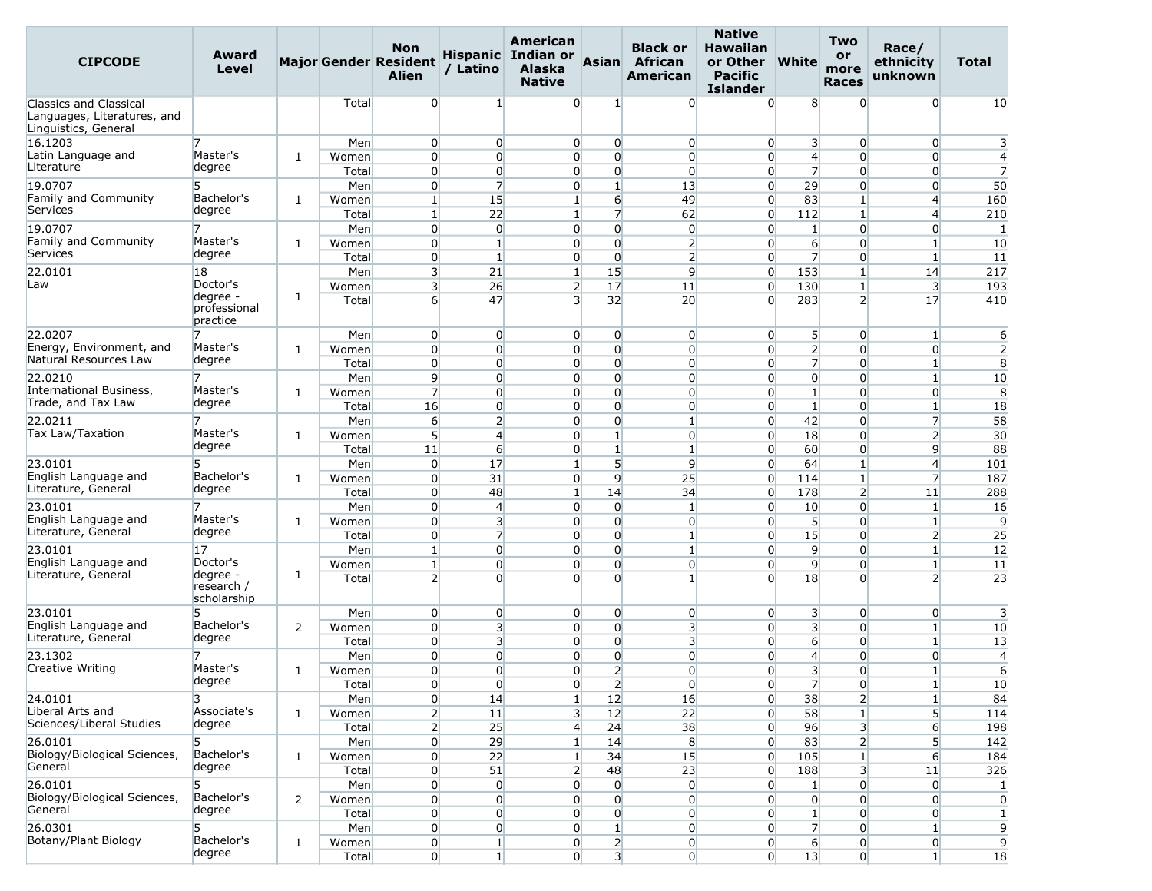| <b>CIPCODE</b>                                                                       | Award<br>Level                        |                |                | <b>Non</b><br><b>Major Gender Resident</b><br>Alien | / Latino                         | <b>American</b><br>Hispanic Indian or<br><b>Alaska</b><br><b>Native</b> | Asian                            | <b>Black or</b><br>African<br><b>American</b> | <b>Native</b><br><b>Hawaiian</b><br>or Other<br><b>Pacific</b><br><b>Islander</b> | <b>White</b>                | <b>Two</b><br>or<br>more<br><b>Races</b> | Race/<br>ethnicity<br>unknown    | Total                       |
|--------------------------------------------------------------------------------------|---------------------------------------|----------------|----------------|-----------------------------------------------------|----------------------------------|-------------------------------------------------------------------------|----------------------------------|-----------------------------------------------|-----------------------------------------------------------------------------------|-----------------------------|------------------------------------------|----------------------------------|-----------------------------|
| <b>Classics and Classical</b><br>Languages, Literatures, and<br>Linguistics, General |                                       |                | Total          | $\overline{0}$                                      | 1                                | $\Omega$                                                                | 1                                | $\overline{0}$                                | $\Omega$                                                                          | 8                           | $\Omega$                                 | $\overline{0}$                   | 10                          |
| 16.1203                                                                              |                                       |                | Men            | $\overline{0}$                                      | $\overline{0}$                   | $\overline{0}$                                                          | $\overline{0}$                   | $\overline{0}$                                | $\overline{0}$                                                                    | 3                           | $\overline{0}$                           | $\overline{0}$                   | 3                           |
| Latin Language and                                                                   | Master's                              | 1              | Women          | $\overline{0}$                                      | $\Omega$                         | $\Omega$                                                                | $\overline{0}$                   | $\overline{0}$                                | $\overline{0}$                                                                    | $\overline{4}$              | $\Omega$                                 | $\overline{0}$                   | $\overline{4}$              |
| Literature                                                                           | degree                                |                | Total          | $\overline{0}$                                      | $\overline{0}$                   | $\Omega$                                                                | $\overline{0}$                   | $\overline{0}$                                | $\overline{0}$                                                                    | $\overline{7}$              | $\Omega$                                 | 0                                | $\overline{7}$              |
| 19.0707                                                                              | 5                                     |                | Men            | $\overline{0}$                                      | $\overline{7}$                   | $\overline{0}$                                                          | $\mathbf{1}$                     | 13                                            | $\overline{0}$                                                                    | 29                          | $\overline{0}$                           | $\overline{0}$                   | 50                          |
| Family and Community<br>Services                                                     | Bachelor's<br>degree                  | 1              | Women          | $1\vert$                                            | 15                               | $\mathbf{1}$                                                            | $6 \overline{6}$                 | 49                                            | $\overline{0}$                                                                    | 83                          | $\mathbf{1}$                             | $\overline{4}$                   | 160                         |
|                                                                                      |                                       |                | Total          | $\mathbf{1}$                                        | 22                               | $1\vert$                                                                | $\overline{7}$                   | 62                                            | $\overline{0}$                                                                    | 112                         | $\mathbf{1}$                             | $\overline{4}$                   | 210                         |
| 19.0707<br>Family and Community                                                      | 7<br>Master's                         |                | Men            | $\overline{0}$                                      | $\overline{0}$                   | $\Omega$                                                                | $\overline{0}$                   | $\overline{0}$                                | $\overline{0}$                                                                    | 1                           | $\overline{0}$                           | $\overline{0}$                   | 1                           |
| Services                                                                             | degree                                | 1              | Women          | $\overline{0}$                                      | $\mathbf{1}$                     | $\overline{0}$                                                          | $\overline{0}$                   | $\overline{2}$                                | $\overline{0}$                                                                    | $6 \overline{}$             | $\Omega$                                 | $\mathbf{1}$                     | 10                          |
|                                                                                      |                                       |                | Total          | $\Omega$                                            | $\mathbf{1}$                     | $\overline{0}$                                                          | $\overline{0}$                   | $\overline{2}$<br>9                           | $\overline{0}$                                                                    | $\overline{7}$              | $\Omega$                                 | $\mathbf{1}$                     | 11                          |
| 22.0101<br>Law                                                                       | 18<br>Doctor's                        |                | Men            | $\overline{\mathbf{3}}$<br>3                        | 21<br>26                         | $\mathbf{1}$<br>$\overline{2}$                                          | 15<br>17                         |                                               | $\overline{0}$<br>$\overline{0}$                                                  | 153                         | $\mathbf{1}$                             | 14<br>3                          | 217                         |
|                                                                                      | degree -                              | 1              | Women<br>Total | $6 \overline{6}$                                    | 47                               | $\overline{\mathbf{3}}$                                                 | 32                               | 11<br>20                                      | $\Omega$                                                                          | 130<br>283                  | 1<br>$\overline{2}$                      | 17                               | 193<br>410                  |
|                                                                                      | professional<br>practice              |                |                |                                                     |                                  |                                                                         |                                  |                                               |                                                                                   |                             |                                          |                                  |                             |
| 22.0207                                                                              |                                       |                | Men            | $\overline{0}$                                      | $\overline{0}$                   | $\overline{0}$                                                          | $\overline{0}$                   | $\overline{0}$                                | $\overline{0}$                                                                    | 5                           | $\overline{0}$                           | $\vert$ 1                        | 6                           |
| Energy, Environment, and                                                             | Master's                              | 1              | Women          | $\overline{0}$                                      | $\Omega$                         | $\overline{0}$                                                          | $\overline{0}$                   | $\overline{0}$                                | $\overline{0}$                                                                    | $\overline{2}$              | $\Omega$                                 | $\overline{0}$                   | $\overline{2}$              |
| Natural Resources Law                                                                | degree                                |                | Total          | $\overline{0}$                                      | $\overline{0}$                   | $\overline{0}$                                                          | $\overline{0}$                   | $\overline{0}$                                | $\overline{0}$                                                                    | $\overline{7}$              | $\Omega$                                 | $\mathbf{1}$                     | 8                           |
| 22.0210                                                                              | 7                                     |                | Men            | 9                                                   | $\overline{0}$                   | $\overline{0}$                                                          | $\overline{0}$                   | $\overline{0}$                                | $\overline{0}$                                                                    | $\overline{0}$              | $\overline{0}$                           | $\mathbf{1}$                     | 10                          |
| International Business,<br>Trade, and Tax Law                                        | Master's                              | 1              | Women          | $\overline{7}$                                      | $\overline{0}$                   | $\Omega$                                                                | $\overline{0}$                   | $\overline{0}$                                | $\overline{0}$                                                                    | $1\overline{ }$             | $\Omega$                                 | $\overline{0}$                   | 8                           |
|                                                                                      | degree                                |                | Total          | 16                                                  | $\Omega$                         | $\Omega$                                                                | $\Omega$                         | $\overline{0}$                                | $\overline{0}$                                                                    | $\mathbf{1}$                | $\Omega$                                 | $\mathbf{1}$                     | 18                          |
| 22.0211                                                                              |                                       |                | Men            | 6                                                   | $\mathsf{2}$                     | $\Omega$                                                                | $\overline{0}$                   | 1                                             | $\overline{0}$                                                                    | 42                          | $\overline{0}$                           | $\overline{7}$                   | 58                          |
| Tax Law/Taxation                                                                     | Master's<br>degree                    | 1              | Women          | $5\overline{)}$                                     | $\overline{4}$                   | $\overline{0}$                                                          | $\mathbf{1}$                     | $\overline{0}$                                | $\overline{0}$                                                                    | 18                          | $\Omega$                                 | $\overline{2}$                   | 30                          |
|                                                                                      |                                       |                | Total          | 11                                                  | $6 \overline{}$                  | $\overline{0}$                                                          | $\mathbf{1}$                     | $\mathbf{1}$                                  | $\overline{0}$                                                                    | 60                          | $\Omega$                                 | 9                                | 88                          |
| 23.0101<br>English Language and                                                      | 5<br>Bachelor's                       |                | Men            | $\overline{0}$<br>$\overline{0}$                    | 17<br>31                         | $1\vert$<br>$\overline{0}$                                              | 5 <sup>1</sup><br>$\overline{9}$ | 9<br>25                                       | $\overline{0}$<br>$\overline{0}$                                                  | 64                          | $\mathbf{1}$<br>1                        | $\overline{4}$<br>$\overline{7}$ | 101                         |
| Literature, General                                                                  | degree                                | 1              | Women          | $\overline{0}$                                      | 48                               | $\mathbf{1}$                                                            | 14                               | 34                                            | $\overline{0}$                                                                    | 114<br>178                  | $\overline{2}$                           | 11                               | 187<br>288                  |
| 23.0101                                                                              |                                       |                | Total<br>Men   | $\overline{0}$                                      | $\overline{4}$                   | $\overline{0}$                                                          | $\overline{0}$                   | $\mathbf{1}$                                  | $\overline{0}$                                                                    | 10                          | $\overline{0}$                           | $\mathbf{1}$                     | 16                          |
| English Language and                                                                 | Master's                              | 1              | Women          | $\overline{0}$                                      | 3                                | $\Omega$                                                                | $\overline{0}$                   | $\overline{0}$                                | $\overline{0}$                                                                    | 5                           | $\Omega$                                 | 1                                | 9                           |
| Literature, General                                                                  | degree                                |                | Total          | $\overline{0}$                                      | $\overline{7}$                   | $\Omega$                                                                | $\overline{0}$                   | $\mathbf{1}$                                  | $\overline{0}$                                                                    | 15                          | $\overline{0}$                           | $\overline{2}$                   | 25                          |
| 23.0101                                                                              | 17                                    |                | Men            | $\mathbf{1}$                                        | $\Omega$                         | $\overline{0}$                                                          | $\overline{0}$                   | $\mathbf{1}$                                  | $\overline{0}$                                                                    | $\overline{9}$              | $\overline{0}$                           | $\mathbf{1}$                     | 12                          |
| English Language and                                                                 | Doctor's                              |                | Women          | $\mathbf{1}$                                        | $\overline{0}$                   | $\overline{0}$                                                          | $\overline{0}$                   | $\overline{0}$                                | $\overline{0}$                                                                    | $\overline{9}$              | $\overline{0}$                           | $\mathbf{1}$                     | 11                          |
| Literature, General                                                                  | degree -<br>research /<br>scholarship | 1              | Total          | $\overline{2}$                                      | $\Omega$                         | $\Omega$                                                                | $\Omega$                         | $\mathbf{1}$                                  | $\Omega$                                                                          | 18                          | $\Omega$                                 | $\overline{\phantom{a}}$         | 23                          |
| 23.0101                                                                              |                                       |                | Men            | $\overline{0}$                                      | $\overline{0}$                   | $\overline{0}$                                                          | $\overline{0}$                   | $\overline{0}$                                | $\overline{0}$                                                                    | 3                           | $\overline{0}$                           | $\overline{0}$                   | 3                           |
| English Language and                                                                 | Bachelor's                            | 2              | Women          | $\overline{0}$                                      | $\overline{\mathbf{3}}$          | $\overline{0}$                                                          | $\overline{0}$                   | $\overline{\mathbf{3}}$                       | $\overline{0}$                                                                    | $\overline{\mathbf{3}}$     | $\overline{0}$                           | $\mathbf{1}$                     | 10                          |
| Literature, General                                                                  | degree                                |                | Total          | $\overline{0}$                                      | $\overline{\mathbf{3}}$          | $\overline{0}$                                                          | $\overline{0}$                   | 3                                             | $\overline{0}$                                                                    | 6                           | $\Omega$                                 | $\mathbf{1}$                     | 13                          |
| 23.1302                                                                              |                                       |                | Men            | $\overline{0}$                                      | $\overline{0}$                   | $\overline{0}$                                                          | $\overline{0}$                   | $\overline{0}$                                | $\overline{0}$                                                                    | $\overline{4}$              | $\overline{0}$                           | $\overline{0}$                   | $\overline{4}$              |
| Creative Writing                                                                     | Master's                              | 1              | Women          | $\Omega$                                            | $\Omega$                         | $\Omega$                                                                | $\overline{2}$                   | $\Omega$                                      | $\Omega$                                                                          | 3                           | $\Omega$                                 | $\mathbf{1}$                     | 6                           |
|                                                                                      | degree                                |                | Total          | $\mathbf{0}$                                        | 0                                | $\overline{0}$                                                          | 2                                | $\overline{0}$                                | $\overline{0}$                                                                    | $\overline{7}$              | $\overline{0}$                           | $\mathbf{1}$                     | 10 <sub>1</sub>             |
| 24.0101                                                                              | 3                                     |                | Men            | $\overline{0}$                                      | 14                               | $1\vert$                                                                | 12                               | 16                                            | $\overline{0}$                                                                    | 38                          | $\overline{2}$                           | $1\overline{ }$                  | 84                          |
| Liberal Arts and<br>Sciences/Liberal Studies                                         | Associate's<br>degree                 | 1              | Women          | $\overline{2}$                                      | 11                               | $\overline{\mathbf{3}}$                                                 | 12                               | 22                                            | $\overline{0}$                                                                    | 58                          |                                          | 5 <sup>1</sup>                   | 114                         |
|                                                                                      |                                       |                | Total          | $\overline{2}$                                      | 25                               | $\overline{4}$                                                          | 24                               | 38                                            | $\overline{0}$                                                                    | 96                          | 3                                        | $6 \overline{6}$                 | 198                         |
| 26.0101<br>Biology/Biological Sciences,                                              | 5<br>Bachelor's                       |                | Men            | $\overline{0}$                                      | 29                               | $1\vert$                                                                | 14                               | 8                                             | $\overline{0}$                                                                    | 83                          | $\overline{2}$                           | 5 <sup>1</sup>                   | 142                         |
| General                                                                              | degree                                | 1              | Women          | $\overline{0}$                                      | 22                               | $1\overline{ }$                                                         | 34                               | 15                                            | $\overline{0}$                                                                    | 105                         |                                          | $6 \overline{}$                  | 184                         |
|                                                                                      |                                       |                | Total          | $\overline{0}$                                      | 51                               | 2 <sup>1</sup>                                                          | 48                               | 23                                            | $\overline{0}$                                                                    | 188                         | 3                                        | 11                               | 326                         |
| 26.0101<br>Biology/Biological Sciences,                                              | Bachelor's                            | $\overline{2}$ | Men<br>Women   | $\overline{0}$<br>$\overline{0}$                    | $\overline{0}$<br>$\overline{0}$ | $\overline{0}$<br>$\overline{0}$                                        | $\overline{0}$<br>$\overline{0}$ | $\overline{0}$<br>$\overline{0}$              | $\overline{0}$<br>$\overline{0}$                                                  | $\vert$ 1<br>$\overline{0}$ | $\overline{0}$<br>$\overline{0}$         | $\overline{0}$<br>$\overline{0}$ | $\vert$ 1<br>$\overline{0}$ |
| General                                                                              | degree                                |                | Total          | $\overline{0}$                                      | $\overline{0}$                   | $\overline{0}$                                                          | $\overline{0}$                   | $\overline{0}$                                | $\overline{0}$                                                                    | $1\overline{ }$             | $\overline{0}$                           | $\overline{0}$                   | $\mathbf{1}$                |
| 26.0301                                                                              | 5                                     |                | Men            | $\overline{0}$                                      | $\overline{0}$                   | $\overline{0}$                                                          | $1\overline{ }$                  | $\overline{0}$                                | $\overline{0}$                                                                    | $\overline{7}$              | $\overline{0}$                           | $\mathbf{1}$                     | $\overline{9}$              |
| Botany/Plant Biology                                                                 | Bachelor's                            | $\mathbf{1}$   | Women          | $\overline{0}$                                      | $\mathbf{1}$                     | $\overline{0}$                                                          | 2 <sup>1</sup>                   | $\overline{0}$                                | $\overline{0}$                                                                    | $6 \overline{}$             | $\overline{0}$                           | $\overline{0}$                   | $\overline{9}$              |
|                                                                                      | degree                                |                | Total          | $\overline{0}$                                      | $1\vert$                         | $\overline{0}$                                                          | $\overline{\mathbf{3}}$          | $\overline{0}$                                | $\overline{0}$                                                                    | 13                          | $\mathbf{0}$                             | $\mathbf{1}$                     | 18                          |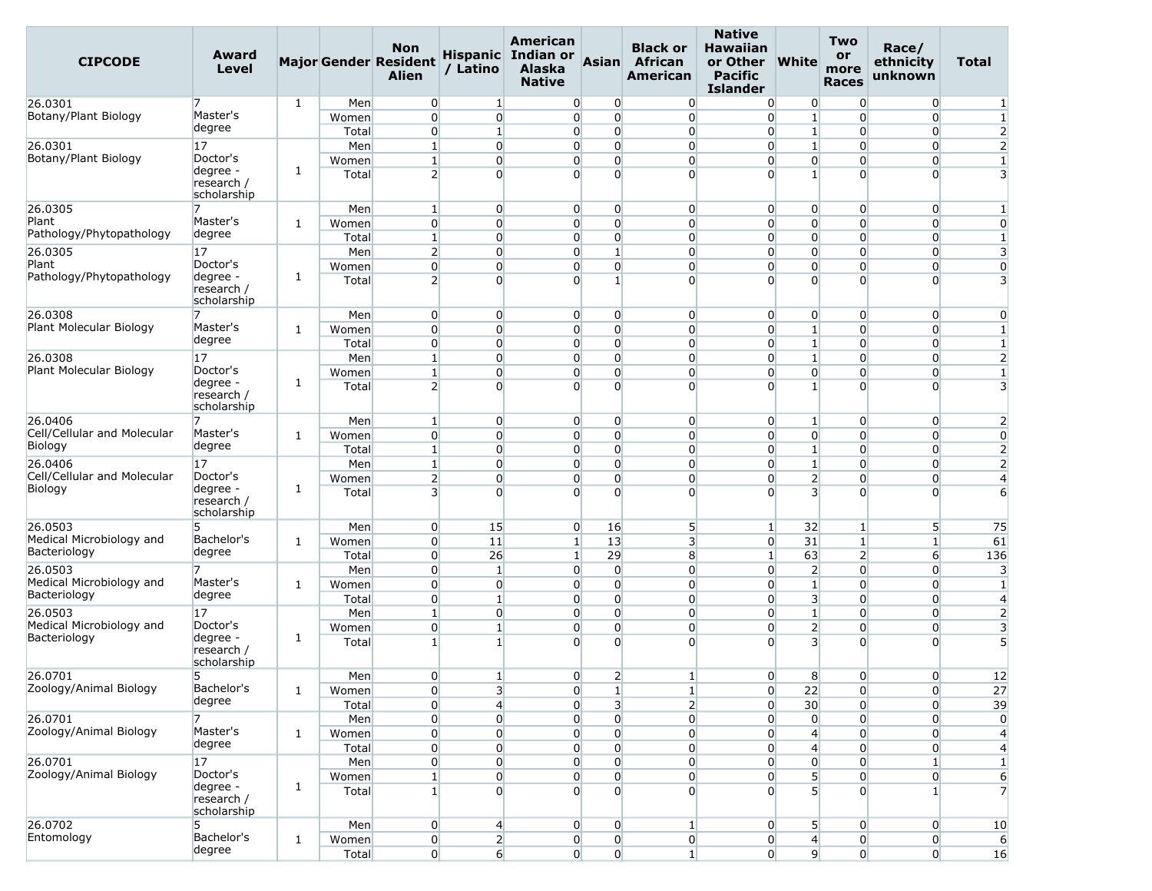| <b>CIPCODE</b>                           | Award<br>Level                                    |              |                | <b>Non</b><br><b>Major Gender Resident</b><br><b>Alien</b> | / Latino                       | American<br>Hispanic Indian or<br><b>Alaska</b><br><b>Native</b> | Asian                      | <b>Black or</b><br><b>African</b><br><b>American</b> | <b>Native</b><br><b>Hawaiian</b><br>or Other<br><b>Pacific</b><br><b>Islander</b> | <b>White</b>                     | <b>Two</b><br>or<br>more<br><b>Races</b> | Race/<br>ethnicity<br>unknown    | <b>Total</b>   |
|------------------------------------------|---------------------------------------------------|--------------|----------------|------------------------------------------------------------|--------------------------------|------------------------------------------------------------------|----------------------------|------------------------------------------------------|-----------------------------------------------------------------------------------|----------------------------------|------------------------------------------|----------------------------------|----------------|
| 26.0301                                  |                                                   | 1            | Men            | $\overline{0}$                                             | $\vert$ 1                      | $\overline{0}$                                                   | $\overline{0}$             | $\overline{0}$                                       | $\overline{0}$                                                                    | $\overline{0}$                   | $\overline{0}$                           | $\overline{0}$                   | 1              |
| Botany/Plant Biology                     | Master's                                          |              | Women          | $\overline{0}$                                             | $\overline{0}$                 | $\overline{0}$                                                   | $\overline{0}$             | $\overline{0}$                                       | $\overline{0}$                                                                    | $\mathbf{1}$                     | $\Omega$                                 | $\Omega$                         | $\mathbf{1}$   |
|                                          | degree                                            |              | Total          | $\overline{0}$                                             | $\mathbf{1}$                   | $\overline{0}$                                                   | $\overline{0}$             | $\overline{0}$                                       | $\overline{0}$                                                                    | $\mathbf{1}$                     | $\overline{0}$                           | $\overline{0}$                   | $\overline{c}$ |
| 26.0301                                  | 17                                                |              | Men            | $\mathbf{1}$                                               | $\overline{0}$                 | $\overline{0}$                                                   | $\overline{0}$             | $\overline{0}$                                       | $\overline{0}$                                                                    | $\mathbf{1}$                     | $\Omega$                                 | $\overline{0}$                   | $\overline{2}$ |
| Botany/Plant Biology                     | Doctor's                                          |              | Women          | $\mathbf{1}$                                               | $\overline{0}$                 | $\overline{0}$                                                   | $\overline{0}$             | $\overline{0}$                                       | $\overline{0}$                                                                    | $\overline{0}$                   | $\Omega$                                 | $\overline{0}$                   | 1              |
|                                          | degree -<br>research /<br>scholarship             | 1            | Total          | $\overline{2}$                                             | $\Omega$                       | $\Omega$                                                         | $\Omega$                   | $\overline{0}$                                       | $\Omega$                                                                          | $1\vert$                         | $\Omega$                                 | $\overline{0}$                   | 3              |
| 26.0305                                  | 7                                                 |              | Men            | $\mathbf{1}$                                               | $\overline{0}$                 | $\overline{0}$                                                   | $\overline{0}$             | $\overline{0}$                                       | $\overline{0}$                                                                    | $\overline{0}$                   | $\overline{0}$                           | $\overline{0}$                   | 1              |
| Plant                                    | Master's                                          | 1            | Women          | $\overline{0}$                                             | $\overline{0}$                 | $\overline{0}$                                                   | $\Omega$                   | $\overline{0}$                                       | $\overline{0}$                                                                    | $\overline{0}$                   | $\Omega$                                 | $\overline{0}$                   | 0              |
| Pathology/Phytopathology                 | degree                                            |              | Total          | $\mathbf{1}$                                               | $\overline{0}$                 | $\overline{0}$                                                   | $\overline{0}$             | $\overline{0}$                                       | $\overline{0}$                                                                    | $\overline{0}$                   | $\overline{0}$                           | $\overline{0}$                   | 1              |
| 26.0305                                  | 17                                                |              | Men            | $\overline{2}$                                             | $\overline{0}$                 | $\overline{0}$                                                   | $\mathbf{1}$               | $\overline{0}$                                       | $\overline{0}$                                                                    | $\overline{0}$                   | $\Omega$                                 | $\overline{0}$                   | 3              |
| Plant<br>Pathology/Phytopathology        | Doctor's                                          |              | Women          | $\overline{0}$                                             | $\overline{0}$                 | $\overline{0}$                                                   | $\Omega$                   | $\overline{0}$                                       | $\overline{0}$                                                                    | $\overline{0}$                   | $\Omega$                                 | $\Omega$                         | 0              |
|                                          | degree -<br>research /<br>scholarship             | 1            | Total          | $\overline{2}$                                             | $\overline{0}$                 | $\Omega$                                                         | 1                          | $\overline{0}$                                       | $\Omega$                                                                          | $\Omega$                         | $\Omega$                                 | 0                                | 3              |
| 26.0308                                  | 7                                                 |              | Men            | $\overline{0}$                                             | $\overline{0}$                 | $\overline{0}$                                                   | $\overline{0}$             | $\overline{0}$                                       | $\overline{0}$                                                                    | $\overline{0}$                   | $\overline{0}$                           | $\overline{0}$                   | $\mathbf 0$    |
| Plant Molecular Biology                  | Master's                                          | 1            | Women          | $\overline{0}$                                             | $\overline{0}$                 | $\overline{0}$                                                   | $\overline{0}$             | $\overline{0}$                                       | $\overline{0}$                                                                    | $\mathbf{1}$                     | $\Omega$                                 | $\overline{0}$                   | 1              |
|                                          | degree                                            |              | Total          | $\overline{0}$                                             | $\overline{0}$                 | $\overline{0}$                                                   | $\overline{0}$             | $\overline{0}$                                       | $\overline{0}$                                                                    | $1\overline{ }$                  | $\Omega$                                 | $\overline{0}$                   | $\mathbf{1}$   |
| 26.0308                                  | 17                                                |              | Men            | $1\overline{ }$                                            | $\overline{0}$                 | $\overline{0}$                                                   | $\overline{0}$             | $\overline{0}$                                       | $\overline{0}$                                                                    | $\mathbf{1}$                     | $\Omega$                                 | $\overline{0}$                   | $\overline{2}$ |
| Plant Molecular Biology                  | Doctor's                                          |              | Women          | $\mathbf{1}$                                               | $\overline{0}$                 | $\overline{0}$                                                   | $\overline{0}$             | $\overline{0}$                                       | $\overline{0}$                                                                    | $\overline{0}$                   | $\Omega$                                 | 0                                | 1              |
|                                          | degree -<br>research /<br>scholarship             | 1            | Total          | $\overline{2}$                                             | $\Omega$                       | $\Omega$                                                         | $\Omega$                   | $\Omega$                                             | $\Omega$                                                                          | $1\vert$                         | $\Omega$                                 | $\Omega$                         | 3              |
| 26.0406                                  |                                                   |              | Men            | $\mathbf{1}$                                               | $\overline{0}$                 | $\overline{0}$                                                   | $\overline{0}$             | $\overline{0}$                                       | $\overline{0}$                                                                    | $\mathbf{1}$                     | $\overline{0}$                           | $\overline{0}$                   | 2              |
| Cell/Cellular and Molecular              | Master's                                          | 1            | Women          | $\overline{0}$                                             | $\overline{0}$                 | $\overline{0}$                                                   | $\overline{0}$             | $\overline{0}$                                       | $\overline{0}$                                                                    | $\overline{0}$                   | $\Omega$                                 | $\overline{0}$                   | $\mathbf 0$    |
| Biology                                  | degree                                            |              | Total          | 1 <sup>1</sup>                                             | $\overline{0}$                 | $\overline{0}$                                                   | $\Omega$                   | $\overline{0}$                                       | $\overline{0}$                                                                    | $\mathbf{1}$                     | $\Omega$                                 | $\Omega$                         | $\overline{2}$ |
| 26.0406                                  | 17                                                |              | Men            | $1\overline{ }$                                            | $\overline{0}$                 | $\overline{0}$                                                   | $\overline{0}$             | $\overline{0}$                                       | $\overline{0}$                                                                    | $\mathbf{1}$                     | $\overline{0}$                           | $\overline{0}$                   | $\overline{2}$ |
| Cell/Cellular and Molecular              | Doctor's                                          |              | Women          | $\overline{2}$                                             | $\overline{0}$                 | $\overline{0}$                                                   | $\overline{0}$             | $\overline{0}$                                       | $\overline{0}$                                                                    | $\overline{2}$                   | $\Omega$                                 | $\Omega$                         | 4              |
| Biology                                  | degree -<br>research /<br>scholarship             | 1            | Total          | $\overline{\mathbf{3}}$                                    | $\Omega$                       | $\Omega$                                                         | $\Omega$                   | $\Omega$                                             | $\Omega$                                                                          | $\overline{3}$                   | $\Omega$                                 | $\Omega$                         | 6              |
| 26.0503                                  | 5                                                 |              | Men            | $\overline{0}$                                             | 15                             | $\overline{0}$                                                   | 16                         | 5                                                    | $\vert$ 1                                                                         | 32                               | $\mathbf{1}$                             | 5                                | 75             |
| Medical Microbiology and                 | Bachelor's                                        | 1            | Women          | $\overline{0}$                                             | 11                             | $1\vert$                                                         | 13                         | 3                                                    | $\overline{0}$                                                                    | 31                               | $\mathbf{1}$                             | $1\vert$                         | 61             |
| Bacteriology                             | degree                                            |              | Total          | $\overline{0}$                                             | 26                             | $1\overline{ }$                                                  | 29                         | 8                                                    | $\vert$ 1                                                                         | 63                               | $\overline{2}$                           | 6                                | 136            |
| 26.0503                                  | 7                                                 |              | Men            | $\overline{0}$                                             | $\mathbf 1$                    | $\overline{0}$                                                   | $\overline{0}$             | $\overline{0}$                                       | $\overline{0}$                                                                    | $\overline{2}$                   | $\Omega$                                 | $\overline{0}$                   | 3              |
| Medical Microbiology and<br>Bacteriology | Master's<br>degree                                | 1            | Women          | $\overline{0}$                                             | $\overline{0}$                 | $\overline{0}$                                                   | $\overline{0}$             | $\overline{0}$                                       | $\overline{0}$                                                                    | $1\overline{ }$                  | $\Omega$                                 | $\overline{0}$                   | 1              |
|                                          |                                                   |              | Total          | $\overline{0}$                                             | $\mathbf{1}$                   | $\Omega$                                                         | $\Omega$                   | $\overline{0}$                                       | $\overline{0}$                                                                    | 3                                | $\Omega$                                 | $\overline{0}$                   | 4              |
| 26.0503<br>Medical Microbiology and      | 17<br>Doctor's                                    |              | Men            | $\mathbf{1}$                                               | $\overline{0}$                 | $\overline{0}$                                                   | $\overline{0}$             | $\overline{0}$                                       | $\Omega$                                                                          | $1\overline{ }$                  | $\Omega$                                 | $\overline{0}$                   | $\overline{2}$ |
| Bacteriology                             | degree -                                          | 1            | Women          | $\overline{0}$                                             | $\mathbf{1}$                   | $\overline{0}$                                                   | $\overline{0}$<br>$\Omega$ | $\overline{0}$                                       | $\overline{0}$                                                                    | $\overline{2}$                   | $\Omega$                                 | $\overline{0}$                   | 3              |
|                                          | research /<br>scholarship                         |              | Total          | 1 <sup>1</sup>                                             | $\mathbf{1}$                   | $\Omega$                                                         |                            | $\overline{0}$                                       | $\Omega$                                                                          | $\overline{\mathbf{3}}$          | $\Omega$                                 | $\Omega$                         | 5              |
| 26.0701                                  | 5                                                 |              | Men            | $\Omega$                                                   | $\mathbf{1}$                   | $\overline{0}$                                                   | $\overline{2}$             | $\mathbf{1}$                                         | $\overline{0}$                                                                    | 8                                | $\overline{0}$                           | $\Omega$                         | 12             |
| Zoology/Animal Biology                   | Bachelor's                                        | $\mathbf{1}$ | Women          | $\overline{0}$                                             | $\overline{\mathbf{3}}$        | $\overline{0}$                                                   | $\mathbf{1}$               | $\mathbf{1}$                                         | $\overline{0}$                                                                    | 22                               | $\overline{0}$                           | $\overline{0}$                   | 27             |
|                                          | degree                                            |              | Total          | $\overline{0}$                                             | $\overline{4}$                 | $\overline{0}$                                                   | $\overline{\mathbf{3}}$    | $\overline{2}$                                       | $\overline{0}$                                                                    | 30 <sub>2</sub>                  | $\Omega$                                 | $\overline{0}$                   | 39             |
| 26.0701                                  | 7                                                 |              | Men            | $\overline{0}$                                             | $\overline{0}$                 | $\overline{0}$                                                   | $\overline{0}$             | $\overline{0}$                                       | $\overline{0}$                                                                    | $\overline{0}$                   | $\overline{0}$                           | $\overline{0}$                   | 0              |
| Zoology/Animal Biology                   | Master's<br>degree                                | 1            | Women          | $\overline{0}$                                             | $\overline{0}$                 | $\overline{0}$                                                   | $\overline{0}$             | $\overline{0}$                                       | $\overline{0}$                                                                    | $\left  4 \right $               | $\overline{0}$                           | $\overline{0}$                   | 4              |
|                                          |                                                   |              | Total          | $\mathbf 0$                                                | $\mathbf{0}$                   | $\overline{0}$                                                   | $\overline{0}$             | $\overline{0}$                                       | $\overline{0}$                                                                    | $\overline{4}$                   | $\overline{0}$                           | 0                                | 4              |
| 26.0701                                  | 17                                                |              | Men            | $\overline{0}$                                             | $\overline{0}$                 | $\overline{0}$                                                   | $\overline{0}$             | $\overline{0}$                                       | $\overline{0}$                                                                    | $\overline{0}$                   | $\overline{0}$                           | $\mathbf{1}$                     | 1              |
| Zoology/Animal Biology                   | Doctor's<br>degree -<br>research /<br>scholarship | 1            | Women<br>Total | $\mathbf{1}$<br>$1\overline{ }$                            | $\mathbf{0}$<br>$\overline{0}$ | $\overline{0}$<br>$\overline{0}$                                 | $\overline{0}$<br>$\Omega$ | $\overline{0}$<br>$\overline{0}$                     | $\overline{0}$<br>$\Omega$                                                        | $\overline{5}$<br>5 <sup>1</sup> | $\overline{0}$<br>$\Omega$               | $\overline{0}$<br>1 <sup>1</sup> | 6<br>7         |
| 26.0702                                  | 5                                                 |              | Men            | $\overline{0}$                                             | $\overline{4}$                 | $\overline{0}$                                                   | $\overline{0}$             | $\mathbf{1}$                                         | $\overline{0}$                                                                    | 5 <sup>1</sup>                   | $\overline{0}$                           | $\overline{0}$                   | 10             |
| Entomology                               | Bachelor's                                        | $\mathbf{1}$ | Women          | $\overline{0}$                                             | $\overline{2}$                 | $\overline{0}$                                                   | $\overline{0}$             | $\overline{0}$                                       | $\overline{0}$                                                                    | $\overline{4}$                   | $\overline{0}$                           | $\overline{0}$                   | 6              |
|                                          | degree                                            |              | Total          | 0                                                          | 6                              | $\overline{0}$                                                   | $\overline{0}$             | $\mathbf{1}$                                         | $\overline{0}$                                                                    | 9                                | $\overline{0}$                           | $\overline{0}$                   | 16             |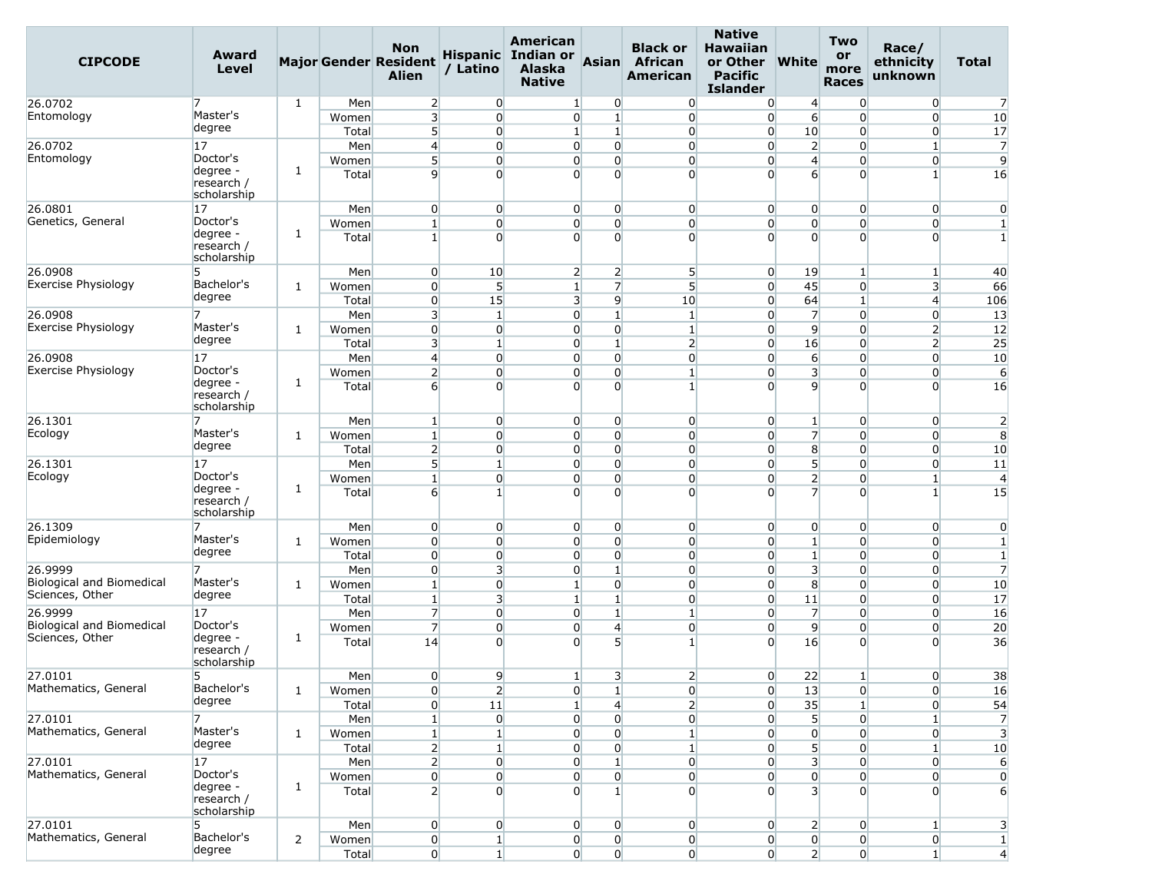| <b>CIPCODE</b>                               | Award<br><b>Level</b>                 |              |                | <b>Non</b><br><b>Major Gender Resident</b><br><b>Alien</b> | / Latino                         | American<br>Hispanic Indian or<br><b>Alaska</b><br><b>Native</b> | Asian                                               | <b>Black or</b><br><b>African</b><br><b>American</b> | <b>Native</b><br><b>Hawaiian</b><br>or Other<br><b>Pacific</b><br><b>Islander</b> | <b>White</b>                              | <b>Two</b><br>or<br>more<br><b>Races</b> | Race/<br>ethnicity<br>unknown    | <b>Total</b>            |
|----------------------------------------------|---------------------------------------|--------------|----------------|------------------------------------------------------------|----------------------------------|------------------------------------------------------------------|-----------------------------------------------------|------------------------------------------------------|-----------------------------------------------------------------------------------|-------------------------------------------|------------------------------------------|----------------------------------|-------------------------|
| 26.0702                                      | 7                                     | 1            | Men            | $\overline{2}$                                             | $\overline{0}$                   | $\mathbf{1}$                                                     | $\overline{0}$                                      | $\overline{0}$                                       | $\overline{0}$                                                                    | $\overline{4}$                            | $\Omega$                                 | $\overline{0}$                   | 7                       |
| Entomology                                   | Master's                              |              | Women          | $\overline{\mathbf{3}}$                                    | $\overline{0}$                   | $\overline{0}$                                                   | $1\overline{ }$                                     | $\overline{0}$                                       | $\overline{0}$                                                                    | $6 \overline{6}$                          | $\Omega$                                 | $\overline{0}$                   | 10                      |
|                                              | degree                                |              | Total          | 5 <sup>1</sup>                                             | $\overline{0}$                   | $1\overline{ }$                                                  | $\mathbf{1}$                                        | $\overline{0}$                                       | $\overline{0}$                                                                    | 10                                        | $\overline{0}$                           | $\overline{0}$                   | 17                      |
| 26.0702                                      | 17                                    |              | Men            | $\overline{4}$                                             | $\overline{0}$                   | $\overline{0}$                                                   | $\overline{0}$                                      | $\overline{0}$                                       | $\overline{0}$                                                                    | $\overline{2}$                            | $\overline{0}$                           | $\mathbf{1}$                     | $\overline{7}$          |
| Entomology                                   | Doctor's                              | 1            | Women          | 5 <sup>1</sup>                                             | $\overline{0}$                   | $\overline{0}$                                                   | $\overline{0}$                                      | $\overline{0}$                                       | $\overline{0}$                                                                    | $\overline{4}$                            | $\overline{0}$                           | $\overline{0}$                   | 9                       |
|                                              | degree -<br>research /<br>scholarship |              | Total          | $\overline{9}$                                             | $\overline{0}$                   | $\Omega$                                                         | $\Omega$                                            | $\overline{0}$                                       | $\Omega$                                                                          | $6 \overline{6}$                          | $\Omega$                                 | 1 <sup>1</sup>                   | 16                      |
| 26.0801                                      | 17                                    |              | Men            | $\overline{0}$                                             | $\overline{0}$                   | $\overline{0}$                                                   | $\overline{0}$                                      | $\overline{0}$                                       | $\overline{0}$                                                                    | $\overline{0}$                            | $\overline{0}$                           | $\overline{0}$                   | $\overline{0}$          |
| Genetics, General                            | Doctor's                              | 1            | Women          | $\mathbf{1}$                                               | $\overline{0}$                   | $\overline{0}$                                                   | $\overline{0}$                                      | $\overline{0}$                                       | $\overline{0}$                                                                    | $\overline{0}$                            | $\Omega$                                 | $\overline{0}$                   | $\mathbf{1}$            |
|                                              | degree -<br>research /<br>scholarship |              | Total          | $\mathbf{1}$                                               | $\overline{0}$                   | $\overline{0}$                                                   | $\Omega$                                            | $\overline{0}$                                       | $\Omega$                                                                          | $\Omega$                                  | $\Omega$                                 | $\Omega$                         | $\mathbf{1}$            |
| 26.0908                                      | 5                                     |              | Men            | $\overline{0}$                                             | 10                               |                                                                  | $\overline{2}$<br>$\overline{2}$                    | $5\overline{)}$                                      | $\overline{0}$                                                                    | 19                                        | $\mathbf{1}$                             | $\mathbf{1}$                     | 40                      |
| Exercise Physiology                          | Bachelor's                            | 1            | Women          | $\overline{0}$                                             | $5\overline{)}$                  | $\mathbf{1}$                                                     | $\overline{7}$                                      | $5\overline{)}$                                      | $\overline{0}$                                                                    | 45                                        | $\Omega$                                 | $\overline{3}$                   | 66                      |
|                                              | degree                                |              | Total          | $\overline{0}$                                             | 15                               |                                                                  | $\overline{9}$<br>3                                 | 10                                                   | $\overline{0}$                                                                    | 64                                        | 1                                        | $\overline{4}$                   | 106                     |
| 26.0908                                      | 7                                     |              | Men            | $\overline{\mathbf{3}}$                                    | $\mathbf{1}$                     |                                                                  | $\overline{0}$<br>$\mathbf{1}$                      | $\mathbf{1}$                                         | $\overline{0}$                                                                    | $\overline{7}$                            | $\overline{0}$                           | $\overline{0}$                   | 13                      |
| Exercise Physiology                          | Master's                              | 1            | Women          | $\overline{0}$                                             | $\overline{0}$                   | $\overline{0}$                                                   | $\overline{0}$                                      | $\mathbf{1}$                                         | $\overline{0}$                                                                    | 9                                         | $\Omega$                                 | $\overline{2}$                   | 12                      |
|                                              | degree                                |              | Total          | 3                                                          | $\mathbf{1}$                     |                                                                  | $\mathbf{1}$<br>$\overline{0}$                      | $\overline{2}$                                       | $\overline{0}$                                                                    | 16                                        | $\overline{0}$                           | $\overline{2}$                   | 25                      |
| 26.0908                                      | 17                                    |              | Men            | $\left 4\right $                                           | $\overline{0}$                   | $\overline{0}$                                                   | $\overline{0}$                                      | $\overline{0}$                                       | $\overline{0}$                                                                    | $6 \overline{6}$                          | $\overline{0}$                           | $\overline{0}$                   | 10                      |
| Exercise Physiology                          | Doctor's<br>degree -                  | 1            | Women          | $\overline{2}$                                             | $\overline{0}$                   | $\overline{0}$                                                   | $\overline{0}$                                      | $\mathbf{1}$                                         | $\overline{0}$                                                                    | $\overline{\mathbf{3}}$                   | $\overline{0}$                           | $\overline{0}$                   | 6                       |
|                                              | research /<br>scholarship             |              | Total          | $6 \overline{6}$                                           | $\overline{0}$                   | $\Omega$                                                         | $\Omega$                                            | $\mathbf{1}$                                         | $\Omega$                                                                          | $\overline{9}$                            | $\Omega$                                 | $\Omega$                         | 16                      |
| 26.1301                                      |                                       |              | Men            | $\mathbf{1}$                                               | $\overline{0}$                   | $\overline{0}$                                                   | $\overline{0}$                                      | $\overline{0}$                                       | $\overline{0}$                                                                    | $\mathbf{1}$                              | $\overline{0}$                           | $\overline{0}$                   | $\overline{2}$          |
| Ecology                                      | Master's                              | 1            | Women          | $\mathbf{1}$                                               | $\overline{0}$                   |                                                                  | $\overline{0}$<br>$\overline{0}$                    | $\overline{0}$                                       | $\overline{0}$                                                                    | $\overline{7}$                            | $\Omega$                                 | $\overline{0}$                   | 8                       |
|                                              | degree                                |              | Total          | $\overline{2}$                                             | $\overline{0}$                   | $\overline{0}$                                                   | $\overline{0}$                                      | $\overline{0}$                                       | $\overline{0}$                                                                    | 8                                         | $\overline{0}$                           | $\overline{0}$                   | 10                      |
| 26.1301                                      | 17                                    |              | Men            | 5 <sup>1</sup>                                             | $\mathbf{1}$                     |                                                                  | $\overline{0}$<br>$\overline{0}$                    | $\overline{0}$                                       | $\overline{0}$                                                                    | 5 <sup>1</sup>                            | $\overline{0}$                           | $\overline{0}$                   | 11                      |
| Ecology                                      | Doctor's<br>degree -                  | 1            | Women          | $1\overline{ }$                                            | $\overline{0}$                   | $\overline{0}$                                                   | $\overline{0}$                                      | $\overline{0}$                                       | $\overline{0}$                                                                    | $\overline{2}$                            | $\overline{0}$                           | $\mathbf{1}$                     | $\overline{4}$          |
|                                              | research /<br>scholarship             |              | Total          | 6                                                          | $\mathbf{1}$                     | $\Omega$                                                         | $\overline{0}$                                      | $\overline{0}$                                       | $\Omega$                                                                          | $\overline{7}$                            | $\Omega$                                 | 1 <sup>1</sup>                   | 15                      |
| 26.1309                                      | 7                                     |              | Men            | $\overline{0}$                                             | $\overline{0}$                   | $\overline{0}$                                                   | $\overline{0}$                                      | $\overline{0}$                                       | $\overline{0}$                                                                    | $\overline{0}$                            | $\overline{0}$                           | $\overline{0}$                   | $\mathbf 0$             |
| Epidemiology                                 | Master's                              | 1            | Women          | $\overline{0}$                                             | $\overline{0}$                   | $\overline{0}$                                                   | $\overline{0}$                                      | $\overline{0}$                                       | $\overline{0}$                                                                    | $1\overline{ }$                           | $\overline{0}$                           | $\overline{0}$                   | $\mathbf{1}$            |
|                                              | degree                                |              | Total          | $\overline{0}$                                             | $\overline{0}$                   | $\overline{0}$                                                   | $\overline{0}$                                      | $\overline{0}$                                       | $\overline{0}$                                                                    | $\mathbf{1}$                              | $\overline{0}$                           | $\overline{0}$                   | $\mathbf{1}$            |
| 26.9999                                      | 7                                     |              | Men            | $\overline{0}$                                             | $\overline{\mathbf{3}}$          | $\overline{0}$                                                   | $\mathbf{1}$                                        | $\overline{0}$                                       | $\overline{0}$                                                                    | 3 <sup>l</sup>                            | $\overline{0}$                           | $\overline{0}$                   | $\overline{7}$          |
| Biological and Biomedical<br>Sciences, Other | Master's<br>degree                    | $\mathbf{1}$ | Women          | $\mathbf{1}$                                               | $\overline{0}$                   | $\mathbf{1}$                                                     | $\overline{0}$                                      | $\overline{0}$                                       | $\overline{0}$                                                                    | 8                                         | $\overline{0}$                           | $\overline{0}$                   | 10                      |
|                                              |                                       |              | Total          | $\mathbf{1}$                                               | 3                                | $\mathbf{1}$                                                     | $\mathbf{1}$                                        | $\overline{0}$                                       | $\overline{0}$                                                                    | 11                                        | $\Omega$                                 | $\overline{0}$                   | 17                      |
| 26.9999<br>Biological and Biomedical         | 17<br>Doctor's                        |              | Men            | $\overline{7}$<br>$\overline{7}$                           | $\overline{0}$<br>$\overline{0}$ | $\overline{0}$<br>$\overline{0}$                                 | $\mathbf{1}$<br>$\overline{4}$                      | 1<br>$\overline{0}$                                  | $\overline{0}$<br>$\overline{0}$                                                  | $\overline{7}$<br>$\overline{9}$          | $\overline{0}$<br>$\overline{0}$         | $\overline{0}$<br>$\overline{0}$ | 16<br>20                |
| Sciences, Other                              | degree -                              | 1            | Women<br>Total | 14                                                         | $\Omega$                         | $\Omega$                                                         | 5 <sup>1</sup>                                      | $\vert$                                              | $\overline{0}$                                                                    | 16                                        | $\overline{0}$                           | $\overline{0}$                   | 36                      |
|                                              | research /<br>scholarship             |              |                |                                                            |                                  |                                                                  |                                                     |                                                      |                                                                                   |                                           |                                          |                                  |                         |
| 27.0101                                      | 5                                     |              | Men            | $\overline{0}$                                             | $\overline{9}$                   | $\mathbf{1}$                                                     | 3                                                   | $\overline{2}$                                       | $\overline{0}$                                                                    | 22                                        | 1                                        | $\overline{0}$                   | 38                      |
| Mathematics, General                         | Bachelor's<br>degree                  | $\mathbf{1}$ | Women          | $\overline{0}$                                             | $\overline{2}$                   | $\overline{0}$                                                   | $1\vert$                                            | $\overline{0}$                                       | $\overline{0}$                                                                    | 13                                        | $\overline{0}$                           | $\overline{0}$                   | 16                      |
|                                              |                                       |              | Total          | $\overline{0}$                                             | 11                               | $1\overline{ }$                                                  | $\overline{4}$                                      | $\overline{2}$                                       | $\overline{0}$                                                                    | 35                                        | $\mathbf{1}$                             | $\overline{0}$                   | 54                      |
| 27.0101<br>Mathematics, General              | 7<br>Master's                         |              | Men            | $1\vert$                                                   | $\overline{0}$                   |                                                                  | $\overline{0}$<br>$\overline{0}$                    | $\overline{0}$                                       | $\overline{0}$                                                                    | 5                                         | $\overline{0}$                           | 1 <sup>1</sup>                   | $\overline{7}$          |
|                                              | degree                                | 1            | Women          | $1\vert$                                                   | $1\vert$                         |                                                                  | $\overline{0}$<br>$\overline{0}$                    | $\mathbf{1}$                                         | $\overline{0}$                                                                    | $\overline{0}$                            | $\overline{0}$                           | $\overline{0}$                   | $\overline{\mathbf{3}}$ |
|                                              |                                       |              | Total          | $\overline{2}$                                             | $\mathbf{1}$                     | 0                                                                | $\overline{0}$                                      | 1                                                    | $\overline{0}$                                                                    | 5                                         | $\overline{0}$                           | $\mathbf{1}$                     | 10                      |
| 27.0101<br>Mathematics, General              | 17 <br>Doctor's                       |              | Men            | $\overline{2}$<br>$\overline{0}$                           | $\overline{0}$<br>$\overline{0}$ |                                                                  | $\overline{0}$<br>$\mathbf{1}$<br>$\overline{0}$    | $\overline{0}$                                       | $\overline{0}$                                                                    | $\overline{\mathbf{3}}$<br>$\overline{0}$ | $\overline{0}$                           | $\overline{0}$<br>$\overline{0}$ | 6                       |
|                                              | degree -<br>research /<br>scholarship | 1            | Women<br>Total | $\overline{2}$                                             | $\overline{0}$                   |                                                                  | $\overline{0}$<br>$\overline{0}$<br>$1\overline{ }$ | $\overline{0}$<br>$\overline{0}$                     | $\overline{0}$<br>$\Omega$                                                        | 3                                         | $\overline{0}$<br>$\Omega$               | $\overline{0}$                   | $\mathbf 0$<br>6        |
| 27.0101                                      | 5                                     |              | Men            | $\overline{0}$                                             | $\overline{0}$                   | $\overline{0}$                                                   | $\overline{0}$                                      | $\overline{0}$                                       | $\overline{0}$                                                                    | $\mathbf{2}$                              | $\overline{0}$                           | $1\vert$                         | 3                       |
| Mathematics, General                         | Bachelor's                            | $\mathsf{2}$ | Women          | $\overline{0}$                                             | $\mathbf{1}$                     | $\overline{0}$                                                   | $\overline{0}$                                      | $\overline{0}$                                       | $\overline{0}$                                                                    | $\mathbf{0}$                              | $\overline{0}$                           | $\overline{0}$                   | $\mathbf{1}$            |
|                                              | degree                                |              | Total          | $\overline{0}$                                             | $1\vert$                         |                                                                  | $\overline{0}$<br>$\overline{0}$                    | $\overline{0}$                                       | $\overline{0}$                                                                    | $\overline{2}$                            | $\overline{0}$                           | $1\vert$                         | $\overline{4}$          |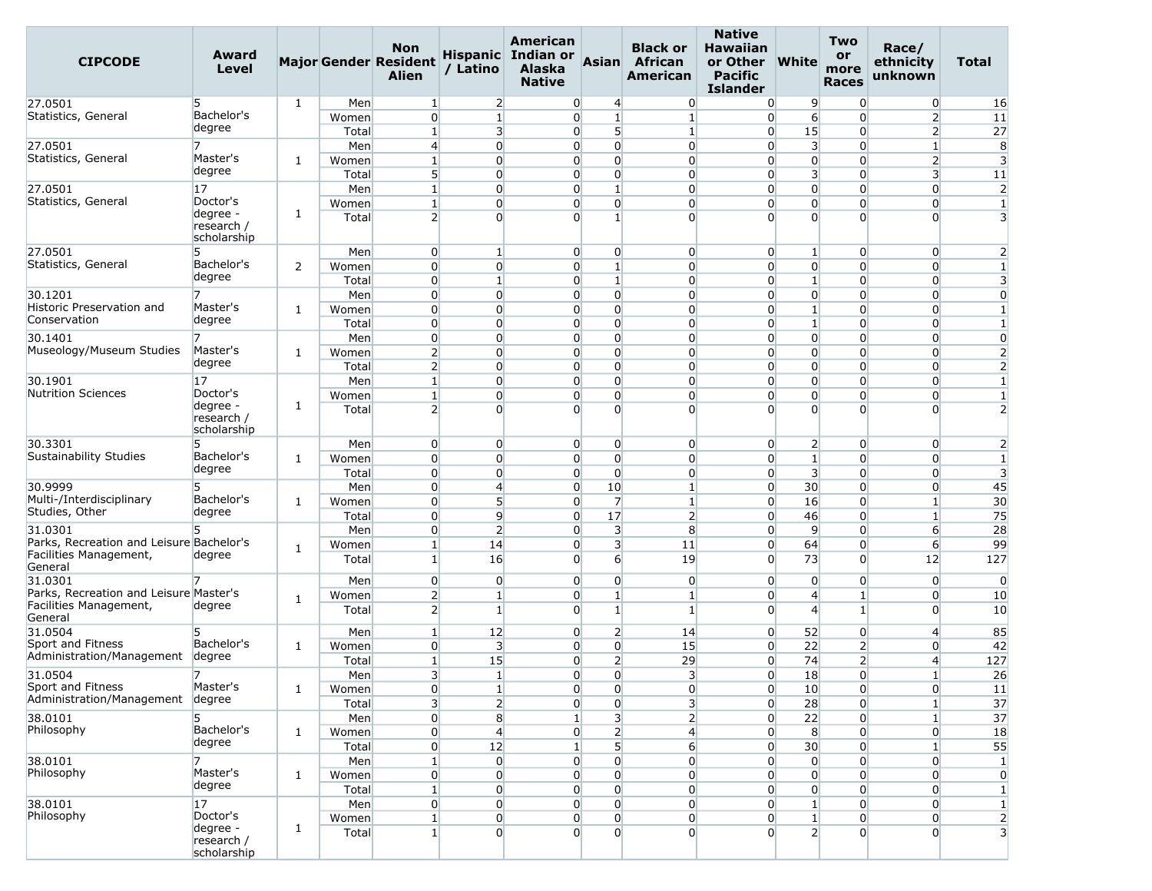| <b>CIPCODE</b>                                    | Award<br>Level                        |   |       | <b>Non</b><br><b>Major Gender Resident</b><br>Alien | / Latino                         | American<br>Hispanic Indian or<br>Alaska<br><b>Native</b> | Asian                   | <b>Black or</b><br><b>African</b><br><b>American</b> | <b>Native</b><br><b>Hawaiian</b><br>or Other<br><b>Pacific</b><br><b>Islander</b> | <b>White</b>                   | <b>Two</b><br>or<br>more<br><b>Races</b> | Race/<br>ethnicity<br>unknown | Total                   |
|---------------------------------------------------|---------------------------------------|---|-------|-----------------------------------------------------|----------------------------------|-----------------------------------------------------------|-------------------------|------------------------------------------------------|-----------------------------------------------------------------------------------|--------------------------------|------------------------------------------|-------------------------------|-------------------------|
| 27.0501                                           | 5                                     | 1 | Men   | $\mathbf{1}$                                        | $\overline{2}$                   | $\overline{0}$                                            | 4                       | $\overline{0}$                                       | $\overline{0}$                                                                    | 9                              | $\overline{0}$                           | $\overline{0}$                | 16                      |
| Statistics, General                               | Bachelor's                            |   | Women | $\overline{0}$                                      | $1\overline{ }$                  | $\overline{0}$                                            | $1\overline{ }$         | 1                                                    | $\overline{0}$                                                                    | $6 \overline{}$                | $\Omega$                                 | $\overline{2}$                | 11                      |
|                                                   | degree                                |   | Total | $1\overline{ }$                                     | 3                                | $\overline{0}$                                            | 5                       | $\mathbf{1}$                                         | $\overline{0}$                                                                    | 15                             | $\overline{0}$                           | $\overline{2}$                | 27                      |
| 27.0501                                           |                                       |   | Men   | $\overline{4}$                                      | $\overline{0}$                   | $\Omega$                                                  | $\overline{0}$          | $\overline{0}$                                       | $\overline{0}$                                                                    | 3                              | $\Omega$                                 | $\mathbf{1}$                  | 8                       |
| Statistics, General                               | Master's                              | 1 | Women | $1\overline{ }$                                     | $\overline{0}$                   | $\overline{0}$                                            | $\overline{0}$          | $\overline{0}$                                       | $\overline{0}$                                                                    | $\overline{0}$                 | $\overline{0}$                           | $\overline{2}$                | $\overline{\mathbf{3}}$ |
|                                                   | degree                                |   | Total | 5 <sup>1</sup>                                      | $\Omega$                         | $\Omega$                                                  | $\overline{0}$          | $\overline{0}$                                       | $\overline{0}$                                                                    | 3                              | $\Omega$                                 | 3                             | 11                      |
| 27.0501                                           | 17                                    |   | Men   | $1\overline{ }$                                     | $\overline{0}$                   | $\overline{0}$                                            | $\mathbf{1}$            | $\overline{0}$                                       | $\overline{0}$                                                                    | $\overline{0}$                 | $\Omega$                                 | 0                             | $\overline{2}$          |
| Statistics, General                               | Doctor's                              |   | Women | $1\overline{ }$                                     | $\overline{0}$                   | $\overline{0}$                                            | $\overline{0}$          | $\overline{0}$                                       | $\overline{0}$                                                                    | $\overline{0}$                 | $\overline{0}$                           | $\overline{0}$                | $\mathbf{1}$            |
|                                                   | degree -<br>research /<br>scholarship | 1 | Total | $\overline{2}$                                      | $\Omega$                         | $\Omega$                                                  | $\mathbf{1}$            | $\overline{0}$                                       | $\Omega$                                                                          | $\overline{0}$                 | $\Omega$                                 | $\Omega$                      | $\overline{3}$          |
| 27.0501                                           | 5                                     |   | Men   | $\overline{0}$                                      | 1 <sup>1</sup>                   | $\overline{0}$                                            | $\overline{0}$          | $\overline{0}$                                       | $\overline{0}$                                                                    | $\mathbf{1}$                   | $\overline{0}$                           | $\overline{0}$                | $\overline{2}$          |
| Statistics, General                               | Bachelor's                            | 2 | Women | $\overline{0}$                                      | $\Omega$                         | $\overline{0}$                                            | $1\overline{ }$         | $\overline{0}$                                       | $\overline{0}$                                                                    | $\overline{0}$                 | $\overline{0}$                           | $\overline{0}$                | $\mathbf{1}$            |
|                                                   | degree                                |   | Total | $\overline{0}$                                      | $\mathbf{1}$                     | $\overline{0}$                                            | $1\overline{ }$         | $\overline{0}$                                       | $\overline{0}$                                                                    | $\mathbf{1}$                   | $\overline{0}$                           | $\overline{0}$                | $\overline{\mathbf{3}}$ |
| 30.1201                                           | 7                                     |   | Men   | $\overline{0}$                                      | $\overline{0}$                   | $\overline{0}$                                            | $\overline{0}$          | $\overline{0}$                                       | $\overline{0}$                                                                    | $\overline{0}$                 | $\Omega$                                 | $\overline{0}$                | $\overline{0}$          |
| Historic Preservation and                         | Master's                              | 1 | Women | $\overline{0}$                                      | $\overline{0}$                   | $\overline{0}$                                            | $\overline{0}$          | $\overline{0}$                                       | $\overline{0}$                                                                    | $\mathbf{1}$                   | $\Omega$                                 | $\overline{0}$                | $\mathbf{1}$            |
| Conservation                                      | degree                                |   | Total | $\overline{0}$                                      | $\overline{0}$                   | $\overline{0}$                                            | $\overline{0}$          | $\overline{0}$                                       | $\overline{0}$                                                                    | $\mathbf{1}$                   | $\overline{0}$                           | $\overline{0}$                | $1\overline{ }$         |
| 30.1401                                           | 7                                     |   | Men   | $\overline{0}$                                      | $\overline{0}$                   | $\overline{0}$                                            | $\overline{0}$          | $\overline{0}$                                       | $\overline{0}$                                                                    | $\overline{0}$                 | $\overline{0}$                           | $\overline{0}$                | $\overline{0}$          |
| Museology/Museum Studies                          | Master's                              | 1 | Women | $\overline{2}$                                      | $\overline{0}$                   | $\overline{0}$                                            | $\overline{0}$          | $\overline{0}$                                       | $\overline{0}$                                                                    | $\overline{0}$                 | $\overline{0}$                           | $\overline{0}$                | $\overline{2}$          |
|                                                   | degree                                |   | Total | $\overline{2}$                                      | $\Omega$                         | $\overline{0}$                                            | $\Omega$                | $\overline{0}$                                       | $\overline{0}$                                                                    | $\overline{0}$                 | $\Omega$                                 | $\overline{0}$                | $\overline{2}$          |
| 30.1901                                           | 17                                    |   | Men   | $1\overline{ }$                                     | $\overline{0}$                   | $\overline{0}$                                            | $\overline{0}$          | $\overline{0}$                                       | $\overline{0}$                                                                    | $\overline{0}$                 | $\overline{0}$                           | $\overline{0}$                | $\mathbf{1}$            |
| <b>Nutrition Sciences</b>                         | Doctor's                              |   | Women | $1\vert$                                            | $\overline{0}$                   | $\overline{0}$                                            | $\overline{0}$          | $\overline{0}$                                       | $\overline{0}$                                                                    | $\overline{0}$                 | $\overline{0}$                           | $\overline{0}$                | $\mathbf{1}$            |
|                                                   | degree -<br>research /<br>scholarship | 1 | Total | $\overline{2}$                                      | $\Omega$                         | $\overline{0}$                                            | $\overline{0}$          | $\overline{0}$                                       | $\Omega$                                                                          | $\overline{0}$                 | $\Omega$                                 | $\Omega$                      | $\overline{2}$          |
| 30.3301                                           | 5                                     |   | Men   | $\overline{0}$                                      | $\overline{0}$                   | $\overline{0}$                                            | $\overline{0}$          | $\overline{0}$                                       | $\overline{0}$                                                                    | $\overline{2}$                 | $\overline{0}$                           | $\overline{0}$                | $\overline{2}$          |
| Sustainability Studies                            | Bachelor's                            | 1 | Women | $\overline{0}$                                      | $\Omega$                         | $\overline{0}$                                            | $\overline{0}$          | $\overline{0}$                                       | $\overline{0}$                                                                    | $1\overline{ }$                | $\overline{0}$                           | $\overline{0}$                | $\mathbf{1}$            |
|                                                   | degree                                |   | Total | $\overline{0}$                                      | $\overline{0}$                   | $\overline{0}$                                            | $\overline{0}$          | $\overline{0}$                                       | $\overline{0}$                                                                    | $\overline{\mathbf{3}}$        | $\overline{0}$                           | $\overline{0}$                | $\overline{\mathbf{3}}$ |
| 30.9999                                           | 5.                                    |   | Men   | $\overline{0}$                                      | $\overline{4}$                   | $\overline{0}$                                            | 10                      | $\mathbf{1}$                                         | $\overline{0}$                                                                    | 30                             | $\Omega$                                 | $\overline{0}$                | 45                      |
| Multi-/Interdisciplinary                          | Bachelor's                            | 1 | Women | $\overline{0}$                                      | $\mathsf{S}$                     | $\overline{0}$                                            | 7                       | $\mathbf{1}$                                         | $\overline{0}$                                                                    | 16                             | $\overline{0}$                           | $\mathbf{1}$                  | 30                      |
| Studies, Other                                    | degree                                |   | Total | $\overline{0}$                                      | $\overline{9}$                   | $\overline{0}$                                            | 17                      | $\overline{2}$                                       | $\overline{0}$                                                                    | 46                             | $\overline{0}$                           | $\mathbf{1}$                  | 75                      |
| 31.0301                                           | 5                                     |   | Men   | $\overline{0}$                                      | $\overline{2}$                   | $\Omega$                                                  | 3                       | 8                                                    | $\overline{0}$                                                                    | $\overline{9}$                 | $\overline{0}$                           | $6 \overline{6}$              | 28                      |
| Parks, Recreation and Leisure Bachelor's          |                                       | 1 | Women | $1\overline{ }$                                     | 14                               | $\overline{0}$                                            | $\overline{\mathbf{3}}$ | 11                                                   | $\overline{0}$                                                                    | 64                             | $\overline{0}$                           | 6                             | 99                      |
| Facilities Management,                            | degree                                |   | Total | 1 <sup>1</sup>                                      | 16                               | $\Omega$                                                  | $6 \overline{6}$        | 19                                                   | $\overline{0}$                                                                    | 73                             | $\overline{0}$                           | 12                            | 127                     |
| General                                           |                                       |   |       |                                                     |                                  |                                                           |                         |                                                      |                                                                                   |                                |                                          |                               |                         |
| 31.0301<br>Parks, Recreation and Leisure Master's |                                       |   | Men   | $\overline{0}$                                      | $\overline{0}$                   | $\overline{0}$                                            | $\overline{0}$          | $\overline{0}$                                       | $\overline{0}$                                                                    | $\overline{0}$                 | $\overline{0}$                           | $\overline{0}$                | $\overline{0}$          |
| Facilities Management,                            | degree                                | 1 | Women | $\overline{2}$                                      | $\mathbf{1}$                     | $\overline{0}$                                            | $\mathbf{1}$            | $\mathbf{1}$                                         | $\overline{0}$                                                                    | $\overline{4}$                 | 1                                        | $\overline{0}$                | 10                      |
| General                                           |                                       |   | Total | $\overline{2}$                                      | $1\overline{ }$                  | $\overline{0}$                                            | $1\overline{ }$         | $\mathbf{1}$                                         | $\overline{0}$                                                                    | $\overline{4}$                 | $\mathbf{1}$                             | $\Omega$                      | 10                      |
| 31.0504                                           | 5.                                    |   | Men   | $\mathbf{1}$                                        | 12                               | $\overline{0}$                                            | $\overline{2}$          | 14                                                   | $\overline{0}$                                                                    | 52                             | $\overline{0}$                           | $\overline{4}$                | 85                      |
| Sport and Fitness                                 | Bachelor's                            | 1 | Women | $\overline{0}$                                      | $\overline{\mathbf{3}}$          | $\overline{0}$                                            | $\overline{0}$          | 15                                                   | $\overline{0}$                                                                    | 22                             | $\overline{2}$                           | $\overline{0}$                | 42                      |
| Administration/Management                         | degree                                |   | Total | $\mathbf{1}$                                        | 15                               | $\overline{0}$                                            | $\overline{2}$          | 29                                                   | $\overline{0}$                                                                    | 74                             | $\overline{2}$                           | 4                             | 127                     |
| 31.0504                                           | 7                                     |   | Men   | $\overline{\mathbf{3}}$                             | $\mathbf{1}$                     | $\Omega$                                                  | $\Omega$                | $\overline{3}$                                       | $\Omega$                                                                          | 18                             | $\overline{0}$                           | $\vert$                       | 26                      |
| Sport and Fitness                                 | Master's                              | 1 | Women | $\overline{0}$                                      | $\mathbf{1}$                     | $\overline{0}$                                            | $\overline{0}$          | $\overline{0}$                                       | $\overline{0}$                                                                    | 10                             | $\overline{0}$                           | $\overline{0}$                | 11                      |
| Administration/Management                         | degree                                |   | Total | 3 <sup>l</sup>                                      | $\overline{2}$                   | $\overline{0}$                                            | $\Omega$                | 3 <sup>l</sup>                                       | $\overline{0}$                                                                    | 28                             | $\overline{0}$                           | $\mathbf{1}$                  | 37                      |
| 38.0101                                           | 5                                     |   | Men   | $\overline{0}$                                      | $\bf{8}$                         | 1 <sup>1</sup>                                            | $\overline{\mathbf{3}}$ | $\overline{2}$                                       | 0                                                                                 | 22                             | $\overline{0}$                           | $\mathbf{1}$                  | 37                      |
| Philosophy                                        | Bachelor's                            | 1 | Women | $\overline{0}$                                      | $\overline{4}$                   | $\overline{0}$                                            | $\overline{2}$          | $\overline{4}$                                       | $\overline{0}$                                                                    | 8                              | $\overline{0}$                           | $\overline{0}$                | 18                      |
|                                                   | degree                                |   | Total | $\overline{0}$                                      | 12                               | 1 <sup>1</sup>                                            | 5 <sup>1</sup>          | $6 \overline{6}$                                     | $\overline{0}$                                                                    | 30                             | $\Omega$                                 | $1\overline{ }$               | 55                      |
| 38.0101                                           | $\overline{7}$                        |   | Men   | $\mathbf{1}$                                        | $\overline{0}$                   | $\overline{0}$                                            | $\overline{0}$          | $\overline{0}$                                       | $\overline{0}$                                                                    | $\overline{0}$                 | $\overline{0}$                           | $\overline{0}$                | $\mathbf{1}$            |
| Philosophy                                        | Master's                              | 1 | Women | $\overline{0}$                                      | $\overline{0}$                   | $\overline{0}$                                            | $\overline{0}$          | $\overline{0}$                                       | $\overline{0}$                                                                    | $\overline{0}$                 | $\Omega$                                 | $\overline{0}$                | $\overline{0}$          |
|                                                   | degree                                |   | Total | $1\overline{ }$                                     | $\overline{0}$                   | $\overline{0}$                                            | $\overline{0}$          | $\overline{0}$                                       | $\overline{0}$                                                                    | $\overline{0}$                 | $\overline{0}$                           | $\overline{0}$                | $\mathbf{1}$            |
| 38.0101                                           | 17                                    |   | Men   | $\overline{0}$                                      | $\overline{0}$                   | $\overline{0}$                                            | $\Omega$                | $\overline{0}$                                       | $\overline{0}$                                                                    | $1\overline{ }$                | $\overline{0}$                           | $\overline{0}$                | $1\overline{ }$         |
| Philosophy                                        | Doctor's                              |   |       | $\mathbf{1}$                                        |                                  |                                                           | $\overline{0}$          |                                                      |                                                                                   |                                |                                          |                               |                         |
|                                                   | degree -                              | 1 | Women | $1\overline{ }$                                     | $\overline{0}$<br>$\overline{0}$ | $\overline{0}$<br>$\Omega$                                | $\Omega$                | $\overline{0}$<br>$\overline{0}$                     | $\overline{0}$<br>$\Omega$                                                        | $\mathbf{1}$<br>2 <sup>1</sup> | $\overline{0}$<br>$\Omega$               | $\overline{0}$<br>$\Omega$    | $\overline{2}$          |
|                                                   | research /<br>scholarship             |   | Total |                                                     |                                  |                                                           |                         |                                                      |                                                                                   |                                |                                          |                               | 3                       |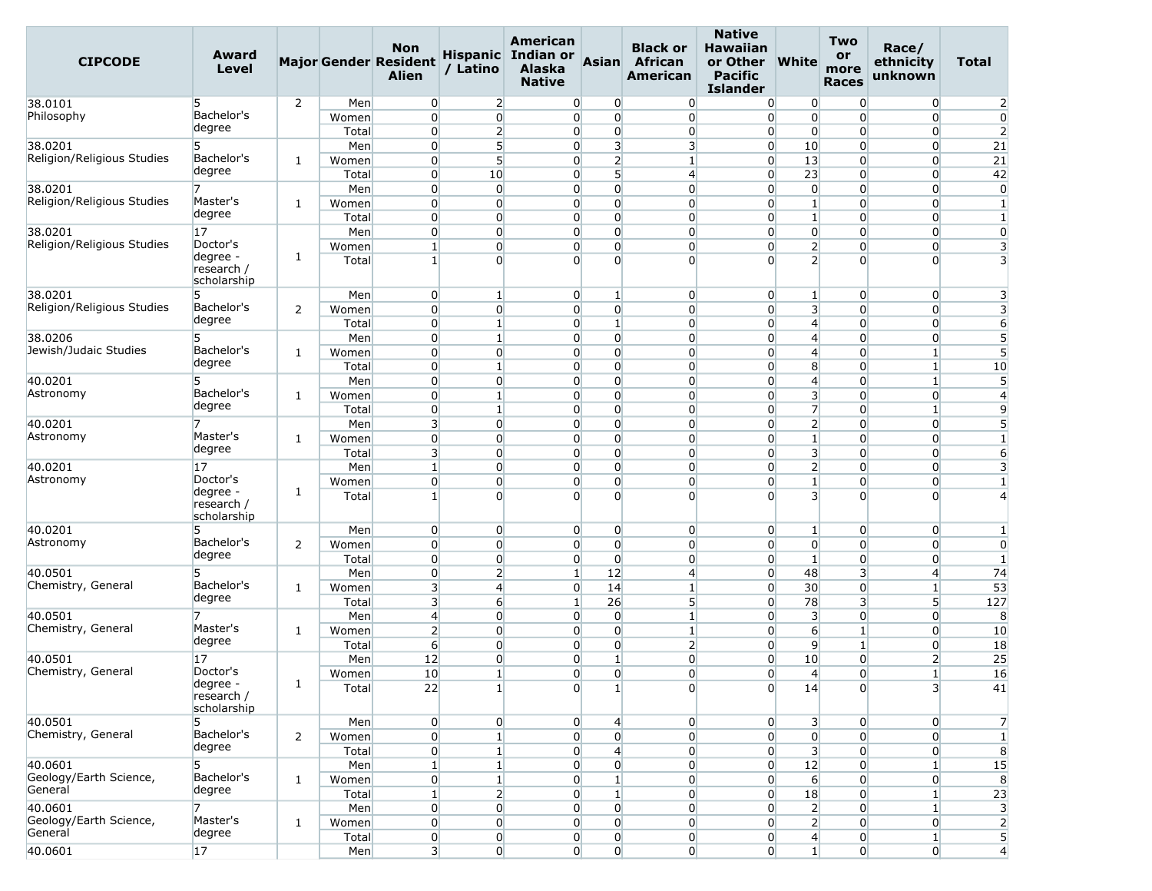| <b>CIPCODE</b>             | Award<br>Level                        |                |       | <b>Non</b><br><b>Major Gender Resident</b><br><b>Alien</b> | / Latino         | American<br>Hispanic Indian or<br>Alaska<br><b>Native</b> | <b>Asian</b>            | <b>Black or</b><br>African<br>American | <b>Native</b><br><b>Hawaiian</b><br>or Other<br><b>Pacific</b><br><b>Islander</b> | <b>White</b>            | <b>Two</b><br>or<br>more<br><b>Races</b> | Race/<br>ethnicity<br>unknown | Total           |
|----------------------------|---------------------------------------|----------------|-------|------------------------------------------------------------|------------------|-----------------------------------------------------------|-------------------------|----------------------------------------|-----------------------------------------------------------------------------------|-------------------------|------------------------------------------|-------------------------------|-----------------|
| 38.0101                    | 5                                     | 2              | Men   | $\overline{0}$                                             | $\overline{2}$   | $\overline{0}$                                            | $\overline{0}$          | $\overline{0}$                         | $\overline{0}$                                                                    | $\overline{0}$          | $\overline{0}$                           | $\overline{0}$                | $\overline{2}$  |
| Philosophy                 | Bachelor's                            |                | Women | $\overline{0}$                                             | $\overline{0}$   | $\overline{0}$                                            | $\overline{0}$          | $\overline{0}$                         | $\overline{0}$                                                                    | $\overline{0}$          | $\Omega$                                 | $\overline{0}$                | $\overline{0}$  |
|                            | degree                                |                | Total | $\overline{0}$                                             | $\mathbf{2}$     | $\overline{0}$                                            | $\overline{0}$          | $\overline{0}$                         | $\overline{0}$                                                                    | $\overline{0}$          | $\overline{0}$                           | $\overline{0}$                | $\overline{2}$  |
| 38.0201                    | 5                                     |                | Men   | $\overline{0}$                                             | 5                | $\Omega$                                                  | $\overline{\mathbf{3}}$ | $\overline{\mathbf{3}}$                | $\overline{0}$                                                                    | 10                      | $\overline{0}$                           | $\overline{0}$                | 21              |
| Religion/Religious Studies | Bachelor's                            | 1              | Women | $\overline{0}$                                             | 5 <sup>1</sup>   | $\overline{0}$                                            | $\overline{2}$          | $\mathbf{1}$                           | $\overline{0}$                                                                    | 13                      | $\overline{0}$                           | $\overline{0}$                | 21              |
|                            | degree                                |                | Total | $\overline{0}$                                             | 10               | $\overline{0}$                                            | 5 <sup>1</sup>          | $\overline{4}$                         | $\overline{0}$                                                                    | 23                      | $\overline{0}$                           | $\overline{0}$                | 42              |
| 38.0201                    | 7                                     |                | Men   | 0                                                          | $\overline{0}$   | 0                                                         | $\overline{0}$          | $\overline{0}$                         | $\overline{0}$                                                                    | $\overline{0}$          | $\overline{0}$                           | $\overline{0}$                | $\overline{0}$  |
| Religion/Religious Studies | Master's                              | 1              | Women | $\overline{0}$                                             | $\overline{0}$   | $\overline{0}$                                            | $\overline{0}$          | $\overline{0}$                         | $\overline{0}$                                                                    | $1\overline{ }$         | $\overline{0}$                           | $\overline{0}$                | $\mathbf{1}$    |
|                            | degree                                |                | Total | $\overline{0}$                                             | $\overline{0}$   | $\overline{0}$                                            | $\overline{0}$          | $\overline{0}$                         | $\overline{0}$                                                                    | $\mathbf{1}$            | $\overline{0}$                           | $\overline{0}$                | $\mathbf{1}$    |
| 38.0201                    | 17                                    |                | Men   | $\overline{0}$                                             | $\overline{0}$   | 0                                                         | $\overline{0}$          | $\overline{0}$                         | $\overline{0}$                                                                    | $\overline{0}$          | $\overline{0}$                           | 0                             | $\overline{0}$  |
| Religion/Religious Studies | Doctor's                              |                | Women | $\mathbf{1}$                                               | $\overline{0}$   | $\overline{0}$                                            | $\overline{0}$          | $\overline{0}$                         | $\overline{0}$                                                                    | $\overline{2}$          | $\overline{0}$                           | $\overline{0}$                | 3               |
|                            | degree -<br>research /<br>scholarship | 1              | Total | $\mathbf{1}$                                               | $\overline{0}$   | $\Omega$                                                  | $\overline{0}$          | $\overline{0}$                         | $\overline{0}$                                                                    | $\overline{2}$          | $\Omega$                                 | $\Omega$                      | 3               |
| 38.0201                    | 5                                     |                | Men   | $\overline{0}$                                             | $\mathbf{1}$     | $\overline{0}$                                            | $1\overline{ }$         | $\overline{0}$                         | $\overline{0}$                                                                    | $\mathbf{1}$            | $\overline{0}$                           | $\overline{0}$                | 3               |
| Religion/Religious Studies | Bachelor's                            | 2              | Women | $\mathbf{0}$                                               | $\Omega$         | $\overline{0}$                                            | $\overline{0}$          | $\overline{0}$                         | $\overline{0}$                                                                    | 3                       | $\Omega$                                 | $\overline{0}$                | 3               |
|                            | degree                                |                | Total | $\overline{0}$                                             | $\mathbf{1}$     | $\overline{0}$                                            | $\mathbf{1}$            | $\overline{0}$                         | $\overline{0}$                                                                    | $\overline{4}$          | $\overline{0}$                           | $\overline{0}$                | $6 \overline{}$ |
| 38.0206                    | 5                                     |                | Men   | $\overline{0}$                                             | $\mathbf{1}$     | $\overline{0}$                                            | $\overline{0}$          | $\overline{0}$                         | $\overline{0}$                                                                    | $\overline{4}$          | $\mathbf{0}$                             | $\overline{0}$                | 5               |
| Jewish/Judaic Studies      | Bachelor's                            | 1              | Women | $\overline{0}$                                             | $\overline{0}$   | $\overline{0}$                                            | $\overline{0}$          | $\overline{0}$                         | $\overline{0}$                                                                    | $\overline{4}$          | $\overline{0}$                           | 1                             | 5               |
|                            | degree                                |                | Total | $\overline{0}$                                             | $\mathbf{1}$     | $\overline{0}$                                            | $\overline{0}$          | $\overline{0}$                         | $\overline{0}$                                                                    | 8                       | $\overline{0}$                           | $1\vert$                      | 10              |
| 40.0201                    | 5                                     |                | Men   | $\overline{0}$                                             | $\overline{0}$   | $\overline{0}$                                            | $\overline{0}$          | $\overline{0}$                         | $\overline{0}$                                                                    | $\overline{4}$          | $\overline{0}$                           | $\mathbf{1}$                  | 5               |
| Astronomy                  | Bachelor's                            | 1              | Women | $\overline{0}$                                             | $1\overline{ }$  | $\overline{0}$                                            | $\overline{0}$          | $\overline{0}$                         | $\overline{0}$                                                                    | $\overline{\mathbf{3}}$ | $\overline{0}$                           | $\overline{0}$                | $\overline{4}$  |
|                            | degree                                |                | Total | $\overline{0}$                                             | $1\overline{ }$  | $\overline{0}$                                            | $\Omega$                | $\overline{0}$                         | $\overline{0}$                                                                    | $\overline{7}$          | $\overline{0}$                           | $\mathbf{1}$                  | 9               |
| 40.0201                    | 7                                     |                | Men   | $\overline{3}$                                             | $\overline{0}$   | $\overline{0}$                                            | $\overline{0}$          | $\overline{0}$                         | $\overline{0}$                                                                    | $\overline{2}$          | $\overline{0}$                           | $\overline{0}$                | 5               |
| Astronomy                  | Master's                              | 1              | Women | $\overline{0}$                                             | $\overline{0}$   | $\overline{0}$                                            | $\overline{0}$          | $\overline{0}$                         | $\overline{0}$                                                                    | $1\overline{ }$         | $\overline{0}$                           | $\overline{0}$                | $\mathbf{1}$    |
|                            | degree                                |                | Total | $\overline{\mathbf{3}}$                                    | $\overline{0}$   | $\overline{0}$                                            | $\overline{0}$          | $\overline{0}$                         | $\overline{0}$                                                                    | $\overline{\mathbf{3}}$ | $\overline{0}$                           | $\overline{0}$                | $6 \overline{}$ |
| 40.0201                    | 17                                    |                | Men   | $\mathbf{1}$                                               | $\overline{0}$   | 0                                                         | $\Omega$                | $\overline{0}$                         | $\overline{0}$                                                                    | $\overline{2}$          | $\overline{0}$                           | 0                             | 3               |
| Astronomy                  | Doctor's<br>degree -                  | 1              | Women | $\overline{0}$                                             | $\overline{0}$   | $\overline{0}$                                            | $\overline{0}$          | $\overline{0}$                         | $\overline{0}$                                                                    | $\mathbf{1}$            | $\overline{0}$                           | $\overline{0}$                | $\mathbf{1}$    |
|                            | research /<br>scholarship             |                | Total | $\mathbf{1}$                                               | $\overline{0}$   | $\overline{0}$                                            | $\overline{0}$          | $\overline{0}$                         | $\Omega$                                                                          | $\overline{3}$          | $\Omega$                                 | $\overline{0}$                | $\overline{4}$  |
| 40.0201                    | 5                                     |                | Men   | $\overline{0}$                                             | $\overline{0}$   | $\overline{0}$                                            | $\overline{0}$          | $\overline{0}$                         | $\overline{0}$                                                                    | $\mathbf{1}$            | $\overline{0}$                           | $\overline{0}$                | $\mathbf{1}$    |
| Astronomy                  | Bachelor's                            | 2              | Women | $\overline{0}$                                             | $\overline{0}$   | $\overline{0}$                                            | $\overline{0}$          | $\overline{0}$                         | $\overline{0}$                                                                    | $\overline{0}$          | $\overline{0}$                           | $\overline{0}$                | $\overline{0}$  |
|                            | degree                                |                | Total | $\overline{0}$                                             | $\overline{0}$   | $\overline{0}$                                            | $\overline{0}$          | $\overline{0}$                         | $\overline{0}$                                                                    | $1\overline{ }$         | $\overline{0}$                           | $\overline{0}$                | $1\overline{ }$ |
| 40.0501                    | 5                                     |                | Men   | $\overline{0}$                                             | $\mathbf{2}$     | $\mathbf{1}$                                              | 12                      | $\overline{4}$                         | $\overline{0}$                                                                    | 48                      | 3                                        | $\overline{4}$                | 74              |
| Chemistry, General         | Bachelor's                            | 1              | Women | $\overline{\mathbf{3}}$                                    | $\overline{4}$   | $\overline{0}$                                            | 14                      | $\mathbf{1}$                           | $\overline{0}$                                                                    | 30 <sup>°</sup>         | $\overline{0}$                           | $\mathbf{1}$                  | 53              |
|                            | degree                                |                | Total | $\overline{\mathbf{3}}$                                    | $6 \overline{6}$ | $\mathbf{1}$                                              | 26                      | 5 <sup>5</sup>                         | $\overline{0}$                                                                    | 78                      | 3                                        | 5                             | 127             |
| 40.0501                    | 7                                     |                | Men   | $\overline{4}$                                             | $\overline{0}$   | $\overline{0}$                                            | $\overline{0}$          | $\mathbf{1}$                           | $\overline{0}$                                                                    | 3                       | $\overline{0}$                           | $\overline{0}$                | 8               |
| Chemistry, General         | Master's                              | 1              | Women | $\overline{2}$                                             | $\overline{0}$   | $\overline{0}$                                            | $\overline{0}$          | $\mathbf{1}$                           | $\overline{0}$                                                                    | $6 \overline{6}$        | $\mathbf{1}$                             | $\overline{0}$                | 10              |
|                            | degree                                |                | Total | $6 \overline{6}$                                           | $\overline{0}$   | $\overline{0}$                                            | $\overline{0}$          | 2                                      | $\overline{0}$                                                                    | 9                       | $\mathbf{1}$                             | $\overline{0}$                | 18              |
| 40.0501                    | 17                                    |                | Men   | 12                                                         | $\overline{0}$   | 0                                                         | $\mathbf{1}$            | $\overline{0}$                         | $\overline{0}$                                                                    | 10                      | $\overline{0}$                           | $\overline{2}$                | 25              |
| Chemistry, General         | Doctor's                              | 1              | Women | 10 <sup>°</sup>                                            | $1\overline{ }$  | $\overline{0}$                                            | $\Omega$                | $\overline{0}$                         | $\overline{0}$                                                                    | $\overline{4}$          | $\overline{0}$                           | $\mathbf{1}$                  | 16              |
|                            | degree -<br>research /<br>scholarship |                | Total | 22                                                         | $1\vert$         | $\overline{0}$                                            | $1\vert$                | $\overline{0}$                         | $\overline{0}$                                                                    | 14                      | $\overline{0}$                           | 3 <sup>l</sup>                | 41              |
| 40.0501                    | 5                                     |                | Men   | $\overline{0}$                                             | $\overline{0}$   | $\overline{0}$                                            | 4                       | $\overline{0}$                         | $\overline{0}$                                                                    | 3 <sup>1</sup>          | $\overline{0}$                           | $\overline{0}$                | $\overline{7}$  |
| Chemistry, General         | Bachelor's                            | $\overline{2}$ | Women | $\overline{0}$                                             | $1\overline{ }$  | $\overline{0}$                                            | $\overline{0}$          | $\overline{0}$                         | $\overline{0}$                                                                    | $\overline{0}$          | $\overline{0}$                           | $\overline{0}$                | $\mathbf{1}$    |
|                            | degree                                |                | Total | $\overline{0}$                                             | $1\overline{ }$  | $\overline{0}$                                            | $\overline{4}$          | $\overline{0}$                         | $\overline{0}$                                                                    | 3 <sup>1</sup>          | $\overline{0}$                           | $\overline{0}$                | 8               |
| 40.0601                    | 5                                     |                | Men   | $1\vert$                                                   | $\mathbf{1}$     | $\overline{0}$                                            | $\overline{0}$          | $\overline{0}$                         | $\overline{0}$                                                                    | 12                      | $\overline{0}$                           | $\mathbf{1}$                  | 15              |
| Geology/Earth Science,     | Bachelor's                            | $\mathbf{1}$   | Women | $\overline{0}$                                             | $1\vert$         | $\overline{0}$                                            | $1\overline{ }$         | $\overline{0}$                         | $\overline{0}$                                                                    | $6 \overline{6}$        | $\overline{0}$                           | $\overline{0}$                | 8               |
| General                    | degree                                |                | Total | $1\vert$                                                   | $\overline{2}$   | $\overline{0}$                                            | $\mathbf{1}$            | $\overline{0}$                         | $\overline{0}$                                                                    | 18                      | $\overline{0}$                           | $1\overline{ }$               | 23              |
| 40.0601                    | 7                                     |                | Men   | $\overline{0}$                                             | $\overline{0}$   | $\overline{0}$                                            | $\overline{0}$          | $\overline{0}$                         | $\overline{0}$                                                                    | $\mathbf{2}$            | $\Omega$                                 | $1\overline{ }$               | 3               |
| Geology/Earth Science,     | Master's                              | $\mathbf{1}$   | Women | $\overline{0}$                                             | $\overline{0}$   | $\overline{0}$                                            | $\overline{0}$          | $\overline{0}$                         | $\overline{0}$                                                                    | $\overline{2}$          | $\overline{0}$                           | $\overline{0}$                | $\overline{2}$  |
| General                    | degree                                |                | Total | $\boldsymbol{0}$                                           | $\overline{0}$   | $\overline{0}$                                            | $\overline{0}$          | $\overline{0}$                         | $\overline{0}$                                                                    | $\overline{4}$          | $\overline{0}$                           | $1\overline{ }$               | $5\overline{)}$ |
| 40.0601                    | 17                                    |                | Men   | 3                                                          | 0                | $\overline{0}$                                            | $\overline{0}$          | $\overline{0}$                         | $\overline{0}$                                                                    | 1 <sup>1</sup>          | $\overline{0}$                           | $\overline{0}$                | $\overline{4}$  |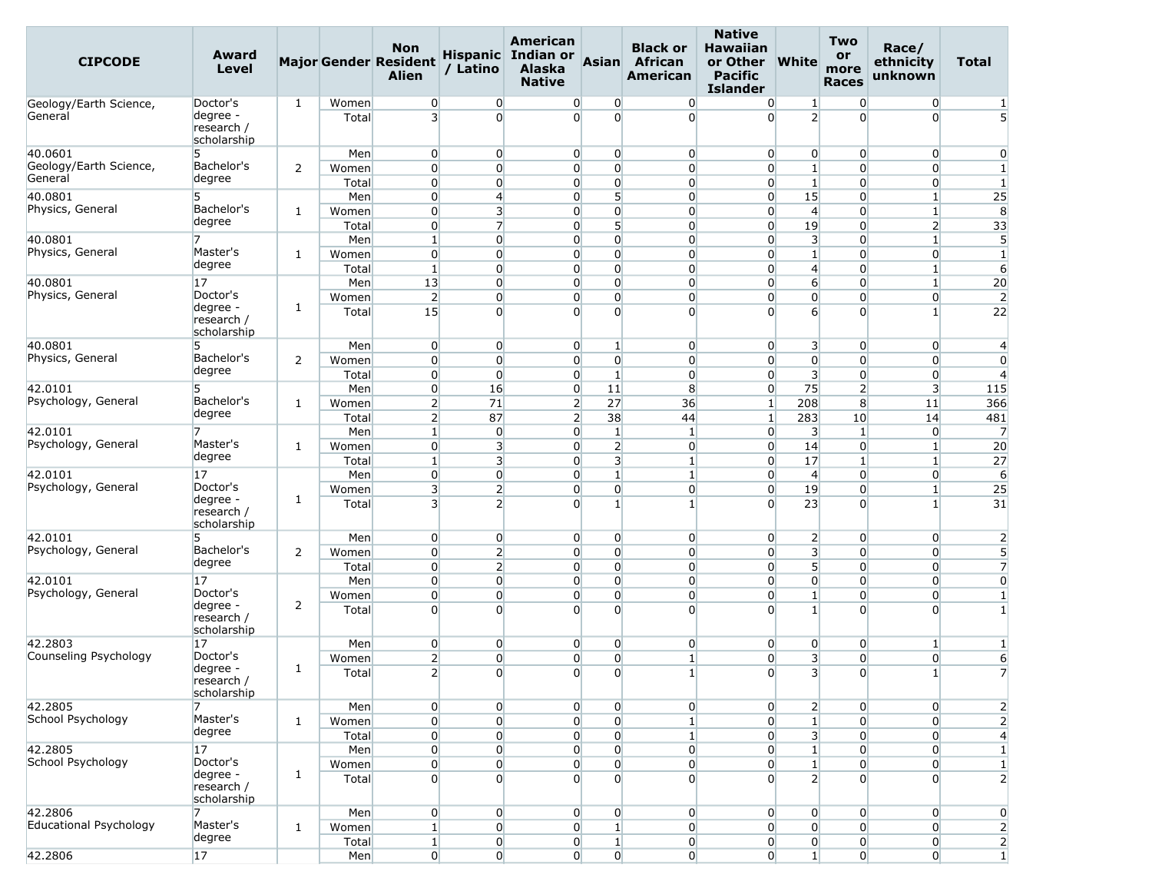| <b>CIPCODE</b>                   | Award<br>Level                        |              |                | <b>Non</b><br><b>Major Gender Resident</b><br><b>Alien</b> | / Latino                                           | American<br>Hispanic Indian or<br><b>Alaska</b><br><b>Native</b> | Asian                                     | <b>Black or</b><br><b>African</b><br>American | <b>Native</b><br><b>Hawaiian</b><br>or Other<br><b>Pacific</b><br><b>Islander</b> | <b>White</b>                               | <b>Two</b><br>or<br>more<br><b>Races</b> | Race/<br>ethnicity<br>unknown    | Total                          |
|----------------------------------|---------------------------------------|--------------|----------------|------------------------------------------------------------|----------------------------------------------------|------------------------------------------------------------------|-------------------------------------------|-----------------------------------------------|-----------------------------------------------------------------------------------|--------------------------------------------|------------------------------------------|----------------------------------|--------------------------------|
| Geology/Earth Science,           | Doctor's                              | 1            | Women          | $\overline{0}$                                             | $\overline{0}$                                     | $\overline{0}$                                                   | $\overline{0}$                            | $\overline{0}$                                | $\overline{0}$                                                                    | $\mathbf{1}$                               | $\overline{0}$                           | $\overline{0}$                   | 1                              |
| General                          | degree -<br>research /<br>scholarship |              | Total          | $\overline{\mathbf{3}}$                                    | $\Omega$                                           | $\Omega$                                                         | $\Omega$                                  | $\overline{0}$                                | $\Omega$                                                                          | $\overline{2}$                             | $\Omega$                                 | $\overline{0}$                   | 5                              |
| 40.0601                          | 5                                     |              | Men            | $\overline{0}$                                             | $\overline{0}$                                     | $\overline{0}$                                                   | $\overline{0}$                            | $\overline{0}$                                | $\overline{0}$                                                                    | $\overline{0}$                             | $\overline{0}$                           | $\overline{0}$                   | $\mathbf{0}$                   |
| Geology/Earth Science,           | Bachelor's                            | 2            | Women          | $\overline{0}$                                             | $\overline{0}$                                     | $\overline{0}$                                                   | $\overline{0}$                            | $\overline{0}$                                | $\overline{0}$                                                                    | $1\overline{ }$                            | $\overline{0}$                           | $\overline{0}$                   | $\mathbf{1}$                   |
| General                          | degree                                |              | Total          | $\overline{0}$                                             | $\overline{0}$                                     | $\overline{0}$                                                   | $\overline{0}$                            | $\overline{0}$                                | $\overline{0}$                                                                    | $1\overline{ }$                            | $\overline{0}$                           | $\overline{0}$                   | $\mathbf{1}$                   |
| 40.0801                          | 5                                     |              | Men            | $\overline{0}$                                             | $\overline{4}$                                     | $\overline{0}$                                                   | 5                                         | $\overline{0}$                                | $\overline{0}$                                                                    | 15                                         | $\overline{0}$                           | $\mathbf{1}$                     | 25                             |
| Physics, General                 | Bachelor's<br>degree                  | 1            | Women          | $\overline{0}$                                             | $\overline{\mathbf{3}}$                            | $\overline{0}$                                                   | $\overline{0}$                            | $\overline{0}$                                | $\overline{0}$                                                                    | $\overline{4}$                             | $\overline{0}$                           | $\mathbf{1}$                     | 8                              |
|                                  |                                       |              | Total          | $\overline{0}$                                             | $\overline{7}$                                     | $\overline{0}$                                                   | 5<br>$\overline{0}$                       | $\overline{0}$                                | $\overline{0}$                                                                    | 19                                         | $\overline{0}$                           | $\overline{2}$                   | 33                             |
| 40.0801<br>Physics, General      | Master's                              |              | Men            | $\mathbf{1}$<br>$\overline{0}$                             | $\overline{0}$<br>$\overline{0}$                   | $\overline{0}$<br>$\overline{0}$                                 | $\overline{0}$                            | $\overline{0}$<br>$\overline{0}$              | $\overline{0}$<br>$\overline{0}$                                                  | $\overline{\mathbf{3}}$<br>$1\overline{ }$ | $\overline{0}$<br>$\overline{0}$         | $\mathbf{1}$<br>$\overline{0}$   | 5<br>$1\overline{ }$           |
|                                  | degree                                | 1            | Women<br>Total | $\mathbf{1}$                                               | $\overline{0}$                                     | $\overline{0}$                                                   | $\overline{0}$                            | $\overline{0}$                                | $\overline{0}$                                                                    | $\overline{4}$                             | $\Omega$                                 | $\mathbf{1}$                     | 6                              |
| 40.0801                          | 17                                    |              | Men            | 13                                                         | $\overline{0}$                                     | $\overline{0}$                                                   | $\overline{0}$                            | $\overline{0}$                                | $\overline{0}$                                                                    | $6 \overline{6}$                           | $\overline{0}$                           | $\mathbf{1}$                     | 20                             |
| Physics, General                 | Doctor's                              |              | Women          | 2                                                          | $\overline{0}$                                     | $\overline{0}$                                                   | $\overline{0}$                            | $\overline{0}$                                | $\overline{0}$                                                                    | $\overline{0}$                             | $\overline{0}$                           | $\overline{0}$                   | $\overline{2}$                 |
|                                  | degree -<br>research /<br>scholarship | 1            | Total          | 15                                                         | $\overline{0}$                                     | $\overline{0}$                                                   | $\Omega$                                  | $\overline{0}$                                | $\Omega$                                                                          | $6 \overline{6}$                           | $\Omega$                                 | 1                                | 22                             |
| 40.0801                          | 5                                     |              | Men            | $\overline{0}$                                             | $\overline{0}$                                     | $\overline{0}$                                                   | 1                                         | $\overline{0}$                                | $\overline{0}$                                                                    | 3                                          | $\overline{0}$                           | $\overline{0}$                   | $\overline{4}$                 |
| Physics, General                 | Bachelor's                            | 2            | Women          | $\overline{0}$                                             | $\overline{0}$                                     | $\overline{0}$                                                   | $\overline{0}$                            | $\overline{0}$                                | $\overline{0}$                                                                    | $\overline{0}$                             | $\overline{0}$                           | $\overline{0}$                   | $\overline{0}$                 |
|                                  | degree                                |              | Total          | $\overline{0}$                                             | $\overline{0}$                                     | $\overline{0}$                                                   | $\mathbf{1}$                              | $\overline{0}$                                | $\overline{0}$                                                                    | $\overline{\mathbf{3}}$                    | $\overline{0}$                           | $\overline{0}$                   | $\overline{4}$                 |
| 42.0101                          | 5                                     |              | Men            | $\overline{0}$                                             | 16                                                 | $\overline{0}$                                                   | 11                                        | 8                                             | $\overline{0}$                                                                    | 75                                         | $\overline{2}$                           | 3                                | 115                            |
| Psychology, General              | Bachelor's<br>degree                  | 1            | Women          | 2                                                          | 71                                                 | $\overline{2}$                                                   | 27                                        | 36                                            | $\mathbf{1}$                                                                      | 208                                        | 8                                        | 11                               | 366                            |
|                                  |                                       |              | Total          | $\overline{2}$                                             | 87                                                 | $\overline{2}$                                                   | 38                                        | 44                                            | $\mathbf{1}$                                                                      | 283                                        | 10                                       | 14                               | 481                            |
| 42.0101<br>Psychology, General   | 7<br>Master's                         |              | Men            | $\mathbf{1}$                                               | $\overline{0}$                                     | $\overline{0}$                                                   | 1                                         | $\mathbf{1}$                                  | $\overline{0}$                                                                    | 3                                          | $\mathbf{1}$                             | $\overline{0}$                   | $\overline{7}$                 |
|                                  | degree                                | 1            | Women<br>Total | $\overline{0}$<br>$\mathbf{1}$                             | $\overline{\mathbf{3}}$<br>$\overline{\mathbf{3}}$ | $\overline{0}$<br>$\overline{0}$                                 | $\overline{2}$<br>$\overline{\mathbf{3}}$ | $\overline{0}$<br>1                           | $\overline{0}$<br>$\overline{0}$                                                  | 14<br>17                                   | $\overline{0}$<br>$\mathbf{1}$           | $\mathbf{1}$<br>$\mathbf{1}$     | 20<br>27                       |
| 42.0101                          | 17                                    |              | Men            | $\overline{0}$                                             | $\overline{0}$                                     | $\overline{0}$                                                   | $\mathbf{1}$                              | $\mathbf{1}$                                  | $\overline{0}$                                                                    | $\overline{4}$                             | $\overline{0}$                           | $\overline{0}$                   | 6                              |
| Psychology, General              | Doctor's                              |              | Women          | 3 <sup>1</sup>                                             | $\overline{2}$                                     | $\overline{0}$                                                   | $\overline{0}$                            | $\overline{0}$                                | $\overline{0}$                                                                    | 19                                         | $\overline{0}$                           | $\mathbf{1}$                     | 25                             |
|                                  | degree -<br>research /<br>scholarship | 1            | Total          | $\overline{3}$                                             | $\overline{2}$                                     | $\overline{0}$                                                   | 1                                         | $\mathbf{1}$                                  | $\Omega$                                                                          | 23                                         | $\Omega$                                 | 1                                | 31                             |
| 42.0101                          | 5                                     |              | Men            | $\overline{0}$                                             | $\overline{0}$                                     | $\overline{0}$                                                   | $\overline{0}$                            | $\overline{0}$                                | $\overline{0}$                                                                    | $\overline{2}$                             | $\overline{0}$                           | $\overline{0}$                   | $\overline{2}$                 |
| Psychology, General              | Bachelor's                            | 2            | Women          | $\overline{0}$                                             | $\overline{2}$                                     | $\overline{0}$                                                   | $\overline{0}$                            | $\overline{0}$                                | $\overline{0}$                                                                    | $\overline{\mathbf{3}}$                    | $\overline{0}$                           | $\overline{0}$                   | 5                              |
|                                  | degree                                |              | Total          | $\overline{0}$                                             | $\overline{2}$                                     | $\overline{0}$                                                   | $\overline{0}$                            | $\overline{0}$                                | $\overline{0}$                                                                    | 5 <sup>1</sup>                             | $\overline{0}$                           | $\overline{0}$                   | $\overline{7}$                 |
| 42.0101                          | 17                                    |              | Men            | $\overline{0}$                                             | $\overline{0}$                                     | $\overline{0}$                                                   | $\overline{0}$                            | $\overline{0}$                                | $\overline{0}$                                                                    | $\overline{0}$                             | $\overline{0}$                           | $\overline{0}$                   | $\overline{0}$                 |
| Psychology, General              | Doctor's<br>degree -                  | 2            | Women          | $\overline{0}$                                             | $\overline{0}$                                     | $\overline{0}$                                                   | $\overline{0}$<br>$\Omega$                | $\overline{0}$                                | $\overline{0}$                                                                    | $1\overline{ }$                            | $\overline{0}$                           | $\overline{0}$                   | $\mathbf{1}$                   |
|                                  | research /<br>scholarship             |              | Total          | $\Omega$                                                   | $\overline{0}$                                     | $\overline{0}$                                                   |                                           | $\overline{0}$                                | $\Omega$                                                                          | $1\vert$                                   | $\Omega$                                 | $\Omega$                         | $\mathbf{1}$                   |
| 42.2803<br>Counseling Psychology | 17<br>Doctor's                        |              | Men            | $\overline{0}$                                             | $\overline{0}$                                     | $\overline{0}$                                                   | $\overline{0}$                            | $\overline{0}$                                | $\overline{0}$                                                                    | $\overline{0}$                             | $\overline{0}$                           | $\mathbf{1}$                     | $\mathbf{1}$                   |
|                                  | degree -                              | 1            | Women          | $\overline{2}$                                             | $\overline{0}$                                     | $\overline{0}$                                                   | $\overline{0}$                            | $\mathbf{1}$                                  | $\overline{0}$                                                                    | $\overline{\mathbf{3}}$                    | $\overline{0}$                           | $\overline{0}$                   | 6                              |
|                                  | research /<br>scholarship             |              | Total          | $\overline{2}$                                             | $\overline{0}$                                     | $\overline{0}$                                                   | $\overline{0}$                            | $\mathbf{1}$                                  | $\overline{0}$                                                                    | 3                                          | $\overline{0}$                           | $\mathbf{1}$                     | $\overline{7}$                 |
| 42.2805                          | 7                                     |              | Men            | $\overline{0}$                                             | $\overline{0}$                                     | $\overline{0}$                                                   | $\overline{0}$                            | $\overline{0}$                                | $\overline{0}$                                                                    | $\mathbf{2}$                               | $\overline{0}$                           | $\overline{0}$                   | $\overline{2}$                 |
| School Psychology                | Master's<br>degree                    | 1            | Women          | $\overline{0}$                                             | $\overline{0}$                                     | $\overline{0}$                                                   | $\overline{0}$                            | $\mathbf{1}$                                  | $\overline{0}$                                                                    | $1\overline{ }$                            | $\Omega$                                 | $\overline{0}$                   | $\overline{2}$                 |
|                                  |                                       |              | Total          | $\overline{0}$                                             | $\overline{0}$                                     | $\overline{0}$                                                   | $\overline{0}$                            | $\mathbf{1}$                                  | $\overline{0}$                                                                    | $\overline{\mathsf{3}}$                    | $\overline{0}$                           | $\overline{0}$                   | $\overline{4}$                 |
| 42.2805<br>School Psychology     | 17<br>Doctor's                        |              | Men            | $\overline{0}$                                             | $\overline{0}$                                     | $\overline{0}$                                                   | $\overline{0}$                            | $\overline{0}$                                | $\overline{0}$                                                                    | $1\overline{ }$                            | $\overline{0}$                           | $\overline{0}$                   | $\mathbf{1}$                   |
|                                  | degree -                              | 1            | Women<br>Total | $\overline{0}$<br>$\overline{0}$                           | $\overline{0}$<br>$\overline{0}$                   | $\overline{0}$<br>$\overline{0}$                                 | $\overline{0}$<br>$\Omega$                | $\overline{0}$<br>$\overline{0}$              | $\overline{0}$<br>$\overline{0}$                                                  | $1\overline{ }$<br>$\overline{2}$          | $\overline{0}$<br>$\overline{0}$         | $\overline{0}$<br>$\overline{0}$ | $\mathbf{1}$<br>$\overline{2}$ |
|                                  | research /<br>scholarship             |              |                |                                                            |                                                    |                                                                  |                                           |                                               |                                                                                   |                                            |                                          |                                  |                                |
| 42.2806                          | 7                                     |              | Men            | $\overline{0}$                                             | $\overline{0}$                                     | $\overline{0}$                                                   | $\overline{0}$                            | $\overline{0}$                                | $\overline{0}$                                                                    | $\overline{0}$                             | $\overline{0}$                           | $\overline{0}$                   | $\overline{0}$                 |
| Educational Psychology           | Master's<br>degree                    | $\mathbf{1}$ | Women          | $\mathbf{1}$                                               | $\overline{0}$                                     | $\overline{0}$                                                   | $\mathbf{1}$                              | $\overline{0}$                                | $\overline{0}$                                                                    | $\overline{0}$                             | $\overline{0}$                           | $\overline{0}$                   | $\overline{2}$                 |
|                                  |                                       |              | Total          | $1\vert$                                                   | $\overline{0}$                                     | $\overline{0}$                                                   | $\mathbf{1}$                              | $\overline{0}$                                | $\overline{0}$                                                                    | $\overline{0}$                             | $\overline{0}$                           | $\overline{0}$                   | $\overline{2}$                 |
| 42.2806                          | 17                                    |              | Men            | $\overline{0}$                                             | 0                                                  | $\overline{0}$                                                   | $\mathbf{0}$                              | $\overline{0}$                                | $\overline{0}$                                                                    | $1\vert$                                   | $\overline{0}$                           | $\overline{0}$                   | $\vert$ 1                      |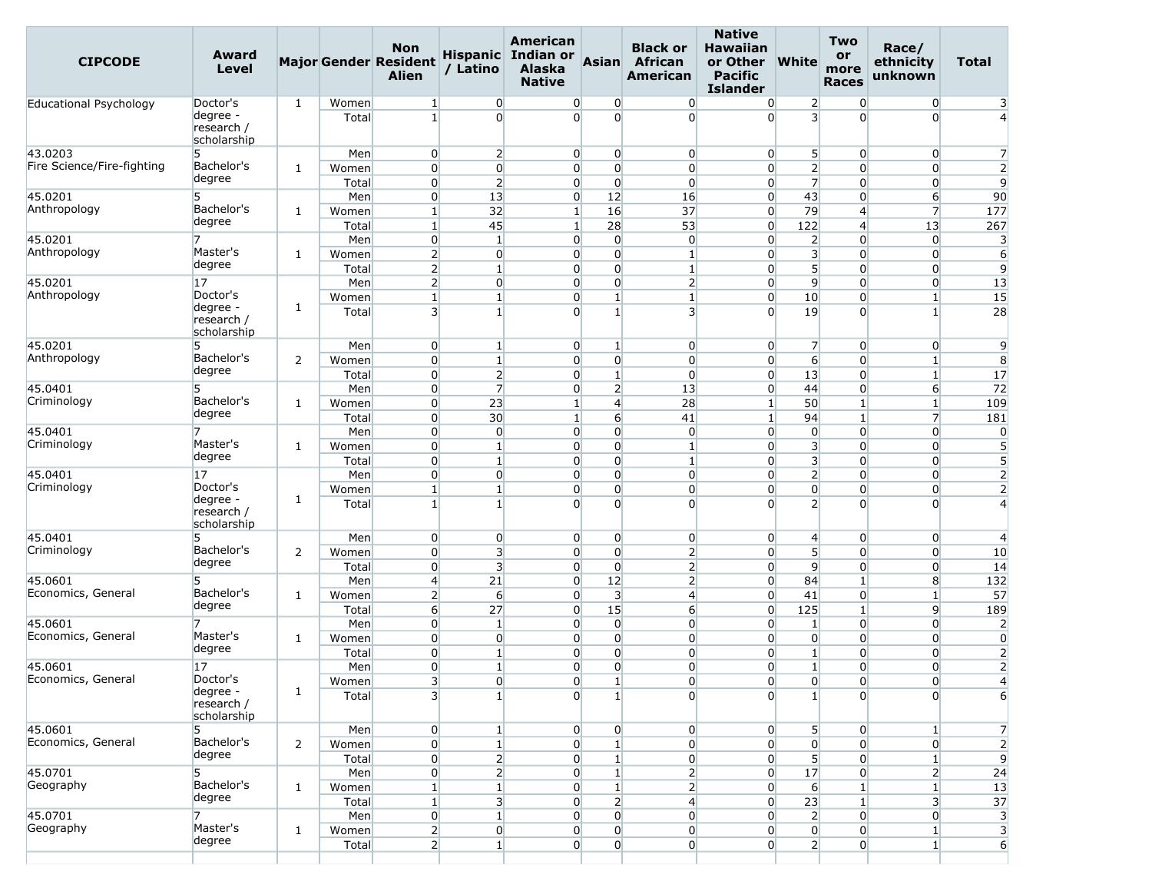| <b>CIPCODE</b>                | <b>Award</b><br><b>Level</b>          |                |                | <b>Non</b><br><b>Major Gender Resident</b><br><b>Alien</b> | / Latino                       | American<br>Hispanic Indian or<br><b>Alaska</b><br><b>Native</b> | <b>Asian</b>                       | <b>Black or</b><br><b>African</b><br>American | <b>Native</b><br><b>Hawaiian</b><br>or Other<br><b>Pacific</b><br><b>Islander</b> | <b>White</b>                   | <b>Two</b><br>or<br>more<br><b>Races</b> | Race/<br>ethnicity<br>unknown    | <b>Total</b>                     |
|-------------------------------|---------------------------------------|----------------|----------------|------------------------------------------------------------|--------------------------------|------------------------------------------------------------------|------------------------------------|-----------------------------------------------|-----------------------------------------------------------------------------------|--------------------------------|------------------------------------------|----------------------------------|----------------------------------|
| Educational Psychology        | Doctor's                              | 1              | Women          | $\vert$ 1                                                  | $\overline{0}$                 | $\overline{0}$                                                   | $\overline{0}$                     | $\overline{0}$                                | $\overline{0}$                                                                    | $\overline{2}$                 | $\overline{0}$                           | $\overline{0}$                   | 3                                |
|                               | degree -<br>research /<br>scholarship |                | Total          | $\mathbf{1}$                                               | $\overline{0}$                 | $\Omega$                                                         | $\Omega$                           | $\Omega$                                      | $\Omega$                                                                          | $\overline{\mathsf{3}}$        | $\Omega$                                 | $\overline{0}$                   | $\overline{4}$                   |
| 43.0203                       | 5                                     |                | Men            | $\overline{0}$                                             | $\overline{2}$                 | $\overline{0}$                                                   | $\overline{0}$                     | $\overline{0}$                                | $\overline{0}$                                                                    | 5 <sup>1</sup>                 | $\overline{0}$                           | $\overline{0}$                   | 7                                |
| Fire Science/Fire-fighting    | Bachelor's                            | 1              | Women          | $\overline{0}$                                             | $\overline{0}$                 | $\overline{0}$                                                   | $\overline{0}$                     | $\overline{0}$                                | $\overline{0}$                                                                    | $\overline{2}$                 | $\overline{0}$                           | $\overline{0}$                   | $\overline{2}$                   |
|                               | degree                                |                | Total          | $\overline{0}$                                             | $\overline{2}$                 | $\overline{0}$                                                   | $\overline{0}$                     | $\Omega$                                      | $\overline{0}$                                                                    | $\overline{7}$                 | $\Omega$                                 | $\overline{0}$                   | $\overline{9}$                   |
| 45.0201                       | 5                                     |                | Men            | $\overline{0}$                                             | 13                             | $\overline{0}$                                                   | 12                                 | 16                                            | $\overline{0}$                                                                    | 43                             | $\overline{0}$                           | 6                                | 90                               |
| Anthropology                  | Bachelor's                            | 1              | Women          | $\vert$ 1                                                  | 32                             | $\mathbf{1}$                                                     | 16                                 | 37                                            | $\overline{0}$                                                                    | 79                             | $\overline{4}$                           | $\overline{7}$                   | 177                              |
|                               | degree                                |                | Total          | $\mathbf{1}$                                               | 45                             | $\mathbf{1}$                                                     | 28                                 | 53                                            | $\overline{0}$                                                                    | 122                            | 4                                        | 13                               | 267                              |
| 45.0201                       | 7                                     |                | Men            | $\overline{0}$                                             | $\mathbf{1}$                   | $\overline{0}$                                                   | $\overline{0}$                     | $\overline{0}$                                | $\overline{0}$                                                                    | $\overline{2}$                 | $\overline{0}$                           | $\overline{0}$                   | 3                                |
| Anthropology                  | Master's<br>degree                    | 1              | Women          | 2                                                          | $\overline{0}$                 | $\overline{0}$                                                   | $\overline{0}$                     | $\mathbf{1}$                                  | $\overline{0}$                                                                    | $\overline{\mathbf{3}}$        | $\overline{0}$                           | $\overline{0}$                   | $6 \overline{}$                  |
|                               |                                       |                | Total          | $\overline{2}$                                             | $\mathbf{1}$                   | $\overline{0}$                                                   | $\overline{0}$                     | $\mathbf{1}$                                  | $\overline{0}$                                                                    | 5 <sup>1</sup>                 | $\Omega$                                 | $\overline{0}$                   | $\overline{9}$                   |
| 45.0201                       | 17<br>Doctor's                        |                | Men            | $\overline{2}$                                             | $\overline{0}$                 | $\overline{0}$                                                   | $\overline{0}$                     | $\overline{2}$                                | $\overline{0}$                                                                    | $\overline{9}$                 | $\overline{0}$                           | $\overline{0}$                   | 13                               |
| Anthropology                  | degree -<br>research /<br>scholarship | 1              | Women<br>Total | $\mathbf{1}$<br>$\overline{\mathbf{3}}$                    | $\mathbf{1}$<br>$\mathbf{1}$   | $\overline{0}$<br>$\overline{0}$                                 | $1\overline{ }$<br>$1\overline{ }$ | $\mathbf{1}$<br>3                             | $\overline{0}$<br>$\Omega$                                                        | 10<br>19                       | $\overline{0}$<br>$\Omega$               | $\mathbf{1}$<br>$\mathbf{1}$     | 15<br>28                         |
| 45.0201                       | 5                                     |                | Men            | $\overline{0}$                                             | $\mathbf{1}$                   | $\overline{0}$                                                   | $\mathbf{1}$                       | $\overline{0}$                                | $\overline{0}$                                                                    | 7                              | $\overline{0}$                           | $\overline{0}$                   | 9                                |
| Anthropology                  | Bachelor's                            | 2              | Women          | $\overline{0}$                                             | $\mathbf{1}$                   | $\overline{0}$                                                   | $\overline{0}$                     | $\overline{0}$                                | $\overline{0}$                                                                    | 6                              | $\overline{0}$                           | $1\overline{ }$                  | 8                                |
|                               | degree                                |                | Total          | $\overline{0}$                                             | $\overline{2}$                 | $\overline{0}$                                                   | $\mathbf{1}$                       | $\overline{0}$                                | $\overline{0}$                                                                    | 13                             | $\overline{0}$                           | $\mathbf{1}$                     | 17                               |
| 45.0401                       | 5                                     |                | Men            | $\overline{0}$                                             | $\overline{7}$                 | $\overline{0}$                                                   | 2                                  | 13                                            | $\overline{0}$                                                                    | 44                             | $\Omega$                                 | 6                                | 72                               |
| Criminology                   | Bachelor's                            | 1              | Women          | $\overline{0}$                                             | 23                             | $\mathbf{1}$                                                     | $\overline{4}$                     | 28                                            | $\vert$ 1                                                                         | 50                             | $\mathbf{1}$                             | $\mathbf{1}$                     | 109                              |
|                               | degree                                |                | Total          | $\overline{0}$                                             | 30                             | $\mathbf{1}$                                                     | $6 \overline{}$                    | 41                                            | $\mathbf{1}$                                                                      | 94                             | $\mathbf{1}$                             | $\overline{7}$                   | 181                              |
| 45.0401                       | 7                                     |                | Men            | $\overline{0}$                                             | $\overline{0}$                 | $\overline{0}$                                                   | $\overline{0}$                     | $\overline{0}$                                | $\overline{0}$                                                                    | $\overline{0}$                 | $\overline{0}$                           | $\overline{0}$                   | $\overline{0}$                   |
| Criminology                   | Master's                              | 1              | Women          | $\overline{0}$                                             | $\mathbf{1}$                   | $\overline{0}$                                                   | $\overline{0}$                     | $\mathbf{1}$                                  | $\overline{0}$                                                                    | 3                              | $\overline{0}$                           | $\overline{0}$                   | $5\overline{)}$                  |
|                               | degree                                |                | Total          | $\overline{0}$                                             | $\mathbf{1}$                   | $\overline{0}$                                                   | $\overline{0}$                     | $\mathbf{1}$                                  | $\Omega$                                                                          | $\overline{\mathbf{3}}$        | $\Omega$                                 | $\overline{0}$                   | 5                                |
| 45.0401                       | 17                                    |                | Men            | $\overline{0}$                                             | $\overline{0}$                 | $\overline{0}$                                                   | $\overline{0}$                     | $\overline{0}$                                | $\overline{0}$                                                                    | 2                              | $\overline{0}$                           | $\overline{0}$                   | $\overline{2}$                   |
| Criminology                   | Doctor's                              | 1              | Women          | $\mathbf{1}$                                               | $\mathbf{1}$                   | $\overline{0}$                                                   | $\overline{0}$                     | $\overline{0}$                                | $\overline{0}$                                                                    | $\overline{0}$                 | $\overline{0}$                           | $\overline{0}$                   | $\overline{2}$                   |
|                               | degree -<br>research /<br>scholarship |                | Total          | $\mathbf{1}$                                               | $\mathbf{1}$                   | $\Omega$                                                         | $\Omega$                           | $\Omega$                                      | $\Omega$                                                                          | $\overline{2}$                 | $\Omega$                                 | $\overline{0}$                   | $\overline{4}$                   |
| 45.0401                       | 5                                     |                | Men            | $\overline{0}$                                             | $\overline{0}$                 | $\overline{0}$                                                   | $\overline{0}$                     | $\overline{0}$                                | $\overline{0}$                                                                    | $\overline{4}$                 | $\overline{0}$                           | $\overline{0}$                   | 4                                |
| Criminology                   | Bachelor's                            | 2              | Women          | $\overline{0}$                                             | $\overline{\mathbf{3}}$        | $\overline{0}$                                                   | $\overline{0}$                     | $\overline{2}$                                | $\overline{0}$                                                                    | 5 <sup>1</sup>                 | $\overline{0}$                           | $\overline{0}$                   | 10                               |
|                               | degree                                |                | Total          | $\overline{0}$                                             | $\overline{\mathbf{3}}$        | $\overline{0}$                                                   | $\overline{0}$                     | 2                                             | $\overline{0}$                                                                    | $\overline{9}$                 | $\overline{0}$                           | $\overline{0}$                   | 14                               |
| 45.0601                       | 5                                     |                | Men            | $\overline{4}$                                             | 21                             | $\Omega$                                                         | 12                                 | $\overline{2}$                                | $\overline{0}$                                                                    | 84                             | $\mathbf{1}$                             | 8                                | 132                              |
| Economics, General            | Bachelor's<br>degree                  | 1              | Women          | $\overline{2}$                                             | $6 \overline{}$                | $\overline{0}$                                                   | 3                                  | $\overline{4}$                                | $\overline{0}$                                                                    | 41                             | $\overline{0}$                           | $\mathbf{1}$                     | 57                               |
|                               |                                       |                | Total          | $6 \overline{}$                                            | 27                             | $\overline{0}$                                                   | 15                                 | $6 \overline{}$                               | $\overline{0}$                                                                    | 125                            | $\mathbf{1}$                             | $\overline{9}$                   | 189                              |
| 45.0601<br>Economics, General | 7<br>Master's                         |                | Men            | $\overline{0}$<br>$\overline{0}$                           | $\mathbf{1}$<br>$\overline{0}$ | $\overline{0}$<br>$\overline{0}$                                 | $\overline{0}$<br>$\overline{0}$   | $\overline{0}$<br>$\overline{0}$              | $\overline{0}$<br>$\overline{0}$                                                  | $\mathbf{1}$                   | $\overline{0}$<br>$\overline{0}$         | $\overline{0}$<br>$\overline{0}$ | $\overline{2}$<br>$\overline{0}$ |
|                               | degree                                | 1              | Women<br>Total | $\overline{0}$                                             | $\mathbf{1}$                   | $\overline{0}$                                                   | $\overline{0}$                     | $\Omega$                                      | $\Omega$                                                                          | $\overline{0}$<br>$\mathbf{1}$ | $\Omega$                                 | $\overline{0}$                   | $\overline{2}$                   |
| 45.0601                       | 17                                    |                | Men            | $\overline{0}$                                             | $\mathbf{1}$                   | $\overline{0}$                                                   | $\overline{0}$                     | $\overline{0}$                                | $\overline{0}$                                                                    | $\mathbf{1}$                   | $\Omega$                                 | $\overline{0}$                   | $\overline{2}$                   |
| Economics, General            | Doctor's                              |                | Women          | 3                                                          | $\overline{0}$                 | $\overline{0}$                                                   | $\mathbf{1}$                       | $\overline{0}$                                | $\overline{0}$                                                                    | $\overline{0}$                 | 0                                        | 0                                | $\overline{A}$                   |
|                               | degree -<br>research /<br>scholarship | 1              | Total          | $\mathbf{3}$                                               | $\mathbf{1}$                   | $\overline{0}$                                                   | $\mathbf{1}$                       | $\overline{0}$                                | $\Omega$                                                                          | $1\overline{ }$                | $\Omega$                                 | $\overline{0}$                   | 6                                |
| 45.0601                       | 5                                     |                | Men            | $\overline{0}$                                             | $\mathbf{1}$                   | $\overline{0}$                                                   | $\overline{0}$                     | $\overline{0}$                                | $\overline{0}$                                                                    | 5                              | $\overline{0}$                           | $1\vert$                         | $\overline{7}$                   |
| Economics, General            | Bachelor's                            | $\overline{2}$ | Women          | $\overline{0}$                                             | $1\vert$                       | $\overline{0}$                                                   | $\mathbf{1}$                       | $\overline{0}$                                | $\overline{0}$                                                                    | $\overline{0}$                 | $\overline{0}$                           | $\overline{0}$                   | $\overline{2}$                   |
|                               | degree                                |                | Total          | $\overline{0}$                                             | $\overline{2}$                 | $\overline{0}$                                                   | 1 <sup>1</sup>                     | $\overline{0}$                                | $\overline{0}$                                                                    | $\overline{5}$                 | $\overline{0}$                           | $1\overline{ }$                  | 9                                |
| 45.0701                       | 5                                     |                | Men            | $\overline{0}$                                             | 2                              | $\overline{0}$                                                   | 1 <sup>1</sup>                     | $\overline{2}$                                | $\overline{0}$                                                                    | 17                             | $\overline{0}$                           | $\overline{2}$                   | 24                               |
| Geography                     | Bachelor's                            | $\mathbf{1}$   | Women          | $1\vert$                                                   | $1\vert$                       | $\overline{0}$                                                   | $1\overline{ }$                    | 2                                             | $\overline{0}$                                                                    | $6 \mid$                       | $\mathbf{1}$                             | $1\overline{ }$                  | 13                               |
|                               | degree                                |                | Total          | $\vert$ 1                                                  | 3                              | $\overline{0}$                                                   | 2                                  | $\overline{4}$                                | $\overline{0}$                                                                    | 23                             | $\mathbf{1}$                             | 3                                | 37                               |
| 45.0701                       | 7                                     |                | Men            | $\overline{0}$                                             | $1\vert$                       | $\overline{0}$                                                   | $\overline{0}$                     | $\overline{0}$                                | $\overline{0}$                                                                    | $\overline{2}$                 | $\overline{0}$                           | $\overline{0}$                   | 3                                |
| Geography                     | Master's<br>degree                    | $\mathbf{1}$   | Women          | 2                                                          | $\boldsymbol{0}$               | $\overline{0}$                                                   | $\overline{0}$                     | $\overline{0}$                                | $\overline{0}$                                                                    | $\mathbf{0}$                   | $\overline{0}$                           | $\mathbf{1}$                     | $\overline{\mathbf{3}}$          |
|                               |                                       |                | Total          | $\overline{2}$                                             | $1\vert$                       | $\overline{0}$                                                   | $\overline{0}$                     | $\overline{0}$                                | $\overline{0}$                                                                    | $\overline{2}$                 | $\overline{0}$                           | $1\overline{ }$                  | 6                                |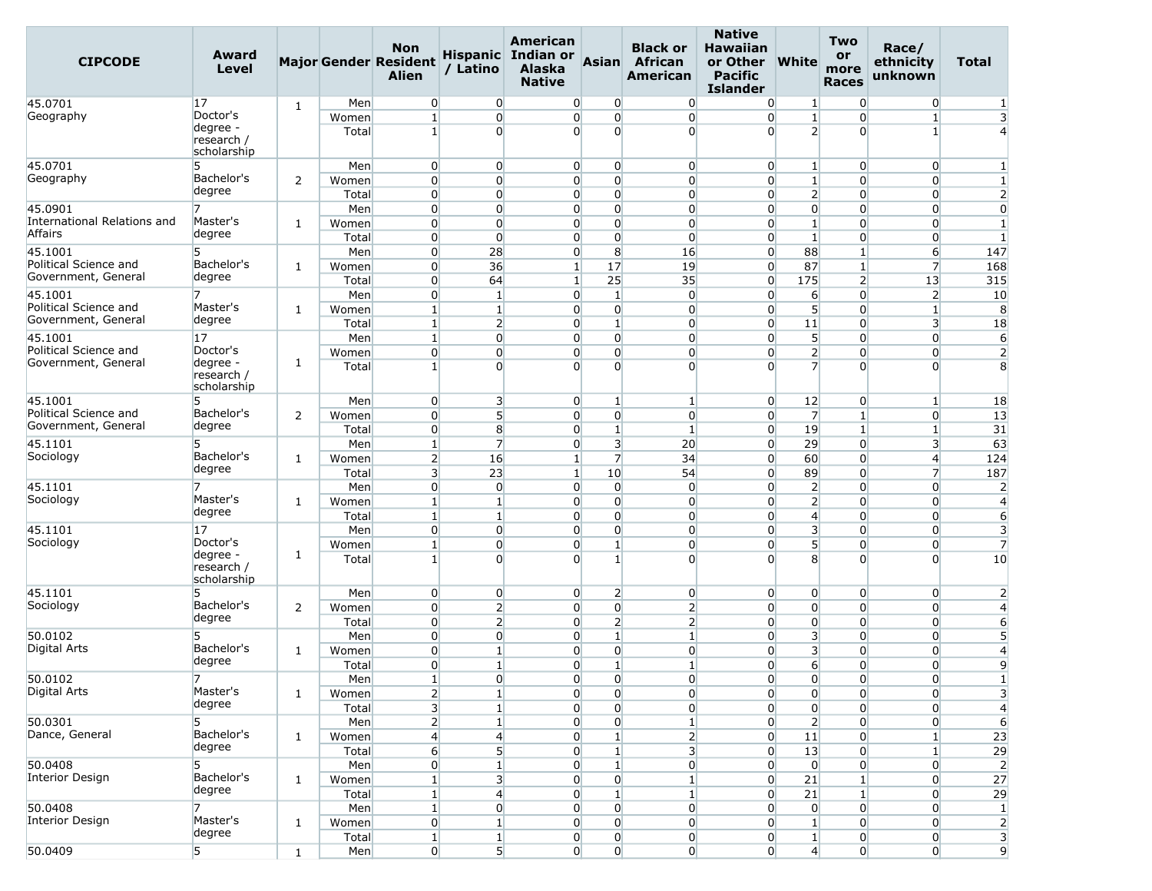| <b>CIPCODE</b>                                          | Award<br><b>Level</b>                             |   |                                | <b>Non</b><br><b>Major Gender Resident</b><br><b>Alien</b>  | / Latino                                                  | American<br>Hispanic Indian or<br><b>Alaska</b><br><b>Native</b>     | Asian                                                               | <b>Black or</b><br>African<br>American                             | <b>Native</b><br><b>Hawaiian</b><br>or Other<br><b>Pacific</b><br><b>Islander</b> | <b>White</b>                                                | <b>Two</b><br>or<br>more<br><b>Races</b>                | Race/<br>ethnicity<br>unknown                           | Total                                  |
|---------------------------------------------------------|---------------------------------------------------|---|--------------------------------|-------------------------------------------------------------|-----------------------------------------------------------|----------------------------------------------------------------------|---------------------------------------------------------------------|--------------------------------------------------------------------|-----------------------------------------------------------------------------------|-------------------------------------------------------------|---------------------------------------------------------|---------------------------------------------------------|----------------------------------------|
| 45.0701                                                 | 17                                                | 1 | Men                            | $\overline{0}$                                              | $\overline{0}$                                            | $\overline{0}$                                                       | 0                                                                   | $\overline{0}$                                                     | $\overline{0}$                                                                    | $\vert$ 1                                                   | $\overline{0}$                                          | $\overline{0}$                                          | $\mathbf{1}$                           |
| Geography                                               | Doctor's<br>degree -<br>research /<br>scholarship |   | Women<br>Total                 | $\mathbf{1}$<br>1 <sup>1</sup>                              | $\overline{0}$<br>$\Omega$                                | $\overline{0}$<br>$\Omega$                                           | $\overline{0}$<br>$\Omega$                                          | $\overline{0}$<br>$\overline{0}$                                   | $\overline{0}$<br>$\Omega$                                                        | $\mathbf{1}$<br>$\overline{2}$                              | $\Omega$<br>$\overline{0}$                              | $\mathbf{1}$<br>$1\vert$                                | $\overline{\mathbf{3}}$                |
| 45.0701<br>Geography                                    | 5<br>Bachelor's                                   | 2 | Men<br>Women                   | $\overline{0}$<br>$\overline{0}$                            | $\overline{0}$<br>$\overline{0}$                          | $\overline{0}$<br>$\Omega$                                           | $\overline{0}$<br>$\overline{0}$                                    | $\overline{0}$<br>$\overline{0}$                                   | $\overline{0}$<br>$\overline{0}$                                                  | $\mathbf{1}$<br>$1\overline{ }$                             | $\overline{0}$<br>$\Omega$                              | $\overline{0}$<br>0                                     | $\mathbf{1}$                           |
|                                                         | degree                                            |   | Total                          | $\overline{0}$                                              | $\overline{0}$                                            | $\overline{0}$                                                       | $\overline{0}$                                                      | $\overline{0}$                                                     | $\overline{0}$                                                                    | $\overline{2}$                                              | $\overline{0}$                                          | $\overline{0}$                                          | $\overline{2}$                         |
| 45.0901<br>International Relations and<br>Affairs       | Master's<br>degree                                | 1 | Men<br>Women<br>Total          | $\overline{0}$<br>$\overline{0}$<br>$\overline{0}$          | $\overline{0}$<br>$\Omega$<br>$\overline{0}$              | $\overline{0}$<br>$\overline{0}$<br>$\overline{0}$                   | $\overline{0}$<br>$\Omega$<br>$\overline{0}$                        | $\overline{0}$<br>$\overline{0}$<br>$\overline{0}$                 | $\overline{0}$<br>$\overline{0}$<br>$\overline{0}$                                | $\overline{0}$<br>$1\overline{ }$<br>$\mathbf{1}$           | $\overline{0}$<br>$\Omega$<br>$\overline{0}$            | $\overline{0}$<br>0<br>$\overline{0}$                   | $\overline{0}$<br>$\mathbf{1}$<br>1    |
| 45.1001<br>Political Science and<br>Government, General | 5<br>Bachelor's<br>degree                         | 1 | Men<br>Women                   | $\overline{0}$<br>$\overline{0}$                            | 28<br>36                                                  | $\overline{0}$<br>$1\vert$                                           | 8<br>17                                                             | 16<br>19                                                           | $\overline{0}$<br>$\overline{0}$                                                  | 88<br>87                                                    | $\mathbf{1}$<br>$\mathbf{1}$                            | $6 \overline{}$<br>$\overline{7}$                       | 147<br>168                             |
| 45.1001                                                 | 7                                                 |   | Total<br>Men                   | $\overline{0}$<br>$\overline{0}$                            | 64<br>$\mathbf{1}$                                        | $\mathbf{1}$<br>$\overline{0}$                                       | 25<br>$1\overline{ }$                                               | 35<br>$\overline{0}$                                               | $\overline{0}$<br>$\overline{0}$                                                  | 175<br>$6 \overline{}$                                      | $\overline{2}$<br>$\Omega$                              | 13<br>$\overline{2}$                                    | 315<br>10                              |
| Political Science and<br>Government, General            | Master's<br>degree                                | 1 | Women<br>Total                 | $\mathbf{1}$<br>1 <sup>1</sup>                              | $\mathbf{1}$<br>$\overline{2}$                            | $\overline{0}$<br>$\overline{0}$                                     | $\overline{0}$<br>$\mathbf{1}$                                      | $\overline{0}$<br>$\overline{0}$                                   | $\overline{0}$<br>$\overline{0}$                                                  | 5 <sup>1</sup><br>11                                        | $\Omega$<br>$\overline{0}$                              | $\mathbf{1}$<br>3                                       | 8<br>18                                |
| 45.1001<br>Political Science and<br>Government, General | 17<br>Doctor's<br>degree -<br>research /          | 1 | Men<br>Women<br>Total          | $\mathbf{1}$<br>$\overline{0}$<br>$\mathbf{1}$              | $\overline{0}$<br>$\overline{0}$<br>$\Omega$              | $\Omega$<br>$\overline{0}$<br>$\overline{0}$                         | $\overline{0}$<br>$\overline{0}$<br>$\Omega$                        | $\overline{0}$<br>$\overline{0}$<br>$\overline{0}$                 | $\overline{0}$<br>$\overline{0}$<br>$\overline{0}$                                | 5<br>$\overline{2}$<br>$\overline{7}$                       | $\overline{0}$<br>$\overline{0}$<br>$\Omega$            | $\overline{0}$<br>$\overline{0}$<br>$\Omega$            | 6<br>$\overline{2}$<br>8               |
| 45.1001<br>Political Science and                        | scholarship<br>5<br>Bachelor's                    | 2 | Men<br>Women                   | $\overline{0}$<br>$\overline{0}$                            | $\overline{\mathbf{3}}$<br>$5\overline{)}$                | $\overline{0}$<br>$\Omega$                                           | $\mathbf{1}$<br>$\overline{0}$                                      | $\mathbf{1}$<br>$\overline{0}$                                     | $\overline{0}$<br>$\overline{0}$                                                  | 12<br>$\overline{7}$                                        | $\overline{0}$<br>$\mathbf{1}$                          | $\mathbf{1}$<br>$\overline{0}$                          | 18<br>13                               |
| Government, General<br>45.1101                          | degree<br>5                                       |   | Total<br>Men                   | $\overline{0}$<br>$1\vert$                                  | 8<br>$\overline{7}$                                       | $\overline{0}$<br>$\overline{0}$                                     | $\mathbf{1}$<br>$\overline{\mathbf{3}}$                             | $\mathbf{1}$<br>20                                                 | $\overline{0}$<br>$\overline{0}$                                                  | 19<br>29                                                    | $\mathbf{1}$<br>$\overline{0}$                          | $\mathbf{1}$<br>$\overline{3}$                          | 31<br>63                               |
| Sociology                                               | Bachelor's<br>degree                              | 1 | Women<br>Total                 | $\overline{2}$<br>$\overline{3}$                            | 16<br>23                                                  | $\mathbf{1}$<br>$\mathbf{1}$                                         | $\overline{7}$<br>10                                                | 34<br>54                                                           | $\overline{0}$<br>$\overline{0}$                                                  | 60<br>89                                                    | $\Omega$<br>$\overline{0}$                              | 4<br>$\overline{7}$                                     | 124<br>187                             |
| 45.1101<br>Sociology                                    | Master's<br>degree                                | 1 | Men<br>Women                   | $\overline{0}$<br>$\mathbf{1}$                              | $\overline{0}$<br>$\mathbf{1}$                            | $\overline{0}$<br>$\overline{0}$                                     | $\overline{0}$<br>$\overline{0}$                                    | $\overline{0}$<br>$\overline{0}$                                   | $\overline{0}$<br>$\overline{0}$                                                  | $\overline{2}$<br>$\overline{2}$                            | $\Omega$<br>$\Omega$                                    | $\Omega$<br>$\overline{0}$                              | $\overline{2}$<br>$\overline{4}$       |
| 45.1101<br>Sociology                                    | 17<br>Doctor's                                    |   | Total<br>Men<br>Women          | $\mathbf{1}$<br>$\overline{0}$<br>$\mathbf{1}$              | $\mathbf{1}$<br>$\overline{0}$<br>$\overline{0}$          | $\overline{0}$<br>$\Omega$<br>$\overline{0}$                         | $\overline{0}$<br>$\overline{0}$<br>$\mathbf{1}$                    | $\overline{0}$<br>$\overline{0}$<br>$\overline{0}$                 | $\overline{0}$<br>$\overline{0}$<br>$\overline{0}$                                | $\overline{4}$<br>$\overline{\mathbf{3}}$<br>5 <sup>1</sup> | $\overline{0}$<br>$\overline{0}$<br>$\overline{0}$      | $\overline{0}$<br>$\overline{0}$<br>$\overline{0}$      | 6<br>3<br>$\overline{7}$               |
|                                                         | degree -<br>research /<br>scholarship             | 1 | Total                          | $\mathbf{1}$                                                | $\Omega$                                                  | $\Omega$                                                             | $1\vert$                                                            | $\overline{0}$                                                     | $\Omega$                                                                          | 8                                                           | $\Omega$                                                | $\Omega$                                                | 10                                     |
| 45.1101<br>Sociology                                    | 5<br>Bachelor's<br>degree                         | 2 | Men<br>Women                   | $\overline{0}$<br>$\overline{0}$<br>$\overline{0}$          | $\overline{0}$<br>$\overline{2}$<br>$\overline{2}$        | $\overline{0}$<br>$\overline{0}$                                     | $\overline{2}$<br>$\overline{0}$                                    | $\overline{0}$<br>$\overline{2}$                                   | $\overline{0}$<br>$\overline{0}$<br>$\overline{0}$                                | $\overline{0}$<br>$\overline{0}$<br>$\overline{0}$          | $\overline{0}$<br>$\Omega$<br>$\overline{0}$            | $\overline{0}$<br>$\overline{0}$<br>$\overline{0}$      | $\overline{2}$<br>$\overline{4}$       |
| 50.0102<br>Digital Arts                                 | 5<br>Bachelor's<br>degree                         | 1 | Total<br>Men<br>Women          | $\overline{0}$<br>$\Omega$                                  | $\overline{0}$<br>$\mathbf{1}$                            | $\overline{0}$<br>$\overline{0}$<br>$\overline{0}$<br>$\overline{0}$ | $\overline{2}$<br>$\mathbf{1}$<br>$\overline{0}$<br>$1\overline{ }$ | $\overline{2}$<br>$\mathbf{1}$<br>$\overline{0}$                   | $\overline{0}$<br>$\overline{0}$<br>$\overline{0}$                                | $\overline{\mathbf{3}}$<br>3<br>$6 \overline{6}$            | $\overline{0}$<br>$\Omega$                              | $\overline{0}$<br>$\overline{0}$                        | 6<br>5<br>$\overline{4}$               |
| 50.0102<br>Digital Arts                                 | 7<br>Master's<br>degree                           | 1 | Total<br>Men<br>Women          | $\overline{0}$<br>$\mathbf{1}$<br>$\mathbf{2}$              | $\mathbf{1}$<br>$\overline{0}$<br>1                       | $\overline{0}$<br>$\overline{0}$                                     | $\overline{0}$<br>$\mathbf 0$                                       | $\mathbf{1}$<br>$\overline{0}$<br>$\overline{0}$                   | $\overline{0}$<br>$\overline{0}$                                                  | $\overline{0}$<br>$\overline{0}$                            | $\overline{0}$<br>$\Omega$<br>$\overline{0}$            | $\overline{0}$<br>$\overline{0}$<br>$\overline{0}$      | 9<br>$\mathbf{1}$<br>3                 |
| 50.0301<br>Dance, General                               | 5<br>Bachelor's<br>degree                         | 1 | Total<br>Men<br>Women          | $\overline{\mathbf{3}}$<br>$\overline{2}$<br>$\overline{4}$ | $\mathbf{1}$<br>$\mathbf{1}$<br>$\overline{4}$            | $\overline{0}$<br>$\overline{0}$<br>$\overline{0}$                   | $\overline{0}$<br>$\overline{0}$<br>$\mathbf{1}$                    | $\overline{0}$<br>$\mathbf{1}$<br>$\overline{2}$                   | $\overline{0}$<br>$\overline{0}$<br>$\overline{0}$                                | $\overline{0}$<br>$\overline{2}$<br>11                      | $\overline{0}$<br>$\overline{0}$<br>$\overline{0}$      | $\overline{0}$<br>$\overline{0}$<br>$\mathbf{1}$        | $\overline{4}$<br>6<br>23              |
| 50.0408<br>Interior Design                              | Bachelor's<br>degree                              | 1 | Total<br>Men<br>Women          | $6 \mid$<br>$\mathbf 0$<br>$\mathbf{1}$                     | 5 <sup>1</sup><br>$\mathbf{1}$<br>$\overline{\mathbf{3}}$ | $\overline{0}$<br>$\overline{0}$<br>$\overline{0}$                   | $\mathbf{1}$<br>1<br>$\overline{0}$                                 | $\overline{\mathbf{3}}$<br>$\boldsymbol{0}$<br>1                   | $\overline{0}$<br>$\overline{0}$<br>$\overline{0}$                                | 13<br>$\overline{0}$<br>21                                  | $\overline{0}$<br>0<br>$\mathbf{1}$                     | $\mathbf{1}$<br>0<br>$\overline{0}$                     | 29<br>$\overline{2}$<br>27             |
| 50.0408<br>Interior Design                              | Master's<br>degree                                | 1 | Total<br>Men<br>Women<br>Total | $\mathbf{1}$<br>$\mathbf{1}$<br>$\overline{0}$<br>$1\vert$  | $\overline{4}$<br>$\overline{0}$<br>$\mathbf{1}$          | 0<br>$\overline{0}$<br>$\overline{0}$<br>$\overline{0}$              | $\mathbf{1}$<br>0<br>$\overline{0}$<br>$\overline{0}$               | $\mathbf{1}$<br>$\overline{0}$<br>$\overline{0}$<br>$\overline{0}$ | $\overline{0}$<br>$\overline{0}$<br>$\overline{0}$<br>$\overline{0}$              | 21<br>$\overline{0}$<br>$\mathbf{1}$                        | 1<br>$\overline{0}$<br>$\overline{0}$<br>$\overline{0}$ | $\overline{0}$<br>0<br>$\overline{0}$<br>$\overline{0}$ | 29<br>$\vert$ 1<br>$\overline{2}$<br>3 |
| 50.0409                                                 | 5                                                 | 1 | Men                            | $\overline{0}$                                              | $\mathbf{1}$<br>5 <sub>l</sub>                            | $\overline{0}$                                                       | $\overline{0}$                                                      | $\overline{0}$                                                     | $\overline{0}$                                                                    | $\mathbf{1}$<br>$\overline{4}$                              | $\overline{0}$                                          | $\overline{0}$                                          | 9                                      |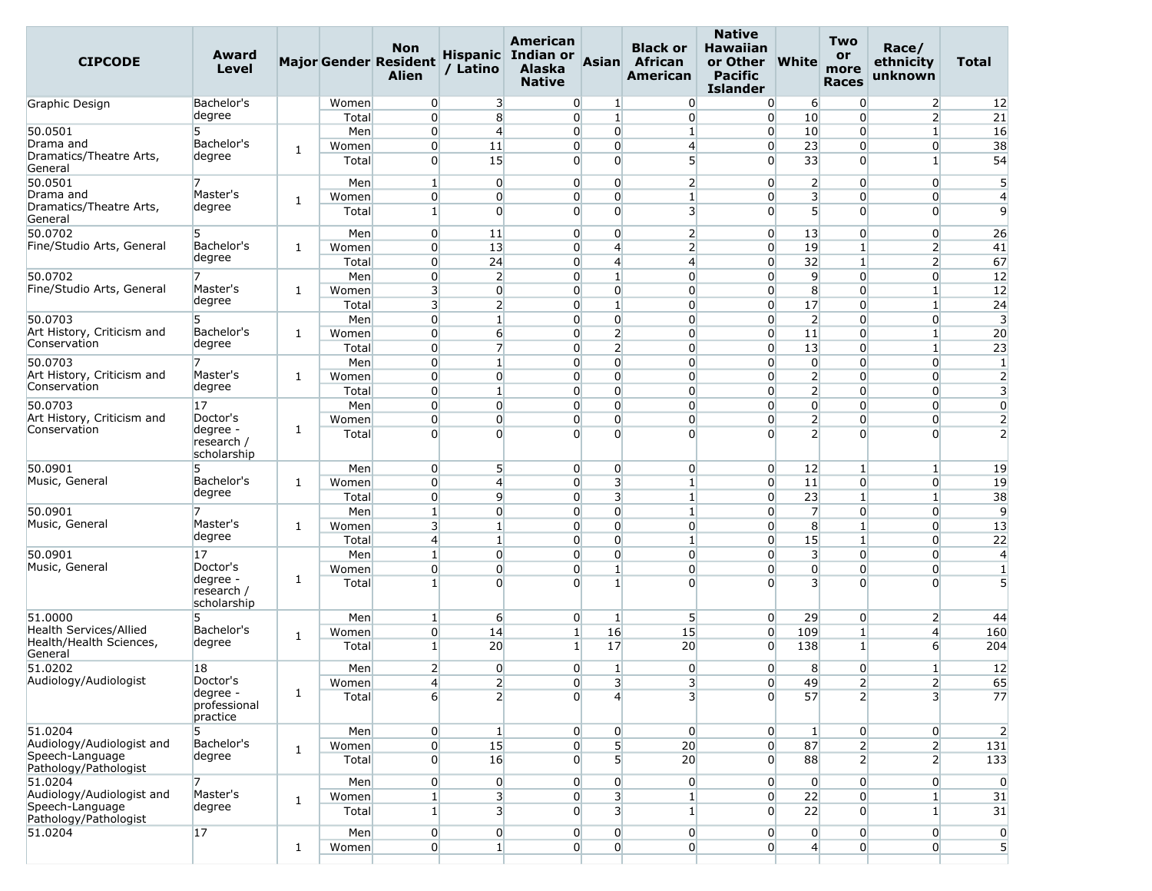| <b>CIPCODE</b>                               | Award<br>Level            |              |                | <b>Non</b><br><b>Major Gender Resident</b><br><b>Alien</b> | / Latino                         | American<br>Hispanic Indian or<br><b>Alaska</b><br><b>Native</b> | <b>Asian</b>                 | <b>Black or</b><br>African<br>American  | <b>Native</b><br><b>Hawaiian</b><br>or Other<br><b>Pacific</b><br><b>Islander</b> | <b>White</b>                              | Two<br>or<br>more<br><b>Races</b> | Race/<br>ethnicity<br>unknown | <b>Total</b>                     |
|----------------------------------------------|---------------------------|--------------|----------------|------------------------------------------------------------|----------------------------------|------------------------------------------------------------------|------------------------------|-----------------------------------------|-----------------------------------------------------------------------------------|-------------------------------------------|-----------------------------------|-------------------------------|----------------------------------|
| Graphic Design                               | Bachelor's                |              | Women          | $\overline{0}$                                             | 3                                | $\overline{0}$                                                   | $\mathbf{1}$                 | $\overline{0}$                          | $\overline{0}$                                                                    | 6                                         | $\overline{0}$                    | $\overline{2}$                | 12                               |
|                                              | degree                    |              | Total          | $\overline{0}$                                             | 8                                | $\Omega$                                                         | $1\overline{ }$              | $\overline{0}$                          | $\overline{0}$                                                                    | 10                                        | $\Omega$                          | $\overline{2}$                | 21                               |
| 50.0501                                      | 5                         |              | Men            | $\overline{0}$                                             | $\overline{4}$                   | $\overline{0}$                                                   | $\overline{0}$               | 1                                       | $\overline{0}$                                                                    | 10                                        | $\overline{0}$                    | $\mathbf{1}$                  | 16                               |
| Drama and<br>Dramatics/Theatre Arts,         | Bachelor's                | 1            | Women          | $\overline{0}$                                             | 11                               | $\overline{0}$                                                   | $\overline{0}$               | $\overline{4}$                          | $\overline{0}$                                                                    | 23                                        | $\overline{0}$                    | $\overline{0}$                | 38                               |
| General                                      | degree                    |              | Total          | $\Omega$                                                   | 15                               | $\overline{0}$                                                   | $\Omega$                     | 5                                       | $\Omega$                                                                          | 33                                        | $\overline{0}$                    | 1                             | 54                               |
| 50.0501<br>Drama and                         | 7<br>Master's             |              | Men            | $\mathbf{1}$                                               | $\overline{0}$                   | $\overline{0}$                                                   | $\Omega$                     | $\overline{2}$                          | $\overline{0}$                                                                    | $\overline{2}$                            | $\overline{0}$                    | $\overline{0}$                | 5                                |
| Dramatics/Theatre Arts,<br>General           | degree                    | $\mathbf{1}$ | Women<br>Total | $\overline{0}$<br>$\mathbf{1}$                             | $\overline{0}$<br>$\overline{0}$ | $\overline{0}$<br>$\Omega$                                       | 0<br>$\Omega$                | $\mathbf{1}$<br>$\overline{\mathbf{3}}$ | $\overline{0}$<br>$\overline{0}$                                                  | 3<br>5 <sup>1</sup>                       | $\Omega$<br>$\overline{0}$        | 0<br>$\overline{0}$           | $\overline{4}$<br>$\overline{9}$ |
| 50.0702                                      | 5                         |              | Men            | $\overline{0}$                                             | 11                               | $\overline{0}$                                                   | $\overline{0}$               | $\overline{2}$                          | $\overline{0}$                                                                    | 13                                        | $\overline{0}$                    | $\overline{0}$                | 26                               |
| Fine/Studio Arts, General                    | Bachelor's                | 1            | Women          | $\overline{0}$                                             | 13                               | $\overline{0}$                                                   | $\overline{4}$               | $\overline{2}$                          | $\overline{0}$                                                                    | 19                                        | $\mathbf{1}$                      | $\overline{2}$                | 41                               |
|                                              | degree                    |              | Total          | $\overline{0}$                                             | 24                               | $\overline{0}$                                                   | 4                            | $\overline{4}$                          | $\overline{0}$                                                                    | 32                                        | $\mathbf{1}$                      | $\overline{2}$                | 67                               |
| 50.0702                                      | 7                         |              | Men            | $\overline{0}$                                             | $\overline{2}$                   | $\overline{0}$                                                   | $\mathbf{1}$                 | $\overline{0}$                          | $\overline{0}$                                                                    | 9                                         | $\overline{0}$                    | $\overline{0}$                | 12                               |
| Fine/Studio Arts, General                    | Master's                  | 1            | Women          | $\overline{3}$                                             | $\overline{0}$                   | $\overline{0}$                                                   | $\overline{0}$               | $\overline{0}$                          | $\overline{0}$                                                                    | 8                                         | $\Omega$                          | $\mathbf{1}$                  | 12                               |
|                                              | degree                    |              | Total          | $\overline{\mathbf{3}}$                                    | 2                                | $\overline{0}$                                                   | $\mathbf{1}$                 | $\overline{0}$                          | $\overline{0}$                                                                    | 17                                        | $\overline{0}$                    | $\mathbf{1}$                  | 24                               |
| 50.0703                                      | 5                         |              | Men            | $\overline{0}$                                             | 1                                | 0                                                                | $\overline{0}$               | $\overline{0}$                          | $\overline{0}$                                                                    | $\overline{2}$                            | $\Omega$                          | $\overline{0}$                | 3                                |
| Art History, Criticism and                   | Bachelor's                | 1            | Women          | $\overline{0}$                                             | $6 \overline{}$                  | $\overline{0}$                                                   | $\overline{2}$               | $\overline{0}$                          | $\overline{0}$                                                                    | 11                                        | $\overline{0}$                    | $\mathbf{1}$                  | 20                               |
| Conservation                                 | degree                    |              | Total          | $\overline{0}$                                             | $\overline{7}$                   | $\Omega$                                                         | $\overline{2}$               | $\overline{0}$                          | $\overline{0}$                                                                    | 13                                        | $\overline{0}$                    | $\mathbf{1}$                  | 23                               |
| 50.0703                                      | 7                         |              | Men            | $\overline{0}$                                             | $\mathbf{1}$                     | $\overline{0}$                                                   | $\Omega$                     | $\overline{0}$                          | $\overline{0}$                                                                    | $\overline{0}$                            | $\overline{0}$                    | $\overline{0}$                | $\mathbf{1}$                     |
| Art History, Criticism and<br>Conservation   | Master's<br>degree        | 1            | Women          | $\overline{0}$                                             | $\overline{0}$                   | $\overline{0}$                                                   | $\overline{0}$               | $\overline{0}$                          | $\overline{0}$                                                                    | $\overline{2}$                            | $\overline{0}$                    | $\overline{0}$                | $\overline{2}$                   |
|                                              |                           |              | Total          | $\overline{0}$                                             | $\mathbf{1}$                     | $\overline{0}$                                                   | $\overline{0}$               | $\overline{0}$                          | $\overline{0}$                                                                    | $\overline{2}$                            | $\overline{0}$                    | $\overline{0}$                | $\overline{3}$                   |
| 50.0703                                      | 17                        |              | Men            | $\overline{0}$                                             | $\overline{0}$                   | $\overline{0}$                                                   | $\Omega$                     | $\overline{0}$                          | $\overline{0}$                                                                    | $\overline{0}$                            | $\overline{0}$                    | $\overline{0}$                | $\overline{0}$                   |
| Art History, Criticism and<br>Conservation   | Doctor's<br>degree -      | 1            | Women          | $\overline{0}$                                             | $\overline{0}$                   | $\overline{0}$                                                   | $\overline{0}$               | $\overline{0}$                          | $\overline{0}$                                                                    | $\overline{2}$                            | $\overline{0}$                    | $\overline{0}$                | $\overline{2}$                   |
|                                              | research /<br>scholarship |              | Total          | $\Omega$                                                   | $\Omega$                         | $\Omega$                                                         | $\Omega$                     | $\overline{0}$                          | $\Omega$                                                                          | $\overline{2}$                            | $\Omega$                          | $\Omega$                      | $\overline{2}$                   |
| 50.0901                                      | 5                         |              | Men            | $\overline{0}$                                             | 5                                | $\overline{0}$                                                   | $\overline{0}$               | $\overline{0}$                          | $\overline{0}$                                                                    | 12                                        | $\mathbf{1}$                      | $\mathbf{1}$                  | 19                               |
| Music, General                               | Bachelor's                | 1            | Women          | $\overline{0}$                                             | $\overline{4}$                   | $\overline{0}$                                                   | 3                            | $\mathbf{1}$                            | $\overline{0}$                                                                    | 11                                        | $\overline{0}$                    | $\overline{0}$                | 19                               |
|                                              | degree                    |              | Total          | $\overline{0}$                                             | 9                                | $\overline{0}$                                                   | 3                            | $\vert$ 1                               | $\overline{0}$                                                                    | 23                                        | $\mathbf{1}$                      | $\mathbf{1}$                  | 38                               |
| 50.0901                                      |                           |              | Men            | $\mathbf{1}$                                               | $\overline{0}$                   | $\overline{0}$                                                   | $\overline{0}$               | 1                                       | $\overline{0}$                                                                    | $\overline{7}$                            | $\overline{0}$                    | $\overline{0}$                | 9                                |
| Music, General                               | Master's<br>degree        | 1            | Women          | $\overline{3}$                                             | $\mathbf{1}$                     | $\overline{0}$                                                   | $\overline{0}$               | $\overline{0}$                          | $\overline{0}$                                                                    | 8                                         | $\mathbf{1}$                      | $\overline{0}$                | 13                               |
|                                              |                           |              | Total          | $\overline{4}$                                             | $\mathbf{1}$                     | $\overline{0}$                                                   | $\Omega$                     | 1                                       | $\overline{0}$                                                                    | 15                                        | $\mathbf{1}$                      | $\overline{0}$                | 22                               |
| 50.0901<br>Music, General                    | 17<br>Doctor's            |              | Men            | $\mathbf{1}$                                               | $\overline{0}$                   | $\overline{0}$                                                   | $\overline{0}$               | $\overline{0}$                          | $\overline{0}$                                                                    | 3                                         | $\overline{0}$                    | 0                             | $\overline{4}$                   |
|                                              | degree -                  | 1            | Women          | $\overline{0}$                                             | $\overline{0}$<br>$\Omega$       | $\overline{0}$                                                   | $\mathbf{1}$<br>$\mathbf{1}$ | $\overline{0}$                          | $\overline{0}$                                                                    | $\overline{0}$<br>$\overline{\mathbf{3}}$ | $\overline{0}$                    | $\overline{0}$                | $\mathbf{1}$                     |
|                                              | research /<br>scholarship |              | Total          | $\mathbf{1}$                                               |                                  | $\Omega$                                                         |                              | $\overline{0}$                          | $\Omega$                                                                          |                                           | $\Omega$                          | $\Omega$                      | 5                                |
| 51.0000                                      | 5                         |              | Men            | $\mathbf{1}$                                               | $6 \overline{}$                  | $\overline{0}$                                                   | $\mathbf{1}$                 | 5                                       | $\overline{0}$                                                                    | 29                                        | $\overline{0}$                    | $\overline{2}$                | 44                               |
| Health Services/Allied                       | Bachelor's                | $\mathbf{1}$ | Women          | $\overline{0}$                                             | 14                               | $\mathbf{1}$                                                     | 16                           | 15                                      | $\overline{0}$                                                                    | 109                                       | $\mathbf{1}$                      | 4                             | 160                              |
| Health/Health Sciences,<br>General           | degree                    |              | Total          | $\mathbf{1}$                                               | 20                               | 1 <sup>1</sup>                                                   | 17                           | 20                                      | $\overline{0}$                                                                    | 138                                       | $\mathbf{1}$                      | 6                             | 204                              |
| 51.0202                                      | 18                        |              | Men            | $\overline{2}$                                             | $\overline{0}$                   | $\overline{0}$                                                   | 1                            | $\overline{0}$                          | $\overline{0}$                                                                    | 8                                         | 0                                 | $\mathbf{1}$                  | 12                               |
| Audiology/Audiologist                        | Doctor's<br>degree -      | $\mathbf{1}$ | Women          | $\vert 4 \vert$                                            | 2                                | $\mathbf{0}$                                                     | 3                            | 3                                       | $\mathbf{0}$                                                                      | 49                                        | $\mathbf{Z}$                      | 2                             | 65                               |
|                                              | professional<br>practice  |              | Total          | $6 \mid$                                                   | $\overline{2}$                   | $\Omega$                                                         | $\overline{4}$               | $\overline{3}$                          | $\overline{0}$                                                                    | 57                                        | $\overline{2}$                    | $\overline{3}$                | 77                               |
| 51.0204                                      | 5                         |              | Men            | $\overline{0}$                                             | $\mathbf{1}$                     | $\overline{0}$                                                   | $\overline{0}$               | $\overline{0}$                          | 0                                                                                 | $\mathbf{1}$                              | $\overline{0}$                    | $\overline{0}$                | $\overline{2}$                   |
| Audiology/Audiologist and<br>Speech-Language | Bachelor's                | $\mathbf{1}$ | Women          | $\overline{0}$                                             | 15                               | $\overline{0}$                                                   | 5 <sup>1</sup>               | 20                                      | $\overline{0}$                                                                    | 87                                        | $\overline{2}$                    | 2                             | 131                              |
| Pathology/Pathologist                        | degree                    |              | Total          | $\overline{0}$                                             | 16                               | $\overline{0}$                                                   | 5 <sup>1</sup>               | 20                                      | $\overline{0}$                                                                    | 88                                        | $\overline{2}$                    | 2                             | 133                              |
| 51.0204                                      | 7                         |              | Men            | $\overline{0}$                                             | $\overline{0}$                   | $\overline{0}$                                                   | $\overline{0}$               | $\overline{0}$                          | $\overline{0}$                                                                    | $\overline{0}$                            | $\overline{0}$                    | $\overline{0}$                | $\overline{0}$                   |
| Audiology/Audiologist and<br>Speech-Language | Master's<br>degree        | 1            | Women          | 1                                                          | $\overline{\mathbf{3}}$          | $\overline{0}$                                                   | $\overline{\mathbf{3}}$      | $\vert$ 1                               | $\overline{0}$                                                                    | 22                                        | $\overline{0}$                    | $1\overline{ }$               | 31                               |
| Pathology/Pathologist                        |                           |              | Total          | $1\vert$                                                   | $\overline{\mathbf{3}}$          | $\overline{0}$                                                   | $\overline{3}$               | $1\vert$                                | $\overline{0}$                                                                    | 22                                        | $\overline{0}$                    | $\mathbf{1}$                  | 31                               |
| 51.0204                                      | $ 17\rangle$              |              | Men            | $\overline{0}$                                             | $\overline{0}$                   | $\overline{0}$                                                   | $\overline{0}$               | $\overline{0}$                          | $\overline{0}$                                                                    | $\overline{0}$                            | $\overline{0}$                    | $\overline{0}$                | $\overline{0}$                   |
|                                              |                           | $\mathbf{1}$ | Women          | $\overline{0}$                                             | $\mathbf{1}$                     | $\overline{0}$                                                   | $\overline{0}$               | $\overline{0}$                          | $\overline{0}$                                                                    | $\mathbf{4}$                              | $\overline{0}$                    | $\overline{0}$                | 5                                |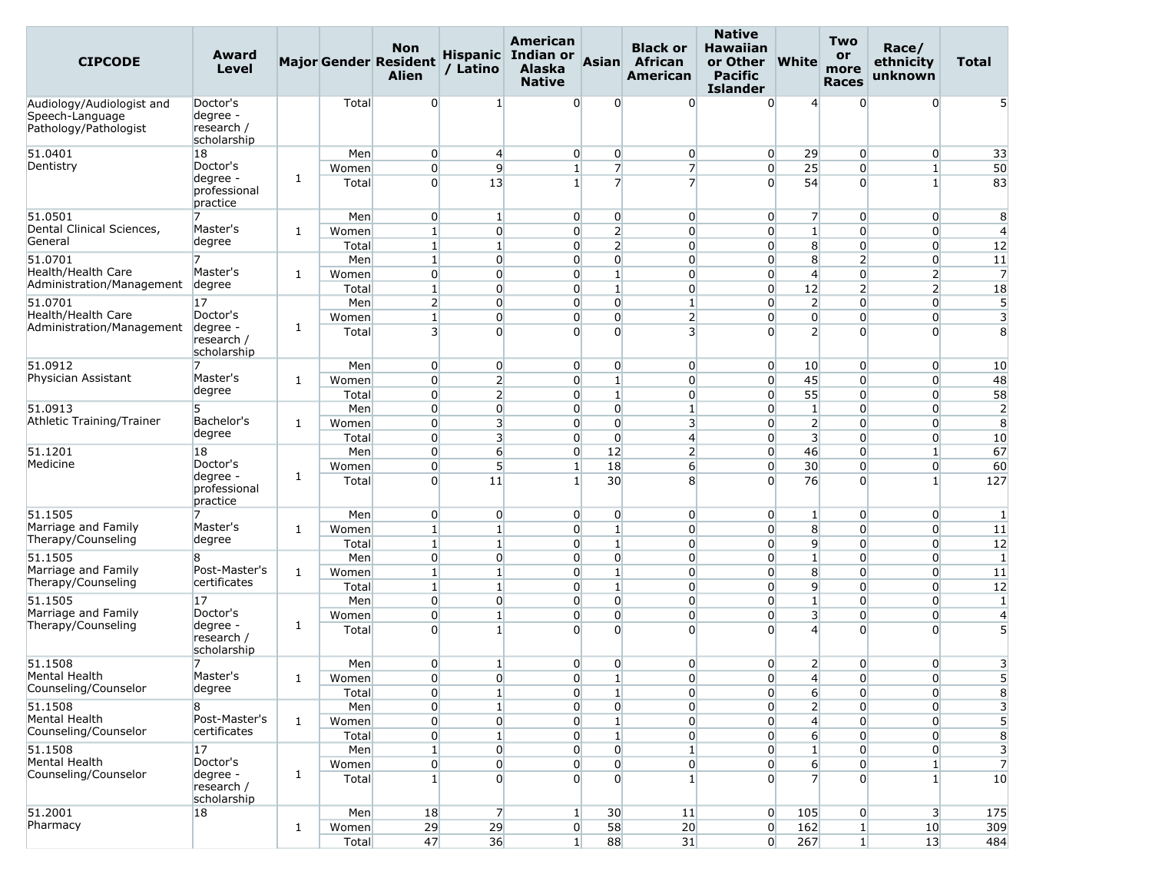| <b>CIPCODE</b>                                                        | Award<br>Level                                    |              |                | <b>Non</b><br><b>Major Gender Resident</b><br><b>Alien</b> | / Latino                         | American<br>Hispanic Indian or<br><b>Alaska</b><br><b>Native</b> | Asian                            | <b>Black or</b><br>African<br><b>American</b> | <b>Native</b><br><b>Hawaiian</b><br>or Other<br><b>Pacific</b><br><b>Islander</b> | <b>White</b>                       | Two<br>or<br>more<br><b>Races</b> | Race/<br>ethnicity<br>unknown     | <b>Total</b>                 |
|-----------------------------------------------------------------------|---------------------------------------------------|--------------|----------------|------------------------------------------------------------|----------------------------------|------------------------------------------------------------------|----------------------------------|-----------------------------------------------|-----------------------------------------------------------------------------------|------------------------------------|-----------------------------------|-----------------------------------|------------------------------|
| Audiology/Audiologist and<br>Speech-Language<br>Pathology/Pathologist | Doctor's<br>degree -<br>research /<br>scholarship |              | Total          | $\overline{0}$                                             | 1                                | $\Omega$                                                         | 0                                | $\overline{0}$                                | $\overline{0}$                                                                    | 4                                  | $\Omega$                          | $\overline{0}$                    |                              |
| 51.0401                                                               | 18                                                |              | Men            | $\overline{0}$                                             | $\overline{4}$                   | $\overline{0}$                                                   | $\overline{0}$                   | $\overline{0}$                                | $\overline{0}$                                                                    | 29                                 | $\overline{0}$                    | $\overline{0}$                    | 33                           |
| Dentistry                                                             | Doctor's<br>degree -<br>professional<br>practice  | 1            | Women<br>Total | $\overline{0}$<br>$\Omega$                                 | 9<br>13                          | $\mathbf{1}$<br>$\mathbf{1}$                                     | $\overline{7}$<br>$\overline{7}$ | $\overline{7}$<br>$\overline{7}$              | $\overline{0}$<br>$\overline{0}$                                                  | 25<br>54                           | $\overline{0}$<br>$\Omega$        | $\mathbf{1}$<br>$\mathbf{1}$      | 50<br>83                     |
| 51.0501                                                               |                                                   |              | Men            | $\overline{0}$                                             | 1                                | $\overline{0}$                                                   | $\overline{0}$                   | $\overline{0}$                                | $\overline{0}$                                                                    | $\overline{7}$                     | $\overline{0}$                    | $\overline{0}$                    | 8                            |
| Dental Clinical Sciences,<br>General                                  | Master's<br>degree                                | 1            | Women          | $\mathbf{1}$                                               | $\overline{0}$                   | $\overline{0}$                                                   | $\overline{2}$                   | $\overline{0}$                                | $\overline{0}$                                                                    | $\mathbf{1}$                       | $\overline{0}$                    | $\overline{0}$                    | $\overline{4}$               |
|                                                                       |                                                   |              | Total          | $\mathbf{1}$                                               | $\mathbf{1}$                     | $\overline{0}$                                                   | $\overline{2}$                   | $\overline{0}$                                | $\overline{0}$                                                                    | 8 <sup>1</sup>                     | $\overline{0}$                    | $\overline{0}$                    | 12                           |
| 51.0701<br>Health/Health Care                                         | 7<br>Master's                                     | 1            | Men<br>Women   | $\mathbf{1}$<br>$\overline{0}$                             | $\overline{0}$<br>$\overline{0}$ | $\overline{0}$<br>$\overline{0}$                                 | $\overline{0}$<br>$\mathbf{1}$   | $\overline{0}$<br>$\overline{0}$              | $\overline{0}$<br>$\overline{0}$                                                  | 8<br>$\overline{4}$                | 2<br>$\overline{0}$               | $\overline{0}$<br>$\overline{2}$  | 11<br>$\overline{7}$         |
| Administration/Management                                             | degree                                            |              | Total          | $\mathbf{1}$                                               | $\overline{0}$                   | $\overline{0}$                                                   | $\mathbf{1}$                     | $\overline{0}$                                | $\overline{0}$                                                                    | 12                                 | 2                                 | $\overline{2}$                    | 18                           |
| 51.0701                                                               | 17                                                |              | Men            | $\overline{2}$                                             | $\overline{0}$                   | $\overline{0}$                                                   | $\overline{0}$                   | $\mathbf{1}$                                  | $\overline{0}$                                                                    | $\overline{2}$                     | $\overline{0}$                    | $\overline{0}$                    | 5                            |
| <b>Health/Health Care</b>                                             | Doctor's                                          |              | Women          | $\mathbf{1}$                                               | $\overline{0}$                   | $\overline{0}$                                                   | $\overline{0}$                   | $\overline{2}$                                | $\overline{0}$                                                                    | $\overline{0}$                     | $\overline{0}$                    | $\overline{0}$                    | 3                            |
| Administration/Management                                             | degree -<br>research /<br>scholarship             | 1            | Total          | $\overline{\mathbf{3}}$                                    | $\Omega$                         | $\Omega$                                                         | $\Omega$                         | $\overline{3}$                                | $\Omega$                                                                          | $\overline{2}$                     | $\Omega$                          | $\Omega$                          | 8                            |
| 51.0912                                                               |                                                   |              | Men            | $\overline{0}$                                             | $\overline{0}$                   | $\overline{0}$                                                   | $\overline{0}$                   | $\overline{0}$                                | $\overline{0}$                                                                    | 10                                 | $\overline{0}$                    | $\overline{0}$                    | 10                           |
| Physician Assistant                                                   | Master's                                          | 1            | Women          | $\overline{0}$                                             | $\overline{2}$                   | $\overline{0}$                                                   | $1\overline{ }$                  | $\overline{0}$                                | $\overline{0}$                                                                    | 45                                 | $\Omega$                          | $\overline{0}$                    | 48                           |
|                                                                       | degree                                            |              | Total          | $\overline{0}$                                             | $\overline{2}$                   | $\overline{0}$                                                   | $\mathbf{1}$                     | $\overline{0}$                                | $\overline{0}$                                                                    | 55                                 | $\overline{0}$                    | $\overline{0}$                    | 58                           |
| 51.0913                                                               | 5<br>Bachelor's                                   |              | Men            | $\overline{0}$                                             | $\overline{0}$                   | $\overline{0}$                                                   | $\overline{0}$                   | $\mathbf{1}$                                  | $\overline{0}$                                                                    | $\vert$ 1                          | $\overline{0}$                    | $\overline{0}$                    | $\overline{2}$               |
| Athletic Training/Trainer                                             | degree                                            | 1            | Women          | $\overline{0}$                                             | 3                                | $\overline{0}$                                                   | $\overline{0}$                   | $\overline{\mathbf{3}}$                       | $\overline{0}$                                                                    | $\overline{2}$                     | $\overline{0}$                    | $\overline{0}$                    | 8                            |
| 51.1201                                                               | 18                                                |              | Total<br>Men   | $\overline{0}$<br>$\overline{0}$                           | $\overline{3}$<br>6              | $\overline{0}$<br>$\overline{0}$                                 | $\overline{0}$<br>12             | $\overline{4}$<br>$\overline{2}$              | $\overline{0}$<br>$\overline{0}$                                                  | $\overline{\mathbf{3}}$<br>46      | $\overline{0}$<br>$\overline{0}$  | $\overline{0}$<br>$1\overline{ }$ | 10<br>67                     |
| Medicine                                                              | Doctor's                                          |              | Women          | $\overline{0}$                                             | $5\overline{)}$                  | 1 <sup>1</sup>                                                   | 18                               | 6                                             | $\overline{0}$                                                                    | 30 <sup>°</sup>                    | $\overline{0}$                    | $\overline{0}$                    | 60                           |
|                                                                       | degree -<br>professional<br>practice              | 1            | Total          | $\overline{0}$                                             | 11                               | $\mathbf{1}$                                                     | 30                               | 8 <sup>°</sup>                                | $\Omega$                                                                          | 76                                 | $\Omega$                          | $\mathbf{1}$                      | 127                          |
| 51.1505                                                               |                                                   |              | Men            | $\overline{0}$                                             | $\overline{0}$                   | $\overline{0}$                                                   | $\overline{0}$                   | $\overline{0}$                                | $\overline{0}$                                                                    | $\vert$ 1                          | $\overline{0}$                    | $\overline{0}$                    | 1                            |
| Marriage and Family<br>Therapy/Counseling                             | Master's                                          | 1            | Women          | $\mathbf{1}$                                               | $\mathbf{1}$                     | $\Omega$                                                         | $1\overline{ }$                  | $\overline{0}$                                | $\overline{0}$                                                                    | 8                                  | $\Omega$                          | $\overline{0}$                    | 11                           |
|                                                                       | degree                                            |              | Total          | $\mathbf{1}$                                               | $\mathbf{1}$                     | $\overline{0}$                                                   | $\mathbf{1}$                     | $\overline{0}$                                | $\overline{0}$                                                                    | 9                                  | $\overline{0}$                    | $\overline{0}$                    | 12                           |
| 51.1505<br>Marriage and Family                                        | 8<br>Post-Master's                                |              | Men            | $\overline{0}$                                             | $\overline{0}$                   | $\overline{0}$                                                   | $\overline{0}$                   | $\overline{0}$                                | $\overline{0}$                                                                    | $\mathbf{1}$                       | $\Omega$                          | $\overline{0}$                    | -1                           |
| Therapy/Counseling                                                    | certificates                                      | 1            | Women          | $\mathbf{1}$<br>$\mathbf{1}$                               | $\mathbf{1}$<br>$\mathbf{1}$     | $\overline{0}$<br>$\overline{0}$                                 | $\mathbf{1}$<br>$\mathbf{1}$     | $\overline{0}$<br>$\overline{0}$              | $\overline{0}$<br>$\overline{0}$                                                  | 8<br>$\overline{9}$                | $\Omega$<br>$\overline{0}$        | $\overline{0}$<br>$\overline{0}$  | 11<br>12                     |
| 51.1505                                                               | 17                                                |              | Total<br>Men   | $\overline{0}$                                             | $\overline{0}$                   | $\overline{0}$                                                   | $\overline{0}$                   | $\overline{0}$                                | $\overline{0}$                                                                    | $\mathbf{1}$                       | $\overline{0}$                    | $\overline{0}$                    | -1                           |
| Marriage and Family                                                   | Doctor's                                          |              | Women          | $\overline{0}$                                             | $\mathbf{1}$                     | $\overline{0}$                                                   | $\overline{0}$                   | $\overline{0}$                                | $\overline{0}$                                                                    | $\overline{\mathbf{3}}$            | $\overline{0}$                    | $\overline{0}$                    | $\overline{4}$               |
| Therapy/Counseling                                                    | degree -<br>research /<br>scholarship             | 1            | Total          | $\Omega$                                                   | 1                                | $\Omega$                                                         | $\Omega$                         | $\Omega$                                      | $\overline{0}$                                                                    | $\overline{4}$                     | $\Omega$                          | $\Omega$                          | 5                            |
| 51.1508                                                               | 7                                                 |              | Men            | $\overline{0}$                                             | 1                                | $\overline{0}$                                                   | $\overline{0}$                   | $\overline{0}$                                | $\overline{0}$                                                                    | $\overline{2}$                     | $\overline{0}$                    | $\overline{0}$                    | 3                            |
| Mental Health<br>Counseling/Counselor                                 | Master's<br>degree                                | 1            | Women          | $\Omega$                                                   | $\Omega$                         | $\Omega$                                                         | 1 <sup>1</sup>                   | $\Omega$                                      | $\Omega$                                                                          | $\overline{4}$                     | $\Omega$                          | $\Omega$                          | 5                            |
| 51.1508                                                               | 8                                                 |              | Total<br>Men   | $\boldsymbol{0}$<br>$\overline{0}$                         | $\mathbf{1}$<br>1 <sup>1</sup>   | $\overline{0}$<br>$\overline{0}$                                 | $\mathbf{1}$<br>$\overline{0}$   | $\overline{0}$<br>$\overline{0}$              | $\overline{0}$<br>$\overline{0}$                                                  | $6 \overline{6}$<br>$\overline{2}$ | $\overline{0}$<br>$\overline{0}$  | $\overline{0}$<br>$\overline{0}$  | 8<br>$\overline{\mathbf{3}}$ |
| Mental Health                                                         | Post-Master's                                     | $\mathbf{1}$ | Women          | $\overline{0}$                                             | $\overline{0}$                   | $\overline{0}$                                                   | 1 <sup>1</sup>                   | $\overline{0}$                                | $\overline{0}$                                                                    | $\overline{4}$                     | $\overline{0}$                    | $\overline{0}$                    | 5 <sup>5</sup>               |
| Counseling/Counselor                                                  | certificates                                      |              | Total          | $\boldsymbol{0}$                                           | $\mathbf{1}$                     | $\overline{0}$                                                   | $\mathbf{1}$                     | $\overline{0}$                                | $\overline{0}$                                                                    | $6 \overline{6}$                   | $\overline{0}$                    | $\overline{0}$                    | 8                            |
| 51.1508                                                               | 17                                                |              | Men            | $\mathbf{1}$                                               | $\overline{0}$                   | $\overline{0}$                                                   | $\overline{0}$                   | $\mathbf{1}$                                  | $\overline{0}$                                                                    | $\mathbf{1}$                       | $\overline{0}$                    | $\overline{0}$                    | $\overline{\mathbf{3}}$      |
| Mental Health                                                         | Doctor's                                          |              | Women          | $\overline{0}$                                             | $\overline{0}$                   | $\overline{0}$                                                   | $\overline{0}$                   | $\overline{0}$                                | $\overline{0}$                                                                    | $6 \overline{6}$                   | $\overline{0}$                    | $1\vert$                          | $\overline{7}$               |
| Counseling/Counselor                                                  | degree -<br>research /<br>scholarship             | 1            | Total          | $1\vert$                                                   | $\overline{0}$                   | $\overline{0}$                                                   | $\Omega$                         | $\mathbf{1}$                                  | $\overline{0}$                                                                    | $\overline{7}$                     | $\overline{0}$                    | 1 <sup>1</sup>                    | 10                           |
| 51.2001                                                               | 18                                                |              | Men            | 18                                                         | $\overline{7}$                   | $1\vert$                                                         | 30                               | 11                                            | $\overline{0}$                                                                    | 105                                | $\overline{0}$                    | 3 <sup>l</sup>                    | 175                          |
| Pharmacy                                                              |                                                   | $\mathbf{1}$ | Women          | 29                                                         | 29                               | $\overline{0}$                                                   | 58                               | 20                                            | $\overline{0}$                                                                    | 162                                | $1\vert$                          | 10                                | 309                          |
|                                                                       |                                                   |              | Total          | 47                                                         | 36                               | $1\vert$                                                         | 88                               | 31                                            | 0                                                                                 | 267                                | $1\vert$                          | 13                                | 484                          |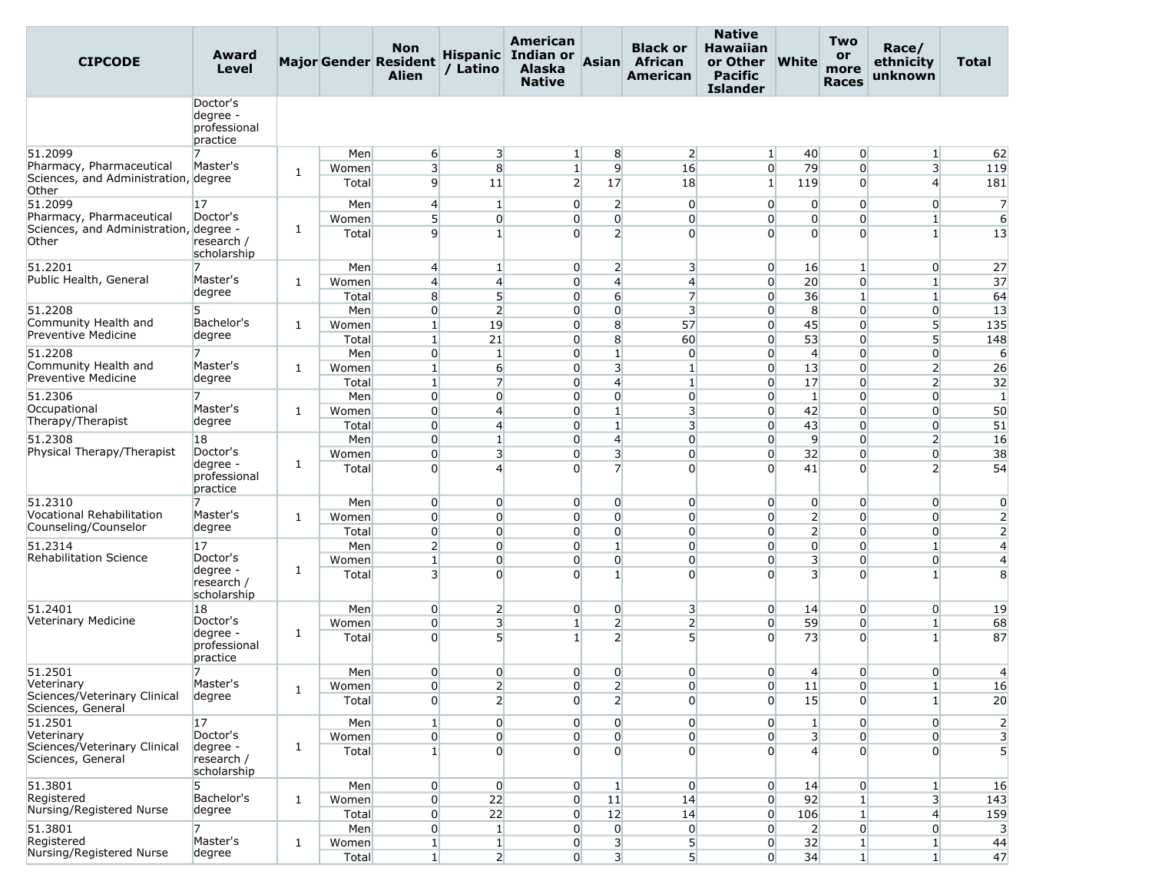| <b>CIPCODE</b>                                    | Award<br>Level                                   |   |                | <b>Non</b><br><b>Major Gender Resident</b><br><b>Alien</b> | / Latino                          | American<br>Hispanic Indian or<br><b>Alaska</b><br><b>Native</b> | Asian                            | <b>Black or</b><br><b>African</b><br><b>American</b> | <b>Native</b><br><b>Hawaiian</b><br>or Other<br><b>Pacific</b><br><b>Islander</b> | <b>White</b>                     | <b>Two</b><br>or<br>more<br><b>Races</b> | Race/<br>ethnicity<br>unknown    | Total                   |
|---------------------------------------------------|--------------------------------------------------|---|----------------|------------------------------------------------------------|-----------------------------------|------------------------------------------------------------------|----------------------------------|------------------------------------------------------|-----------------------------------------------------------------------------------|----------------------------------|------------------------------------------|----------------------------------|-------------------------|
|                                                   | Doctor's<br>degree -<br>professional<br>practice |   |                |                                                            |                                   |                                                                  |                                  |                                                      |                                                                                   |                                  |                                          |                                  |                         |
| 51.2099                                           | 7                                                |   | Men            | 6                                                          | 3                                 | $1\vert$                                                         | 8                                | $\overline{2}$                                       | $\vert$ 1                                                                         | 40                               | $\overline{0}$                           | $\mathbf{1}$                     | 62                      |
| Pharmacy, Pharmaceutical                          | Master's                                         | 1 | Women          | $\overline{\mathbf{3}}$                                    | 8                                 | $1\vert$                                                         | 9                                | 16                                                   | $\overline{0}$                                                                    | 79                               | $\overline{0}$                           | $\overline{\mathbf{3}}$          | 119                     |
| Sciences, and Administration, degree<br>Other     |                                                  |   | Total          | $\overline{9}$                                             | 11                                | $\overline{2}$                                                   | 17                               | 18                                                   | $1\vert$                                                                          | 119                              | $\Omega$                                 | $\overline{4}$                   | 181                     |
| 51.2099<br>Pharmacy, Pharmaceutical               | 17<br>Doctor's                                   |   | Men            | $\overline{4}$                                             | $\mathbf{1}$                      | $\overline{0}$                                                   | $\overline{2}$                   | $\overline{0}$                                       | $\overline{0}$                                                                    | $\overline{0}$                   | $\overline{0}$                           | $\overline{0}$                   | $\overline{7}$          |
| Sciences, and Administration, degree -<br>Other   | research /<br>scholarship                        | 1 | Women<br>Total | 5 <sup>1</sup><br>$\overline{9}$                           | $\overline{0}$<br>$1\overline{ }$ | $\overline{0}$<br>$\Omega$                                       | $\overline{0}$<br>$\overline{2}$ | $\overline{0}$<br>$\Omega$                           | $\overline{0}$<br>$\Omega$                                                        | $\overline{0}$<br>$\overline{0}$ | $\overline{0}$<br>$\Omega$               | $1\overline{ }$<br>$\mathbf{1}$  | $6 \overline{}$<br>13   |
| 51.2201                                           |                                                  |   | Men            | $\overline{4}$                                             | 1                                 | $\overline{0}$                                                   | $\overline{2}$                   | $\overline{\mathbf{3}}$                              | $\overline{0}$                                                                    | 16                               | $\mathbf{1}$                             | $\overline{0}$                   | 27                      |
| Public Health, General                            | Master's                                         | 1 | Women          | $\overline{4}$                                             | $\overline{4}$                    | $\overline{0}$                                                   | $\overline{4}$                   | $\overline{4}$                                       | $\overline{0}$                                                                    | 20                               | $\overline{0}$                           | $\mathbf{1}$                     | 37                      |
|                                                   | degree                                           |   | Total          | 8                                                          | 5 <sup>1</sup>                    | $\overline{0}$                                                   | $6 \overline{6}$                 | $\overline{7}$                                       | $\overline{0}$                                                                    | 36                               | $\mathbf{1}$                             | $\mathbf{1}$                     | 64                      |
| 51.2208                                           | 5                                                |   | Men            | $\overline{0}$                                             | $\overline{2}$                    | $\overline{0}$                                                   | $\overline{0}$                   | $\overline{\mathbf{3}}$                              | $\overline{0}$                                                                    | 8                                | $\overline{0}$                           | $\overline{0}$                   | 13                      |
| Community Health and                              | Bachelor's                                       | 1 | Women          | $\mathbf{1}$                                               | 19                                | $\overline{0}$                                                   | 8                                | 57                                                   | $\overline{0}$                                                                    | 45                               | $\overline{0}$                           | $5\overline{)}$                  | 135                     |
| <b>Preventive Medicine</b>                        | degree                                           |   | Total          | $1\vert$                                                   | 21                                | $\overline{0}$                                                   | 8                                | 60                                                   | $\overline{0}$                                                                    | 53                               | $\overline{0}$                           | $5\overline{)}$                  | 148                     |
| 51.2208                                           |                                                  |   | Men            | $\overline{0}$                                             | $\mathbf{1}$                      | $\overline{0}$                                                   | $\mathbf{1}$                     | $\overline{0}$                                       | $\overline{0}$                                                                    | $\overline{4}$                   | $\Omega$                                 | $\overline{0}$                   | 6                       |
| Community Health and<br>Preventive Medicine       | Master's                                         | 1 | Women          | $\mathbf{1}$                                               | $6 \overline{}$                   | $\overline{0}$                                                   | $\overline{\mathbf{3}}$          | $\mathbf{1}$                                         | $\overline{0}$                                                                    | 13                               | $\overline{0}$                           | $\overline{2}$                   | 26                      |
|                                                   | degree                                           |   | Total          | $\mathbf{1}$                                               | $\overline{7}$                    | $\overline{0}$                                                   | $\overline{4}$                   | $\mathbf{1}$                                         | $\overline{0}$                                                                    | 17                               | $\overline{0}$                           | $\overline{2}$                   | 32                      |
| 51.2306<br>Occupational                           | Master's                                         |   | Men            | $\overline{0}$                                             | $\overline{0}$                    | $\overline{0}$                                                   | $\overline{0}$                   | $\overline{0}$                                       | $\overline{0}$                                                                    | $\vert$ 1                        | $\overline{0}$                           | $\overline{0}$                   | $\mathbf{1}$            |
| Therapy/Therapist                                 | degree                                           | 1 | Women          | $\overline{0}$<br>$\overline{0}$                           | $\overline{4}$<br>$\overline{4}$  | $\overline{0}$                                                   | $\mathbf{1}$                     | 3                                                    | $\overline{0}$                                                                    | 42                               | $\overline{0}$                           | $\overline{0}$                   | 50                      |
| 51.2308                                           | 18                                               |   | Total<br>Men   | $\overline{0}$                                             | $1\vert$                          | $\Omega$<br>$\overline{0}$                                       | $\mathbf{1}$<br>$\overline{4}$   | $\overline{\mathbf{3}}$<br>$\overline{0}$            | $\overline{0}$<br>$\overline{0}$                                                  | 43<br>9                          | $\overline{0}$<br>$\overline{0}$         | $\overline{0}$<br>$\overline{2}$ | 51<br>16                |
| Physical Therapy/Therapist                        | Doctor's                                         |   | Women          | $\overline{0}$                                             | $\overline{\mathbf{3}}$           | $\overline{0}$                                                   | 3                                | $\overline{0}$                                       | $\overline{0}$                                                                    | 32                               | $\overline{0}$                           | $\overline{0}$                   | 38                      |
|                                                   | degree -<br>professional<br>practice             | 1 | Total          | $\Omega$                                                   | $\overline{4}$                    | $\Omega$                                                         | 7                                | $\overline{0}$                                       | $\Omega$                                                                          | 41                               | $\Omega$                                 | $\overline{2}$                   | 54                      |
| 51.2310                                           | 7                                                |   | Men            | $\overline{0}$                                             | $\overline{0}$                    | $\overline{0}$                                                   | $\overline{0}$                   | $\overline{0}$                                       | $\overline{0}$                                                                    | $\overline{0}$                   | $\overline{0}$                           | $\overline{0}$                   | $\overline{0}$          |
| Vocational Rehabilitation                         | Master's                                         | 1 | Women          | $\overline{0}$                                             | $\overline{0}$                    | $\overline{0}$                                                   | $\overline{0}$                   | $\overline{0}$                                       | $\overline{0}$                                                                    | $\overline{2}$                   | $\overline{0}$                           | $\overline{0}$                   | $\overline{2}$          |
| Counseling/Counselor                              | degree                                           |   | Total          | $\overline{0}$                                             | $\overline{0}$                    | $\overline{0}$                                                   | $\overline{0}$                   | $\overline{0}$                                       | $\overline{0}$                                                                    | 2 <sup>1</sup>                   | $\overline{0}$                           | $\overline{0}$                   | $\overline{2}$          |
| 51.2314                                           | 17                                               |   | Men            | $\overline{2}$                                             | $\overline{0}$                    | $\overline{0}$                                                   | $1\overline{ }$                  | $\overline{0}$                                       | $\overline{0}$                                                                    | $\overline{0}$                   | $\overline{0}$                           | $\mathbf{1}$                     | $\overline{4}$          |
| <b>Rehabilitation Science</b>                     | Doctor's<br>degree -                             | 1 | Women          | $\mathbf{1}$                                               | $\overline{0}$                    | $\overline{0}$                                                   | $\overline{0}$                   | $\overline{0}$                                       | $\overline{0}$                                                                    | 3                                | $\overline{0}$                           | $\overline{0}$                   | $\overline{4}$          |
|                                                   | research /<br>scholarship                        |   | Total          | $\overline{3}$                                             | $\Omega$                          | $\Omega$                                                         | $1\vert$                         | $\overline{0}$                                       | $\Omega$                                                                          | $\overline{3}$                   | $\overline{0}$                           | $\mathbf{1}$                     | 8                       |
| 51.2401                                           | 18                                               |   | Men            | $\overline{0}$                                             | $\overline{2}$                    | $\overline{0}$                                                   | $\overline{0}$                   | $\overline{\mathbf{3}}$                              | $\overline{0}$                                                                    | 14                               | $\overline{0}$                           | $\overline{0}$                   | 19                      |
| Veterinary Medicine                               | Doctor's                                         |   | Women          | $\overline{0}$                                             | $\overline{\mathbf{3}}$           | 1 <sup>1</sup>                                                   | $\overline{2}$                   | 2                                                    | $\overline{0}$                                                                    | 59                               | $\overline{0}$                           | $\mathbf{1}$                     | 68                      |
|                                                   | degree -<br>professional<br>practice             | 1 | Total          | $\Omega$                                                   | 5 <sup>1</sup>                    | $\mathbf{1}$                                                     | $\overline{2}$                   | 5 <sup>1</sup>                                       | $\overline{0}$                                                                    | 73                               | $\overline{0}$                           | $\mathbf{1}$                     | 87                      |
| 51.2501                                           | 7                                                |   | Men            | $\overline{0}$                                             | $\overline{0}$                    | $\overline{0}$                                                   | $\overline{0}$                   | $\overline{0}$                                       | $\overline{0}$                                                                    | 4                                | $\overline{0}$                           | $\overline{0}$                   | $\overline{4}$          |
| Veterinary                                        | Master's                                         | 1 | Women          | $\overline{0}$                                             | $\overline{2}$                    | $\overline{0}$                                                   | $\mathbf{Z}$                     | $\overline{0}$                                       | $\overline{0}$                                                                    | 11                               | $\overline{0}$                           | $\mathbf{1}$                     | 16                      |
| Sciences/Veterinary Clinical<br>Sciences, General | degree                                           |   | Total          | $\overline{0}$                                             | $\overline{2}$                    | $\overline{0}$                                                   | $\overline{2}$                   | $\overline{0}$                                       | $\overline{0}$                                                                    | 15                               | $\Omega$                                 | 1                                | 20                      |
| 51.2501<br>Veterinary                             | 17<br>Doctor's                                   |   | Men            | $1\vert$                                                   | $\overline{0}$                    | $\overline{0}$                                                   | $\overline{0}$                   | $\overline{0}$                                       | $\overline{0}$                                                                    | $\mathbf{1}$                     | $\overline{0}$                           | $\overline{0}$                   | $\overline{2}$          |
| Sciences/Veterinary Clinical                      | degree -                                         | 1 | Women          | $\overline{0}$                                             | $\overline{0}$                    | $\overline{0}$<br>$\overline{0}$                                 | $\overline{0}$<br>$\Omega$       | $\overline{0}$                                       | $\overline{0}$                                                                    | 3 <sup>1</sup><br>$\overline{4}$ | $\overline{0}$<br>$\overline{0}$         | $\overline{0}$<br>$\overline{0}$ | $\overline{\mathbf{3}}$ |
| Sciences, General                                 | research /<br>scholarship                        |   | Total          | 1 <sup>1</sup>                                             | $\overline{0}$                    |                                                                  |                                  | $\overline{0}$                                       | $\overline{0}$                                                                    |                                  |                                          |                                  | 5                       |
| 51.3801                                           | 5                                                |   | Men            | $\overline{0}$                                             | $\overline{0}$                    | $\overline{0}$                                                   | $\mathbf{1}$                     | $\overline{0}$                                       | $\overline{0}$                                                                    | 14                               | $\overline{0}$                           | $\mathbf{1}$                     | 16                      |
| Registered<br>Nursing/Registered Nurse            | Bachelor's                                       | 1 | Women          | $\overline{0}$                                             | 22                                | $\overline{0}$                                                   | 11                               | 14                                                   | $\overline{0}$                                                                    | 92                               | $\mathbf{1}$                             | 3                                | 143                     |
|                                                   | degree                                           |   | Total          | $\overline{0}$                                             | 22                                | $\overline{0}$                                                   | 12                               | 14                                                   | $\overline{0}$                                                                    | 106                              | $\mathbf{1}$                             | $\overline{4}$                   | 159                     |
| 51.3801                                           | 7                                                |   | Men            | $\overline{0}$                                             | $\vert$ 1                         | $\overline{0}$                                                   | $\overline{0}$                   | $\overline{0}$                                       | $\overline{0}$                                                                    | $\overline{2}$                   | $\overline{0}$                           | $\overline{0}$                   | $\overline{3}$          |
| Registered<br>Nursing/Registered Nurse            | Master's<br>degree                               | 1 | Women          | 1 <sup>1</sup>                                             | $\mathbf{1}$                      | $\overline{0}$                                                   | 3                                | 5                                                    | $\overline{0}$                                                                    | 32                               | $\mathbf{1}$                             | $\mathbf{1}$                     | 44                      |
|                                                   |                                                  |   | Total          | $1\vert$                                                   | $\overline{2}$                    | $\overline{0}$                                                   | $\overline{\mathbf{3}}$          | 5 <sup>1</sup>                                       | $\overline{0}$                                                                    | 34                               | $\mathbf{1}$                             | $\mathbf{1}$                     | 47                      |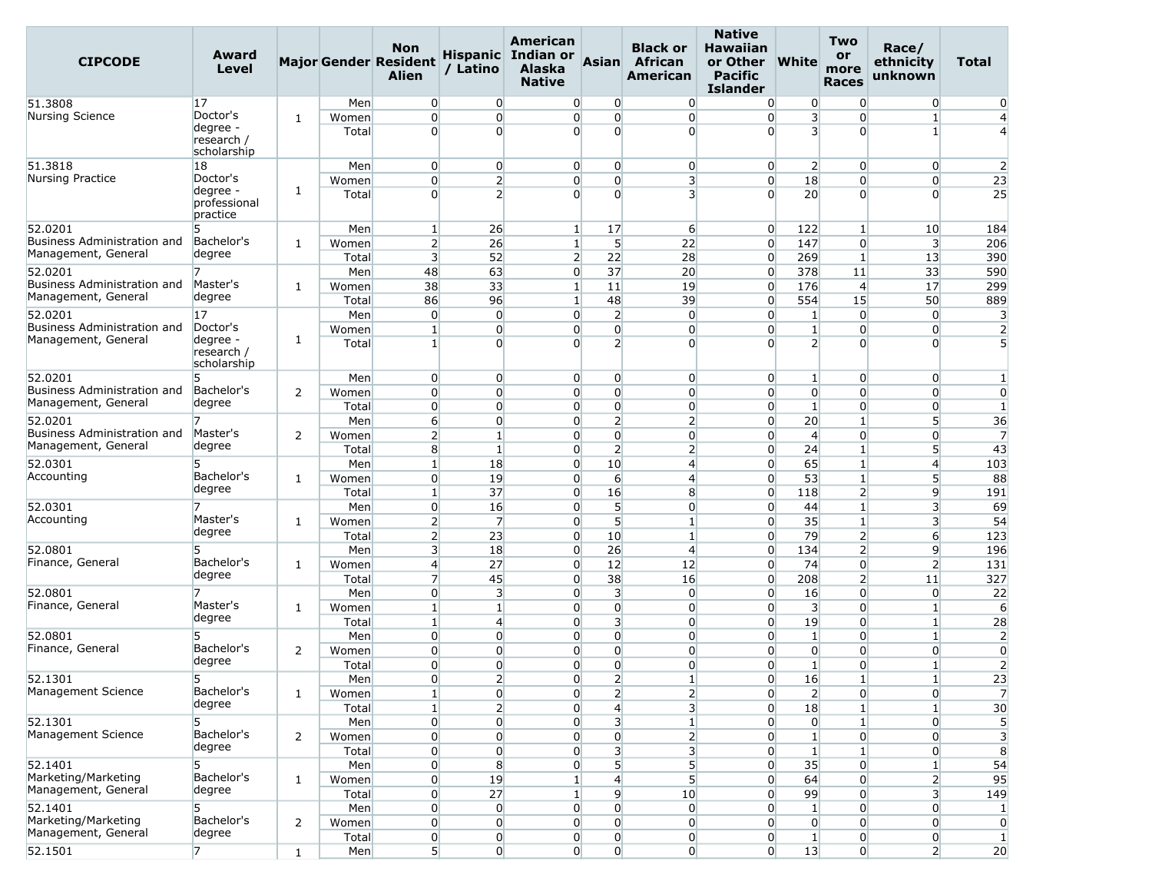| <b>CIPCODE</b>                                     | Award<br>Level                                    |   |                | <b>Non</b><br><b>Major Gender Resident</b><br><b>Alien</b> | / Latino                         | American<br><b>Hispanic</b> Indian or<br><b>Alaska</b><br><b>Native</b> | Asian                            | <b>Black or</b><br>African<br>American | <b>Native</b><br><b>Hawaiian</b><br>or Other<br><b>Pacific</b><br><b>Islander</b> | <b>White</b>                   | <b>Two</b><br>or<br>more<br><b>Races</b> | Race/<br>ethnicity<br>unknown | <b>Total</b>                     |
|----------------------------------------------------|---------------------------------------------------|---|----------------|------------------------------------------------------------|----------------------------------|-------------------------------------------------------------------------|----------------------------------|----------------------------------------|-----------------------------------------------------------------------------------|--------------------------------|------------------------------------------|-------------------------------|----------------------------------|
| 51.3808                                            | 17                                                |   | Men            | $\overline{0}$                                             | $\overline{0}$                   | $\overline{0}$                                                          | 0                                | $\overline{0}$                         | $\overline{0}$                                                                    | 0                              | $\overline{0}$                           | $\overline{0}$                | $\mathbf{0}$                     |
| Nursing Science                                    | Doctor's                                          | 1 | Women          | $\overline{0}$                                             | $\overline{0}$                   | $\overline{0}$                                                          | $\overline{0}$                   | $\overline{0}$                         | $\overline{0}$                                                                    | $\overline{\mathbf{3}}$        | $\overline{0}$                           | $\mathbf{1}$                  | $\overline{4}$                   |
|                                                    | degree -<br>research /<br>scholarship             |   | Total          | $\Omega$                                                   | $\Omega$                         | $\Omega$                                                                | $\Omega$                         | $\overline{0}$                         | $\Omega$                                                                          | $\overline{\mathbf{3}}$        | $\Omega$                                 | 1                             | $\overline{4}$                   |
| 51.3818                                            | 18                                                |   | Men            | $\overline{0}$                                             | $\overline{0}$                   | $\overline{0}$                                                          | $\overline{0}$                   | $\overline{0}$                         | $\overline{0}$                                                                    | $\overline{2}$                 | $\overline{0}$                           | $\overline{0}$                | $\overline{2}$                   |
| Nursing Practice                                   | Doctor's<br>degree -                              |   | Women          | $\overline{0}$                                             | $\overline{2}$                   | $\overline{0}$                                                          | $\overline{0}$                   | 3                                      | $\overline{0}$                                                                    | 18                             | $\Omega$                                 | $\overline{0}$                | 23                               |
|                                                    | professional<br>practice                          | 1 | Total          | $\Omega$                                                   | $\overline{2}$                   | $\Omega$                                                                | $\Omega$                         | $\overline{\mathbf{3}}$                | $\Omega$                                                                          | 20                             | $\Omega$                                 | $\Omega$                      | 25                               |
| 52.0201                                            | 5                                                 |   | Men            | $\mathbf{1}$                                               | 26                               | $\mathbf{1}$                                                            | 17                               | 6                                      | $\overline{0}$                                                                    | 122                            | $\mathbf{1}$                             | 10                            | 184                              |
| Business Administration and                        | Bachelor's                                        | 1 | Women          | $\overline{2}$                                             | 26                               | 1 <sup>1</sup>                                                          | 5                                | 22                                     | $\overline{0}$                                                                    | 147                            | $\overline{0}$                           | $\overline{\mathbf{3}}$       | 206                              |
| Management, General                                | degree                                            |   | Total          | $\overline{\mathbf{3}}$                                    | 52                               | $\overline{2}$                                                          | 22                               | 28                                     | $\overline{0}$                                                                    | 269                            | 1                                        | 13                            | 390                              |
| 52.0201                                            |                                                   |   | Men            | 48                                                         | 63                               | $\overline{0}$                                                          | 37                               | 20                                     | $\overline{0}$                                                                    | 378                            | 11                                       | 33                            | 590                              |
| Business Administration and                        | Master's                                          | 1 | Women          | 38                                                         | 33                               | $\mathbf{1}$                                                            | 11                               | 19                                     | $\overline{0}$                                                                    | 176                            | $\overline{4}$                           | 17                            | 299                              |
| Management, General                                | degree                                            |   | Total          | 86                                                         | 96                               | 1 <sup>1</sup>                                                          | 48                               | 39                                     | $\overline{0}$                                                                    | 554                            | 15                                       | 50                            | 889                              |
| 52.0201                                            | 17                                                |   | Men            | $\overline{0}$                                             | $\overline{0}$                   | $\overline{0}$                                                          | $\overline{2}$                   | $\overline{0}$                         | $\overline{0}$                                                                    | 1                              | $\overline{0}$                           | $\overline{0}$                | 3                                |
| Business Administration and<br>Management, General | Doctor's<br>degree -<br>research /<br>scholarship | 1 | Women<br>Total | $\mathbf{1}$<br>$\mathbf{1}$                               | $\overline{0}$<br>$\Omega$       | $\overline{0}$<br>$\Omega$                                              | $\overline{0}$<br>$\overline{2}$ | $\overline{0}$<br>$\Omega$             | $\overline{0}$<br>$\Omega$                                                        | $\mathbf{1}$<br>$\overline{2}$ | $\Omega$<br>$\Omega$                     | 0<br>$\Omega$                 | $\overline{2}$<br>5              |
| 52.0201                                            | 5.                                                |   | Men            | $\overline{0}$                                             | $\overline{0}$                   | $\overline{0}$                                                          | $\overline{0}$                   | $\overline{0}$                         | $\overline{0}$                                                                    | $\mathbf{1}$                   | $\overline{0}$                           | $\overline{0}$                | 1                                |
| Business Administration and                        | Bachelor's                                        | 2 | Women          | $\overline{0}$                                             | $\overline{0}$                   | $\Omega$                                                                | $\overline{0}$                   | $\overline{0}$                         | $\overline{0}$                                                                    | $\overline{0}$                 | $\Omega$                                 | $\overline{0}$                | $\overline{0}$                   |
| Management, General                                | degree                                            |   | Total          | $\Omega$                                                   | $\Omega$                         | $\Omega$                                                                | $\overline{0}$                   | $\overline{0}$                         | $\overline{0}$                                                                    | $\mathbf{1}$                   | $\Omega$                                 | $\overline{0}$                | $\mathbf{1}$                     |
| 52.0201                                            |                                                   |   | Men            | $6 \overline{6}$                                           | $\overline{0}$                   | $\overline{0}$                                                          | $\overline{2}$                   | $\overline{2}$                         | $\overline{0}$                                                                    | 20                             | $\mathbf{1}$                             | 5 <sup>1</sup>                | 36                               |
| <b>Business Administration and</b>                 | Master's                                          | 2 | Women          | $\overline{2}$                                             | $\mathbf{1}$                     | $\Omega$                                                                | $\overline{0}$                   | $\overline{0}$                         | $\overline{0}$                                                                    | $\overline{4}$                 | $\Omega$                                 | $\Omega$                      | $\overline{7}$                   |
| Management, General                                | degree                                            |   | Total          | 8                                                          | $\vert$ 1                        | $\overline{0}$                                                          | $\overline{2}$                   | $\overline{2}$                         | $\overline{0}$                                                                    | 24                             | $\mathbf{1}$                             | 5                             | 43                               |
| 52.0301                                            | 5                                                 |   | Men            | $\mathbf{1}$                                               | 18                               | $\overline{0}$                                                          | 10                               | $\overline{4}$                         | $\overline{0}$                                                                    | 65                             | $\mathbf{1}$                             | $\overline{4}$                | 103                              |
| Accounting                                         | Bachelor's                                        | 1 | Women          | $\overline{0}$                                             | 19                               | $\overline{0}$                                                          | $6 \overline{}$                  | $\overline{4}$                         | $\overline{0}$                                                                    | 53                             | $\mathbf{1}$                             | 5                             | 88                               |
|                                                    | degree                                            |   | Total          | $\mathbf{1}$                                               | 37                               | $\overline{0}$                                                          | 16                               | 8                                      | $\overline{0}$                                                                    | 118                            | $\overline{2}$                           | 9                             | 191                              |
| 52.0301                                            |                                                   |   | Men            | $\overline{0}$                                             | 16                               | $\overline{0}$                                                          | 5 <sup>1</sup>                   | $\overline{0}$                         | $\overline{0}$                                                                    | 44                             | $\mathbf{1}$                             | 3                             | 69                               |
| Accounting                                         | Master's                                          | 1 | Women          | $\overline{2}$                                             | $\overline{7}$                   | $\Omega$                                                                | 5 <sup>1</sup>                   | 1                                      | $\overline{0}$                                                                    | 35                             | $\mathbf{1}$                             | 3                             | 54                               |
|                                                    | degree                                            |   | Total          | $\overline{2}$                                             | 23                               | $\overline{0}$                                                          | 10                               | $\mathbf{1}$                           | $\overline{0}$                                                                    | 79                             | $\overline{2}$                           | $6 \overline{6}$              | 123                              |
| 52.0801                                            |                                                   |   | Men            | $\overline{3}$                                             | 18                               | $\overline{0}$                                                          | 26                               | $\overline{4}$                         | $\overline{0}$                                                                    | 134                            | $\overline{2}$                           | $\overline{9}$                | 196                              |
| Finance, General                                   | Bachelor's<br>degree                              | 1 | Women          | $\overline{4}$                                             | 27                               | $\overline{0}$                                                          | 12                               | 12                                     | $\overline{0}$                                                                    | 74                             | $\overline{0}$                           | $\overline{2}$                | 131                              |
|                                                    |                                                   |   | Total          | $\overline{7}$                                             | 45                               | $\overline{0}$                                                          | 38                               | 16                                     | $\overline{0}$                                                                    | 208                            | $\overline{2}$                           | 11                            | 327                              |
| 52.0801<br>Finance, General                        | Master's                                          |   | Men            | $\overline{0}$                                             | $\overline{3}$                   | $\overline{0}$                                                          | $\overline{\mathbf{3}}$          | $\overline{0}$                         | $\overline{0}$                                                                    | 16                             | $\Omega$                                 | $\overline{0}$                | 22                               |
|                                                    | degree                                            | 1 | Women          | $\mathbf{1}$                                               | $\mathbf{1}$                     | $\overline{0}$                                                          | $\Omega$                         | $\overline{0}$                         | $\overline{0}$                                                                    | $\overline{\mathbf{3}}$        | $\Omega$                                 | $\mathbf{1}$                  | 6                                |
| 52.0801                                            | 5                                                 |   | Total<br>Men   | 1<br>$\overline{0}$                                        | $\overline{4}$<br>$\overline{0}$ | $\Omega$<br>$\Omega$                                                    | 3<br>$\overline{0}$              | $\overline{0}$<br>$\overline{0}$       | $\overline{0}$<br>$\overline{0}$                                                  | 19<br>$\mathbf{1}$             | $\overline{0}$<br>$\overline{0}$         | $\mathbf{1}$<br>$\mathbf{1}$  | 28                               |
| Finance, General                                   | Bachelor's                                        | 2 | Women          | $\overline{0}$                                             | $\overline{0}$                   | $\Omega$                                                                | $\overline{0}$                   | $\overline{0}$                         | $\overline{0}$                                                                    | $\overline{0}$                 | $\overline{0}$                           | $\overline{0}$                | $\overline{2}$<br>$\overline{0}$ |
|                                                    | degree                                            |   | Total          | $\overline{0}$                                             | $\overline{0}$                   | $\overline{0}$                                                          | $\overline{0}$                   | $\overline{0}$                         | $\overline{0}$                                                                    | $1\overline{ }$                | $\overline{0}$                           | $\mathbf{1}$                  | $\overline{2}$                   |
| 52.1301                                            | 5.                                                |   | Men            | $\overline{0}$                                             | $\mathsf{2}$                     | $\Omega$                                                                | ว                                | $\mathbf{1}$                           | $\overline{0}$                                                                    | 16                             |                                          |                               | 23                               |
| Management Science                                 | Bachelor's                                        | 1 | Women          | $\mathbf{1}$                                               | $\overline{0}$                   | $\overline{0}$                                                          | $\overline{2}$                   | $\overline{2}$                         | $\overline{0}$                                                                    | $\overline{2}$                 | $\overline{0}$                           | $\overline{0}$                | $\overline{7}$                   |
|                                                    | degree                                            |   | Total          | $1\vert$                                                   | $\overline{2}$                   | $\overline{0}$                                                          | $\overline{4}$                   | 3 <sup>l</sup>                         | $\overline{0}$                                                                    | 18                             |                                          | $\mathbf{1}$                  | 30                               |
| 52.1301                                            | 5                                                 |   | Men            | $\overline{0}$                                             | $\overline{0}$                   | $\overline{0}$                                                          | 3                                | $\mathbf{1}$                           | $\overline{0}$                                                                    | $\overline{0}$                 |                                          | $\overline{0}$                | 5                                |
| Management Science                                 | Bachelor's                                        | 2 | Women          | $\overline{0}$                                             | $\overline{0}$                   | $\overline{0}$                                                          | $\overline{0}$                   | $\overline{2}$                         | $\overline{0}$                                                                    | $\mathbf{1}$                   | $\overline{0}$                           | $\overline{0}$                | 3                                |
|                                                    | degree                                            |   | Total          | $\overline{0}$                                             | $\overline{0}$                   | $\overline{0}$                                                          | 3                                | $\overline{\mathbf{3}}$                | $\overline{0}$                                                                    | $\mathbf{1}$                   | $\mathbf{1}$                             | $\overline{0}$                | 8                                |
| 52.1401                                            | 5                                                 |   | Men            | $\overline{0}$                                             | 8                                | $\overline{0}$                                                          | 5 <sup>1</sup>                   | 5                                      | $\overline{0}$                                                                    | 35                             | $\overline{0}$                           | $\mathbf{1}$                  | 54                               |
| Marketing/Marketing                                | Bachelor's                                        | 1 | Women          | $\overline{0}$                                             | 19                               | $1\overline{ }$                                                         | $\mathbf{4}$                     | 5 <sup>1</sup>                         | $\overline{0}$                                                                    | 64                             | $\overline{0}$                           | $\overline{2}$                | 95                               |
| Management, General                                | degree                                            |   | Total          | $\overline{0}$                                             | 27                               | $1\overline{ }$                                                         | 9                                | 10                                     | $\overline{0}$                                                                    | 99                             | $\overline{0}$                           | $\overline{\mathbf{3}}$       | 149                              |
| 52.1401                                            | 5                                                 |   | Men            | $\overline{0}$                                             | $\overline{0}$                   | $\overline{0}$                                                          | $\Omega$                         | $\overline{0}$                         | $\overline{0}$                                                                    | $\mathbf{1}$                   | $\overline{0}$                           | $\overline{0}$                | $\mathbf{1}$                     |
| Marketing/Marketing                                | Bachelor's                                        | 2 | Women          | $\overline{0}$                                             | $\overline{0}$                   | $\overline{0}$                                                          | $\overline{0}$                   | $\overline{0}$                         | $\overline{0}$                                                                    | $\overline{0}$                 | $\overline{0}$                           | $\overline{0}$                | $\overline{0}$                   |
| Management, General                                | degree                                            |   | Total          | $\mathbf{0}$                                               | $\overline{0}$                   | $\overline{0}$                                                          | $\overline{0}$                   | $\overline{0}$                         | $\overline{0}$                                                                    | $\vert$ 1                      | $\overline{0}$                           | $\overline{0}$                | $\vert$ 1                        |
| 52.1501                                            | $\overline{7}$                                    | 1 | Men            | 5 <sub>l</sub>                                             | $\overline{0}$                   | $\overline{0}$                                                          | $\overline{0}$                   | $\overline{0}$                         | $\overline{0}$                                                                    | 13                             | $\overline{0}$                           | $\mathbf{2}$                  | 20                               |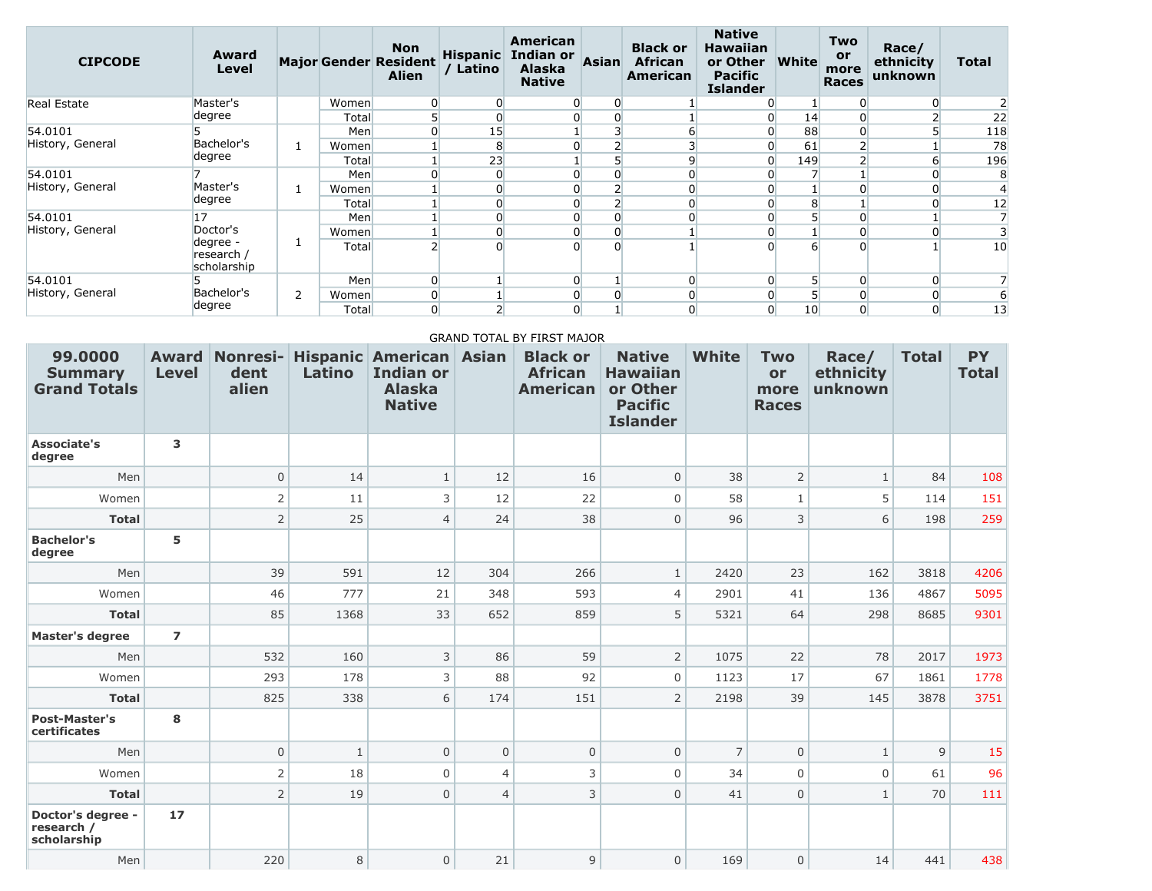| <b>CIPCODE</b>     | <b>Award</b><br>Level                 |    |       | <b>Non</b><br><b>Major Gender Resident</b><br><b>Alien</b> | Latino         | American<br>Hispanic Indian or<br><b>Alaska</b><br><b>Native</b> | <b>Asian</b> | <b>Black or</b><br><b>African</b><br>American | <b>Native</b><br><b>Hawaiian</b><br>or Other<br><b>Pacific</b><br><b>Islander</b> | <b>White</b>    | <b>Two</b><br>or<br>more<br><b>Races</b> | Race/<br>ethnicity<br>unknown | <b>Total</b>    |
|--------------------|---------------------------------------|----|-------|------------------------------------------------------------|----------------|------------------------------------------------------------------|--------------|-----------------------------------------------|-----------------------------------------------------------------------------------|-----------------|------------------------------------------|-------------------------------|-----------------|
| <b>Real Estate</b> | Master's                              |    | Women |                                                            | $\overline{0}$ |                                                                  |              |                                               |                                                                                   |                 |                                          |                               |                 |
|                    | degree                                |    | Total |                                                            | $\overline{0}$ |                                                                  |              |                                               |                                                                                   | 14              |                                          |                               | 22              |
| 54.0101            |                                       |    | Men   |                                                            | 15             |                                                                  |              |                                               |                                                                                   | 88              |                                          |                               | 118             |
| History, General   | Bachelor's                            |    | Women |                                                            | 8              |                                                                  |              |                                               |                                                                                   | 61              |                                          |                               | 78              |
|                    | degree                                |    | Total |                                                            | 23             |                                                                  |              | ٩                                             |                                                                                   | 149             |                                          |                               | 196             |
| 54.0101            |                                       |    | Men   |                                                            | $\overline{0}$ |                                                                  |              |                                               |                                                                                   |                 |                                          |                               |                 |
| History, General   | Master's                              |    | Women |                                                            | $\overline{0}$ | 0                                                                |              |                                               |                                                                                   |                 |                                          |                               | 4               |
|                    | degree                                |    | Total |                                                            | $\overline{0}$ | 0                                                                |              |                                               |                                                                                   | 8               |                                          |                               | 12              |
| 54.0101            | 17                                    |    | Men   |                                                            | $\overline{0}$ | 0                                                                |              |                                               |                                                                                   |                 |                                          |                               |                 |
| History, General   | Doctor's                              |    | Women |                                                            | $\overline{0}$ |                                                                  |              |                                               |                                                                                   |                 |                                          |                               |                 |
|                    | degree -<br>research /<br>scholarship | Τ. | Total |                                                            | $\Omega$       | $\Omega$                                                         |              |                                               |                                                                                   | 6               |                                          |                               | 10              |
| 54.0101            |                                       |    | Men   | $\overline{0}$                                             |                | 0                                                                |              | $\Omega$                                      |                                                                                   | 5 <sup>1</sup>  |                                          | 0                             |                 |
| History, General   | Bachelor's                            | 2  | Women |                                                            |                | 0                                                                |              |                                               |                                                                                   |                 |                                          |                               | 6               |
|                    | degree                                |    | Total | 0                                                          |                | 0                                                                |              |                                               |                                                                                   | 10 <sup>°</sup> |                                          |                               | $\overline{13}$ |

#### GRAND TOTAL BY FIRST MAJOR

| 99.0000<br><b>Summary</b><br><b>Grand Totals</b> | <b>Level</b>   | <b>Award Nonresi-</b><br>dent<br>alien | Latino       | <b>Hispanic American Asian</b><br><b>Indian or</b><br><b>Alaska</b><br><b>Native</b> |                | <b>Black or</b><br><b>African</b><br><b>American</b> | <b>Native</b><br><b>Hawaiian</b><br>or Other<br><b>Pacific</b><br><b>Islander</b> | <b>White</b>   | <b>Two</b><br>or<br>more<br><b>Races</b> | Race/<br>ethnicity<br>unknown | <b>Total</b> | <b>PY</b><br><b>Total</b> |
|--------------------------------------------------|----------------|----------------------------------------|--------------|--------------------------------------------------------------------------------------|----------------|------------------------------------------------------|-----------------------------------------------------------------------------------|----------------|------------------------------------------|-------------------------------|--------------|---------------------------|
| <b>Associate's</b><br>degree                     | 3              |                                        |              |                                                                                      |                |                                                      |                                                                                   |                |                                          |                               |              |                           |
| Men                                              |                | $\mathbf 0$                            | 14           | $\mathbf{1}$                                                                         | 12             | 16                                                   | $\overline{0}$                                                                    | 38             | $\overline{2}$                           | $\mathbf{1}$                  | 84           | 108                       |
| Women                                            |                | 2                                      | 11           | 3                                                                                    | 12             | 22                                                   | 0                                                                                 | 58             |                                          | 5                             | 114          | 151                       |
| <b>Total</b>                                     |                | $\overline{2}$                         | 25           | $\overline{4}$                                                                       | 24             | 38                                                   | $\overline{0}$                                                                    | 96             | 3                                        | 6                             | 198          | 259                       |
| <b>Bachelor's</b><br>degree                      | 5              |                                        |              |                                                                                      |                |                                                      |                                                                                   |                |                                          |                               |              |                           |
| Men                                              |                | 39                                     | 591          | 12                                                                                   | 304            | 266                                                  | $\mathbf{1}$                                                                      | 2420           | 23                                       | 162                           | 3818         | 4206                      |
| Women                                            |                | 46                                     | 777          | 21                                                                                   | 348            | 593                                                  | $\overline{4}$                                                                    | 2901           | 41                                       | 136                           | 4867         | 5095                      |
| <b>Total</b>                                     |                | 85                                     | 1368         | 33                                                                                   | 652            | 859                                                  | 5                                                                                 | 5321           | 64                                       | 298                           | 8685         | 9301                      |
| <b>Master's degree</b>                           | $\overline{ }$ |                                        |              |                                                                                      |                |                                                      |                                                                                   |                |                                          |                               |              |                           |
| Men                                              |                | 532                                    | 160          | 3                                                                                    | 86             | 59                                                   | $\overline{2}$                                                                    | 1075           | 22                                       | 78                            | 2017         | 1973                      |
| Women                                            |                | 293                                    | 178          | 3                                                                                    | 88             | 92                                                   | 0                                                                                 | 1123           | 17                                       | 67                            | 1861         | 1778                      |
| <b>Total</b>                                     |                | 825                                    | 338          | 6                                                                                    | 174            | 151                                                  | $\overline{2}$                                                                    | 2198           | 39                                       | 145                           | 3878         | 3751                      |
| <b>Post-Master's</b><br>certificates             | 8              |                                        |              |                                                                                      |                |                                                      |                                                                                   |                |                                          |                               |              |                           |
| Men                                              |                | $\mathbf{0}$                           | $\mathbf{1}$ | $\overline{0}$                                                                       | $\overline{0}$ | $\overline{0}$                                       | $\overline{0}$                                                                    | $\overline{7}$ | $\mathbf 0$                              | $\mathbf{1}$                  | 9            | 15                        |
| Women                                            |                | $\overline{2}$                         | 18           | $\mathbf 0$                                                                          | $\overline{4}$ | 3                                                    | 0                                                                                 | 34             | $\Omega$                                 | 0                             | 61           | 96                        |
| <b>Total</b>                                     |                | $\overline{2}$                         | 19           | 0                                                                                    | $\overline{4}$ | 3                                                    | $\overline{0}$                                                                    | 41             | $\mathbf 0$                              | $\mathbf{1}$                  | 70           | 111                       |
| Doctor's degree -<br>research /<br>scholarship   | 17             |                                        |              |                                                                                      |                |                                                      |                                                                                   |                |                                          |                               |              |                           |
| Men                                              |                | 220                                    | 8            | 0                                                                                    | 21             | $\mathsf 9$                                          | 0                                                                                 | 169            | $\mathbf{0}$                             | 14                            | 441          | 438                       |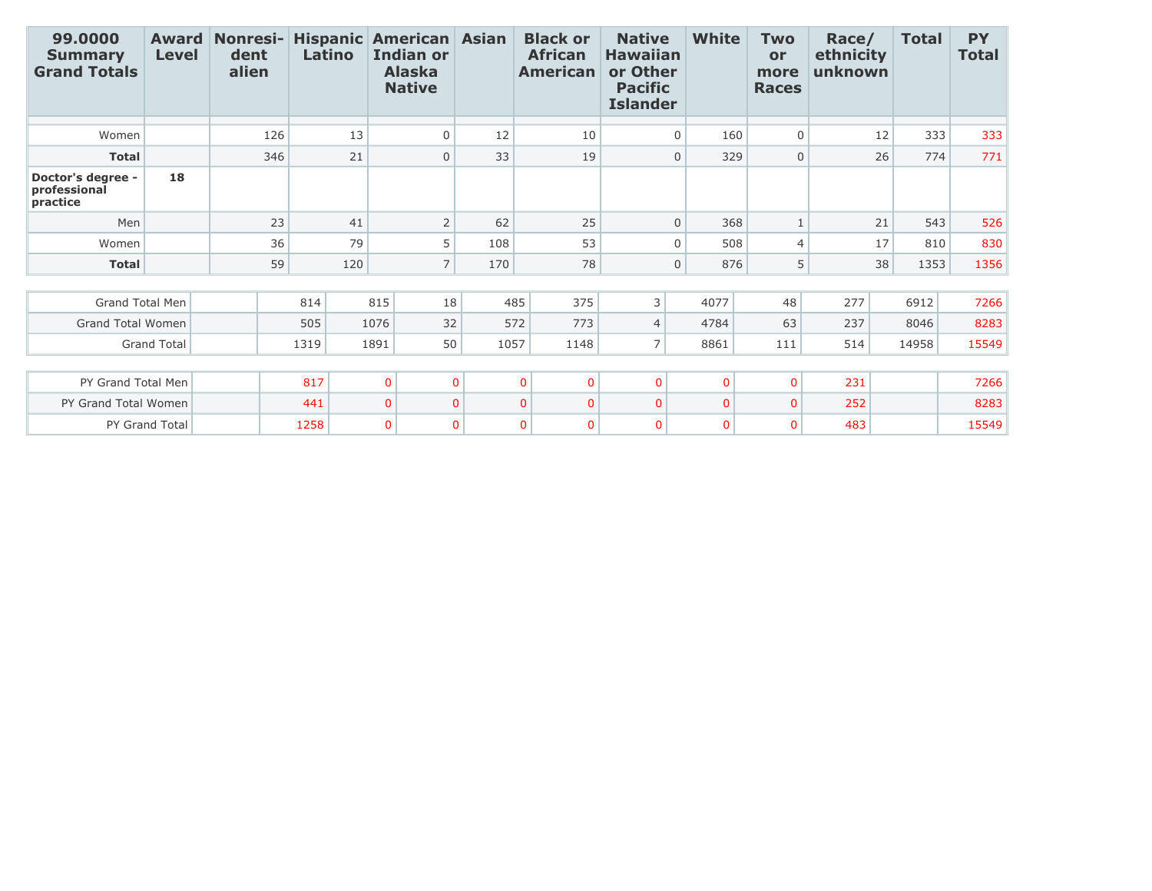| 99.0000<br><b>Summary</b><br><b>Grand Totals</b> | <b>Award</b><br><b>Level</b> | <b>Nonresi-</b><br>dent<br>alien | <b>Hispanic American Asian</b><br>Latino |                | <b>Indian or</b><br><b>Alaska</b><br><b>Native</b> |          | <b>Black or</b><br><b>African</b><br><b>American</b> | <b>Native</b><br><b>Hawaiian</b><br>or Other<br><b>Pacific</b><br><b>Islander</b> | White              | <b>Two</b><br>or<br>more<br><b>Races</b> | Race/<br>ethnicity<br>unknown | <b>Total</b> | <b>PY</b><br><b>Total</b> |
|--------------------------------------------------|------------------------------|----------------------------------|------------------------------------------|----------------|----------------------------------------------------|----------|------------------------------------------------------|-----------------------------------------------------------------------------------|--------------------|------------------------------------------|-------------------------------|--------------|---------------------------|
| Women                                            |                              | 126                              |                                          | 13             | $\mathbf 0$                                        | 12       | 10                                                   |                                                                                   | 160<br>$\Omega$    | 0                                        |                               | 12<br>333    | 333                       |
| <b>Total</b>                                     |                              | 346                              |                                          | 21             | $\mathbf 0$                                        | 33       | 19                                                   |                                                                                   | 329<br>$\mathbf 0$ | $\overline{0}$                           |                               | 26<br>774    | 771                       |
| Doctor's degree -<br>professional<br>practice    | 18                           |                                  |                                          |                |                                                    |          |                                                      |                                                                                   |                    |                                          |                               |              |                           |
| Men                                              |                              | 23                               |                                          | 41             | $\overline{2}$                                     | 62       | 25                                                   |                                                                                   | $\mathbf 0$<br>368 | $\mathbf{1}$                             |                               | 21<br>543    | 526                       |
| Women                                            |                              | 36                               |                                          | 79             | 5                                                  | 108      | 53                                                   |                                                                                   | 508<br>$\Omega$    | $\overline{4}$                           |                               | 17<br>810    | 830                       |
| <b>Total</b>                                     |                              | 59                               |                                          | 120            | $\overline{7}$                                     | 170      | 78                                                   |                                                                                   | 876<br>$\mathbf 0$ | 5                                        |                               | 38<br>1353   | 1356                      |
|                                                  |                              |                                  |                                          |                |                                                    |          |                                                      |                                                                                   |                    |                                          |                               |              |                           |
| <b>Grand Total Men</b>                           |                              |                                  | 814                                      | 815            | 18                                                 |          | 375<br>485                                           | 3                                                                                 | 4077               | 48                                       | 277                           | 6912         | 7266                      |
| <b>Grand Total Women</b>                         |                              |                                  | 505                                      | 1076           | 32                                                 |          | 572<br>773                                           | $\overline{4}$                                                                    | 4784               | 63                                       | 237                           | 8046         | 8283                      |
| <b>Grand Total</b>                               |                              |                                  | 1319                                     | 1891           | 50                                                 | 1057     | 1148                                                 | 7 <sup>1</sup>                                                                    | 8861               | 111                                      | 514                           | 14958        | 15549                     |
|                                                  |                              |                                  |                                          |                |                                                    |          |                                                      |                                                                                   |                    |                                          |                               |              |                           |
| PY Grand Total Men                               |                              |                                  | 817                                      | $\overline{0}$ |                                                    | $\Omega$ | $\mathbf{0}$<br>$\mathbf{0}$                         | $\mathbf 0$                                                                       | $\mathbf{0}$       | $\overline{0}$                           | 231                           |              | 7266                      |
| PY Grand Total Women                             |                              |                                  | 441                                      | $\Omega$       |                                                    | $\Omega$ | $\Omega$<br>$\Omega$                                 | $\mathbf{0}$                                                                      | $\mathbf{0}$       | $\overline{0}$                           | 252                           |              | 8283                      |
| PY Grand Total                                   |                              |                                  | 1258                                     | $\mathbf 0$    |                                                    | $\Omega$ | $\mathbf{0}$<br>$\Omega$                             | $\mathbf{0}$                                                                      | $\mathbf{0}$       | $\mathbf{0}$                             | 483                           |              | 15549                     |